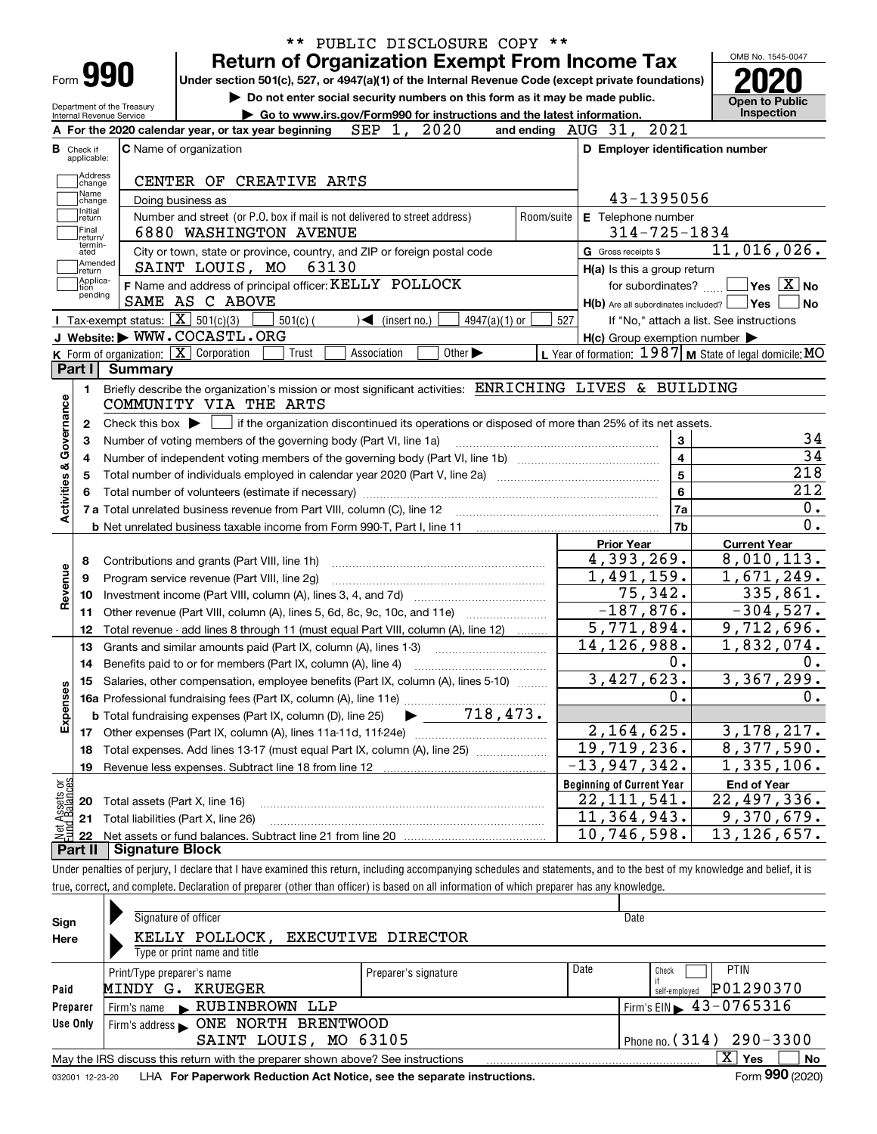|                                                                   |                                                            | ** PUBLIC DISCLOSURE COPY **                                                                                                                                                                                     |            |                                                                                                                  |                                                                                                                                                                                                              |  |
|-------------------------------------------------------------------|------------------------------------------------------------|------------------------------------------------------------------------------------------------------------------------------------------------------------------------------------------------------------------|------------|------------------------------------------------------------------------------------------------------------------|--------------------------------------------------------------------------------------------------------------------------------------------------------------------------------------------------------------|--|
|                                                                   | Form <b>990</b>                                            | <b>Return of Organization Exempt From Income Tax</b>                                                                                                                                                             |            |                                                                                                                  | OMB No. 1545-0047                                                                                                                                                                                            |  |
|                                                                   |                                                            | Under section 501(c), 527, or 4947(a)(1) of the Internal Revenue Code (except private foundations)                                                                                                               |            |                                                                                                                  |                                                                                                                                                                                                              |  |
|                                                                   | Department of the Treasury                                 | Do not enter social security numbers on this form as it may be made public.                                                                                                                                      |            |                                                                                                                  | <b>Open to Public</b><br>Inspection                                                                                                                                                                          |  |
|                                                                   | Internal Revenue Service                                   | Go to www.irs.gov/Form990 for instructions and the latest information.<br>A For the 2020 calendar year, or tax year beginning $SEP$ 1, 2020                                                                      |            | and ending $\Delta UG$ 31, 2021                                                                                  |                                                                                                                                                                                                              |  |
| <b>B</b> Check if                                                 |                                                            | <b>C</b> Name of organization                                                                                                                                                                                    |            | D Employer identification number                                                                                 |                                                                                                                                                                                                              |  |
| applicable:                                                       |                                                            |                                                                                                                                                                                                                  |            |                                                                                                                  |                                                                                                                                                                                                              |  |
| Address<br>change                                                 |                                                            | CENTER OF CREATIVE ARTS                                                                                                                                                                                          |            |                                                                                                                  |                                                                                                                                                                                                              |  |
| Name<br>change                                                    |                                                            | Doing business as                                                                                                                                                                                                |            | 43-1395056                                                                                                       |                                                                                                                                                                                                              |  |
| Initial<br>return                                                 |                                                            | Number and street (or P.O. box if mail is not delivered to street address)                                                                                                                                       | Room/suite | E Telephone number                                                                                               |                                                                                                                                                                                                              |  |
| Final<br>return/                                                  |                                                            | 6880 WASHINGTON AVENUE                                                                                                                                                                                           |            | $314 - 725 - 1834$                                                                                               |                                                                                                                                                                                                              |  |
| termin-<br>ated                                                   |                                                            | City or town, state or province, country, and ZIP or foreign postal code                                                                                                                                         |            | G Gross receipts \$                                                                                              | 11,016,026.                                                                                                                                                                                                  |  |
| return<br>Applica-                                                | Amended                                                    | SAINT LOUIS, MO 63130                                                                                                                                                                                            |            | H(a) Is this a group return                                                                                      |                                                                                                                                                                                                              |  |
| tion<br>pending                                                   |                                                            | F Name and address of principal officer: KELLY POLLOCK                                                                                                                                                           |            | for subordinates? $\Box$                                                                                         | $\sqrt{}$ Yes $\sqrt{X}$ No                                                                                                                                                                                  |  |
|                                                                   |                                                            | SAME AS C ABOVE                                                                                                                                                                                                  |            | H(b) Are all subordinates included?   Yes                                                                        | No                                                                                                                                                                                                           |  |
|                                                                   | <b>I</b> Tax-exempt status: $\boxed{\mathbf{X}}$ 501(c)(3) | $501(c)$ (<br>$\blacktriangleleft$ (insert no.)<br>$4947(a)(1)$ or<br>J Website: WWW.COCASTL.ORG                                                                                                                 | 527        |                                                                                                                  | If "No," attach a list. See instructions                                                                                                                                                                     |  |
|                                                                   | K Form of organization: $X$ Corporation                    | Trust<br>Association<br>Other $\blacktriangleright$                                                                                                                                                              |            | $H(c)$ Group exemption number $\blacktriangleright$<br>L Year of formation: $1987$ M State of legal domicile: MO |                                                                                                                                                                                                              |  |
| Part I                                                            | Summary                                                    |                                                                                                                                                                                                                  |            |                                                                                                                  |                                                                                                                                                                                                              |  |
| Activities & Governance<br>2                                      |                                                            | Check this box $\blacktriangleright$ $\Box$ if the organization discontinued its operations or disposed of more than 25% of its net assets.<br>Number of voting members of the governing body (Part VI, line 1a) |            | 3<br>$\overline{4}$                                                                                              | 34<br>$\overline{34}$                                                                                                                                                                                        |  |
|                                                                   |                                                            | $\overline{5}$<br>Total number of individuals employed in calendar year 2020 (Part V, line 2a) manufacture of individuals employed in calendar year 2020 (Part V, line 2a)                                       | 218        |                                                                                                                  |                                                                                                                                                                                                              |  |
|                                                                   |                                                            |                                                                                                                                                                                                                  |            |                                                                                                                  |                                                                                                                                                                                                              |  |
|                                                                   |                                                            |                                                                                                                                                                                                                  |            | $6\phantom{a}$                                                                                                   |                                                                                                                                                                                                              |  |
|                                                                   |                                                            |                                                                                                                                                                                                                  |            | 7a                                                                                                               |                                                                                                                                                                                                              |  |
|                                                                   |                                                            |                                                                                                                                                                                                                  |            | 7b                                                                                                               |                                                                                                                                                                                                              |  |
|                                                                   |                                                            |                                                                                                                                                                                                                  |            | <b>Prior Year</b>                                                                                                | <b>Current Year</b>                                                                                                                                                                                          |  |
| 8                                                                 |                                                            | Contributions and grants (Part VIII, line 1h)                                                                                                                                                                    |            | $\overline{4}$ , 393, 269.                                                                                       |                                                                                                                                                                                                              |  |
| 9                                                                 |                                                            | Program service revenue (Part VIII, line 2g)                                                                                                                                                                     |            | 1,491,159.                                                                                                       |                                                                                                                                                                                                              |  |
| 10                                                                |                                                            |                                                                                                                                                                                                                  |            | 75, 342.                                                                                                         |                                                                                                                                                                                                              |  |
| 11<br>12                                                          |                                                            | Other revenue (Part VIII, column (A), lines 5, 6d, 8c, 9c, 10c, and 11e)<br>Total revenue - add lines 8 through 11 (must equal Part VIII, column (A), line 12)                                                   |            | $-187,876.$<br>5,771,894.                                                                                        |                                                                                                                                                                                                              |  |
| 13                                                                |                                                            | Grants and similar amounts paid (Part IX, column (A), lines 1-3)                                                                                                                                                 |            | 14, 126, 988.                                                                                                    |                                                                                                                                                                                                              |  |
|                                                                   |                                                            | 14 Benefits paid to or for members (Part IX, column (A), line 4)                                                                                                                                                 |            | 0.                                                                                                               |                                                                                                                                                                                                              |  |
|                                                                   |                                                            | 15 Salaries, other compensation, employee benefits (Part IX, column (A), lines 5-10)                                                                                                                             |            | 3,427,623.                                                                                                       |                                                                                                                                                                                                              |  |
|                                                                   |                                                            |                                                                                                                                                                                                                  |            | 0.                                                                                                               |                                                                                                                                                                                                              |  |
|                                                                   |                                                            |                                                                                                                                                                                                                  |            |                                                                                                                  |                                                                                                                                                                                                              |  |
|                                                                   |                                                            |                                                                                                                                                                                                                  |            | 2, 164, 625.                                                                                                     |                                                                                                                                                                                                              |  |
| 18                                                                |                                                            | Total expenses. Add lines 13-17 (must equal Part IX, column (A), line 25)                                                                                                                                        |            | 19,719,236.                                                                                                      |                                                                                                                                                                                                              |  |
| 19                                                                |                                                            |                                                                                                                                                                                                                  |            | $-13,947,342.$                                                                                                   |                                                                                                                                                                                                              |  |
|                                                                   |                                                            |                                                                                                                                                                                                                  |            | <b>Beginning of Current Year</b>                                                                                 | 212<br>0.<br>$\overline{0}$ .<br>8,010,113.<br>1,671,249.<br>335,861.<br>$-304,527.$<br>9,712,696.<br>1,832,074.<br>0.<br>3,367,299.<br>0.<br>3, 178, 217.<br>8,377,590.<br>1,335,106.<br><b>End of Year</b> |  |
| 20                                                                | Total assets (Part X, line 16)                             |                                                                                                                                                                                                                  |            | 22, 111, 541.                                                                                                    | 22,497,336.                                                                                                                                                                                                  |  |
| Revenue<br>Expenses<br>Net Assets or<br>Eund Balances<br>21<br>22 |                                                            | Total liabilities (Part X, line 26)                                                                                                                                                                              |            | 11,364,943.<br>10,746,598.                                                                                       | 9,370,679.<br>$\overline{13}$ , 126, 657.                                                                                                                                                                    |  |

| true.<br>rran<br>co.<br>י טע<br>wu | complete.<br>prepare<br>. oreparer<br>has any<br>and<br>'Jeclaratior<br>on<br>pasec<br>which<br>l intormation<br>than<br>otnei<br>ΩT<br>omcer<br>αı | ' knowledae |
|------------------------------------|-----------------------------------------------------------------------------------------------------------------------------------------------------|-------------|
|                                    |                                                                                                                                                     |             |

| Sign     | Signature of officer                                                                                         |                           |      | Date                                         |  |  |  |  |  |  |  |
|----------|--------------------------------------------------------------------------------------------------------------|---------------------------|------|----------------------------------------------|--|--|--|--|--|--|--|
| Here     | KELLY POLLOCK,                                                                                               | <b>EXECUTIVE DIRECTOR</b> |      |                                              |  |  |  |  |  |  |  |
|          | Type or print name and title                                                                                 |                           |      |                                              |  |  |  |  |  |  |  |
|          | Print/Type preparer's name                                                                                   | Preparer's signature      | Date | <b>PTIN</b><br>Check                         |  |  |  |  |  |  |  |
| Paid     | MINDY G.<br>KRUEGER                                                                                          |                           |      | P01290370<br>self-emploved                   |  |  |  |  |  |  |  |
| Preparer | Firm's name RUBINBROWN LLP                                                                                   |                           |      | $\frac{1}{2}$ Firm's EIN $\geq 43 - 0765316$ |  |  |  |  |  |  |  |
| Use Only |                                                                                                              |                           |      |                                              |  |  |  |  |  |  |  |
|          | Phone no. $(314)$ 290 - 3300<br>SAINT LOUIS, MO 63105                                                        |                           |      |                                              |  |  |  |  |  |  |  |
|          | x<br>No<br><b>Yes</b><br>May the IRS discuss this return with the preparer shown above? See instructions     |                           |      |                                              |  |  |  |  |  |  |  |
|          | Form 990 (2020)<br>LHA For Paperwork Reduction Act Notice, see the separate instructions.<br>032001 12-23-20 |                           |      |                                              |  |  |  |  |  |  |  |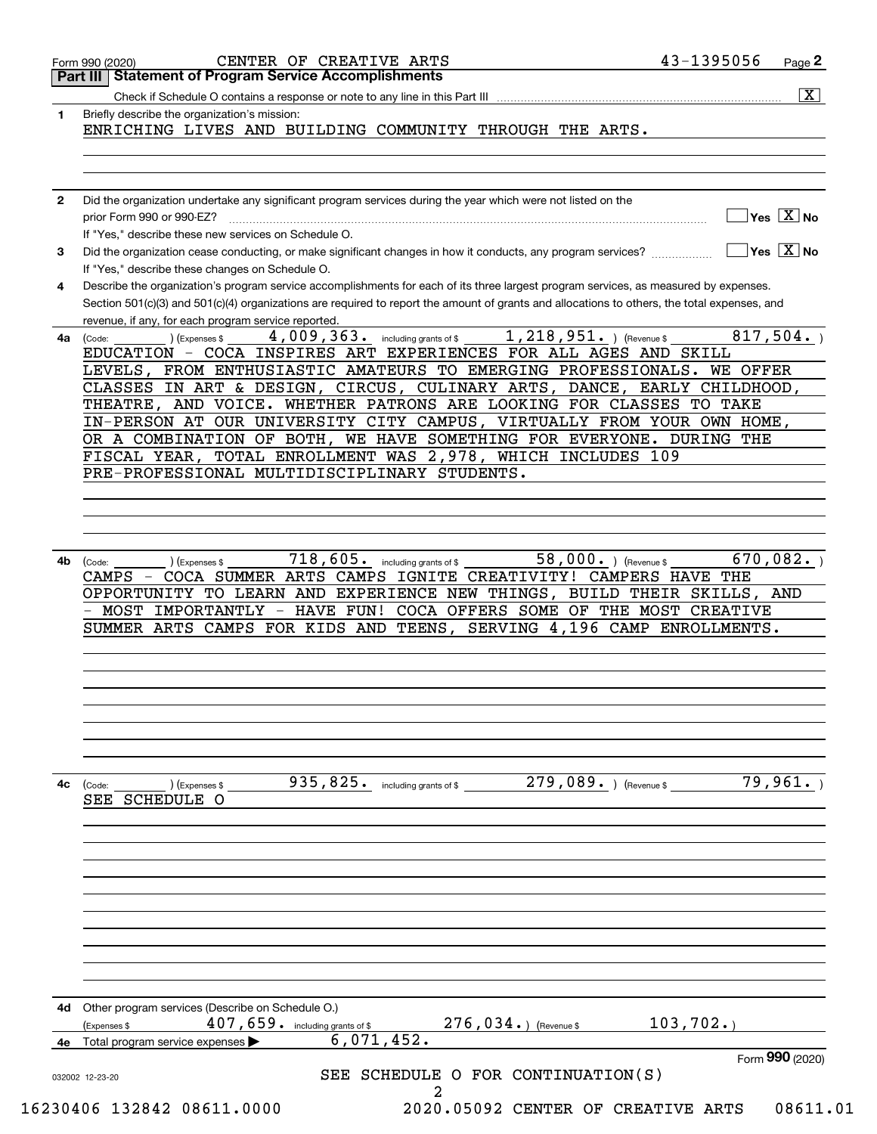|              | 43-1395056<br>CENTER OF CREATIVE ARTS<br>Page 2<br>Form 990 (2020)<br>Part III   Statement of Program Service Accomplishments                                                                                                                                                                                                                                                                                                                                                                                                                                                                                             |
|--------------|---------------------------------------------------------------------------------------------------------------------------------------------------------------------------------------------------------------------------------------------------------------------------------------------------------------------------------------------------------------------------------------------------------------------------------------------------------------------------------------------------------------------------------------------------------------------------------------------------------------------------|
|              | $\overline{\mathbf{X}}$                                                                                                                                                                                                                                                                                                                                                                                                                                                                                                                                                                                                   |
| 1            | Briefly describe the organization's mission:<br>ENRICHING LIVES AND BUILDING COMMUNITY THROUGH THE ARTS.                                                                                                                                                                                                                                                                                                                                                                                                                                                                                                                  |
|              |                                                                                                                                                                                                                                                                                                                                                                                                                                                                                                                                                                                                                           |
| $\mathbf{2}$ | Did the organization undertake any significant program services during the year which were not listed on the<br>$\overline{\mathsf{Yes} \mathrel{\hspace{0.5pt}\mathsf{X}}}$ No<br>prior Form 990 or 990-EZ?<br>If "Yes," describe these new services on Schedule O.                                                                                                                                                                                                                                                                                                                                                      |
| 3            | $\overline{\mathsf{Yes} \mathrel{\hspace{0.5pt}\mathsf{X}}}$ No<br>Did the organization cease conducting, or make significant changes in how it conducts, any program services?<br>If "Yes," describe these changes on Schedule O.                                                                                                                                                                                                                                                                                                                                                                                        |
| 4            | Describe the organization's program service accomplishments for each of its three largest program services, as measured by expenses.<br>Section 501(c)(3) and 501(c)(4) organizations are required to report the amount of grants and allocations to others, the total expenses, and<br>revenue, if any, for each program service reported.                                                                                                                                                                                                                                                                               |
|              | $1,218,951.$ ) (Revenue \$<br>4,009,363. including grants of \$<br>817,504.<br>(Expenses \$<br>4a (Code:<br>EDUCATION - COCA INSPIRES ART EXPERIENCES FOR ALL AGES AND SKILL<br>LEVELS, FROM ENTHUSIASTIC AMATEURS TO EMERGING PROFESSIONALS. WE OFFER<br>CLASSES IN ART & DESIGN, CIRCUS, CULINARY ARTS, DANCE, EARLY CHILDHOOD,<br>THEATRE, AND VOICE. WHETHER PATRONS ARE LOOKING FOR CLASSES TO TAKE<br>IN-PERSON AT OUR UNIVERSITY CITY CAMPUS, VIRTUALLY FROM YOUR OWN HOME,<br>OR A COMBINATION OF BOTH, WE HAVE SOMETHING FOR EVERYONE. DURING THE<br>FISCAL YEAR, TOTAL ENROLLMENT WAS 2,978, WHICH INCLUDES 109 |
|              | PRE-PROFESSIONAL MULTIDISCIPLINARY STUDENTS.                                                                                                                                                                                                                                                                                                                                                                                                                                                                                                                                                                              |
|              |                                                                                                                                                                                                                                                                                                                                                                                                                                                                                                                                                                                                                           |
|              |                                                                                                                                                                                                                                                                                                                                                                                                                                                                                                                                                                                                                           |
|              |                                                                                                                                                                                                                                                                                                                                                                                                                                                                                                                                                                                                                           |
|              |                                                                                                                                                                                                                                                                                                                                                                                                                                                                                                                                                                                                                           |
|              | CAMPS - COCA SUMMER ARTS CAMPS IGNITE CREATIVITY! CAMPERS HAVE THE<br>OPPORTUNITY TO LEARN AND EXPERIENCE NEW THINGS, BUILD THEIR SKILLS, AND<br>- MOST IMPORTANTLY - HAVE FUN! COCA OFFERS SOME OF THE MOST CREATIVE<br>SUMMER ARTS CAMPS FOR KIDS AND TEENS, SERVING 4,196 CAMP ENROLLMENTS.                                                                                                                                                                                                                                                                                                                            |
|              | 79,961.<br>935,825. including grants of \$279,089. $($ Revenue \$                                                                                                                                                                                                                                                                                                                                                                                                                                                                                                                                                         |
| 4c           | (Expenses \$<br>(Code:<br>SEE SCHEDULE O                                                                                                                                                                                                                                                                                                                                                                                                                                                                                                                                                                                  |
|              |                                                                                                                                                                                                                                                                                                                                                                                                                                                                                                                                                                                                                           |
|              |                                                                                                                                                                                                                                                                                                                                                                                                                                                                                                                                                                                                                           |
|              |                                                                                                                                                                                                                                                                                                                                                                                                                                                                                                                                                                                                                           |
|              | 4d Other program services (Describe on Schedule O.)<br>$276,034.$ (Revenue \$<br>103, 702.<br>407, 659. including grants of \$<br>(Expenses \$                                                                                                                                                                                                                                                                                                                                                                                                                                                                            |
|              |                                                                                                                                                                                                                                                                                                                                                                                                                                                                                                                                                                                                                           |
| 4e           | 6,071,452.<br>Total program service expenses                                                                                                                                                                                                                                                                                                                                                                                                                                                                                                                                                                              |
|              | Form 990 (2020)<br>SEE SCHEDULE O FOR CONTINUATION(S)<br>032002 12-23-20                                                                                                                                                                                                                                                                                                                                                                                                                                                                                                                                                  |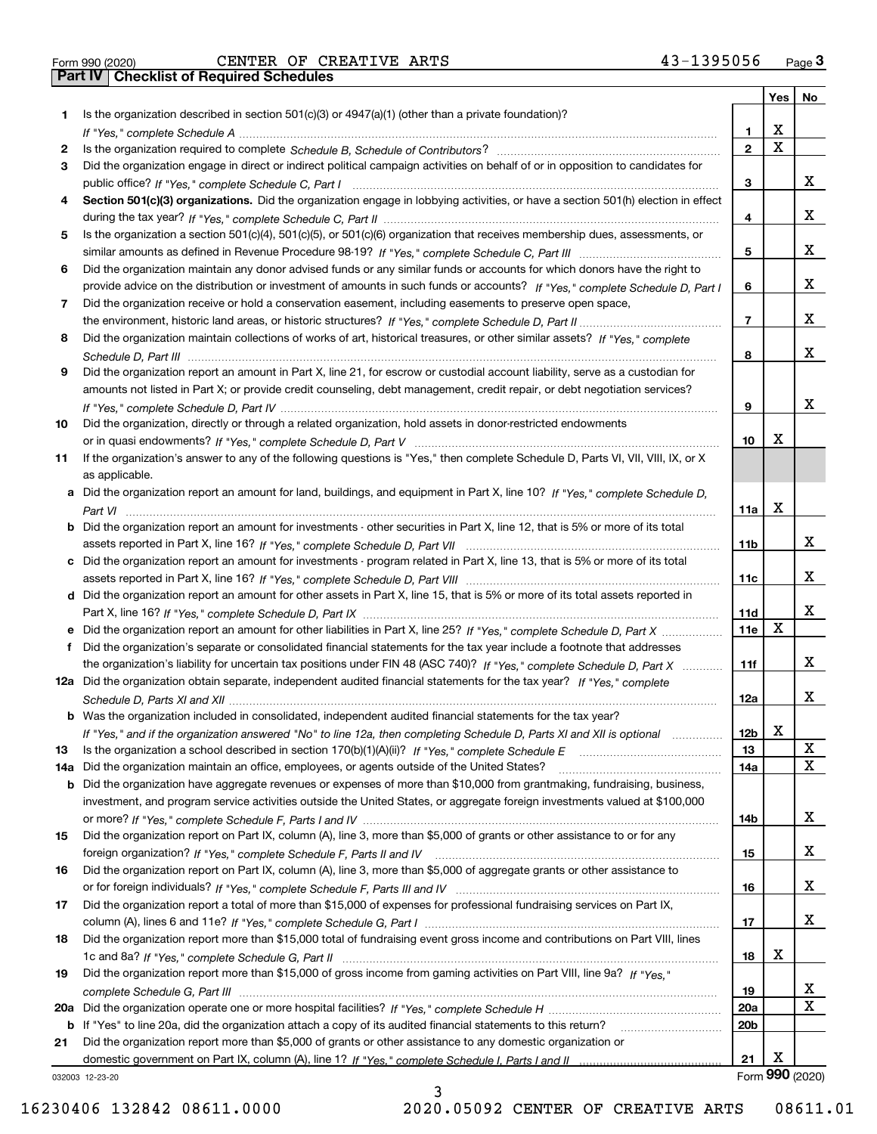|           |                                                                                                                                                                                                                              |                 | Yes   No |                 |
|-----------|------------------------------------------------------------------------------------------------------------------------------------------------------------------------------------------------------------------------------|-----------------|----------|-----------------|
| 1.        | Is the organization described in section $501(c)(3)$ or $4947(a)(1)$ (other than a private foundation)?                                                                                                                      |                 |          |                 |
|           |                                                                                                                                                                                                                              | 1.              | X        |                 |
| 2         |                                                                                                                                                                                                                              | $\overline{2}$  | X        |                 |
| 3         | Did the organization engage in direct or indirect political campaign activities on behalf of or in opposition to candidates for                                                                                              |                 |          |                 |
|           |                                                                                                                                                                                                                              | 3               |          | x               |
| 4         | Section 501(c)(3) organizations. Did the organization engage in lobbying activities, or have a section 501(h) election in effect                                                                                             |                 |          |                 |
|           |                                                                                                                                                                                                                              | 4               |          | x               |
| 5         | Is the organization a section 501(c)(4), 501(c)(5), or 501(c)(6) organization that receives membership dues, assessments, or                                                                                                 |                 |          |                 |
|           |                                                                                                                                                                                                                              | 5               |          | x               |
| 6         | Did the organization maintain any donor advised funds or any similar funds or accounts for which donors have the right to                                                                                                    |                 |          |                 |
|           | provide advice on the distribution or investment of amounts in such funds or accounts? If "Yes," complete Schedule D, Part I                                                                                                 | 6               |          | x               |
| 7         | Did the organization receive or hold a conservation easement, including easements to preserve open space,                                                                                                                    |                 |          |                 |
|           |                                                                                                                                                                                                                              | $\overline{7}$  |          | x               |
| 8         | Did the organization maintain collections of works of art, historical treasures, or other similar assets? If "Yes," complete                                                                                                 |                 |          |                 |
|           |                                                                                                                                                                                                                              | 8               |          | x               |
| 9         | Did the organization report an amount in Part X, line 21, for escrow or custodial account liability, serve as a custodian for                                                                                                |                 |          |                 |
|           | amounts not listed in Part X; or provide credit counseling, debt management, credit repair, or debt negotiation services?                                                                                                    |                 |          |                 |
|           |                                                                                                                                                                                                                              | 9               |          | x               |
| 10        | Did the organization, directly or through a related organization, hold assets in donor-restricted endowments                                                                                                                 |                 |          |                 |
|           |                                                                                                                                                                                                                              | 10              | х        |                 |
| 11        | If the organization's answer to any of the following questions is "Yes," then complete Schedule D, Parts VI, VII, VIII, IX, or X                                                                                             |                 |          |                 |
|           | as applicable.                                                                                                                                                                                                               |                 |          |                 |
|           | a Did the organization report an amount for land, buildings, and equipment in Part X, line 10? If "Yes," complete Schedule D.                                                                                                |                 |          |                 |
|           |                                                                                                                                                                                                                              | 11a             | X        |                 |
|           | <b>b</b> Did the organization report an amount for investments - other securities in Part X, line 12, that is 5% or more of its total                                                                                        |                 |          |                 |
|           |                                                                                                                                                                                                                              | 11 <sub>b</sub> |          | x               |
|           | c Did the organization report an amount for investments - program related in Part X, line 13, that is 5% or more of its total                                                                                                |                 |          |                 |
|           |                                                                                                                                                                                                                              | 11c             |          | x               |
|           | d Did the organization report an amount for other assets in Part X, line 15, that is 5% or more of its total assets reported in                                                                                              |                 |          |                 |
|           |                                                                                                                                                                                                                              | 11d             |          | x               |
|           |                                                                                                                                                                                                                              | 11e             | X        |                 |
| f         | Did the organization's separate or consolidated financial statements for the tax year include a footnote that addresses                                                                                                      |                 |          | x               |
|           | the organization's liability for uncertain tax positions under FIN 48 (ASC 740)? If "Yes," complete Schedule D, Part X                                                                                                       | 11f             |          |                 |
|           | 12a Did the organization obtain separate, independent audited financial statements for the tax year? If "Yes," complete                                                                                                      |                 |          | x               |
|           | b Was the organization included in consolidated, independent audited financial statements for the tax year?                                                                                                                  | 12a             |          |                 |
|           |                                                                                                                                                                                                                              | 12 <sub>b</sub> | X        |                 |
|           | If "Yes," and if the organization answered "No" to line 12a, then completing Schedule D, Parts XI and XII is optional<br>Is the organization a school described in section $170(b)(1)(A)(ii)?$ If "Yes," complete Schedule E |                 |          | X               |
| 13<br>14a | Did the organization maintain an office, employees, or agents outside of the United States?                                                                                                                                  | 13<br>14a       |          | X               |
|           | <b>b</b> Did the organization have aggregate revenues or expenses of more than \$10,000 from grantmaking, fundraising, business,                                                                                             |                 |          |                 |
|           | investment, and program service activities outside the United States, or aggregate foreign investments valued at \$100,000                                                                                                   |                 |          |                 |
|           |                                                                                                                                                                                                                              | 14b             |          | x               |
| 15        | Did the organization report on Part IX, column (A), line 3, more than \$5,000 of grants or other assistance to or for any                                                                                                    |                 |          |                 |
|           |                                                                                                                                                                                                                              | 15              |          | x               |
| 16        | Did the organization report on Part IX, column (A), line 3, more than \$5,000 of aggregate grants or other assistance to                                                                                                     |                 |          |                 |
|           |                                                                                                                                                                                                                              | 16              |          | x               |
| 17        | Did the organization report a total of more than \$15,000 of expenses for professional fundraising services on Part IX,                                                                                                      |                 |          |                 |
|           |                                                                                                                                                                                                                              | 17              |          | x               |
| 18        | Did the organization report more than \$15,000 total of fundraising event gross income and contributions on Part VIII, lines                                                                                                 |                 |          |                 |
|           |                                                                                                                                                                                                                              | 18              | x        |                 |
| 19        | Did the organization report more than \$15,000 of gross income from gaming activities on Part VIII, line 9a? If "Yes."                                                                                                       |                 |          |                 |
|           |                                                                                                                                                                                                                              | 19              |          | X               |
|           |                                                                                                                                                                                                                              | 20a             |          | x               |
|           | b If "Yes" to line 20a, did the organization attach a copy of its audited financial statements to this return?                                                                                                               | 20 <sub>b</sub> |          |                 |
| 21        | Did the organization report more than \$5,000 of grants or other assistance to any domestic organization or                                                                                                                  |                 |          |                 |
|           |                                                                                                                                                                                                                              | 21              | х        |                 |
|           | 032003 12-23-20                                                                                                                                                                                                              |                 |          | Form 990 (2020) |

032003 12-23-20

3 16230406 132842 08611.0000 2020.05092 CENTER OF CREATIVE ARTS 08611.01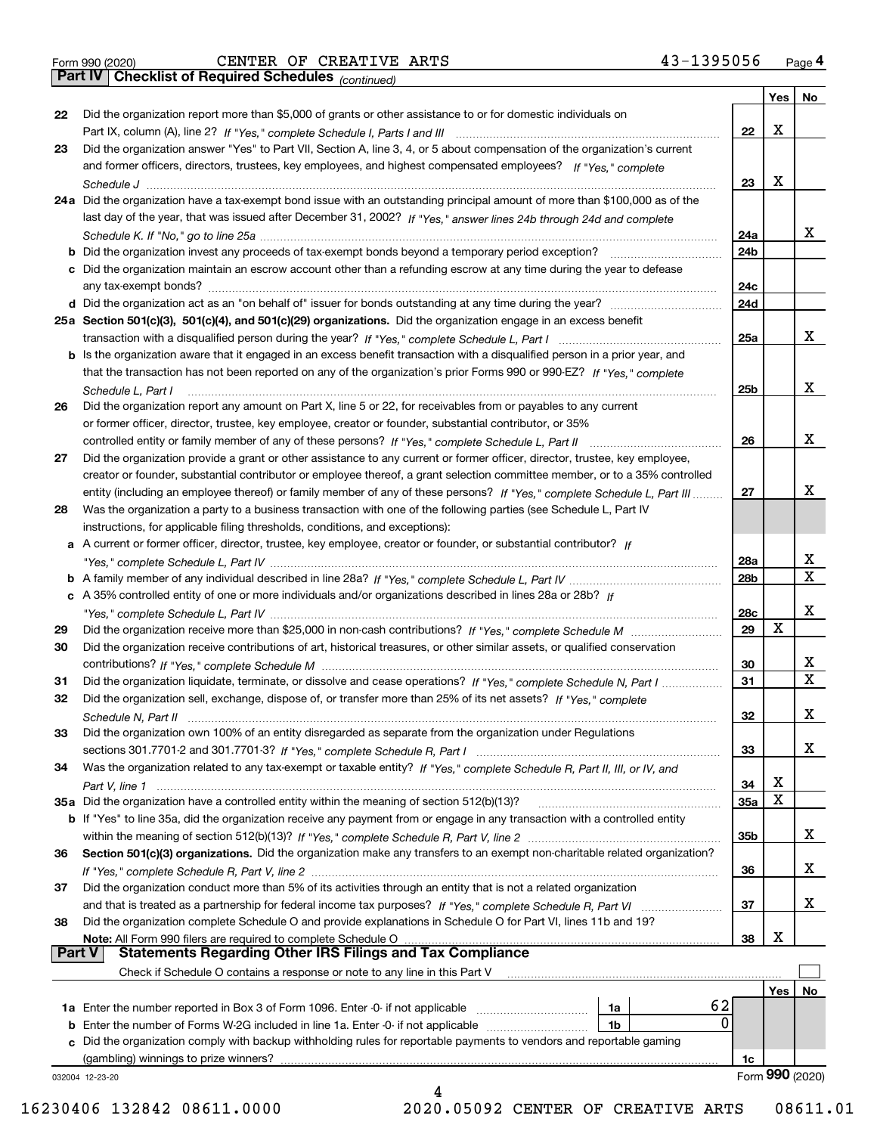*(continued)*

|               |                                                                                                                              |                 | Yes | No                      |
|---------------|------------------------------------------------------------------------------------------------------------------------------|-----------------|-----|-------------------------|
| 22            | Did the organization report more than \$5,000 of grants or other assistance to or for domestic individuals on                |                 |     |                         |
|               |                                                                                                                              | 22              | х   |                         |
| 23            | Did the organization answer "Yes" to Part VII, Section A, line 3, 4, or 5 about compensation of the organization's current   |                 |     |                         |
|               | and former officers, directors, trustees, key employees, and highest compensated employees? If "Yes," complete               |                 |     |                         |
|               |                                                                                                                              | 23              | х   |                         |
|               | 24a Did the organization have a tax-exempt bond issue with an outstanding principal amount of more than \$100,000 as of the  |                 |     |                         |
|               | last day of the year, that was issued after December 31, 2002? If "Yes," answer lines 24b through 24d and complete           |                 |     |                         |
|               |                                                                                                                              | 24a             |     | x                       |
|               | <b>b</b> Did the organization invest any proceeds of tax-exempt bonds beyond a temporary period exception?                   | 24b             |     |                         |
|               |                                                                                                                              |                 |     |                         |
|               | c Did the organization maintain an escrow account other than a refunding escrow at any time during the year to defease       |                 |     |                         |
|               |                                                                                                                              | 24c             |     |                         |
|               |                                                                                                                              | 24d             |     |                         |
|               | 25a Section 501(c)(3), 501(c)(4), and 501(c)(29) organizations. Did the organization engage in an excess benefit             |                 |     |                         |
|               |                                                                                                                              | 25a             |     | x                       |
|               | b Is the organization aware that it engaged in an excess benefit transaction with a disqualified person in a prior year, and |                 |     |                         |
|               | that the transaction has not been reported on any of the organization's prior Forms 990 or 990-EZ? If "Yes." complete        |                 |     |                         |
|               | Schedule L. Part I                                                                                                           | 25 <sub>b</sub> |     | х                       |
| 26            | Did the organization report any amount on Part X, line 5 or 22, for receivables from or payables to any current              |                 |     |                         |
|               | or former officer, director, trustee, key employee, creator or founder, substantial contributor, or 35%                      |                 |     |                         |
|               |                                                                                                                              | 26              |     | х                       |
| 27            | Did the organization provide a grant or other assistance to any current or former officer, director, trustee, key employee,  |                 |     |                         |
|               | creator or founder, substantial contributor or employee thereof, a grant selection committee member, or to a 35% controlled  |                 |     |                         |
|               | entity (including an employee thereof) or family member of any of these persons? If "Yes," complete Schedule L, Part III     | 27              |     | х                       |
| 28            | Was the organization a party to a business transaction with one of the following parties (see Schedule L, Part IV            |                 |     |                         |
|               |                                                                                                                              |                 |     |                         |
|               | instructions, for applicable filing thresholds, conditions, and exceptions):                                                 |                 |     |                         |
|               | a A current or former officer, director, trustee, key employee, creator or founder, or substantial contributor? If           |                 |     |                         |
|               |                                                                                                                              | 28a             |     | x                       |
|               |                                                                                                                              | 28 <sub>b</sub> |     | $\mathbf X$             |
|               | c A 35% controlled entity of one or more individuals and/or organizations described in lines 28a or 28b? If                  |                 |     |                         |
|               |                                                                                                                              | 28c             |     | х                       |
| 29            |                                                                                                                              | 29              | X   |                         |
| 30            | Did the organization receive contributions of art, historical treasures, or other similar assets, or qualified conservation  |                 |     |                         |
|               |                                                                                                                              | 30              |     | X.                      |
| 31            | Did the organization liquidate, terminate, or dissolve and cease operations? If "Yes," complete Schedule N, Part I           | 31              |     | $\overline{\mathbf{x}}$ |
| 32            | Did the organization sell, exchange, dispose of, or transfer more than 25% of its net assets? If "Yes." complete             |                 |     |                         |
|               | Schedule N, Part II                                                                                                          | 32              |     | х                       |
| 33            | Did the organization own 100% of an entity disregarded as separate from the organization under Regulations                   |                 |     |                         |
|               |                                                                                                                              | 33              |     | х                       |
| 34            |                                                                                                                              |                 |     |                         |
|               | Was the organization related to any tax-exempt or taxable entity? If "Yes," complete Schedule R, Part II, III, or IV, and    |                 | х   |                         |
|               |                                                                                                                              | 34              |     |                         |
|               | 35a Did the organization have a controlled entity within the meaning of section 512(b)(13)?                                  | 35a             | X   |                         |
|               | b If "Yes" to line 35a, did the organization receive any payment from or engage in any transaction with a controlled entity  |                 |     |                         |
|               |                                                                                                                              | 35b             |     | X.                      |
| 36            | Section 501(c)(3) organizations. Did the organization make any transfers to an exempt non-charitable related organization?   |                 |     |                         |
|               |                                                                                                                              | 36              |     | X.                      |
| 37            | Did the organization conduct more than 5% of its activities through an entity that is not a related organization             |                 |     |                         |
|               | and that is treated as a partnership for federal income tax purposes? If "Yes," complete Schedule R, Part VI                 | 37              |     | x                       |
| 38            | Did the organization complete Schedule O and provide explanations in Schedule O for Part VI, lines 11b and 19?               |                 |     |                         |
|               | Note: All Form 990 filers are required to complete Schedule O                                                                | 38              | х   |                         |
| <b>Part V</b> | <b>Statements Regarding Other IRS Filings and Tax Compliance</b>                                                             |                 |     |                         |
|               | Check if Schedule O contains a response or note to any line in this Part V                                                   |                 |     |                         |
|               |                                                                                                                              |                 | Yes | No                      |
|               | 62<br><b>1a</b> Enter the number reported in Box 3 of Form 1096. Enter -0- if not applicable <i>manumumumum</i><br>1a        |                 |     |                         |
|               | 0<br><b>b</b> Enter the number of Forms W-2G included in line 1a. Enter -0- if not applicable<br>1b                          |                 |     |                         |
|               | c Did the organization comply with backup withholding rules for reportable payments to vendors and reportable gaming         |                 |     |                         |
|               | (gambling) winnings to prize winners?                                                                                        |                 |     |                         |
|               |                                                                                                                              | 1c              |     | Form 990 (2020)         |
|               | 032004 12-23-20<br>4                                                                                                         |                 |     |                         |
|               |                                                                                                                              |                 |     |                         |

16230406 132842 08611.0000 2020.05092 CENTER OF CREATIVE ARTS 08611.01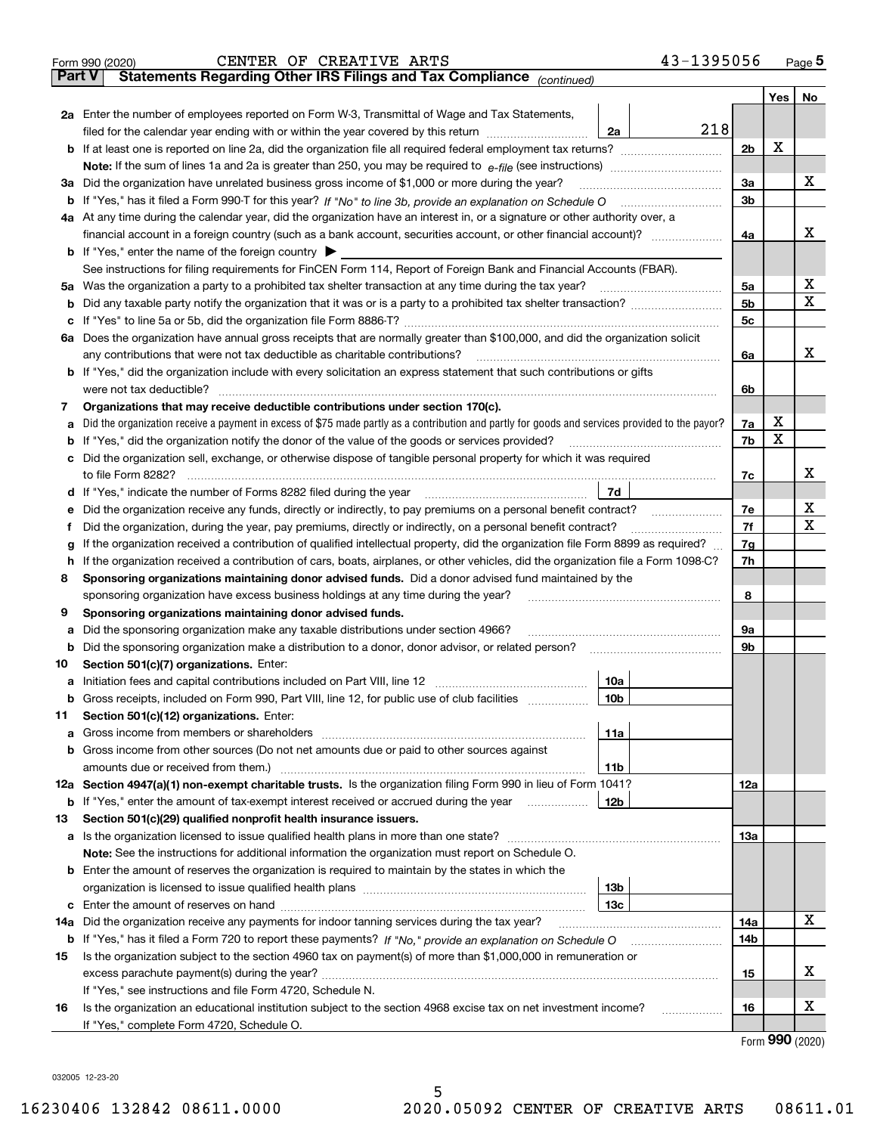|        | 43-1395056<br>CENTER OF CREATIVE ARTS<br>Form 990 (2020)                                                                                          |                |     | $Page$ 5              |
|--------|---------------------------------------------------------------------------------------------------------------------------------------------------|----------------|-----|-----------------------|
| Part V | Statements Regarding Other IRS Filings and Tax Compliance (continued)                                                                             |                |     |                       |
|        |                                                                                                                                                   |                | Yes | No                    |
|        | 2a Enter the number of employees reported on Form W-3, Transmittal of Wage and Tax Statements,                                                    |                |     |                       |
|        | 218<br>filed for the calendar year ending with or within the year covered by this return<br>2a                                                    |                |     |                       |
|        | <b>b</b> If at least one is reported on line 2a, did the organization file all required federal employment tax returns?                           | 2 <sub>b</sub> | X   |                       |
|        | <b>Note:</b> If the sum of lines 1a and 2a is greater than 250, you may be required to $e$ -file (see instructions) <i>manimummmmmm</i>           |                |     |                       |
|        | 3a Did the organization have unrelated business gross income of \$1,000 or more during the year?                                                  | 3a             |     | х                     |
|        |                                                                                                                                                   | 3 <sub>b</sub> |     |                       |
|        | 4a At any time during the calendar year, did the organization have an interest in, or a signature or other authority over, a                      |                |     |                       |
|        |                                                                                                                                                   | 4a             |     | х                     |
|        | <b>b</b> If "Yes," enter the name of the foreign country $\triangleright$                                                                         |                |     |                       |
|        | See instructions for filing requirements for FinCEN Form 114, Report of Foreign Bank and Financial Accounts (FBAR).                               |                |     |                       |
|        |                                                                                                                                                   | 5a             |     | х                     |
|        |                                                                                                                                                   | 5 <sub>b</sub> |     | $\mathbf X$           |
|        |                                                                                                                                                   | 5 <sub>c</sub> |     |                       |
|        | 6a Does the organization have annual gross receipts that are normally greater than \$100,000, and did the organization solicit                    |                |     |                       |
|        | any contributions that were not tax deductible as charitable contributions?                                                                       | 6a             |     | х                     |
|        | <b>b</b> If "Yes," did the organization include with every solicitation an express statement that such contributions or gifts                     |                |     |                       |
|        | were not tax deductible?                                                                                                                          | 6b             |     |                       |
| 7      | Organizations that may receive deductible contributions under section 170(c).                                                                     |                |     |                       |
|        | a Did the organization receive a payment in excess of \$75 made partly as a contribution and partly for goods and services provided to the payor? | 7a             | х   |                       |
|        | <b>b</b> If "Yes," did the organization notify the donor of the value of the goods or services provided?                                          | 7b             | X   |                       |
|        | c Did the organization sell, exchange, or otherwise dispose of tangible personal property for which it was required                               |                |     |                       |
|        | to file Form 8282?                                                                                                                                | 7c             |     | х                     |
|        | 7d                                                                                                                                                |                |     |                       |
| е      | Did the organization receive any funds, directly or indirectly, to pay premiums on a personal benefit contract?                                   | 7e             |     | х                     |
| Ť      | Did the organization, during the year, pay premiums, directly or indirectly, on a personal benefit contract?                                      | 7f             |     | $\mathbf X$           |
| g      | If the organization received a contribution of qualified intellectual property, did the organization file Form 8899 as required?                  | 7g             |     |                       |
|        | h If the organization received a contribution of cars, boats, airplanes, or other vehicles, did the organization file a Form 1098-C?              | 7h             |     |                       |
| 8      | Sponsoring organizations maintaining donor advised funds. Did a donor advised fund maintained by the                                              |                |     |                       |
|        | sponsoring organization have excess business holdings at any time during the year?                                                                | 8              |     |                       |
| 9      | Sponsoring organizations maintaining donor advised funds.                                                                                         |                |     |                       |
| а      | Did the sponsoring organization make any taxable distributions under section 4966?                                                                | 9а             |     |                       |
|        | <b>b</b> Did the sponsoring organization make a distribution to a donor, donor advisor, or related person?                                        | 9b             |     |                       |
| 10     | Section 501(c)(7) organizations. Enter:                                                                                                           |                |     |                       |
|        | 10a                                                                                                                                               |                |     |                       |
|        | <b>b</b> Gross receipts, included on Form 990, Part VIII, line 12, for public use of club facilities <i>manument</i><br>10b                       |                |     |                       |
| 11     | Section 501(c)(12) organizations. Enter:                                                                                                          |                |     |                       |
| а      | 11a                                                                                                                                               |                |     |                       |
| b      | Gross income from other sources (Do not net amounts due or paid to other sources against                                                          |                |     |                       |
|        | amounts due or received from them.)<br>11b                                                                                                        |                |     |                       |
|        | 12a Section 4947(a)(1) non-exempt charitable trusts. Is the organization filing Form 990 in lieu of Form 1041?                                    | 12a            |     |                       |
|        | <b>b</b> If "Yes," enter the amount of tax-exempt interest received or accrued during the year<br>12b                                             |                |     |                       |
| 13     | Section 501(c)(29) qualified nonprofit health insurance issuers.                                                                                  |                |     |                       |
|        | a Is the organization licensed to issue qualified health plans in more than one state?                                                            | 13а            |     |                       |
|        | Note: See the instructions for additional information the organization must report on Schedule O.                                                 |                |     |                       |
|        | <b>b</b> Enter the amount of reserves the organization is required to maintain by the states in which the                                         |                |     |                       |
|        | 13b                                                                                                                                               |                |     |                       |
|        | 13с                                                                                                                                               |                |     |                       |
| 14a    | Did the organization receive any payments for indoor tanning services during the tax year?                                                        | 14a            |     | X                     |
|        |                                                                                                                                                   | 14b            |     |                       |
| 15     | Is the organization subject to the section 4960 tax on payment(s) of more than \$1,000,000 in remuneration or                                     |                |     |                       |
|        |                                                                                                                                                   | 15             |     | х                     |
|        | If "Yes," see instructions and file Form 4720, Schedule N.                                                                                        |                |     |                       |
| 16     | Is the organization an educational institution subject to the section 4968 excise tax on net investment income?<br>.                              | 16             |     | х                     |
|        | If "Yes," complete Form 4720, Schedule O.                                                                                                         |                |     |                       |
|        |                                                                                                                                                   |                |     | $000 \; \text{const}$ |

|  |  | Form 990 (2020) |
|--|--|-----------------|
|--|--|-----------------|

032005 12-23-20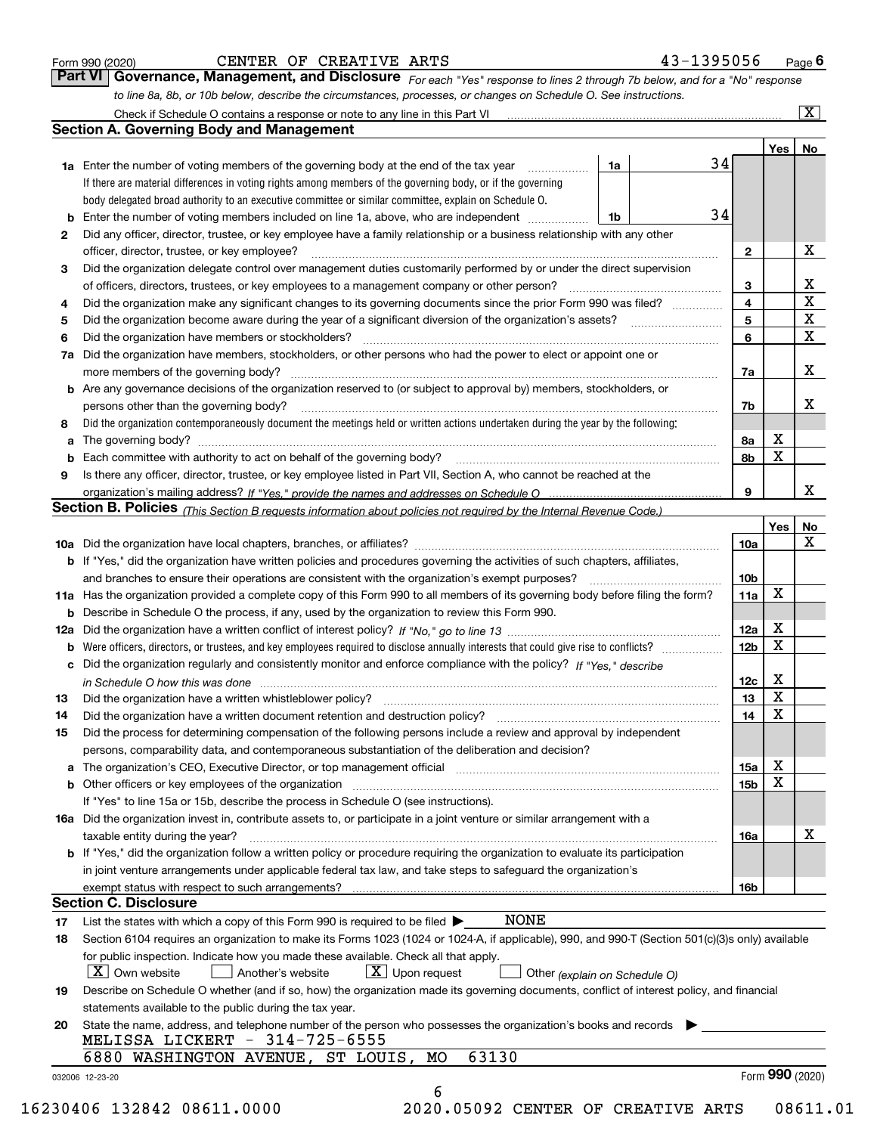|  | Form 990 (2020) |
|--|-----------------|
|  |                 |

## CENTER OF CREATIVE ARTS 44

| -1395056<br>Page I |
|--------------------|
|--------------------|

*For each "Yes" response to lines 2 through 7b below, and for a "No" response to line 8a, 8b, or 10b below, describe the circumstances, processes, or changes on Schedule O. See instructions.* Form 990 (2020) **CENTER OF CREATIVE ARTS** 43-1395056 Page 6<br>**Part VI Governance, Management, and Disclosure** For each "Yes" response to lines 2 through 7b below, and for a "No" response Check if Schedule O contains a response or note to any line in this Part VI

|              |                                                                                                                                                                               |    |    |                 | Yes   No |             |
|--------------|-------------------------------------------------------------------------------------------------------------------------------------------------------------------------------|----|----|-----------------|----------|-------------|
|              | <b>1a</b> Enter the number of voting members of the governing body at the end of the tax year <i>manumum</i>                                                                  | 1a | 34 |                 |          |             |
|              | If there are material differences in voting rights among members of the governing body, or if the governing                                                                   |    |    |                 |          |             |
|              | body delegated broad authority to an executive committee or similar committee, explain on Schedule O.                                                                         |    |    |                 |          |             |
|              | <b>b</b> Enter the number of voting members included on line 1a, above, who are independent <i>manumum</i>                                                                    | 1b | 34 |                 |          |             |
| $\mathbf{2}$ | Did any officer, director, trustee, or key employee have a family relationship or a business relationship with any other                                                      |    |    |                 |          |             |
|              | officer, director, trustee, or key employee?                                                                                                                                  |    |    | $\mathbf{2}$    |          | X           |
| 3            | Did the organization delegate control over management duties customarily performed by or under the direct supervision                                                         |    |    |                 |          |             |
|              |                                                                                                                                                                               |    |    | 3               |          | X           |
| 4            | Did the organization make any significant changes to its governing documents since the prior Form 990 was filed?                                                              |    |    | $\overline{4}$  |          | $\mathbf X$ |
| 5            |                                                                                                                                                                               |    |    | 5               |          | $\mathbf X$ |
| 6            |                                                                                                                                                                               |    |    | 6               |          | $\mathbf X$ |
| 7a           | Did the organization have members, stockholders, or other persons who had the power to elect or appoint one or                                                                |    |    |                 |          |             |
|              |                                                                                                                                                                               |    |    | 7a              |          | x           |
|              | <b>b</b> Are any governance decisions of the organization reserved to (or subject to approval by) members, stockholders, or                                                   |    |    |                 |          |             |
|              | persons other than the governing body?                                                                                                                                        |    |    | 7b              |          | х           |
| 8            | Did the organization contemporaneously document the meetings held or written actions undertaken during the year by the following:                                             |    |    |                 |          |             |
| a            |                                                                                                                                                                               |    |    | 8a              | X        |             |
|              |                                                                                                                                                                               |    |    | 8b              | X        |             |
| 9            | Is there any officer, director, trustee, or key employee listed in Part VII, Section A, who cannot be reached at the                                                          |    |    |                 |          |             |
|              |                                                                                                                                                                               |    |    | 9               |          | x           |
|              | Section B. Policies (This Section B requests information about policies not required by the Internal Revenue Code.)                                                           |    |    |                 |          |             |
|              |                                                                                                                                                                               |    |    |                 | Yes      | No          |
|              |                                                                                                                                                                               |    |    | 10a             |          | X           |
|              | <b>b</b> If "Yes," did the organization have written policies and procedures governing the activities of such chapters, affiliates,                                           |    |    |                 |          |             |
|              |                                                                                                                                                                               |    |    |                 |          |             |
|              |                                                                                                                                                                               |    |    | 10 <sub>b</sub> | X        |             |
|              | 11a Has the organization provided a complete copy of this Form 990 to all members of its governing body before filing the form?                                               |    |    | 11a             |          |             |
|              | <b>b</b> Describe in Schedule O the process, if any, used by the organization to review this Form 990.                                                                        |    |    |                 | X        |             |
|              |                                                                                                                                                                               |    |    | 12a             | X        |             |
| b            |                                                                                                                                                                               |    |    | 12 <sub>b</sub> |          |             |
|              | c Did the organization regularly and consistently monitor and enforce compliance with the policy? If "Yes." describe                                                          |    |    |                 |          |             |
|              | in Schedule O how this was done manufactured and continuum control of the Schedule O how this was done manufactured and continuum control of the Schedule O how this was done |    |    | 12c             | X        |             |
| 13           |                                                                                                                                                                               |    |    | 13              | X        |             |
| 14           | Did the organization have a written document retention and destruction policy? manufactured and the organization have a written document retention and destruction policy?    |    |    | 14              | X        |             |
| 15           | Did the process for determining compensation of the following persons include a review and approval by independent                                                            |    |    |                 |          |             |
|              | persons, comparability data, and contemporaneous substantiation of the deliberation and decision?                                                                             |    |    |                 |          |             |
|              |                                                                                                                                                                               |    |    | 15a             | X        |             |
|              |                                                                                                                                                                               |    |    | 15 <sub>b</sub> | X        |             |
|              | If "Yes" to line 15a or 15b, describe the process in Schedule O (see instructions).                                                                                           |    |    |                 |          |             |
|              | 16a Did the organization invest in, contribute assets to, or participate in a joint venture or similar arrangement with a                                                     |    |    |                 |          |             |
|              | taxable entity during the year?                                                                                                                                               |    |    | 16a             |          | X           |
|              | <b>b</b> If "Yes," did the organization follow a written policy or procedure requiring the organization to evaluate its participation                                         |    |    |                 |          |             |
|              | in joint venture arrangements under applicable federal tax law, and take steps to safeguard the organization's                                                                |    |    |                 |          |             |
|              | exempt status with respect to such arrangements?                                                                                                                              |    |    | 16 <sub>b</sub> |          |             |
|              | <b>Section C. Disclosure</b>                                                                                                                                                  |    |    |                 |          |             |
| 17           | <b>NONE</b><br>List the states with which a copy of this Form 990 is required to be filed $\blacktriangleright$                                                               |    |    |                 |          |             |
| 18           | Section 6104 requires an organization to make its Forms 1023 (1024 or 1024-A, if applicable), 990, and 990-T (Section 501(c)(3)s only) available                              |    |    |                 |          |             |
|              | for public inspection. Indicate how you made these available. Check all that apply.                                                                                           |    |    |                 |          |             |
|              | $ X $ Own website<br>$\lfloor x \rfloor$ Upon request<br>Another's website<br>Other (explain on Schedule O)                                                                   |    |    |                 |          |             |
| 19           | Describe on Schedule O whether (and if so, how) the organization made its governing documents, conflict of interest policy, and financial                                     |    |    |                 |          |             |
|              | statements available to the public during the tax year.                                                                                                                       |    |    |                 |          |             |
| 20           | State the name, address, and telephone number of the person who possesses the organization's books and records                                                                |    |    |                 |          |             |
|              | MELISSA LICKERT - 314-725-6555                                                                                                                                                |    |    |                 |          |             |
|              | 63130<br>6880 WASHINGTON AVENUE, ST LOUIS,<br>MО                                                                                                                              |    |    |                 |          |             |
|              |                                                                                                                                                                               |    |    |                 |          |             |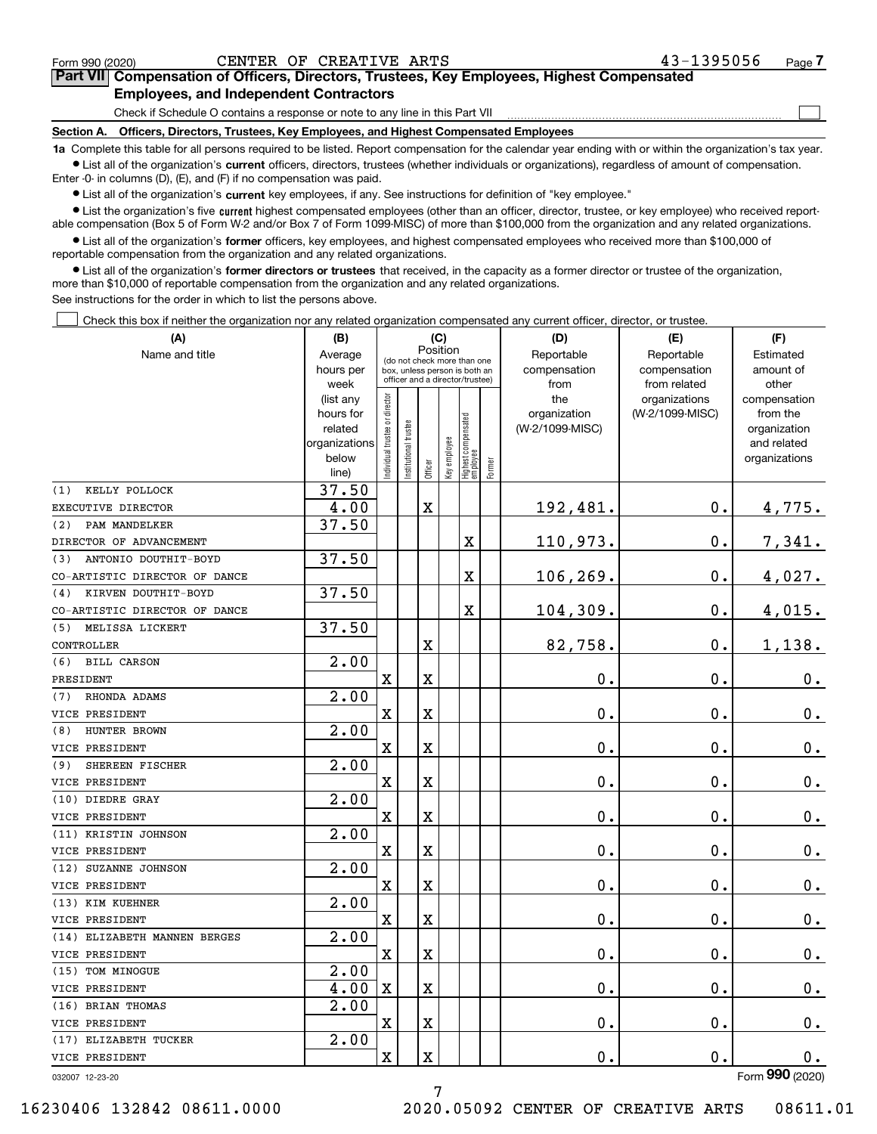$\mathcal{L}^{\text{max}}$ 

# **7Part VII Compensation of Officers, Directors, Trustees, Key Employees, Highest Compensated Employees, and Independent Contractors**

Check if Schedule O contains a response or note to any line in this Part VII

**Section A. Officers, Directors, Trustees, Key Employees, and Highest Compensated Employees**

**1a**  Complete this table for all persons required to be listed. Report compensation for the calendar year ending with or within the organization's tax year. **•** List all of the organization's current officers, directors, trustees (whether individuals or organizations), regardless of amount of compensation.

Enter -0- in columns (D), (E), and (F) if no compensation was paid.

 $\bullet$  List all of the organization's  $\,$ current key employees, if any. See instructions for definition of "key employee."

**•** List the organization's five current highest compensated employees (other than an officer, director, trustee, or key employee) who received reportable compensation (Box 5 of Form W-2 and/or Box 7 of Form 1099-MISC) of more than \$100,000 from the organization and any related organizations.

**•** List all of the organization's former officers, key employees, and highest compensated employees who received more than \$100,000 of reportable compensation from the organization and any related organizations.

**former directors or trustees**  ¥ List all of the organization's that received, in the capacity as a former director or trustee of the organization, more than \$10,000 of reportable compensation from the organization and any related organizations.

See instructions for the order in which to list the persons above.

Check this box if neither the organization nor any related organization compensated any current officer, director, or trustee.  $\mathcal{L}^{\text{max}}$ 

| (A)                           | (C)<br>(B)                                         |                               |                                                                  |             |              |                                  |        | (D)                 | (E)                              | (F)                      |
|-------------------------------|----------------------------------------------------|-------------------------------|------------------------------------------------------------------|-------------|--------------|----------------------------------|--------|---------------------|----------------------------------|--------------------------|
| Name and title                | Position<br>Average<br>(do not check more than one |                               |                                                                  |             |              |                                  |        | Reportable          | Reportable                       | Estimated                |
|                               | hours per                                          |                               | box, unless person is both an<br>officer and a director/trustee) |             |              |                                  |        | compensation        | compensation                     | amount of                |
|                               | week                                               |                               |                                                                  |             |              |                                  |        | from                | from related                     | other                    |
|                               | (list any<br>hours for                             |                               |                                                                  |             |              |                                  |        | the<br>organization | organizations<br>(W-2/1099-MISC) | compensation<br>from the |
|                               | related                                            |                               |                                                                  |             |              |                                  |        | (W-2/1099-MISC)     |                                  | organization             |
|                               | organizations                                      |                               |                                                                  |             |              |                                  |        |                     |                                  | and related              |
|                               | below                                              | ndividual trustee or director | Institutional trustee                                            |             | Key employee | Highest compensated<br> employee |        |                     |                                  | organizations            |
|                               | line)                                              |                               |                                                                  | Officer     |              |                                  | Former |                     |                                  |                          |
| KELLY POLLOCK<br>(1)          | 37.50                                              |                               |                                                                  |             |              |                                  |        |                     |                                  |                          |
| EXECUTIVE DIRECTOR            | 4.00                                               |                               |                                                                  | $\mathbf X$ |              |                                  |        | 192,481.            | $\mathbf 0$ .                    | 4,775.                   |
| (2)<br>PAM MANDELKER          | 37.50                                              |                               |                                                                  |             |              |                                  |        |                     |                                  |                          |
| DIRECTOR OF ADVANCEMENT       |                                                    |                               |                                                                  |             |              | X                                |        | 110,973.            | $\mathbf 0$ .                    | 7,341.                   |
| ANTONIO DOUTHIT-BOYD<br>(3)   | 37.50                                              |                               |                                                                  |             |              |                                  |        |                     |                                  |                          |
| CO-ARTISTIC DIRECTOR OF DANCE |                                                    |                               |                                                                  |             |              | X                                |        | 106,269.            | $\mathbf 0$ .                    | 4,027.                   |
| KIRVEN DOUTHIT-BOYD<br>(4)    | 37.50                                              |                               |                                                                  |             |              |                                  |        |                     |                                  |                          |
| CO-ARTISTIC DIRECTOR OF DANCE |                                                    |                               |                                                                  |             |              | X                                |        | 104,309.            | $\mathbf 0$ .                    | 4,015.                   |
| MELISSA LICKERT<br>(5)        | 37.50                                              |                               |                                                                  |             |              |                                  |        |                     |                                  |                          |
| CONTROLLER                    |                                                    |                               |                                                                  | $\mathbf X$ |              |                                  |        | 82,758.             | $\mathbf{0}$ .                   | 1,138.                   |
| (6)<br><b>BILL CARSON</b>     | 2.00                                               |                               |                                                                  |             |              |                                  |        |                     |                                  |                          |
| PRESIDENT                     |                                                    | $\overline{\mathbf{X}}$       |                                                                  | $\mathbf X$ |              |                                  |        | $\mathbf 0$ .       | 0.                               | 0.                       |
| RHONDA ADAMS<br>(7)           | 2.00                                               |                               |                                                                  |             |              |                                  |        |                     |                                  |                          |
| VICE PRESIDENT                |                                                    | $\overline{\mathbf{X}}$       |                                                                  | X           |              |                                  |        | $\mathbf 0$ .       | $\mathbf 0$ .                    | $0_{.}$                  |
| HUNTER BROWN<br>(8)           | 2.00                                               |                               |                                                                  |             |              |                                  |        |                     |                                  |                          |
| VICE PRESIDENT                |                                                    | $\overline{\mathbf{X}}$       |                                                                  | $\mathbf X$ |              |                                  |        | 0.                  | $\mathbf 0$ .                    | $0_{.}$                  |
| (9)<br>SHEREEN FISCHER        | 2.00                                               |                               |                                                                  |             |              |                                  |        |                     |                                  |                          |
| VICE PRESIDENT                |                                                    | $\overline{\mathbf{X}}$       |                                                                  | $\rm X$     |              |                                  |        | 0.                  | 0.                               | $\mathbf 0$ .            |
| (10) DIEDRE GRAY              | 2.00                                               |                               |                                                                  |             |              |                                  |        |                     |                                  |                          |
| VICE PRESIDENT                |                                                    | $\overline{\mathbf{X}}$       |                                                                  | $\rm X$     |              |                                  |        | 0.                  | $\mathbf 0$ .                    | 0.                       |
| (11) KRISTIN JOHNSON          | 2.00                                               |                               |                                                                  |             |              |                                  |        |                     |                                  |                          |
| VICE PRESIDENT                |                                                    | $\overline{\textbf{X}}$       |                                                                  | $\mathbf X$ |              |                                  |        | 0.                  | 0.                               | $\mathbf 0$ .            |
| (12) SUZANNE JOHNSON          | 2.00                                               |                               |                                                                  |             |              |                                  |        |                     |                                  |                          |
| VICE PRESIDENT                |                                                    | $\mathbf X$                   |                                                                  | $\rm X$     |              |                                  |        | 0.                  | $\mathbf 0$ .                    | $0_{.}$                  |
| (13) KIM KUEHNER              | 2.00                                               |                               |                                                                  |             |              |                                  |        |                     |                                  |                          |
| VICE PRESIDENT                |                                                    | X                             |                                                                  | $\mathbf X$ |              |                                  |        | 0.                  | $\mathbf 0$ .                    | $\mathbf 0$ .            |
| (14) ELIZABETH MANNEN BERGES  | 2.00                                               |                               |                                                                  |             |              |                                  |        |                     |                                  |                          |
| VICE PRESIDENT                |                                                    | $\mathbf X$                   |                                                                  | $\mathbf X$ |              |                                  |        | 0.                  | $\mathbf 0$ .                    | $\mathbf 0$ .            |
| TOM MINOGUE<br>(15)           | $\overline{2.00}$                                  |                               |                                                                  |             |              |                                  |        |                     |                                  |                          |
| VICE PRESIDENT                | 4.00                                               | $\mathbf X$                   |                                                                  | $\mathbf X$ |              |                                  |        | 0.                  | $\mathbf 0$ .                    | $0_{.}$                  |
| (16) BRIAN THOMAS             | 2.00                                               |                               |                                                                  |             |              |                                  |        |                     |                                  |                          |
| VICE PRESIDENT                |                                                    | $\rm X$                       |                                                                  | $\rm X$     |              |                                  |        | 0.                  | $\mathbf{0}$ .                   | $\mathbf 0$ .            |
| (17) ELIZABETH TUCKER         | $\overline{2.00}$                                  |                               |                                                                  |             |              |                                  |        |                     |                                  |                          |
| VICE PRESIDENT                |                                                    | $\rm X$                       |                                                                  | $\rm X$     |              |                                  |        | 0.                  | $\mathbf 0$ .                    | 0.                       |
|                               |                                                    |                               |                                                                  |             |              |                                  |        |                     |                                  | $\overline{2}$           |

7

032007 12-23-20

Form (2020) **990**

16230406 132842 08611.0000 2020.05092 CENTER OF CREATIVE ARTS 08611.01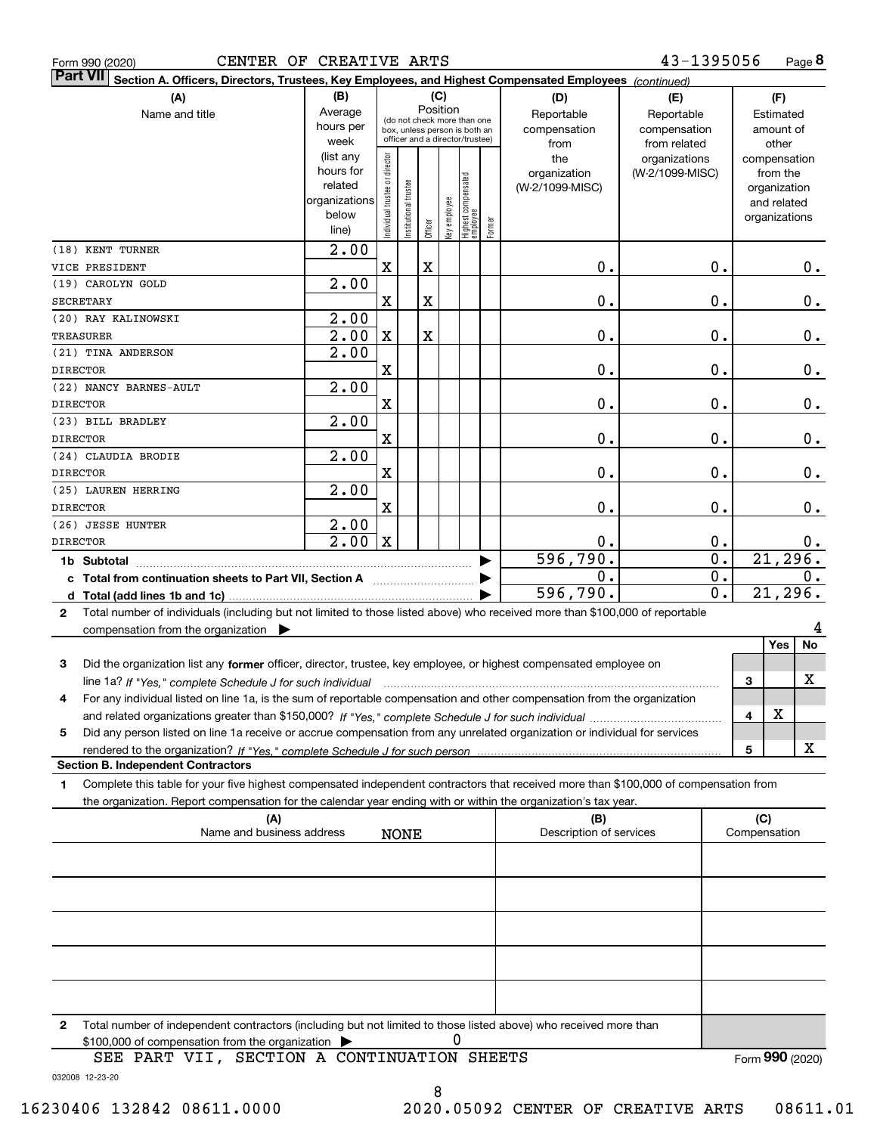|  | Form 990 (2020) |
|--|-----------------|
|  |                 |

| <b>Part VII</b>  | Section A. Officers, Directors, Trustees, Key Employees, and Highest Compensated Employees (continued)                               |                   |                                |                       |             |              |                                                                  |        |                         |                                  |   |                          |               |
|------------------|--------------------------------------------------------------------------------------------------------------------------------------|-------------------|--------------------------------|-----------------------|-------------|--------------|------------------------------------------------------------------|--------|-------------------------|----------------------------------|---|--------------------------|---------------|
|                  | (A)                                                                                                                                  | (B)               |                                |                       |             | (C)          |                                                                  |        | (D)                     | (E)                              |   | (F)                      |               |
|                  | Name and title                                                                                                                       | Average           |                                |                       |             | Position     | (do not check more than one                                      |        | Reportable              | Reportable                       |   | Estimated                |               |
|                  |                                                                                                                                      | hours per         |                                |                       |             |              | box, unless person is both an<br>officer and a director/trustee) |        | compensation            | compensation                     |   | amount of                |               |
|                  |                                                                                                                                      | week<br>list any) |                                |                       |             |              |                                                                  |        | from                    | from related                     |   | other                    |               |
|                  |                                                                                                                                      | hours for         |                                |                       |             |              |                                                                  |        | the<br>organization     | organizations<br>(W-2/1099-MISC) |   | compensation<br>from the |               |
|                  |                                                                                                                                      | related           |                                |                       |             |              |                                                                  |        | (W-2/1099-MISC)         |                                  |   | organization             |               |
|                  |                                                                                                                                      | organizations     |                                |                       |             |              |                                                                  |        |                         |                                  |   | and related              |               |
|                  |                                                                                                                                      | below             | Individual trustee or director | Institutional trustee | Officer     | key employee | Highest compensated<br>  employee                                | Former |                         |                                  |   | organizations            |               |
|                  |                                                                                                                                      | line)             |                                |                       |             |              |                                                                  |        |                         |                                  |   |                          |               |
|                  | (18) KENT TURNER                                                                                                                     | 2.00              |                                |                       |             |              |                                                                  |        |                         |                                  |   |                          |               |
|                  | VICE PRESIDENT                                                                                                                       | 2.00              | X                              |                       | X           |              |                                                                  |        | 0.                      | 0.                               |   |                          | 0.            |
| <b>SECRETARY</b> | (19) CAROLYN GOLD                                                                                                                    |                   | $\mathbf X$                    |                       | $\mathbf X$ |              |                                                                  |        | 0.                      | 0.                               |   |                          | $\mathbf 0$ . |
|                  | (20) RAY KALINOWSKI                                                                                                                  | 2.00              |                                |                       |             |              |                                                                  |        |                         |                                  |   |                          |               |
| TREASURER        |                                                                                                                                      | 2.00              | Χ                              |                       | X           |              |                                                                  |        | 0.                      | 0.                               |   |                          | $0$ .         |
|                  | (21) TINA ANDERSON                                                                                                                   | 2.00              |                                |                       |             |              |                                                                  |        |                         |                                  |   |                          |               |
| <b>DIRECTOR</b>  |                                                                                                                                      |                   | X                              |                       |             |              |                                                                  |        | 0.                      | 0.                               |   |                          | 0.            |
|                  | (22) NANCY BARNES-AULT                                                                                                               | 2.00              |                                |                       |             |              |                                                                  |        |                         |                                  |   |                          |               |
| <b>DIRECTOR</b>  |                                                                                                                                      |                   | X                              |                       |             |              |                                                                  |        | 0.                      | 0.                               |   |                          | 0.            |
|                  | (23) BILL BRADLEY                                                                                                                    | 2.00              |                                |                       |             |              |                                                                  |        |                         |                                  |   |                          |               |
| <b>DIRECTOR</b>  |                                                                                                                                      |                   | X                              |                       |             |              |                                                                  |        | 0.                      | 0.                               |   |                          | $\mathbf 0$ . |
|                  | (24) CLAUDIA BRODIE                                                                                                                  | 2.00              |                                |                       |             |              |                                                                  |        |                         |                                  |   |                          |               |
| <b>DIRECTOR</b>  |                                                                                                                                      |                   | X                              |                       |             |              |                                                                  |        | 0.                      | 0.                               |   |                          | 0.            |
|                  | (25) LAUREN HERRING                                                                                                                  | 2.00              |                                |                       |             |              |                                                                  |        |                         |                                  |   |                          |               |
| <b>DIRECTOR</b>  |                                                                                                                                      |                   | X                              |                       |             |              |                                                                  |        | 0.                      | 0.                               |   |                          | 0.            |
|                  | (26) JESSE HUNTER                                                                                                                    | 2.00              |                                |                       |             |              |                                                                  |        |                         |                                  |   |                          |               |
| <b>DIRECTOR</b>  |                                                                                                                                      | 2.00              | $\mathbf X$                    |                       |             |              |                                                                  |        | Ο.                      | 0.                               |   |                          | 0.            |
|                  | 1b Subtotal                                                                                                                          |                   |                                |                       |             |              |                                                                  |        | 596,790.                | $\overline{0}$ .                 |   | 21, 296.                 |               |
|                  | c Total from continuation sheets to Part VII, Section A                                                                              |                   |                                |                       |             |              |                                                                  |        | 0.                      | $\overline{0}$ .                 |   |                          | Ο.            |
|                  |                                                                                                                                      |                   |                                |                       |             |              |                                                                  |        | 596,790.                | $\overline{0}$ .                 |   | 21,296.                  |               |
| $\mathbf{2}$     | Total number of individuals (including but not limited to those listed above) who received more than \$100,000 of reportable         |                   |                                |                       |             |              |                                                                  |        |                         |                                  |   |                          |               |
|                  | compensation from the organization $\blacktriangleright$                                                                             |                   |                                |                       |             |              |                                                                  |        |                         |                                  |   |                          |               |
|                  |                                                                                                                                      |                   |                                |                       |             |              |                                                                  |        |                         |                                  |   | Yes                      | No            |
| 3                | Did the organization list any former officer, director, trustee, key employee, or highest compensated employee on                    |                   |                                |                       |             |              |                                                                  |        |                         |                                  |   |                          |               |
|                  | line 1a? If "Yes," complete Schedule J for such individual                                                                           |                   |                                |                       |             |              |                                                                  |        |                         |                                  | 3 |                          | X             |
| 4                | For any individual listed on line 1a, is the sum of reportable compensation and other compensation from the organization             |                   |                                |                       |             |              |                                                                  |        |                         |                                  |   |                          |               |
|                  |                                                                                                                                      |                   |                                |                       |             |              |                                                                  |        |                         |                                  | 4 | X.                       |               |
| 5                | Did any person listed on line 1a receive or accrue compensation from any unrelated organization or individual for services           |                   |                                |                       |             |              |                                                                  |        |                         |                                  | 5 |                          | X             |
|                  | <b>Section B. Independent Contractors</b>                                                                                            |                   |                                |                       |             |              |                                                                  |        |                         |                                  |   |                          |               |
| 1                | Complete this table for your five highest compensated independent contractors that received more than \$100,000 of compensation from |                   |                                |                       |             |              |                                                                  |        |                         |                                  |   |                          |               |
|                  | the organization. Report compensation for the calendar year ending with or within the organization's tax year.                       |                   |                                |                       |             |              |                                                                  |        |                         |                                  |   |                          |               |
|                  | (A)                                                                                                                                  |                   |                                |                       |             |              |                                                                  |        | (B)                     |                                  |   | (C)                      |               |
|                  | Name and business address                                                                                                            |                   |                                | <b>NONE</b>           |             |              |                                                                  |        | Description of services |                                  |   | Compensation             |               |
|                  |                                                                                                                                      |                   |                                |                       |             |              |                                                                  |        |                         |                                  |   |                          |               |
|                  |                                                                                                                                      |                   |                                |                       |             |              |                                                                  |        |                         |                                  |   |                          |               |
|                  |                                                                                                                                      |                   |                                |                       |             |              |                                                                  |        |                         |                                  |   |                          |               |
|                  |                                                                                                                                      |                   |                                |                       |             |              |                                                                  |        |                         |                                  |   |                          |               |
|                  |                                                                                                                                      |                   |                                |                       |             |              |                                                                  |        |                         |                                  |   |                          |               |
|                  |                                                                                                                                      |                   |                                |                       |             |              |                                                                  |        |                         |                                  |   |                          |               |
|                  |                                                                                                                                      |                   |                                |                       |             |              |                                                                  |        |                         |                                  |   |                          |               |

**2**Total number of independent contractors (including but not limited to those listed above) who received more than \$100,000 of compensation from the organization 0

032008 12-23-20 SEE PART VII, SECTION A CONTINUATION SHEETS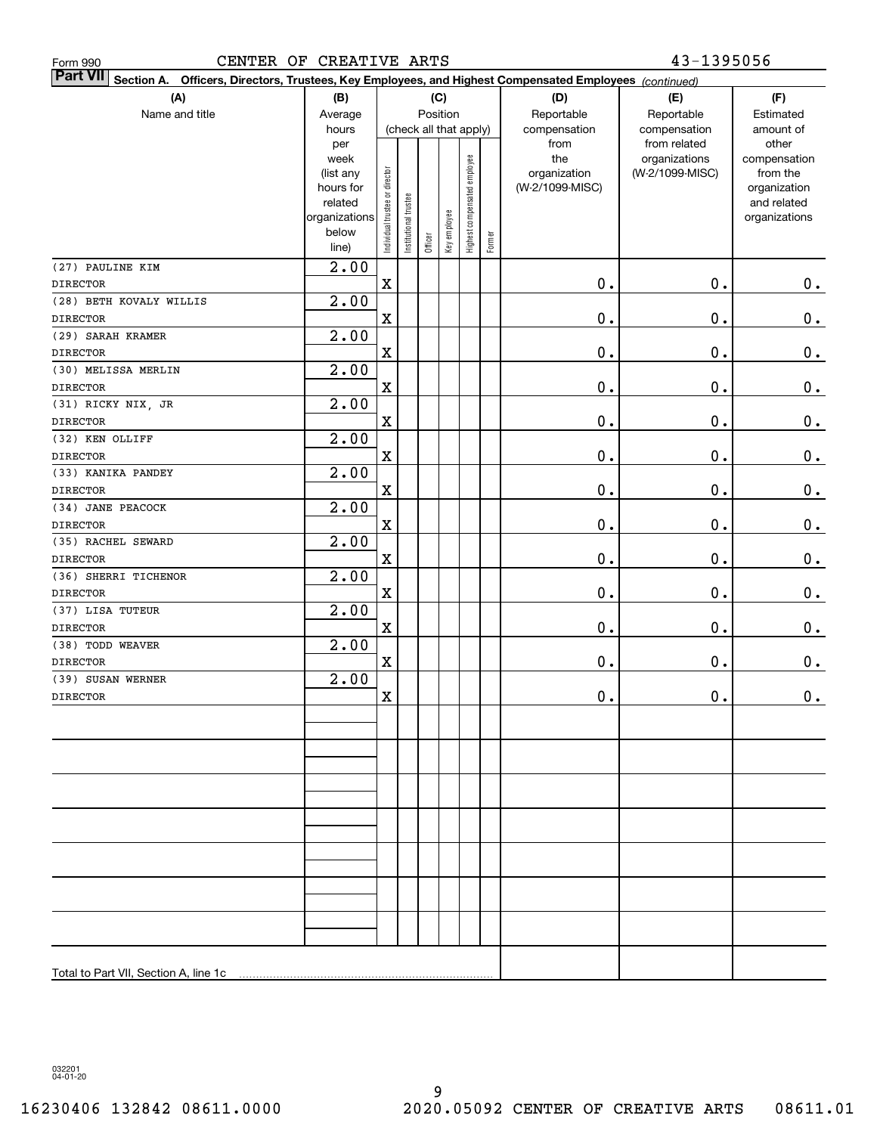| CENTER OF CREATIVE ARTS<br>Form 990                                                                                       |                                                                                     |                                |                                    |         |              |                              |        |                                                | 43-1395056                                       |                                                                                   |  |  |  |
|---------------------------------------------------------------------------------------------------------------------------|-------------------------------------------------------------------------------------|--------------------------------|------------------------------------|---------|--------------|------------------------------|--------|------------------------------------------------|--------------------------------------------------|-----------------------------------------------------------------------------------|--|--|--|
| <b>Part VII</b><br>Section A. Officers, Directors, Trustees, Key Employees, and Highest Compensated Employees (continued) |                                                                                     |                                |                                    |         |              |                              |        |                                                |                                                  |                                                                                   |  |  |  |
| (A)                                                                                                                       | (B)                                                                                 | (C)                            |                                    |         |              |                              |        | (D)                                            | (E)                                              | (F)                                                                               |  |  |  |
| Name and title                                                                                                            | Average<br>hours                                                                    |                                | Position<br>(check all that apply) |         |              |                              |        | Reportable<br>compensation                     | Reportable<br>compensation                       | Estimated<br>amount of                                                            |  |  |  |
|                                                                                                                           | per<br>week<br>(list any<br>hours for<br>related<br>organizations<br>below<br>line) | Individual trustee or director | Institutional trustee              | Officer | Key employee | Highest compensated employee | Former | from<br>the<br>organization<br>(W-2/1099-MISC) | from related<br>organizations<br>(W-2/1099-MISC) | other<br>compensation<br>from the<br>organization<br>and related<br>organizations |  |  |  |
| (27) PAULINE KIM                                                                                                          | 2.00                                                                                |                                |                                    |         |              |                              |        |                                                |                                                  |                                                                                   |  |  |  |
| <b>DIRECTOR</b>                                                                                                           |                                                                                     | $\mathbf X$                    |                                    |         |              |                              |        | $\mathbf 0$ .                                  | $\mathbf 0$ .                                    | 0.                                                                                |  |  |  |
| (28) BETH KOVALY WILLIS                                                                                                   | 2.00                                                                                |                                |                                    |         |              |                              |        |                                                |                                                  |                                                                                   |  |  |  |
| <b>DIRECTOR</b>                                                                                                           |                                                                                     | $\mathbf X$                    |                                    |         |              |                              |        | $\mathbf 0$ .                                  | $\mathbf 0$ .                                    | 0.                                                                                |  |  |  |
| (29) SARAH KRAMER                                                                                                         | 2.00                                                                                |                                |                                    |         |              |                              |        |                                                |                                                  |                                                                                   |  |  |  |
| <b>DIRECTOR</b>                                                                                                           |                                                                                     | $\mathbf X$                    |                                    |         |              |                              |        | $\mathbf 0$ .                                  | $\mathbf 0$ .                                    | 0.                                                                                |  |  |  |
| (30) MELISSA MERLIN                                                                                                       | 2.00                                                                                |                                |                                    |         |              |                              |        |                                                |                                                  |                                                                                   |  |  |  |
| <b>DIRECTOR</b>                                                                                                           |                                                                                     | $\mathbf X$                    |                                    |         |              |                              |        | $\mathbf 0$ .                                  | $\mathbf 0$ .                                    | 0.                                                                                |  |  |  |
| (31) RICKY NIX, JR                                                                                                        | 2.00                                                                                |                                |                                    |         |              |                              |        |                                                |                                                  |                                                                                   |  |  |  |
| <b>DIRECTOR</b>                                                                                                           |                                                                                     | $\mathbf X$                    |                                    |         |              |                              |        | $\mathbf 0$ .                                  | $\mathbf 0$ .                                    | 0.                                                                                |  |  |  |
| (32) KEN OLLIFF                                                                                                           | 2.00                                                                                |                                |                                    |         |              |                              |        |                                                |                                                  |                                                                                   |  |  |  |
| <b>DIRECTOR</b>                                                                                                           |                                                                                     | $\mathbf X$                    |                                    |         |              |                              |        | $\mathbf 0$ .                                  | $\mathbf 0$ .                                    | 0.                                                                                |  |  |  |
| (33) KANIKA PANDEY                                                                                                        | 2.00                                                                                |                                |                                    |         |              |                              |        |                                                |                                                  |                                                                                   |  |  |  |
| <b>DIRECTOR</b>                                                                                                           |                                                                                     | $\mathbf X$                    |                                    |         |              |                              |        | $\mathbf 0$ .                                  | $\mathbf 0$ .                                    | 0.                                                                                |  |  |  |
| (34) JANE PEACOCK                                                                                                         | 2.00                                                                                |                                |                                    |         |              |                              |        |                                                |                                                  |                                                                                   |  |  |  |
| <b>DIRECTOR</b>                                                                                                           |                                                                                     | $\mathbf X$                    |                                    |         |              |                              |        | $\mathbf 0$ .                                  | $\mathbf 0$ .                                    | 0.                                                                                |  |  |  |
| (35) RACHEL SEWARD                                                                                                        | 2.00                                                                                |                                |                                    |         |              |                              |        |                                                |                                                  |                                                                                   |  |  |  |
| <b>DIRECTOR</b>                                                                                                           |                                                                                     | $\mathbf X$                    |                                    |         |              |                              |        | $\mathbf 0$ .                                  | $\mathbf 0$ .                                    | 0.                                                                                |  |  |  |
| (36) SHERRI TICHENOR                                                                                                      | 2.00                                                                                |                                |                                    |         |              |                              |        |                                                |                                                  |                                                                                   |  |  |  |
| <b>DIRECTOR</b>                                                                                                           |                                                                                     | $\mathbf X$                    |                                    |         |              |                              |        | $\mathbf 0$ .                                  | $\mathbf 0$ .                                    | 0.                                                                                |  |  |  |
| (37) LISA TUTEUR                                                                                                          | 2.00                                                                                |                                |                                    |         |              |                              |        |                                                |                                                  |                                                                                   |  |  |  |
| <b>DIRECTOR</b>                                                                                                           | 2.00                                                                                | $\mathbf X$                    |                                    |         |              |                              |        | $\mathbf 0$ .                                  | $\mathbf 0$ .                                    | $\mathbf 0$ .                                                                     |  |  |  |
| (38) TODD WEAVER<br><b>DIRECTOR</b>                                                                                       |                                                                                     | $\mathbf X$                    |                                    |         |              |                              |        | $\mathbf 0$ .                                  | $\mathbf 0$ .                                    | 0.                                                                                |  |  |  |
| (39) SUSAN WERNER                                                                                                         | 2.00                                                                                |                                |                                    |         |              |                              |        |                                                |                                                  |                                                                                   |  |  |  |
| <b>DIRECTOR</b>                                                                                                           |                                                                                     | X                              |                                    |         |              |                              |        | $\mathbf 0$ .                                  | 0.                                               | 0.                                                                                |  |  |  |
|                                                                                                                           |                                                                                     |                                |                                    |         |              |                              |        |                                                |                                                  |                                                                                   |  |  |  |
|                                                                                                                           |                                                                                     |                                |                                    |         |              |                              |        |                                                |                                                  |                                                                                   |  |  |  |
|                                                                                                                           |                                                                                     |                                |                                    |         |              |                              |        |                                                |                                                  |                                                                                   |  |  |  |
|                                                                                                                           |                                                                                     |                                |                                    |         |              |                              |        |                                                |                                                  |                                                                                   |  |  |  |
|                                                                                                                           |                                                                                     |                                |                                    |         |              |                              |        |                                                |                                                  |                                                                                   |  |  |  |
|                                                                                                                           |                                                                                     |                                |                                    |         |              |                              |        |                                                |                                                  |                                                                                   |  |  |  |
|                                                                                                                           |                                                                                     |                                |                                    |         |              |                              |        |                                                |                                                  |                                                                                   |  |  |  |
|                                                                                                                           |                                                                                     |                                |                                    |         |              |                              |        |                                                |                                                  |                                                                                   |  |  |  |
|                                                                                                                           |                                                                                     |                                |                                    |         |              |                              |        |                                                |                                                  |                                                                                   |  |  |  |
|                                                                                                                           |                                                                                     |                                |                                    |         |              |                              |        |                                                |                                                  |                                                                                   |  |  |  |
|                                                                                                                           |                                                                                     |                                |                                    |         |              |                              |        |                                                |                                                  |                                                                                   |  |  |  |
|                                                                                                                           |                                                                                     |                                |                                    |         |              |                              |        |                                                |                                                  |                                                                                   |  |  |  |
|                                                                                                                           |                                                                                     |                                |                                    |         |              |                              |        |                                                |                                                  |                                                                                   |  |  |  |
|                                                                                                                           |                                                                                     |                                |                                    |         |              |                              |        |                                                |                                                  |                                                                                   |  |  |  |
|                                                                                                                           |                                                                                     |                                |                                    |         |              |                              |        |                                                |                                                  |                                                                                   |  |  |  |
| Total to Part VII, Section A, line 1c                                                                                     |                                                                                     |                                |                                    |         |              |                              |        |                                                |                                                  |                                                                                   |  |  |  |

032201 04-01-20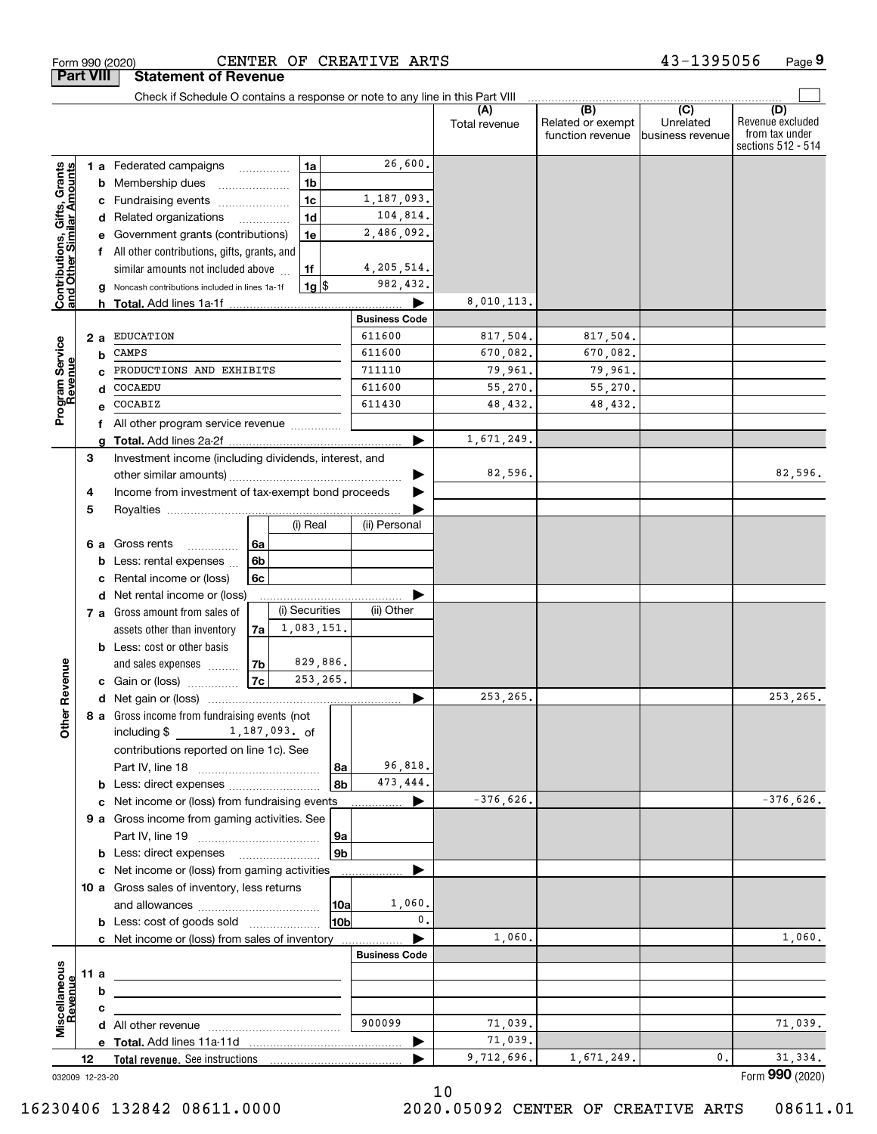|                                                           |      |     | Form 990 (2020)                                                                           |          |                |                      | CENTER OF CREATIVE ARTS |                      |                                              | 43-1395056                                        | Page 9                                                          |
|-----------------------------------------------------------|------|-----|-------------------------------------------------------------------------------------------|----------|----------------|----------------------|-------------------------|----------------------|----------------------------------------------|---------------------------------------------------|-----------------------------------------------------------------|
| <b>Part VIII</b>                                          |      |     | <b>Statement of Revenue</b>                                                               |          |                |                      |                         |                      |                                              |                                                   |                                                                 |
|                                                           |      |     | Check if Schedule O contains a response or note to any line in this Part VIII             |          |                |                      |                         | (A)<br>Total revenue | (B)<br>Related or exempt<br>function revenue | $\overline{(C)}$<br>Unrelated<br>business revenue | (D)<br>Revenue excluded<br>from tax under<br>sections 512 - 514 |
|                                                           |      |     | 1 a Federated campaigns                                                                   |          | 1a<br>.        |                      | 26,600.                 |                      |                                              |                                                   |                                                                 |
| Contributions, Gifts, Grants<br>and Other Similar Amounts |      | b   | Membership dues                                                                           |          | 1 <sub>b</sub> |                      |                         |                      |                                              |                                                   |                                                                 |
|                                                           |      | c   | Fundraising events                                                                        |          | 1 <sub>c</sub> |                      | 1,187,093.              |                      |                                              |                                                   |                                                                 |
|                                                           |      |     | d Related organizations                                                                   | .        | 1 <sub>d</sub> |                      | 104,814.                |                      |                                              |                                                   |                                                                 |
|                                                           |      |     | Government grants (contributions)                                                         |          | 1e             |                      | 2,486,092.              |                      |                                              |                                                   |                                                                 |
|                                                           |      |     | All other contributions, gifts, grants, and                                               |          |                |                      |                         |                      |                                              |                                                   |                                                                 |
|                                                           |      |     | similar amounts not included above                                                        |          | 1f             |                      | 4, 205, 514.            |                      |                                              |                                                   |                                                                 |
|                                                           |      | g   | Noncash contributions included in lines 1a-1f<br>h Total. Add lines 1a-1f                 |          | $1g$ \$        |                      | 982,432.                | 8,010,113.           |                                              |                                                   |                                                                 |
|                                                           |      |     |                                                                                           |          |                |                      | <b>Business Code</b>    |                      |                                              |                                                   |                                                                 |
|                                                           |      | 2 a | <b>EDUCATION</b>                                                                          |          |                |                      | 611600                  | 817,504.             | 817,504.                                     |                                                   |                                                                 |
| Program Service<br>Revenue                                |      | b   | CAMPS                                                                                     |          |                |                      | 611600                  | 670,082.             | 670,082.                                     |                                                   |                                                                 |
|                                                           |      |     | PRODUCTIONS AND EXHIBITS                                                                  |          |                |                      | 711110                  | 79,961.              | 79,961.                                      |                                                   |                                                                 |
|                                                           |      | d   | COCAEDU                                                                                   |          |                |                      | 611600                  | 55,270.              | 55,270.                                      |                                                   |                                                                 |
|                                                           |      |     | COCABIZ                                                                                   |          |                |                      | 611430                  | 48,432.              | 48,432.                                      |                                                   |                                                                 |
|                                                           |      |     | All other program service revenue                                                         |          |                |                      |                         |                      |                                              |                                                   |                                                                 |
|                                                           |      |     |                                                                                           |          |                |                      |                         | 1,671,249.           |                                              |                                                   |                                                                 |
|                                                           | 3    |     | Investment income (including dividends, interest, and                                     |          |                |                      |                         | 82,596.              |                                              |                                                   | 82,596.                                                         |
|                                                           | 4    |     | Income from investment of tax-exempt bond proceeds                                        |          |                |                      |                         |                      |                                              |                                                   |                                                                 |
|                                                           | 5    |     |                                                                                           |          |                |                      |                         |                      |                                              |                                                   |                                                                 |
|                                                           |      |     |                                                                                           |          | (i) Real       |                      | (ii) Personal           |                      |                                              |                                                   |                                                                 |
|                                                           |      | 6а  | Gross rents<br>.                                                                          | 6a       |                |                      |                         |                      |                                              |                                                   |                                                                 |
|                                                           |      |     | Less: rental expenses                                                                     | 6b       |                |                      |                         |                      |                                              |                                                   |                                                                 |
|                                                           |      | с   | Rental income or (loss)                                                                   | 6c       |                |                      |                         |                      |                                              |                                                   |                                                                 |
|                                                           |      | d   | Net rental income or (loss)                                                               |          |                |                      |                         |                      |                                              |                                                   |                                                                 |
|                                                           |      |     | 7 a Gross amount from sales of                                                            |          | (i) Securities |                      | (ii) Other              |                      |                                              |                                                   |                                                                 |
|                                                           |      |     | assets other than inventory                                                               | 7a       | 1,083,151.     |                      |                         |                      |                                              |                                                   |                                                                 |
|                                                           |      |     | <b>b</b> Less: cost or other basis                                                        |          | 829,886.       |                      |                         |                      |                                              |                                                   |                                                                 |
| evenue                                                    |      |     | and sales expenses<br>c Gain or (loss)                                                    | 7b<br>7c | 253, 265.      |                      |                         |                      |                                              |                                                   |                                                                 |
|                                                           |      |     |                                                                                           |          |                |                      |                         | 253, 265.            |                                              |                                                   | 253, 265.                                                       |
| Other R                                                   |      |     | 8 a Gross income from fundraising events (not                                             |          |                |                      |                         |                      |                                              |                                                   |                                                                 |
|                                                           |      |     | including \$1,187,093. of                                                                 |          |                |                      |                         |                      |                                              |                                                   |                                                                 |
|                                                           |      |     | contributions reported on line 1c). See                                                   |          |                |                      |                         |                      |                                              |                                                   |                                                                 |
|                                                           |      |     |                                                                                           |          |                | l 8a                 | 96,818.                 |                      |                                              |                                                   |                                                                 |
|                                                           |      |     |                                                                                           |          |                | 8b                   | 473,444.                |                      |                                              |                                                   |                                                                 |
|                                                           |      |     | c Net income or (loss) from fundraising events                                            |          |                |                      |                         | $-376,626.$          |                                              |                                                   | $-376,626.$                                                     |
|                                                           |      |     | 9 a Gross income from gaming activities. See                                              |          |                |                      |                         |                      |                                              |                                                   |                                                                 |
|                                                           |      |     | <b>b</b> Less: direct expenses <b>manually</b>                                            |          |                | 9a<br>9 <sub>b</sub> |                         |                      |                                              |                                                   |                                                                 |
|                                                           |      |     | c Net income or (loss) from gaming activities                                             |          |                |                      |                         |                      |                                              |                                                   |                                                                 |
|                                                           |      |     | 10 a Gross sales of inventory, less returns                                               |          |                |                      |                         |                      |                                              |                                                   |                                                                 |
|                                                           |      |     |                                                                                           |          |                | 10a                  | 1,060.                  |                      |                                              |                                                   |                                                                 |
|                                                           |      |     | <b>b</b> Less: cost of goods sold                                                         |          |                | 10b                  | $\mathbf{0}$ .          |                      |                                              |                                                   |                                                                 |
|                                                           |      |     | c Net income or (loss) from sales of inventory                                            |          |                |                      |                         | 1,060.               |                                              |                                                   | 1,060.                                                          |
|                                                           |      |     |                                                                                           |          |                |                      | <b>Business Code</b>    |                      |                                              |                                                   |                                                                 |
|                                                           | 11 a |     | <u> 1989 - Johann Stein, mars an deus Amerikaansk kommunister (</u>                       |          |                |                      |                         |                      |                                              |                                                   |                                                                 |
| Revenue                                                   |      | b   |                                                                                           |          |                |                      |                         |                      |                                              |                                                   |                                                                 |
| Miscellaneous                                             |      | с   |                                                                                           |          |                |                      | 900099                  | 71,039.              |                                              |                                                   | 71,039.                                                         |
|                                                           |      |     | <b>d</b> All other revenue $\ldots$ $\ldots$ $\ldots$ $\ldots$ $\ldots$ $\ldots$ $\ldots$ |          |                |                      |                         | 71,039.              |                                              |                                                   |                                                                 |
|                                                           | 12   |     |                                                                                           |          |                |                      |                         | 9,712,696.           | 1,671,249.                                   | 0.                                                | 31,334.                                                         |
| 032009 12-23-20                                           |      |     |                                                                                           |          |                |                      |                         |                      |                                              |                                                   | Form 990 (2020)                                                 |

16230406 132842 08611.0000 2020.05092 CENTER OF CREATIVE ARTS 08611.01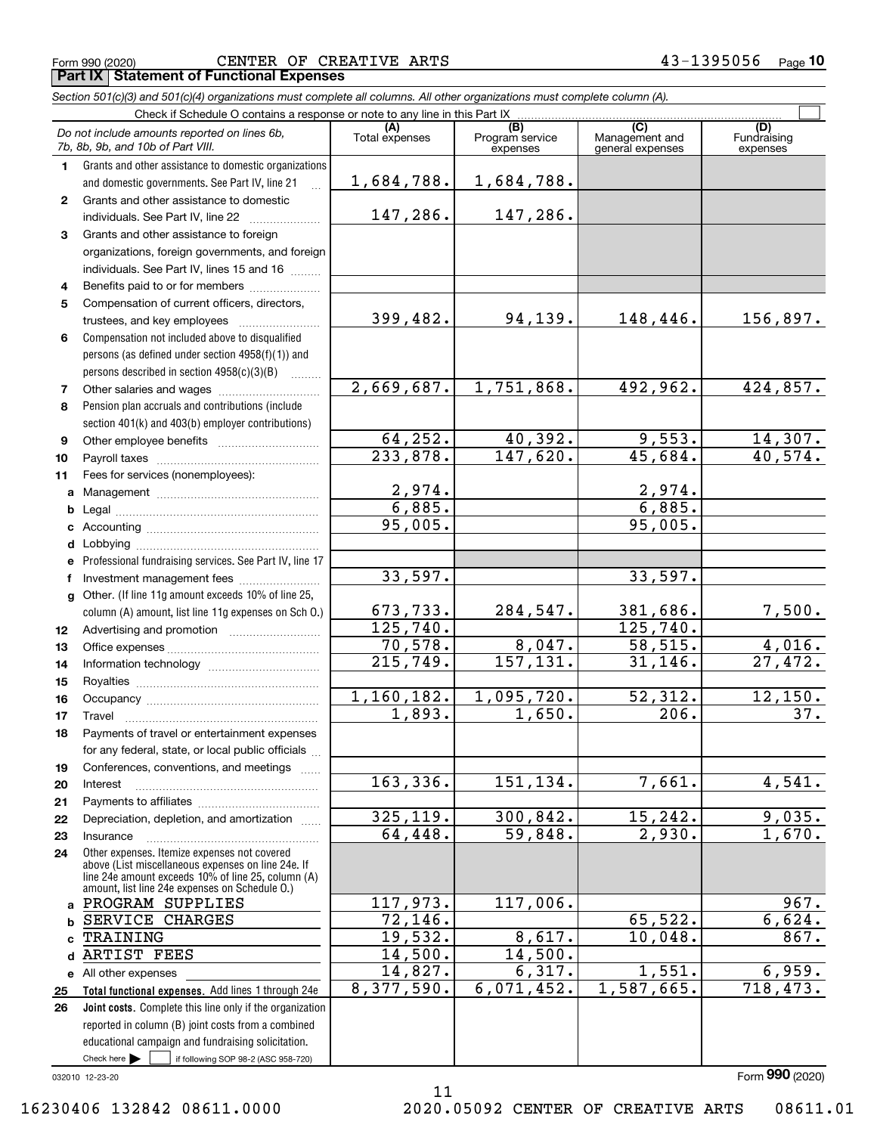CENTER OF CREATIVE ARTS 43-1395056

|              | Form 990 (2020)<br>CENTER OF CREATIVE ARTS<br><b>Part IX   Statement of Functional Expenses</b>                                                                                                            |                                   |                                    | $43 - 1395056$                            | Page 1                         |
|--------------|------------------------------------------------------------------------------------------------------------------------------------------------------------------------------------------------------------|-----------------------------------|------------------------------------|-------------------------------------------|--------------------------------|
|              | Section 501(c)(3) and 501(c)(4) organizations must complete all columns. All other organizations must complete column (A).                                                                                 |                                   |                                    |                                           |                                |
|              | Check if Schedule O contains a response or note to any line in this Part IX                                                                                                                                |                                   |                                    |                                           |                                |
|              | Do not include amounts reported on lines 6b,<br>7b, 8b, 9b, and 10b of Part VIII.                                                                                                                          | (A)<br>Total expenses             | (B)<br>Program service<br>expenses | (C)<br>Management and<br>general expenses | (D)<br>Fundraising<br>expenses |
| $\mathbf 1$  | Grants and other assistance to domestic organizations                                                                                                                                                      |                                   |                                    |                                           |                                |
|              | and domestic governments. See Part IV, line 21<br>$\mathbb{R}$                                                                                                                                             | 1,684,788.                        | 1,684,788.                         |                                           |                                |
| $\mathbf{2}$ | Grants and other assistance to domestic                                                                                                                                                                    |                                   |                                    |                                           |                                |
|              | individuals. See Part IV, line 22                                                                                                                                                                          | 147,286.                          | 147,286.                           |                                           |                                |
| 3            | Grants and other assistance to foreign                                                                                                                                                                     |                                   |                                    |                                           |                                |
|              | organizations, foreign governments, and foreign                                                                                                                                                            |                                   |                                    |                                           |                                |
|              | individuals. See Part IV, lines 15 and 16                                                                                                                                                                  |                                   |                                    |                                           |                                |
| 4            | Benefits paid to or for members                                                                                                                                                                            |                                   |                                    |                                           |                                |
| 5            | Compensation of current officers, directors,                                                                                                                                                               |                                   |                                    |                                           |                                |
|              |                                                                                                                                                                                                            | 399,482.                          | 94,139.                            | 148,446.                                  | 156,897.                       |
| 6            | Compensation not included above to disqualified                                                                                                                                                            |                                   |                                    |                                           |                                |
|              | persons (as defined under section 4958(f)(1)) and                                                                                                                                                          |                                   |                                    |                                           |                                |
|              | persons described in section 4958(c)(3)(B)                                                                                                                                                                 |                                   |                                    |                                           |                                |
| 7            |                                                                                                                                                                                                            | 2,669,687.                        | 1,751,868.                         | 492,962.                                  | 424,857.                       |
| 8            | Pension plan accruals and contributions (include                                                                                                                                                           |                                   |                                    |                                           |                                |
|              | section 401(k) and 403(b) employer contributions)                                                                                                                                                          |                                   |                                    |                                           |                                |
| 9            |                                                                                                                                                                                                            | 64, 252.                          | 40,392.                            | 9,553.                                    | 14,307.                        |
| 10           |                                                                                                                                                                                                            | $\overline{233,878}$ .            | 147,620.                           | 45,684.                                   | 40,574.                        |
| 11           | Fees for services (nonemployees):                                                                                                                                                                          |                                   |                                    |                                           |                                |
|              |                                                                                                                                                                                                            | 2,974.                            |                                    | $\frac{2,974.}{6,885.}$                   |                                |
| b            |                                                                                                                                                                                                            | 6,885.                            |                                    |                                           |                                |
| c            |                                                                                                                                                                                                            | 95,005.                           |                                    | 95,005.                                   |                                |
| d            |                                                                                                                                                                                                            |                                   |                                    |                                           |                                |
| е            | Professional fundraising services. See Part IV, line 17                                                                                                                                                    |                                   |                                    |                                           |                                |
| f            | Investment management fees                                                                                                                                                                                 | 33,597.                           |                                    | 33,597.                                   |                                |
|              | g Other. (If line 11g amount exceeds 10% of line 25,                                                                                                                                                       |                                   |                                    |                                           |                                |
|              | column (A) amount, list line 11g expenses on Sch O.)                                                                                                                                                       | 673, 733.<br>125,740.             | 284,547.                           | 381,686.                                  | <u>7,500.</u>                  |
| 12           |                                                                                                                                                                                                            |                                   | 8,047.                             | $\overline{125}$ , 740.                   | 4,016.                         |
| 13           |                                                                                                                                                                                                            | 70,578.<br>$\overline{215,749}$ . | 157,131.                           | 58,515.<br>31, 146.                       | 27,472.                        |
| 14           |                                                                                                                                                                                                            |                                   |                                    |                                           |                                |
| 15           | Occupancy                                                                                                                                                                                                  | 1,160,182.                        | 1,095,720.                         | 52,312.                                   | 12,150.                        |
| 16           |                                                                                                                                                                                                            | $\overline{1,893}$ .              | 1,650.                             | 206.                                      | 37.                            |
| 17<br>18     | Travel<br>Payments of travel or entertainment expenses                                                                                                                                                     |                                   |                                    |                                           |                                |
|              | for any federal, state, or local public officials                                                                                                                                                          |                                   |                                    |                                           |                                |
| 19           | Conferences, conventions, and meetings                                                                                                                                                                     |                                   |                                    |                                           |                                |
| 20           | Interest                                                                                                                                                                                                   | 163,336.                          | 151,134.                           | 7,661.                                    | 4,541.                         |
| 21           |                                                                                                                                                                                                            |                                   |                                    |                                           |                                |
| 22           | Depreciation, depletion, and amortization                                                                                                                                                                  | 325, 119.                         | 300,842.                           | 15,242.                                   | 9,035.                         |
| 23           | Insurance                                                                                                                                                                                                  | 64,448.                           | 59,848.                            | 2,930.                                    | 1,670.                         |
| 24           | Other expenses. Itemize expenses not covered<br>above (List miscellaneous expenses on line 24e. If<br>line 24e amount exceeds 10% of line 25, column (A)<br>amount, list line 24e expenses on Schedule O.) |                                   |                                    |                                           |                                |
| a            | PROGRAM SUPPLIES                                                                                                                                                                                           | 117,973.                          | 117,006.                           |                                           | 967.                           |
| b            | SERVICE CHARGES                                                                                                                                                                                            | 72, 146.                          |                                    | 65,522.                                   | 6,624.                         |
|              | TRAINING                                                                                                                                                                                                   | 19,532.                           | 8,617.                             | 10,048.                                   | 867.                           |
|              | ARTIST FEES                                                                                                                                                                                                | 14,500.                           | 14,500.                            |                                           |                                |
|              | e All other expenses                                                                                                                                                                                       | 14,827.                           | 6,317.<br>6,071,452.               | 1,551.                                    | 6,959.<br>718,473.             |
| 25<br>26     | Total functional expenses. Add lines 1 through 24e<br>Joint costs. Complete this line only if the organization                                                                                             | 8,377,590.                        |                                    | 1,587,665.                                |                                |
|              |                                                                                                                                                                                                            |                                   |                                    |                                           |                                |

032010 12-23-20

 $Check here$ 

Form (2020) **990**

16230406 132842 08611.0000 2020.05092 CENTER OF CREATIVE ARTS 08611.01

Check here  $\bullet$  if following SOP 98-2 (ASC 958-720)

reported in column (B) joint costs from a combined educational campaign and fundraising solicitation.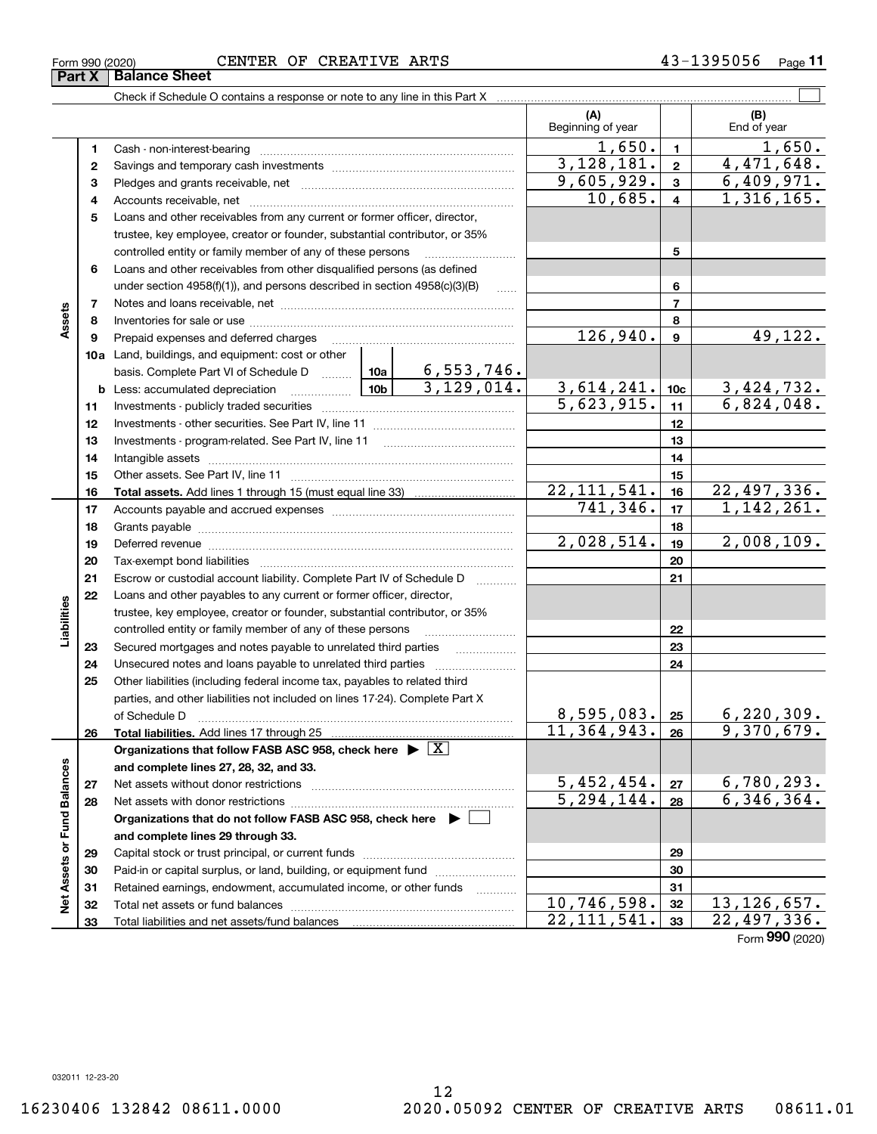Form (2020) **990**

**Part X Balance Sheet** 

|                             |    | Check if Schedule O contains a response or note to any line in this Part X            |               |                         |                          |                  |                                 |
|-----------------------------|----|---------------------------------------------------------------------------------------|---------------|-------------------------|--------------------------|------------------|---------------------------------|
|                             |    |                                                                                       |               |                         | (A)<br>Beginning of year |                  | (B)<br>End of year              |
|                             | 1  |                                                                                       |               |                         | 1,650.                   | $\blacksquare$   | 1,650.                          |
|                             | 2  |                                                                                       | 3,128,181.    | $\mathbf{2}$            | 4,471,648.               |                  |                                 |
|                             | з  |                                                                                       | 9,605,929.    | $\mathbf{3}$            | 6,409,971.               |                  |                                 |
|                             | 4  |                                                                                       | 10,685.       | $\overline{\mathbf{4}}$ | 1,316,165.               |                  |                                 |
|                             | 5  | Loans and other receivables from any current or former officer, director,             |               |                         |                          |                  |                                 |
|                             |    | trustee, key employee, creator or founder, substantial contributor, or 35%            |               |                         |                          |                  |                                 |
|                             |    | controlled entity or family member of any of these persons                            |               | 5                       |                          |                  |                                 |
|                             | 6  | Loans and other receivables from other disqualified persons (as defined               |               |                         |                          |                  |                                 |
|                             |    | under section $4958(f)(1)$ , and persons described in section $4958(c)(3)(B)$         |               | $\ldots$                |                          | 6                |                                 |
|                             | 7  |                                                                                       |               |                         |                          | $\overline{7}$   |                                 |
| Assets                      | 8  |                                                                                       |               |                         |                          | 8                |                                 |
|                             | 9  | Prepaid expenses and deferred charges                                                 |               |                         | 126,940.                 | $\boldsymbol{9}$ | 49,122.                         |
|                             |    | 10a Land, buildings, and equipment: cost or other                                     |               |                         |                          |                  |                                 |
|                             |    | basis. Complete Part VI of Schedule D  10a   6, 553, 746.                             |               |                         | 3,614,241.               | 10 <sub>c</sub>  |                                 |
|                             |    |                                                                                       | 3,129,014.    |                         |                          |                  | $\frac{3,424,732.}{6,824,048.}$ |
|                             | 11 |                                                                                       |               | 5,623,915.              | 11                       |                  |                                 |
|                             | 12 |                                                                                       |               | 12                      |                          |                  |                                 |
|                             | 13 |                                                                                       |               | 13                      |                          |                  |                                 |
|                             | 14 |                                                                                       |               | 14                      |                          |                  |                                 |
|                             | 15 |                                                                                       |               | 15                      |                          |                  |                                 |
|                             | 16 |                                                                                       | 22, 111, 541. | 16                      | 22,497,336.              |                  |                                 |
|                             | 17 |                                                                                       |               | 741, 346.               | 17                       | 1, 142, 261.     |                                 |
|                             | 18 |                                                                                       |               |                         | 18                       |                  |                                 |
|                             | 19 |                                                                                       |               |                         | 2,028,514.               | 19               | 2,008,109.                      |
|                             | 20 |                                                                                       |               |                         |                          | 20               |                                 |
|                             | 21 | Escrow or custodial account liability. Complete Part IV of Schedule D                 |               |                         |                          | 21               |                                 |
|                             | 22 | Loans and other payables to any current or former officer, director,                  |               |                         |                          |                  |                                 |
| Liabilities                 |    | trustee, key employee, creator or founder, substantial contributor, or 35%            |               |                         |                          |                  |                                 |
|                             |    | controlled entity or family member of any of these persons                            |               |                         |                          | 22               |                                 |
|                             | 23 | Secured mortgages and notes payable to unrelated third parties                        |               |                         |                          | 23               |                                 |
|                             | 24 |                                                                                       |               |                         |                          | 24               |                                 |
|                             | 25 | Other liabilities (including federal income tax, payables to related third            |               |                         |                          |                  |                                 |
|                             |    | parties, and other liabilities not included on lines 17-24). Complete Part X          |               |                         | 8,595,083.               | 25               | 6, 220, 309.                    |
|                             | 26 | of Schedule D<br>Total liabilities. Add lines 17 through 25                           |               |                         | 11, 364, 943.            | 26               | 9,370,679.                      |
|                             |    | Organizations that follow FASB ASC 958, check here $\triangleright \lfloor X \rfloor$ |               |                         |                          |                  |                                 |
|                             |    | and complete lines 27, 28, 32, and 33.                                                |               |                         |                          |                  |                                 |
|                             | 27 |                                                                                       |               |                         | 5,452,454.               | 27               | 6, 780, 293.                    |
|                             | 28 |                                                                                       |               |                         | $\overline{5,294,144}$ . | 28               | 6,346,364.                      |
|                             |    | Organizations that do not follow FASB ASC 958, check here $\triangleright$            |               |                         |                          |                  |                                 |
|                             |    | and complete lines 29 through 33.                                                     |               |                         |                          |                  |                                 |
| Net Assets or Fund Balances | 29 |                                                                                       |               |                         | 29                       |                  |                                 |
|                             | 30 | Paid-in or capital surplus, or land, building, or equipment fund                      |               |                         |                          | 30               |                                 |
|                             | 31 | Retained earnings, endowment, accumulated income, or other funds                      |               |                         |                          | 31               |                                 |
|                             | 32 |                                                                                       |               | 10, 746, 598.           | 32                       | 13, 126, 657.    |                                 |
|                             | 33 |                                                                                       |               |                         | 22, 111, 541.            | 33               | $\overline{22}$ , 497, 336.     |

Form 990 (2020) CENTER OF CREATIVE ARTS 4 3-1 3 9 5 0 5 6 page **11**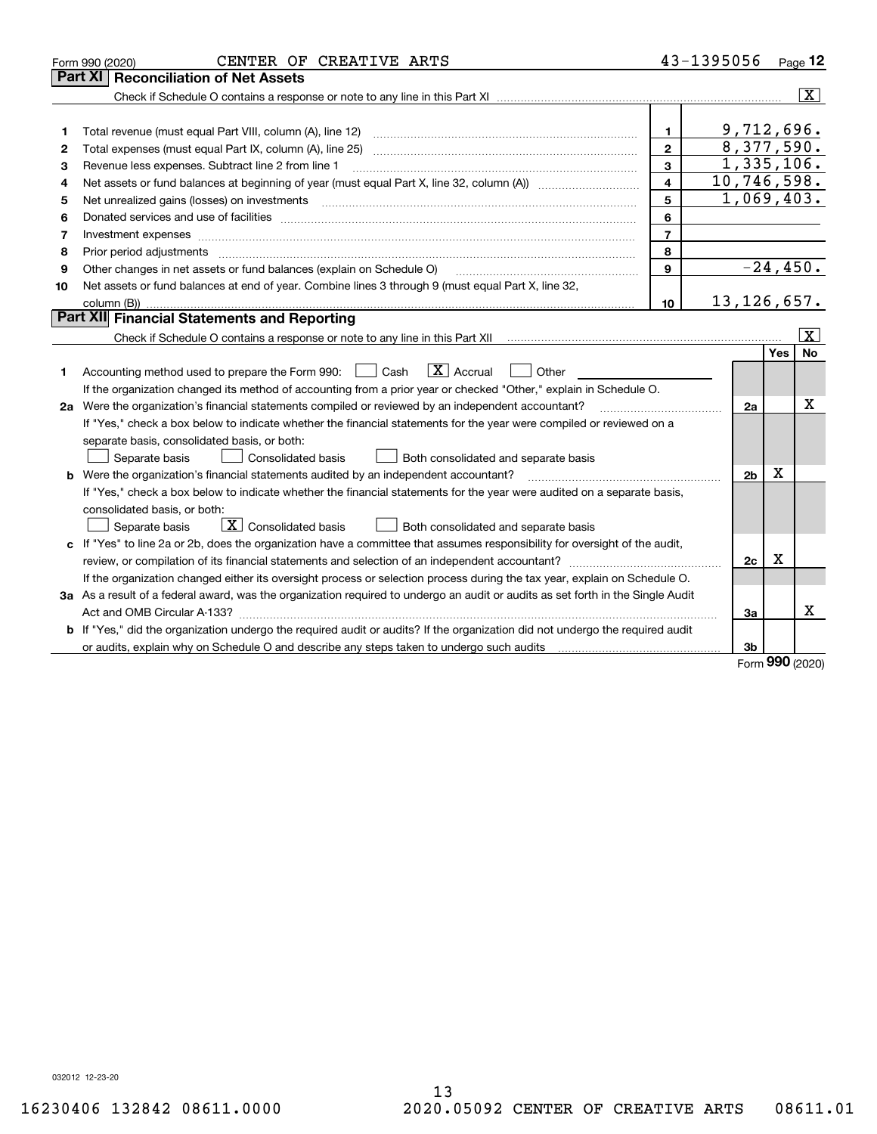|    | CENTER OF CREATIVE ARTS<br>Form 990 (2020)                                                                                                                                                                                                                                                                                                                                                                                                                                 |                         | 43-1395056     |      | $Page$ 12               |
|----|----------------------------------------------------------------------------------------------------------------------------------------------------------------------------------------------------------------------------------------------------------------------------------------------------------------------------------------------------------------------------------------------------------------------------------------------------------------------------|-------------------------|----------------|------|-------------------------|
|    | <b>Reconciliation of Net Assets</b><br>Part XI                                                                                                                                                                                                                                                                                                                                                                                                                             |                         |                |      |                         |
|    |                                                                                                                                                                                                                                                                                                                                                                                                                                                                            |                         |                |      | $ \mathbf{X} $          |
|    |                                                                                                                                                                                                                                                                                                                                                                                                                                                                            |                         |                |      |                         |
| 1  | Total revenue (must equal Part VIII, column (A), line 12)                                                                                                                                                                                                                                                                                                                                                                                                                  | 1.                      | 9,712,696.     |      |                         |
| 2  | Total expenses (must equal Part IX, column (A), line 25)                                                                                                                                                                                                                                                                                                                                                                                                                   | $\overline{2}$          | 8,377,590.     |      |                         |
| 3  | Revenue less expenses. Subtract line 2 from line 1                                                                                                                                                                                                                                                                                                                                                                                                                         | 3                       | 1,335,106.     |      |                         |
| 4  |                                                                                                                                                                                                                                                                                                                                                                                                                                                                            | $\overline{\mathbf{4}}$ | 10,746,598.    |      |                         |
| 5  | Net unrealized gains (losses) on investments<br>$\overline{a_1, \ldots, a_n, \ldots, a_n, \ldots, a_n, \ldots, a_n, \ldots, a_n, \ldots, a_n, \ldots, a_n, \ldots, a_n, \ldots, a_n, \ldots, a_n, \ldots, a_n, \ldots, a_n, \ldots, a_n, \ldots, a_n, \ldots, a_n, \ldots, a_n, \ldots, a_n, \ldots, a_n, \ldots, a_n, \ldots, a_n, \ldots, a_n, \ldots, a_n, \ldots, a_n, \ldots, a_n, \ldots, a_n, \ldots, a_n, \ldots, a_n, \ldots, a_n, \ldots, a_n, \ldots, a_n, \ld$ | 5                       | 1,069,403.     |      |                         |
| 6  |                                                                                                                                                                                                                                                                                                                                                                                                                                                                            | 6                       |                |      |                         |
| 7  |                                                                                                                                                                                                                                                                                                                                                                                                                                                                            | $\overline{7}$          |                |      |                         |
| 8  |                                                                                                                                                                                                                                                                                                                                                                                                                                                                            | 8                       |                |      |                         |
| 9  | Other changes in net assets or fund balances (explain on Schedule O)                                                                                                                                                                                                                                                                                                                                                                                                       | 9                       |                |      | $-24,450.$              |
| 10 | Net assets or fund balances at end of year. Combine lines 3 through 9 (must equal Part X, line 32,                                                                                                                                                                                                                                                                                                                                                                         |                         |                |      |                         |
|    | column (B))                                                                                                                                                                                                                                                                                                                                                                                                                                                                | 10 <sup>10</sup>        | 13, 126, 657.  |      |                         |
|    | Part XII Financial Statements and Reporting                                                                                                                                                                                                                                                                                                                                                                                                                                |                         |                |      |                         |
|    |                                                                                                                                                                                                                                                                                                                                                                                                                                                                            |                         |                |      | $\overline{\mathbf{X}}$ |
|    |                                                                                                                                                                                                                                                                                                                                                                                                                                                                            |                         |                | Yes  | No                      |
| 1. | $\boxed{\mathbf{X}}$ Accrual<br>Accounting method used to prepare the Form 990: <u>June</u> Cash<br>Other                                                                                                                                                                                                                                                                                                                                                                  |                         |                |      |                         |
|    | If the organization changed its method of accounting from a prior year or checked "Other," explain in Schedule O.                                                                                                                                                                                                                                                                                                                                                          |                         |                |      |                         |
|    | 2a Were the organization's financial statements compiled or reviewed by an independent accountant?                                                                                                                                                                                                                                                                                                                                                                         |                         | 2a             |      | x                       |
|    | If "Yes," check a box below to indicate whether the financial statements for the year were compiled or reviewed on a                                                                                                                                                                                                                                                                                                                                                       |                         |                |      |                         |
|    | separate basis, consolidated basis, or both:                                                                                                                                                                                                                                                                                                                                                                                                                               |                         |                |      |                         |
|    | Separate basis<br>Consolidated basis<br>Both consolidated and separate basis                                                                                                                                                                                                                                                                                                                                                                                               |                         |                |      |                         |
|    | <b>b</b> Were the organization's financial statements audited by an independent accountant?                                                                                                                                                                                                                                                                                                                                                                                |                         | 2 <sub>b</sub> | X    |                         |
|    | If "Yes," check a box below to indicate whether the financial statements for the year were audited on a separate basis,                                                                                                                                                                                                                                                                                                                                                    |                         |                |      |                         |
|    | consolidated basis, or both:                                                                                                                                                                                                                                                                                                                                                                                                                                               |                         |                |      |                         |
|    | $\overline{X}$ Consolidated basis<br>Both consolidated and separate basis<br>Separate basis                                                                                                                                                                                                                                                                                                                                                                                |                         |                |      |                         |
|    | c If "Yes" to line 2a or 2b, does the organization have a committee that assumes responsibility for oversight of the audit,                                                                                                                                                                                                                                                                                                                                                |                         |                |      |                         |
|    | review, or compilation of its financial statements and selection of an independent accountant?                                                                                                                                                                                                                                                                                                                                                                             |                         | 2c             | х    |                         |
|    | If the organization changed either its oversight process or selection process during the tax year, explain on Schedule O.                                                                                                                                                                                                                                                                                                                                                  |                         |                |      |                         |
|    | 3a As a result of a federal award, was the organization required to undergo an audit or audits as set forth in the Single Audit                                                                                                                                                                                                                                                                                                                                            |                         |                |      |                         |
|    |                                                                                                                                                                                                                                                                                                                                                                                                                                                                            |                         | За             |      | x                       |
|    | b If "Yes," did the organization undergo the required audit or audits? If the organization did not undergo the required audit                                                                                                                                                                                                                                                                                                                                              |                         |                |      |                         |
|    |                                                                                                                                                                                                                                                                                                                                                                                                                                                                            |                         | 3b             | nnn. |                         |

Form (2020) **990**

032012 12-23-20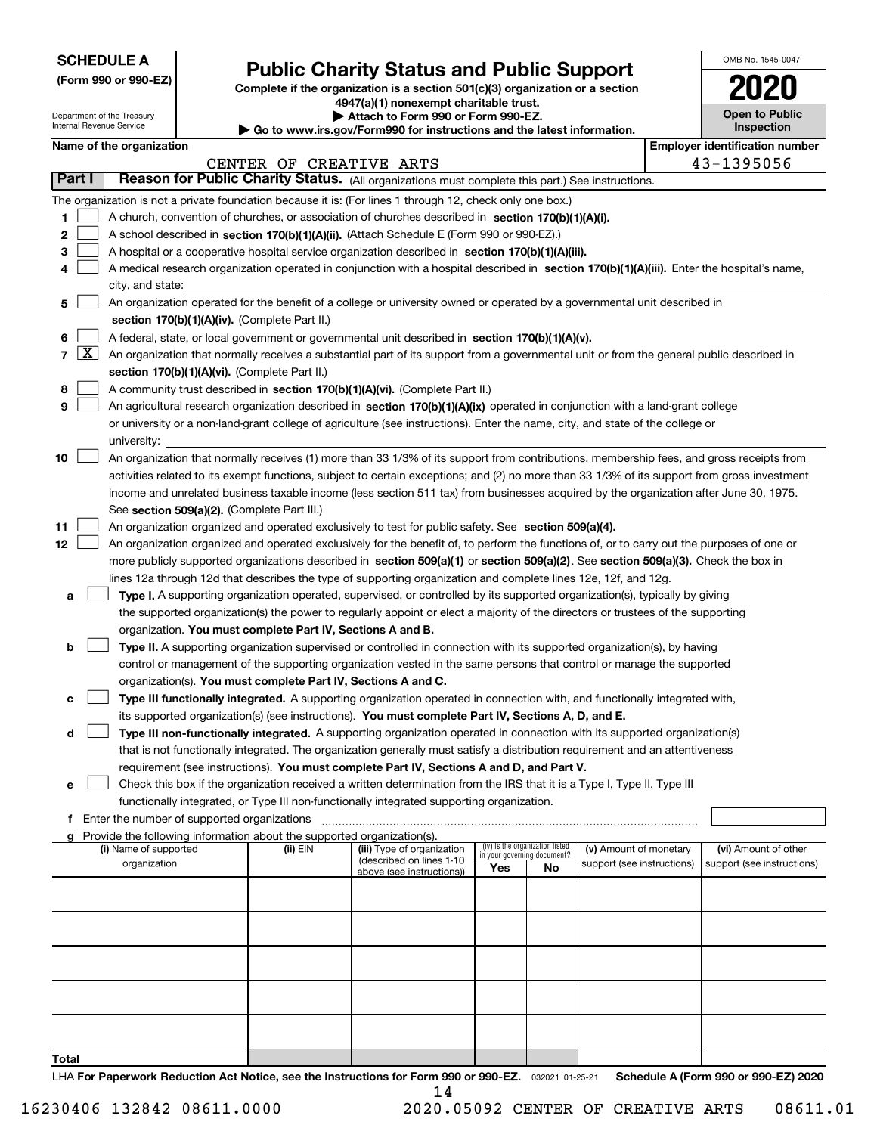| <b>SCHEDULE A</b> |
|-------------------|
|-------------------|

Department of the Treasury Internal Revenue Service

**(Form 990 or 990-EZ)**

## **Public Charity Status and Public Support**

**Complete if the organization is a section 501(c)(3) organization or a section 4947(a)(1) nonexempt charitable trust.**

| Attach to Form 990 or Form 990-EZ.                          |
|-------------------------------------------------------------|
| uu ire aou/Eorm000 for instructions and the latest informat |

**| Go to www.irs.gov/Form990 for instructions and the latest information.**

| OMB No. 1545-0047                   |
|-------------------------------------|
| 112                                 |
| <b>Open to Public</b><br>Inspection |

|  | Name of the organization |
|--|--------------------------|
|--|--------------------------|

|        |            | Name of the organization                                                                                                                     |                         |                                                        |                             |                                 |                            |  | <b>Employer identification number</b> |  |
|--------|------------|----------------------------------------------------------------------------------------------------------------------------------------------|-------------------------|--------------------------------------------------------|-----------------------------|---------------------------------|----------------------------|--|---------------------------------------|--|
|        |            |                                                                                                                                              | CENTER OF CREATIVE ARTS |                                                        |                             |                                 |                            |  | 43-1395056                            |  |
| Part I |            | Reason for Public Charity Status. (All organizations must complete this part.) See instructions.                                             |                         |                                                        |                             |                                 |                            |  |                                       |  |
|        |            | The organization is not a private foundation because it is: (For lines 1 through 12, check only one box.)                                    |                         |                                                        |                             |                                 |                            |  |                                       |  |
| 1      |            | A church, convention of churches, or association of churches described in section 170(b)(1)(A)(i).                                           |                         |                                                        |                             |                                 |                            |  |                                       |  |
| 2      |            | A school described in section 170(b)(1)(A)(ii). (Attach Schedule E (Form 990 or 990-EZ).)                                                    |                         |                                                        |                             |                                 |                            |  |                                       |  |
| 3      |            | A hospital or a cooperative hospital service organization described in section $170(b)(1)(A)(iii)$ .                                         |                         |                                                        |                             |                                 |                            |  |                                       |  |
| 4      |            | A medical research organization operated in conjunction with a hospital described in section 170(b)(1)(A)(iii). Enter the hospital's name,   |                         |                                                        |                             |                                 |                            |  |                                       |  |
|        |            | city, and state:                                                                                                                             |                         |                                                        |                             |                                 |                            |  |                                       |  |
| 5      |            | An organization operated for the benefit of a college or university owned or operated by a governmental unit described in                    |                         |                                                        |                             |                                 |                            |  |                                       |  |
|        |            | section 170(b)(1)(A)(iv). (Complete Part II.)                                                                                                |                         |                                                        |                             |                                 |                            |  |                                       |  |
| 6      |            | A federal, state, or local government or governmental unit described in section 170(b)(1)(A)(v).                                             |                         |                                                        |                             |                                 |                            |  |                                       |  |
|        | $7 \times$ | An organization that normally receives a substantial part of its support from a governmental unit or from the general public described in    |                         |                                                        |                             |                                 |                            |  |                                       |  |
|        |            | section 170(b)(1)(A)(vi). (Complete Part II.)                                                                                                |                         |                                                        |                             |                                 |                            |  |                                       |  |
| 8      |            | A community trust described in section 170(b)(1)(A)(vi). (Complete Part II.)                                                                 |                         |                                                        |                             |                                 |                            |  |                                       |  |
| 9      |            | An agricultural research organization described in section 170(b)(1)(A)(ix) operated in conjunction with a land-grant college                |                         |                                                        |                             |                                 |                            |  |                                       |  |
|        |            | or university or a non-land-grant college of agriculture (see instructions). Enter the name, city, and state of the college or               |                         |                                                        |                             |                                 |                            |  |                                       |  |
|        |            | university:                                                                                                                                  |                         |                                                        |                             |                                 |                            |  |                                       |  |
| 10     |            | An organization that normally receives (1) more than 33 1/3% of its support from contributions, membership fees, and gross receipts from     |                         |                                                        |                             |                                 |                            |  |                                       |  |
|        |            | activities related to its exempt functions, subject to certain exceptions; and (2) no more than 33 1/3% of its support from gross investment |                         |                                                        |                             |                                 |                            |  |                                       |  |
|        |            | income and unrelated business taxable income (less section 511 tax) from businesses acquired by the organization after June 30, 1975.        |                         |                                                        |                             |                                 |                            |  |                                       |  |
|        |            |                                                                                                                                              |                         |                                                        |                             |                                 |                            |  |                                       |  |
|        |            | See section 509(a)(2). (Complete Part III.)                                                                                                  |                         |                                                        |                             |                                 |                            |  |                                       |  |
| 11     |            | An organization organized and operated exclusively to test for public safety. See section 509(a)(4).                                         |                         |                                                        |                             |                                 |                            |  |                                       |  |
| 12     |            | An organization organized and operated exclusively for the benefit of, to perform the functions of, or to carry out the purposes of one or   |                         |                                                        |                             |                                 |                            |  |                                       |  |
|        |            | more publicly supported organizations described in section 509(a)(1) or section 509(a)(2). See section 509(a)(3). Check the box in           |                         |                                                        |                             |                                 |                            |  |                                       |  |
|        |            | lines 12a through 12d that describes the type of supporting organization and complete lines 12e, 12f, and 12g.                               |                         |                                                        |                             |                                 |                            |  |                                       |  |
| а      |            | Type I. A supporting organization operated, supervised, or controlled by its supported organization(s), typically by giving                  |                         |                                                        |                             |                                 |                            |  |                                       |  |
|        |            | the supported organization(s) the power to regularly appoint or elect a majority of the directors or trustees of the supporting              |                         |                                                        |                             |                                 |                            |  |                                       |  |
|        |            | organization. You must complete Part IV, Sections A and B.                                                                                   |                         |                                                        |                             |                                 |                            |  |                                       |  |
| b      |            | Type II. A supporting organization supervised or controlled in connection with its supported organization(s), by having                      |                         |                                                        |                             |                                 |                            |  |                                       |  |
|        |            | control or management of the supporting organization vested in the same persons that control or manage the supported                         |                         |                                                        |                             |                                 |                            |  |                                       |  |
|        |            | organization(s). You must complete Part IV, Sections A and C.                                                                                |                         |                                                        |                             |                                 |                            |  |                                       |  |
| с      |            | Type III functionally integrated. A supporting organization operated in connection with, and functionally integrated with,                   |                         |                                                        |                             |                                 |                            |  |                                       |  |
|        |            | its supported organization(s) (see instructions). You must complete Part IV, Sections A, D, and E.                                           |                         |                                                        |                             |                                 |                            |  |                                       |  |
| d      |            | Type III non-functionally integrated. A supporting organization operated in connection with its supported organization(s)                    |                         |                                                        |                             |                                 |                            |  |                                       |  |
|        |            | that is not functionally integrated. The organization generally must satisfy a distribution requirement and an attentiveness                 |                         |                                                        |                             |                                 |                            |  |                                       |  |
|        |            | requirement (see instructions). You must complete Part IV, Sections A and D, and Part V.                                                     |                         |                                                        |                             |                                 |                            |  |                                       |  |
|        |            | Check this box if the organization received a written determination from the IRS that it is a Type I, Type II, Type III                      |                         |                                                        |                             |                                 |                            |  |                                       |  |
|        |            | functionally integrated, or Type III non-functionally integrated supporting organization.                                                    |                         |                                                        |                             |                                 |                            |  |                                       |  |
|        |            | f Enter the number of supported organizations                                                                                                |                         |                                                        |                             |                                 |                            |  |                                       |  |
|        |            | g Provide the following information about the supported organization(s).                                                                     |                         |                                                        |                             |                                 |                            |  |                                       |  |
|        |            | (i) Name of supported                                                                                                                        | (ii) EIN                | (iii) Type of organization<br>(described on lines 1-10 | in your governing document? | (iv) Is the organization listed | (v) Amount of monetary     |  | (vi) Amount of other                  |  |
|        |            | organization                                                                                                                                 |                         | above (see instructions))                              | Yes                         | No                              | support (see instructions) |  | support (see instructions)            |  |
|        |            |                                                                                                                                              |                         |                                                        |                             |                                 |                            |  |                                       |  |
|        |            |                                                                                                                                              |                         |                                                        |                             |                                 |                            |  |                                       |  |
|        |            |                                                                                                                                              |                         |                                                        |                             |                                 |                            |  |                                       |  |
|        |            |                                                                                                                                              |                         |                                                        |                             |                                 |                            |  |                                       |  |
|        |            |                                                                                                                                              |                         |                                                        |                             |                                 |                            |  |                                       |  |
|        |            |                                                                                                                                              |                         |                                                        |                             |                                 |                            |  |                                       |  |
|        |            |                                                                                                                                              |                         |                                                        |                             |                                 |                            |  |                                       |  |
|        |            |                                                                                                                                              |                         |                                                        |                             |                                 |                            |  |                                       |  |
|        |            |                                                                                                                                              |                         |                                                        |                             |                                 |                            |  |                                       |  |
|        |            |                                                                                                                                              |                         |                                                        |                             |                                 |                            |  |                                       |  |
| Total  |            |                                                                                                                                              |                         |                                                        |                             |                                 |                            |  |                                       |  |

LHA For Paperwork Reduction Act Notice, see the Instructions for Form 990 or 990-EZ. <sub>032021</sub> o1-25-21 Schedule A (Form 990 or 990-EZ) 2020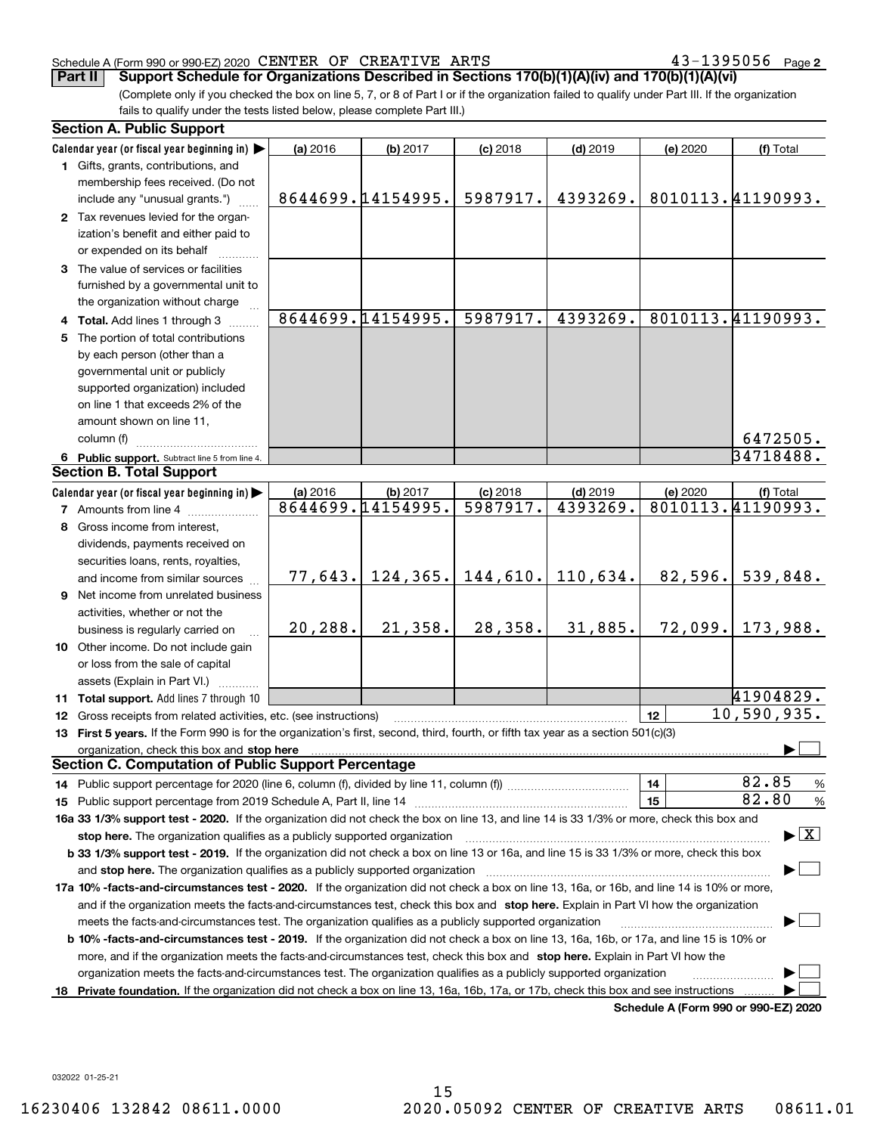43-1395056 Page 2

(Complete only if you checked the box on line 5, 7, or 8 of Part I or if the organization failed to qualify under Part III. If the organization fails to qualify under the tests listed below, please complete Part III.) **Part II Support Schedule for Organizations Described in Sections 170(b)(1)(A)(iv) and 170(b)(1)(A)(vi)**

| <b>Section A. Public Support</b>                                                                                                                                                                                                                                                             |          |                    |            |            |                                      |                                          |  |
|----------------------------------------------------------------------------------------------------------------------------------------------------------------------------------------------------------------------------------------------------------------------------------------------|----------|--------------------|------------|------------|--------------------------------------|------------------------------------------|--|
| Calendar year (or fiscal year beginning in)                                                                                                                                                                                                                                                  | (a) 2016 | (b) 2017           | $(c)$ 2018 | $(d)$ 2019 | (e) 2020                             | (f) Total                                |  |
| 1 Gifts, grants, contributions, and<br>membership fees received. (Do not                                                                                                                                                                                                                     |          |                    |            |            |                                      |                                          |  |
| include any "unusual grants.")                                                                                                                                                                                                                                                               |          | 8644699.14154995.  | 5987917.   | 4393269.   |                                      | 8010113.41190993.                        |  |
| 2 Tax revenues levied for the organ-<br>ization's benefit and either paid to                                                                                                                                                                                                                 |          |                    |            |            |                                      |                                          |  |
| or expended on its behalf                                                                                                                                                                                                                                                                    |          |                    |            |            |                                      |                                          |  |
| 3 The value of services or facilities<br>furnished by a governmental unit to                                                                                                                                                                                                                 |          |                    |            |            |                                      |                                          |  |
| the organization without charge                                                                                                                                                                                                                                                              |          |                    |            |            |                                      |                                          |  |
| 4 Total. Add lines 1 through 3                                                                                                                                                                                                                                                               |          | 8644699.14154995.  | 5987917.   | 4393269.   |                                      | 8010113.41190993.                        |  |
| 5 The portion of total contributions                                                                                                                                                                                                                                                         |          |                    |            |            |                                      |                                          |  |
| by each person (other than a                                                                                                                                                                                                                                                                 |          |                    |            |            |                                      |                                          |  |
| governmental unit or publicly                                                                                                                                                                                                                                                                |          |                    |            |            |                                      |                                          |  |
| supported organization) included                                                                                                                                                                                                                                                             |          |                    |            |            |                                      |                                          |  |
| on line 1 that exceeds 2% of the                                                                                                                                                                                                                                                             |          |                    |            |            |                                      |                                          |  |
| amount shown on line 11,                                                                                                                                                                                                                                                                     |          |                    |            |            |                                      |                                          |  |
| column (f)                                                                                                                                                                                                                                                                                   |          |                    |            |            |                                      | 6472505.                                 |  |
| 6 Public support. Subtract line 5 from line 4.                                                                                                                                                                                                                                               |          |                    |            |            |                                      | 34718488.                                |  |
| <b>Section B. Total Support</b>                                                                                                                                                                                                                                                              |          |                    |            |            |                                      |                                          |  |
| Calendar year (or fiscal year beginning in)                                                                                                                                                                                                                                                  | (a) 2016 | (b) 2017           | $(c)$ 2018 | $(d)$ 2019 | (e) 2020                             | (f) Total                                |  |
| <b>7</b> Amounts from line 4                                                                                                                                                                                                                                                                 |          | 8644699.14154995.  | 5987917.   | 4393269.   |                                      | 8010113.41190993.                        |  |
| 8 Gross income from interest,                                                                                                                                                                                                                                                                |          |                    |            |            |                                      |                                          |  |
| dividends, payments received on                                                                                                                                                                                                                                                              |          |                    |            |            |                                      |                                          |  |
| securities loans, rents, royalties,                                                                                                                                                                                                                                                          |          |                    |            |            |                                      |                                          |  |
| and income from similar sources                                                                                                                                                                                                                                                              |          | $77,643.$ 124,365. | 144,610.   | 110,634.   | 82,596.                              | 539,848.                                 |  |
| 9 Net income from unrelated business                                                                                                                                                                                                                                                         |          |                    |            |            |                                      |                                          |  |
| activities, whether or not the                                                                                                                                                                                                                                                               |          |                    |            |            |                                      |                                          |  |
| business is regularly carried on                                                                                                                                                                                                                                                             | 20, 288. | 21,358.            | 28,358.    | 31,885.    | 72,099.                              | 173,988.                                 |  |
| 10 Other income. Do not include gain                                                                                                                                                                                                                                                         |          |                    |            |            |                                      |                                          |  |
| or loss from the sale of capital                                                                                                                                                                                                                                                             |          |                    |            |            |                                      |                                          |  |
| assets (Explain in Part VI.)                                                                                                                                                                                                                                                                 |          |                    |            |            |                                      | 41904829.                                |  |
| 11 Total support. Add lines 7 through 10                                                                                                                                                                                                                                                     |          |                    |            |            |                                      | 10,590,935.                              |  |
| 12 Gross receipts from related activities, etc. (see instructions)                                                                                                                                                                                                                           |          |                    |            |            | 12                                   |                                          |  |
| 13 First 5 years. If the Form 990 is for the organization's first, second, third, fourth, or fifth tax year as a section 501(c)(3)                                                                                                                                                           |          |                    |            |            |                                      |                                          |  |
| organization, check this box and stop here manufactured and according to the state of the state of the state of the state of the state of the state of the state of the state of the state of the state of the state of the st<br><b>Section C. Computation of Public Support Percentage</b> |          |                    |            |            |                                      |                                          |  |
|                                                                                                                                                                                                                                                                                              |          |                    |            |            | 14                                   | 82.85<br>%                               |  |
| 15 Public support percentage from 2019 Schedule A, Part II, line 14 [11] [11] manument continuum manument of Public support percentage from 2019 Schedule A, Part II, line 14 [11] manument continuum manument of Public suppo                                                               |          |                    |            |            | 15                                   | 82.80<br>$\%$                            |  |
| 16a 33 1/3% support test - 2020. If the organization did not check the box on line 13, and line 14 is 33 1/3% or more, check this box and                                                                                                                                                    |          |                    |            |            |                                      |                                          |  |
| stop here. The organization qualifies as a publicly supported organization                                                                                                                                                                                                                   |          |                    |            |            |                                      | $\blacktriangleright$ $\boxed{\text{X}}$ |  |
| b 33 1/3% support test - 2019. If the organization did not check a box on line 13 or 16a, and line 15 is 33 1/3% or more, check this box                                                                                                                                                     |          |                    |            |            |                                      |                                          |  |
| and stop here. The organization qualifies as a publicly supported organization                                                                                                                                                                                                               |          |                    |            |            |                                      |                                          |  |
| 17a 10% -facts-and-circumstances test - 2020. If the organization did not check a box on line 13, 16a, or 16b, and line 14 is 10% or more,                                                                                                                                                   |          |                    |            |            |                                      |                                          |  |
| and if the organization meets the facts-and-circumstances test, check this box and stop here. Explain in Part VI how the organization                                                                                                                                                        |          |                    |            |            |                                      |                                          |  |
| meets the facts-and-circumstances test. The organization qualifies as a publicly supported organization                                                                                                                                                                                      |          |                    |            |            |                                      |                                          |  |
| <b>b 10% -facts-and-circumstances test - 2019.</b> If the organization did not check a box on line 13, 16a, 16b, or 17a, and line 15 is 10% or                                                                                                                                               |          |                    |            |            |                                      |                                          |  |
| more, and if the organization meets the facts-and-circumstances test, check this box and stop here. Explain in Part VI how the                                                                                                                                                               |          |                    |            |            |                                      |                                          |  |
| organization meets the facts-and-circumstances test. The organization qualifies as a publicly supported organization                                                                                                                                                                         |          |                    |            |            |                                      |                                          |  |
| 18 Private foundation. If the organization did not check a box on line 13, 16a, 16b, 17a, or 17b, check this box and see instructions                                                                                                                                                        |          |                    |            |            |                                      |                                          |  |
|                                                                                                                                                                                                                                                                                              |          |                    |            |            | Schedule A (Form 990 or 990-EZ) 2020 |                                          |  |

032022 01-25-21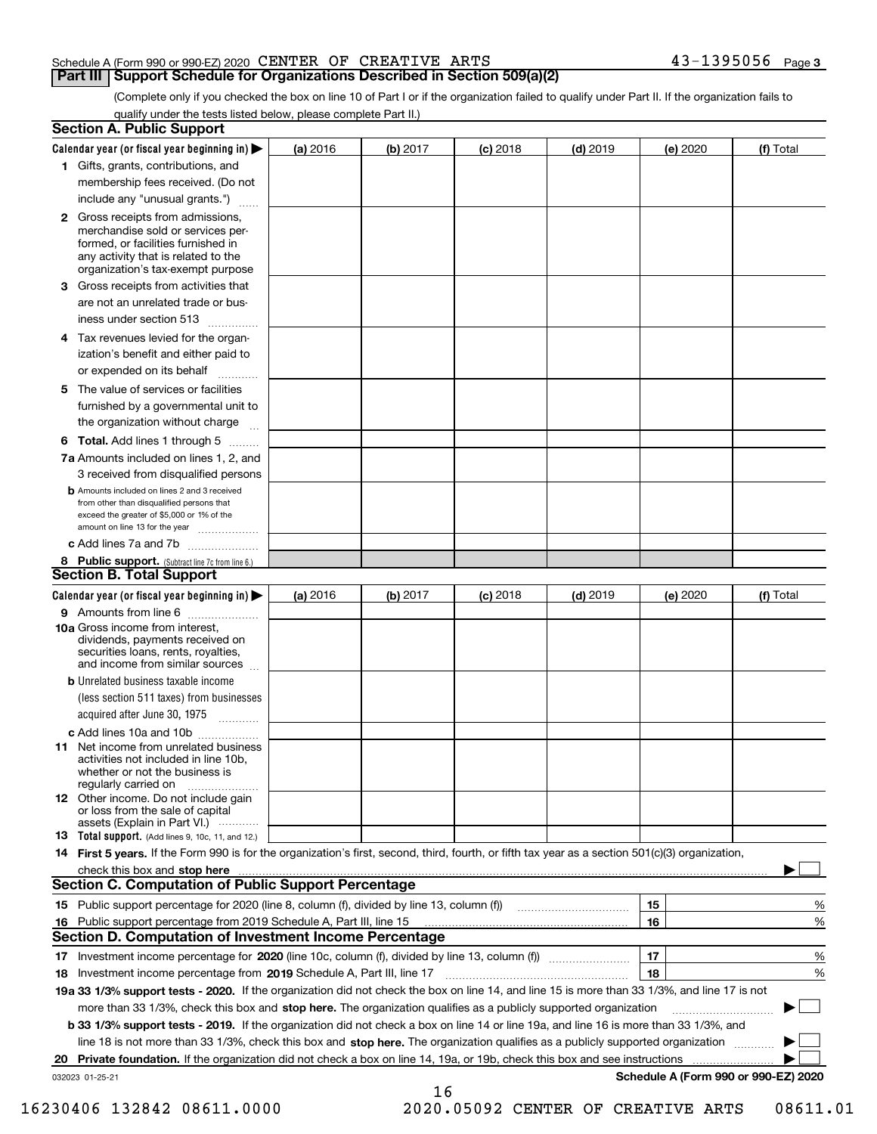(Complete only if you checked the box on line 10 of Part I or if the organization failed to qualify under Part II. If the organization fails to qualify under the tests listed below, please complete Part II.)

|    | <b>Section A. Public Support</b>                                                                                                                                                                                                    |          |          |                 |            |          |                                      |
|----|-------------------------------------------------------------------------------------------------------------------------------------------------------------------------------------------------------------------------------------|----------|----------|-----------------|------------|----------|--------------------------------------|
|    | Calendar year (or fiscal year beginning in) $\blacktriangleright$                                                                                                                                                                   | (a) 2016 | (b) 2017 | <b>(c)</b> 2018 | $(d)$ 2019 | (e) 2020 | (f) Total                            |
|    | 1 Gifts, grants, contributions, and                                                                                                                                                                                                 |          |          |                 |            |          |                                      |
|    | membership fees received. (Do not                                                                                                                                                                                                   |          |          |                 |            |          |                                      |
|    | include any "unusual grants.")                                                                                                                                                                                                      |          |          |                 |            |          |                                      |
|    | <b>2</b> Gross receipts from admissions,<br>merchandise sold or services per-<br>formed, or facilities furnished in<br>any activity that is related to the<br>organization's tax-exempt purpose                                     |          |          |                 |            |          |                                      |
|    | 3 Gross receipts from activities that<br>are not an unrelated trade or bus-                                                                                                                                                         |          |          |                 |            |          |                                      |
|    | iness under section 513                                                                                                                                                                                                             |          |          |                 |            |          |                                      |
|    | 4 Tax revenues levied for the organ-<br>ization's benefit and either paid to<br>or expended on its behalf<br>.                                                                                                                      |          |          |                 |            |          |                                      |
|    | 5 The value of services or facilities<br>furnished by a governmental unit to                                                                                                                                                        |          |          |                 |            |          |                                      |
|    | the organization without charge                                                                                                                                                                                                     |          |          |                 |            |          |                                      |
|    | <b>6 Total.</b> Add lines 1 through 5                                                                                                                                                                                               |          |          |                 |            |          |                                      |
|    | 7a Amounts included on lines 1, 2, and<br>3 received from disqualified persons                                                                                                                                                      |          |          |                 |            |          |                                      |
|    | <b>b</b> Amounts included on lines 2 and 3 received<br>from other than disqualified persons that<br>exceed the greater of \$5,000 or 1% of the<br>amount on line 13 for the year                                                    |          |          |                 |            |          |                                      |
|    | c Add lines 7a and 7b                                                                                                                                                                                                               |          |          |                 |            |          |                                      |
|    | 8 Public support. (Subtract line 7c from line 6.)                                                                                                                                                                                   |          |          |                 |            |          |                                      |
|    | <b>Section B. Total Support</b>                                                                                                                                                                                                     |          |          |                 |            |          |                                      |
|    | Calendar year (or fiscal year beginning in)                                                                                                                                                                                         | (a) 2016 | (b) 2017 | <b>(c)</b> 2018 | $(d)$ 2019 | (e) 2020 | (f) Total                            |
|    | 9 Amounts from line 6<br><b>10a</b> Gross income from interest,<br>dividends, payments received on<br>securities loans, rents, royalties,<br>and income from similar sources                                                        |          |          |                 |            |          |                                      |
|    | <b>b</b> Unrelated business taxable income<br>(less section 511 taxes) from businesses<br>acquired after June 30, 1975                                                                                                              |          |          |                 |            |          |                                      |
|    | c Add lines 10a and 10b                                                                                                                                                                                                             |          |          |                 |            |          |                                      |
|    | 11 Net income from unrelated business<br>activities not included in line 10b,<br>whether or not the business is<br>regularly carried on                                                                                             |          |          |                 |            |          |                                      |
|    | <b>12</b> Other income. Do not include gain<br>or loss from the sale of capital<br>assets (Explain in Part VI.)                                                                                                                     |          |          |                 |            |          |                                      |
|    | 13 Total support. (Add lines 9, 10c, 11, and 12.)                                                                                                                                                                                   |          |          |                 |            |          |                                      |
|    | 14 First 5 years. If the Form 990 is for the organization's first, second, third, fourth, or fifth tax year as a section 501(c)(3) organization,                                                                                    |          |          |                 |            |          |                                      |
|    | check this box and stop here <b>contractly constructed</b> the state of the state of the state of the state of the state of the state of the state of the state of the state of the state of the state of the state of the state of |          |          |                 |            |          |                                      |
|    | <b>Section C. Computation of Public Support Percentage</b>                                                                                                                                                                          |          |          |                 |            |          |                                      |
|    |                                                                                                                                                                                                                                     |          |          |                 |            | 15       | %                                    |
|    | 16 Public support percentage from 2019 Schedule A, Part III, line 15<br><b>Section D. Computation of Investment Income Percentage</b>                                                                                               |          |          |                 |            | 16       | %                                    |
|    |                                                                                                                                                                                                                                     |          |          |                 |            |          |                                      |
| 17 | Investment income percentage for 2020 (line 10c, column (f), divided by line 13, column (f))<br>Investment income percentage from 2019 Schedule A, Part III, line 17                                                                |          |          |                 |            | 17<br>18 | $\%$<br>%                            |
| 18 | 19a 33 1/3% support tests - 2020. If the organization did not check the box on line 14, and line 15 is more than 33 1/3%, and line 17 is not                                                                                        |          |          |                 |            |          |                                      |
|    | more than 33 1/3%, check this box and stop here. The organization qualifies as a publicly supported organization                                                                                                                    |          |          |                 |            |          | ▶                                    |
|    | b 33 1/3% support tests - 2019. If the organization did not check a box on line 14 or line 19a, and line 16 is more than 33 1/3%, and                                                                                               |          |          |                 |            |          |                                      |
|    | line 18 is not more than 33 1/3%, check this box and stop here. The organization qualifies as a publicly supported organization                                                                                                     |          |          |                 |            |          |                                      |
| 20 | Private foundation. If the organization did not check a box on line 14, 19a, or 19b, check this box and see instructions                                                                                                            |          |          |                 |            |          |                                      |
|    | 032023 01-25-21                                                                                                                                                                                                                     |          |          |                 |            |          | Schedule A (Form 990 or 990-EZ) 2020 |
|    |                                                                                                                                                                                                                                     |          | 16       |                 |            |          |                                      |

16230406 132842 08611.0000 2020.05092 CENTER OF CREATIVE ARTS 08611.01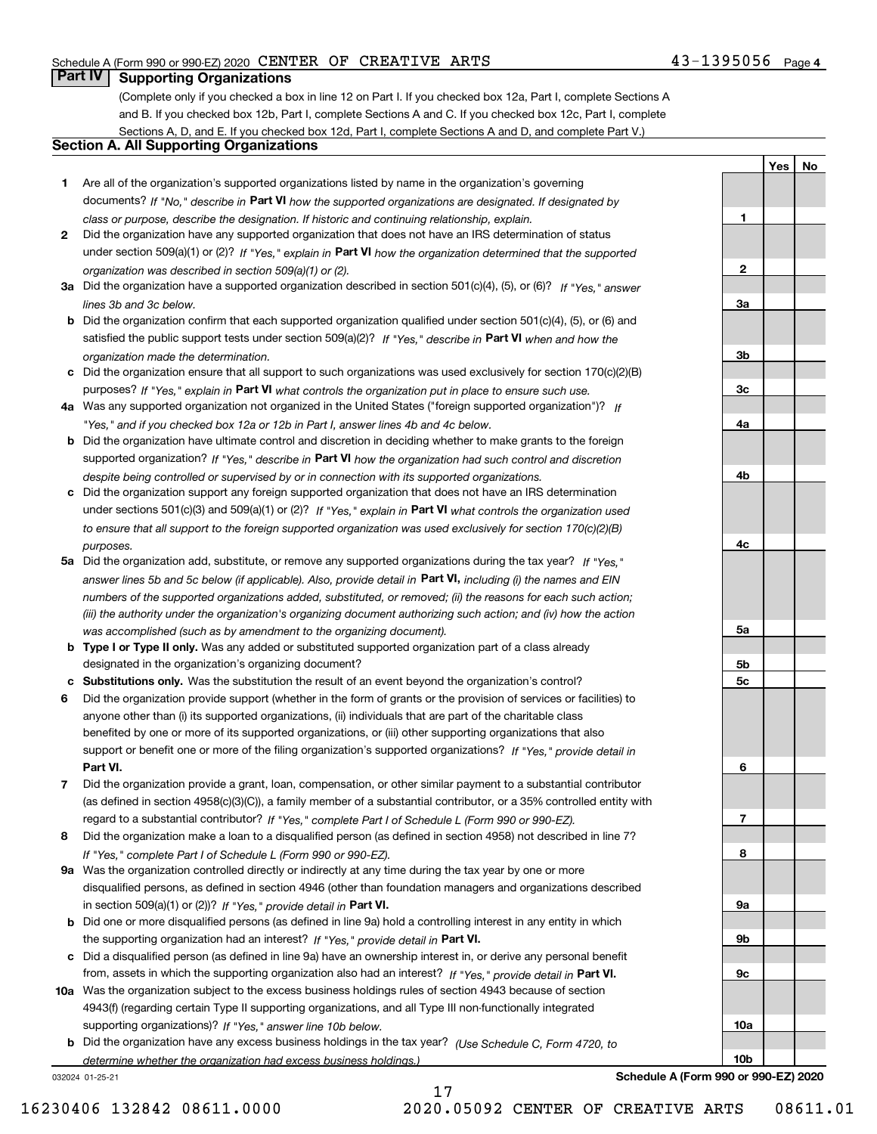## **Part IV Supporting Organizations**

(Complete only if you checked a box in line 12 on Part I. If you checked box 12a, Part I, complete Sections A and B. If you checked box 12b, Part I, complete Sections A and C. If you checked box 12c, Part I, complete Sections A, D, and E. If you checked box 12d, Part I, complete Sections A and D, and complete Part V.)

## **Section A. All Supporting Organizations**

- **1** Are all of the organization's supported organizations listed by name in the organization's governing documents? If "No," describe in **Part VI** how the supported organizations are designated. If designated by *class or purpose, describe the designation. If historic and continuing relationship, explain.*
- **2** Did the organization have any supported organization that does not have an IRS determination of status under section 509(a)(1) or (2)? If "Yes," explain in Part VI how the organization determined that the supported *organization was described in section 509(a)(1) or (2).*
- **3a** Did the organization have a supported organization described in section 501(c)(4), (5), or (6)? If "Yes," answer *lines 3b and 3c below.*
- **b** Did the organization confirm that each supported organization qualified under section 501(c)(4), (5), or (6) and satisfied the public support tests under section 509(a)(2)? If "Yes," describe in **Part VI** when and how the *organization made the determination.*
- **c**Did the organization ensure that all support to such organizations was used exclusively for section 170(c)(2)(B) purposes? If "Yes," explain in **Part VI** what controls the organization put in place to ensure such use.
- **4a***If* Was any supported organization not organized in the United States ("foreign supported organization")? *"Yes," and if you checked box 12a or 12b in Part I, answer lines 4b and 4c below.*
- **b** Did the organization have ultimate control and discretion in deciding whether to make grants to the foreign supported organization? If "Yes," describe in **Part VI** how the organization had such control and discretion *despite being controlled or supervised by or in connection with its supported organizations.*
- **c** Did the organization support any foreign supported organization that does not have an IRS determination under sections 501(c)(3) and 509(a)(1) or (2)? If "Yes," explain in **Part VI** what controls the organization used *to ensure that all support to the foreign supported organization was used exclusively for section 170(c)(2)(B) purposes.*
- **5a** Did the organization add, substitute, or remove any supported organizations during the tax year? If "Yes," answer lines 5b and 5c below (if applicable). Also, provide detail in **Part VI,** including (i) the names and EIN *numbers of the supported organizations added, substituted, or removed; (ii) the reasons for each such action; (iii) the authority under the organization's organizing document authorizing such action; and (iv) how the action was accomplished (such as by amendment to the organizing document).*
- **b** Type I or Type II only. Was any added or substituted supported organization part of a class already designated in the organization's organizing document?
- **cSubstitutions only.**  Was the substitution the result of an event beyond the organization's control?
- **6** Did the organization provide support (whether in the form of grants or the provision of services or facilities) to **Part VI.** *If "Yes," provide detail in* support or benefit one or more of the filing organization's supported organizations? anyone other than (i) its supported organizations, (ii) individuals that are part of the charitable class benefited by one or more of its supported organizations, or (iii) other supporting organizations that also
- **7**Did the organization provide a grant, loan, compensation, or other similar payment to a substantial contributor *If "Yes," complete Part I of Schedule L (Form 990 or 990-EZ).* regard to a substantial contributor? (as defined in section 4958(c)(3)(C)), a family member of a substantial contributor, or a 35% controlled entity with
- **8** Did the organization make a loan to a disqualified person (as defined in section 4958) not described in line 7? *If "Yes," complete Part I of Schedule L (Form 990 or 990-EZ).*
- **9a** Was the organization controlled directly or indirectly at any time during the tax year by one or more in section 509(a)(1) or (2))? If "Yes," *provide detail in* <code>Part VI.</code> disqualified persons, as defined in section 4946 (other than foundation managers and organizations described
- **b** Did one or more disqualified persons (as defined in line 9a) hold a controlling interest in any entity in which the supporting organization had an interest? If "Yes," provide detail in P**art VI**.
- **c**Did a disqualified person (as defined in line 9a) have an ownership interest in, or derive any personal benefit from, assets in which the supporting organization also had an interest? If "Yes," provide detail in P**art VI.**
- **10a** Was the organization subject to the excess business holdings rules of section 4943 because of section supporting organizations)? If "Yes," answer line 10b below. 4943(f) (regarding certain Type II supporting organizations, and all Type III non-functionally integrated
- **b** Did the organization have any excess business holdings in the tax year? (Use Schedule C, Form 4720, to *determine whether the organization had excess business holdings.)*

17

032024 01-25-21

**Schedule A (Form 990 or 990-EZ) 2020**

| Yes   No |  |
|----------|--|

43-1395056 Page 4

**1**

**2**

**3a**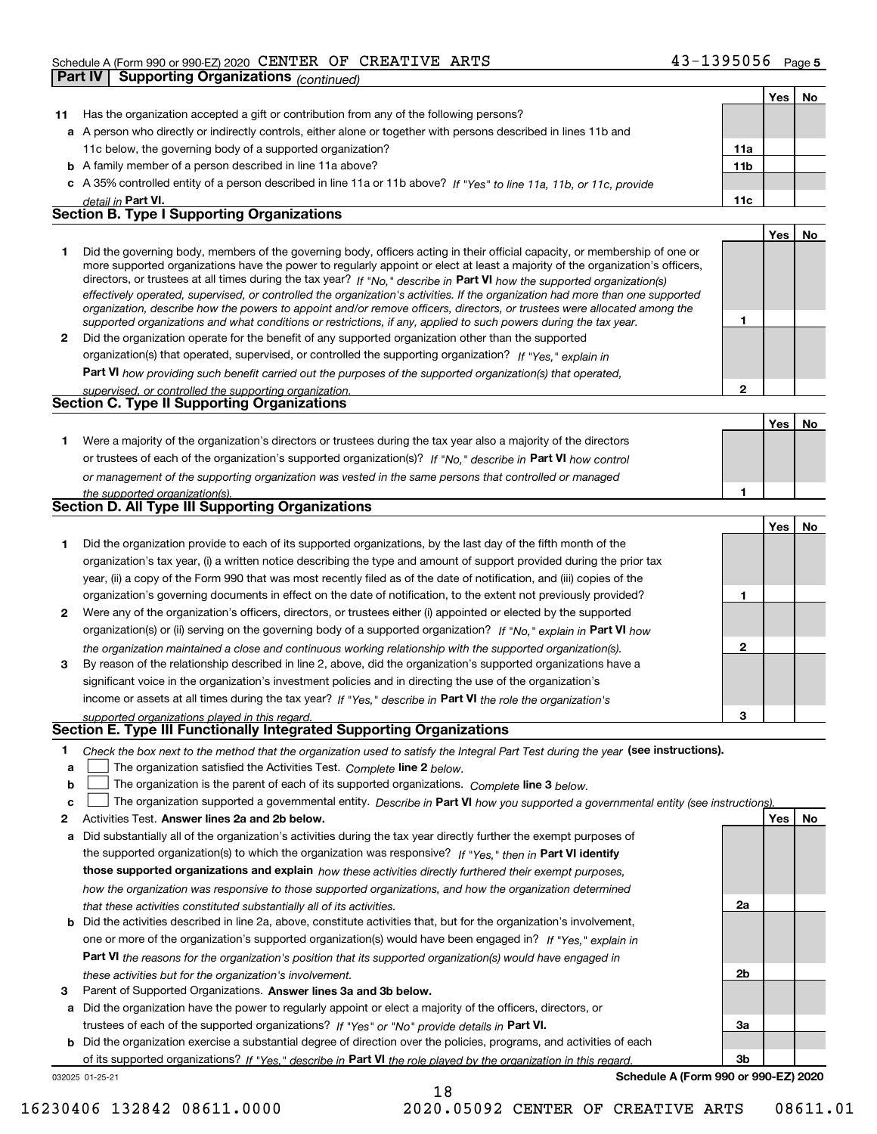|    | Part IV | <b>Supporting Organizations (continued)</b>                                                                                                                                                                                                                                                                                                                                                                                                                                                                                                                                                                                                          |                 |     |    |
|----|---------|------------------------------------------------------------------------------------------------------------------------------------------------------------------------------------------------------------------------------------------------------------------------------------------------------------------------------------------------------------------------------------------------------------------------------------------------------------------------------------------------------------------------------------------------------------------------------------------------------------------------------------------------------|-----------------|-----|----|
|    |         |                                                                                                                                                                                                                                                                                                                                                                                                                                                                                                                                                                                                                                                      |                 | Yes | No |
| 11 |         | Has the organization accepted a gift or contribution from any of the following persons?                                                                                                                                                                                                                                                                                                                                                                                                                                                                                                                                                              |                 |     |    |
|    |         | a A person who directly or indirectly controls, either alone or together with persons described in lines 11b and                                                                                                                                                                                                                                                                                                                                                                                                                                                                                                                                     |                 |     |    |
|    |         | 11c below, the governing body of a supported organization?                                                                                                                                                                                                                                                                                                                                                                                                                                                                                                                                                                                           | 11a             |     |    |
|    |         | <b>b</b> A family member of a person described in line 11a above?                                                                                                                                                                                                                                                                                                                                                                                                                                                                                                                                                                                    | 11 <sub>b</sub> |     |    |
|    |         | c A 35% controlled entity of a person described in line 11a or 11b above? If "Yes" to line 11a, 11b, or 11c, provide                                                                                                                                                                                                                                                                                                                                                                                                                                                                                                                                 |                 |     |    |
|    |         | detail in Part VI.                                                                                                                                                                                                                                                                                                                                                                                                                                                                                                                                                                                                                                   | 11c             |     |    |
|    |         | <b>Section B. Type I Supporting Organizations</b>                                                                                                                                                                                                                                                                                                                                                                                                                                                                                                                                                                                                    |                 |     |    |
|    |         |                                                                                                                                                                                                                                                                                                                                                                                                                                                                                                                                                                                                                                                      |                 | Yes | No |
| 1  |         | Did the governing body, members of the governing body, officers acting in their official capacity, or membership of one or<br>more supported organizations have the power to regularly appoint or elect at least a majority of the organization's officers,<br>directors, or trustees at all times during the tax year? If "No," describe in Part VI how the supported organization(s)<br>effectively operated, supervised, or controlled the organization's activities. If the organization had more than one supported<br>organization, describe how the powers to appoint and/or remove officers, directors, or trustees were allocated among the | 1               |     |    |
| 2  |         | supported organizations and what conditions or restrictions, if any, applied to such powers during the tax year.<br>Did the organization operate for the benefit of any supported organization other than the supported                                                                                                                                                                                                                                                                                                                                                                                                                              |                 |     |    |
|    |         | organization(s) that operated, supervised, or controlled the supporting organization? If "Yes," explain in                                                                                                                                                                                                                                                                                                                                                                                                                                                                                                                                           |                 |     |    |
|    |         |                                                                                                                                                                                                                                                                                                                                                                                                                                                                                                                                                                                                                                                      |                 |     |    |
|    |         | Part VI how providing such benefit carried out the purposes of the supported organization(s) that operated,                                                                                                                                                                                                                                                                                                                                                                                                                                                                                                                                          | $\mathbf{2}$    |     |    |
|    |         | supervised, or controlled the supporting organization.<br><b>Section C. Type II Supporting Organizations</b>                                                                                                                                                                                                                                                                                                                                                                                                                                                                                                                                         |                 |     |    |
|    |         |                                                                                                                                                                                                                                                                                                                                                                                                                                                                                                                                                                                                                                                      |                 | Yes | No |
| 1  |         | Were a majority of the organization's directors or trustees during the tax year also a majority of the directors                                                                                                                                                                                                                                                                                                                                                                                                                                                                                                                                     |                 |     |    |
|    |         | or trustees of each of the organization's supported organization(s)? If "No," describe in Part VI how control                                                                                                                                                                                                                                                                                                                                                                                                                                                                                                                                        |                 |     |    |
|    |         | or management of the supporting organization was vested in the same persons that controlled or managed                                                                                                                                                                                                                                                                                                                                                                                                                                                                                                                                               |                 |     |    |
|    |         | the supported organization(s).                                                                                                                                                                                                                                                                                                                                                                                                                                                                                                                                                                                                                       | 1               |     |    |
|    |         | Section D. All Type III Supporting Organizations                                                                                                                                                                                                                                                                                                                                                                                                                                                                                                                                                                                                     |                 |     |    |
|    |         |                                                                                                                                                                                                                                                                                                                                                                                                                                                                                                                                                                                                                                                      |                 | Yes | No |
| 1  |         | Did the organization provide to each of its supported organizations, by the last day of the fifth month of the                                                                                                                                                                                                                                                                                                                                                                                                                                                                                                                                       |                 |     |    |
|    |         | organization's tax year, (i) a written notice describing the type and amount of support provided during the prior tax                                                                                                                                                                                                                                                                                                                                                                                                                                                                                                                                |                 |     |    |
|    |         | year, (ii) a copy of the Form 990 that was most recently filed as of the date of notification, and (iii) copies of the                                                                                                                                                                                                                                                                                                                                                                                                                                                                                                                               |                 |     |    |
|    |         | organization's governing documents in effect on the date of notification, to the extent not previously provided?                                                                                                                                                                                                                                                                                                                                                                                                                                                                                                                                     | 1               |     |    |
| 2  |         | Were any of the organization's officers, directors, or trustees either (i) appointed or elected by the supported                                                                                                                                                                                                                                                                                                                                                                                                                                                                                                                                     |                 |     |    |
|    |         | organization(s) or (ii) serving on the governing body of a supported organization? If "No," explain in Part VI how                                                                                                                                                                                                                                                                                                                                                                                                                                                                                                                                   |                 |     |    |
|    |         | the organization maintained a close and continuous working relationship with the supported organization(s).                                                                                                                                                                                                                                                                                                                                                                                                                                                                                                                                          | $\mathbf{2}$    |     |    |
| 3  |         | By reason of the relationship described in line 2, above, did the organization's supported organizations have a                                                                                                                                                                                                                                                                                                                                                                                                                                                                                                                                      |                 |     |    |
|    |         | significant voice in the organization's investment policies and in directing the use of the organization's                                                                                                                                                                                                                                                                                                                                                                                                                                                                                                                                           |                 |     |    |
|    |         | income or assets at all times during the tax year? If "Yes," describe in Part VI the role the organization's                                                                                                                                                                                                                                                                                                                                                                                                                                                                                                                                         |                 |     |    |
|    |         | supported organizations played in this regard.                                                                                                                                                                                                                                                                                                                                                                                                                                                                                                                                                                                                       | з               |     |    |
|    |         | Section E. Type III Functionally Integrated Supporting Organizations                                                                                                                                                                                                                                                                                                                                                                                                                                                                                                                                                                                 |                 |     |    |
| 1  |         | Check the box next to the method that the organization used to satisfy the Integral Part Test during the year (see instructions).                                                                                                                                                                                                                                                                                                                                                                                                                                                                                                                    |                 |     |    |
| a  |         | The organization satisfied the Activities Test. Complete line 2 below.                                                                                                                                                                                                                                                                                                                                                                                                                                                                                                                                                                               |                 |     |    |
| b  |         | The organization is the parent of each of its supported organizations. Complete line 3 below.                                                                                                                                                                                                                                                                                                                                                                                                                                                                                                                                                        |                 |     |    |
| c  |         | The organization supported a governmental entity. Describe in Part VI how you supported a governmental entity (see instructions)                                                                                                                                                                                                                                                                                                                                                                                                                                                                                                                     |                 |     |    |
| 2  |         | Activities Test. Answer lines 2a and 2b below.                                                                                                                                                                                                                                                                                                                                                                                                                                                                                                                                                                                                       |                 | Yes | No |
| а  |         | Did substantially all of the organization's activities during the tax year directly further the exempt purposes of                                                                                                                                                                                                                                                                                                                                                                                                                                                                                                                                   |                 |     |    |
|    |         | the supported organization(s) to which the organization was responsive? If "Yes," then in Part VI identify                                                                                                                                                                                                                                                                                                                                                                                                                                                                                                                                           |                 |     |    |
|    |         | those supported organizations and explain how these activities directly furthered their exempt purposes,                                                                                                                                                                                                                                                                                                                                                                                                                                                                                                                                             |                 |     |    |
|    |         | how the organization was responsive to those supported organizations, and how the organization determined                                                                                                                                                                                                                                                                                                                                                                                                                                                                                                                                            |                 |     |    |
|    |         | that these activities constituted substantially all of its activities.                                                                                                                                                                                                                                                                                                                                                                                                                                                                                                                                                                               | 2a              |     |    |
| b  |         | Did the activities described in line 2a, above, constitute activities that, but for the organization's involvement,                                                                                                                                                                                                                                                                                                                                                                                                                                                                                                                                  |                 |     |    |
|    |         | one or more of the organization's supported organization(s) would have been engaged in? If "Yes," explain in                                                                                                                                                                                                                                                                                                                                                                                                                                                                                                                                         |                 |     |    |

**3** Parent of Supported Organizations. Answer lines 3a and 3b below. *these activities but for the organization's involvement.*

**a** Did the organization have the power to regularly appoint or elect a majority of the officers, directors, or trustees of each of the supported organizations? If "Yes" or "No" provide details in **Part VI.** 

**Part VI**  *the reasons for the organization's position that its supported organization(s) would have engaged in*

**b** Did the organization exercise a substantial degree of direction over the policies, programs, and activities of each of its supported organizations? If "Yes," describe in Part VI the role played by the organization in this regard.

18

032025 01-25-21

**Schedule A (Form 990 or 990-EZ) 2020**

**2b**

**3a**

**3b**

16230406 132842 08611.0000 2020.05092 CENTER OF CREATIVE ARTS 08611.01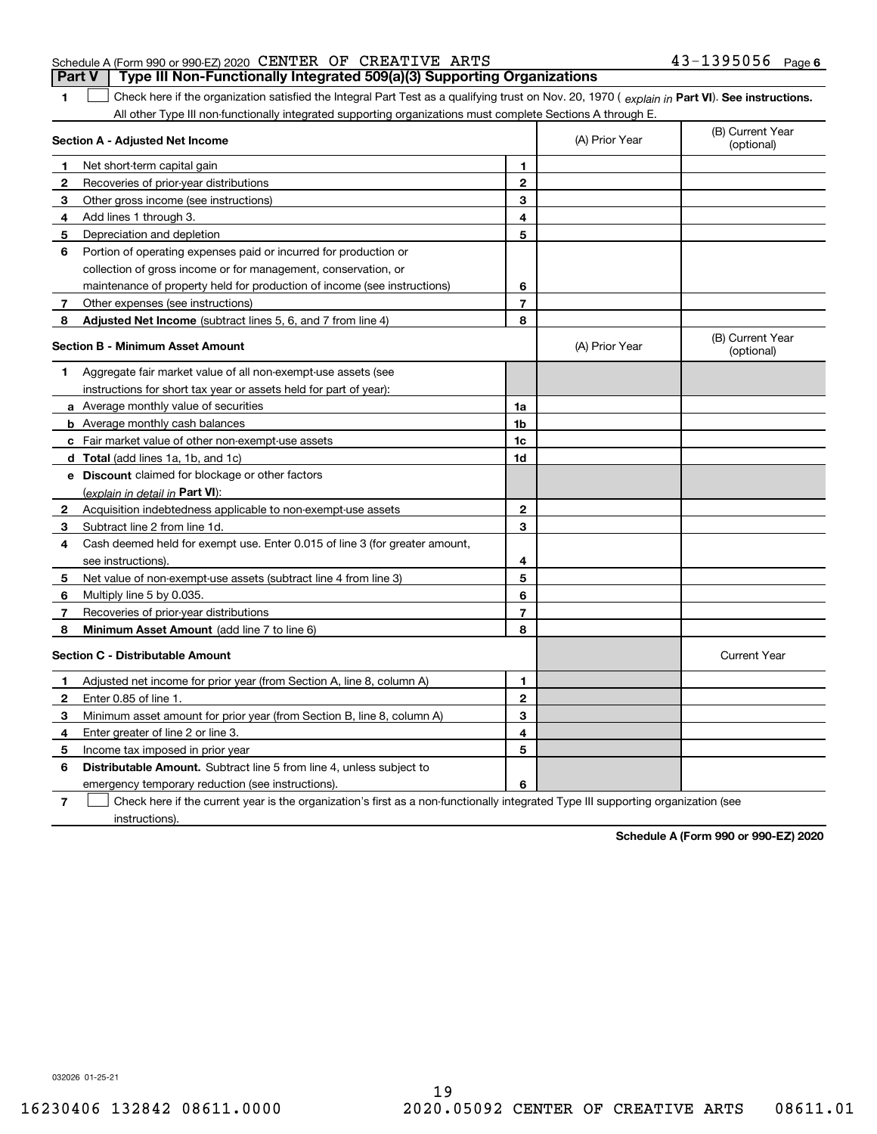| <b>Part V</b> Type III Non-Functionally Integrated 509(a)(3) Supporting Organizations |                       |
|---------------------------------------------------------------------------------------|-----------------------|
| Schedule A (Form 990 or 990-EZ) 2020 CENTER OF CREATIVE ARTS                          | $43 - 1395056$ Page 6 |

1 Check here if the organization satisfied the Integral Part Test as a qualifying trust on Nov. 20, 1970 (explain in Part VI). See instructions. All other Type III non-functionally integrated supporting organizations must complete Sections A through E.

|              | Section A - Adjusted Net Income                                                                                                   |                | (A) Prior Year | (B) Current Year<br>(optional) |
|--------------|-----------------------------------------------------------------------------------------------------------------------------------|----------------|----------------|--------------------------------|
| 1            | Net short-term capital gain                                                                                                       | 1              |                |                                |
| 2            | Recoveries of prior-year distributions                                                                                            | $\overline{2}$ |                |                                |
| З            | Other gross income (see instructions)                                                                                             | 3              |                |                                |
| 4            | Add lines 1 through 3.                                                                                                            | 4              |                |                                |
| 5            | Depreciation and depletion                                                                                                        | 5              |                |                                |
| 6            | Portion of operating expenses paid or incurred for production or                                                                  |                |                |                                |
|              | collection of gross income or for management, conservation, or                                                                    |                |                |                                |
|              | maintenance of property held for production of income (see instructions)                                                          | 6              |                |                                |
| 7            | Other expenses (see instructions)                                                                                                 | $\overline{7}$ |                |                                |
| 8            | Adjusted Net Income (subtract lines 5, 6, and 7 from line 4)                                                                      | 8              |                |                                |
|              | <b>Section B - Minimum Asset Amount</b>                                                                                           |                | (A) Prior Year | (B) Current Year<br>(optional) |
| 1            | Aggregate fair market value of all non-exempt-use assets (see                                                                     |                |                |                                |
|              | instructions for short tax year or assets held for part of year):                                                                 |                |                |                                |
|              | <b>a</b> Average monthly value of securities                                                                                      | 1a             |                |                                |
|              | <b>b</b> Average monthly cash balances                                                                                            | 1b             |                |                                |
|              | c Fair market value of other non-exempt-use assets                                                                                | 1c             |                |                                |
|              | d Total (add lines 1a, 1b, and 1c)                                                                                                | 1d             |                |                                |
|              | e Discount claimed for blockage or other factors                                                                                  |                |                |                                |
|              | (explain in detail in Part VI):                                                                                                   |                |                |                                |
| $\mathbf{2}$ | Acquisition indebtedness applicable to non-exempt-use assets                                                                      | $\mathbf 2$    |                |                                |
| 3            | Subtract line 2 from line 1d.                                                                                                     | 3              |                |                                |
| 4            | Cash deemed held for exempt use. Enter 0.015 of line 3 (for greater amount,                                                       |                |                |                                |
|              | see instructions).                                                                                                                | 4              |                |                                |
| 5            | Net value of non-exempt-use assets (subtract line 4 from line 3)                                                                  | 5              |                |                                |
| 6            | Multiply line 5 by 0.035.                                                                                                         | 6              |                |                                |
| 7            | Recoveries of prior-year distributions                                                                                            | $\overline{7}$ |                |                                |
| 8            | Minimum Asset Amount (add line 7 to line 6)                                                                                       | 8              |                |                                |
|              | <b>Section C - Distributable Amount</b>                                                                                           |                |                | <b>Current Year</b>            |
| 1            | Adjusted net income for prior year (from Section A, line 8, column A)                                                             | $\mathbf{1}$   |                |                                |
| 2            | Enter 0.85 of line 1.                                                                                                             | $\overline{2}$ |                |                                |
| з            | Minimum asset amount for prior year (from Section B, line 8, column A)                                                            | 3              |                |                                |
| 4            | Enter greater of line 2 or line 3.                                                                                                | 4              |                |                                |
| 5            | Income tax imposed in prior year                                                                                                  | 5              |                |                                |
| 6            | <b>Distributable Amount.</b> Subtract line 5 from line 4, unless subject to                                                       |                |                |                                |
|              | emergency temporary reduction (see instructions).                                                                                 | 6              |                |                                |
| 7            | Check here if the current year is the organization's first as a non-functionally integrated Type III supporting organization (see |                |                |                                |

instructions).

**1**

**Schedule A (Form 990 or 990-EZ) 2020**

032026 01-25-21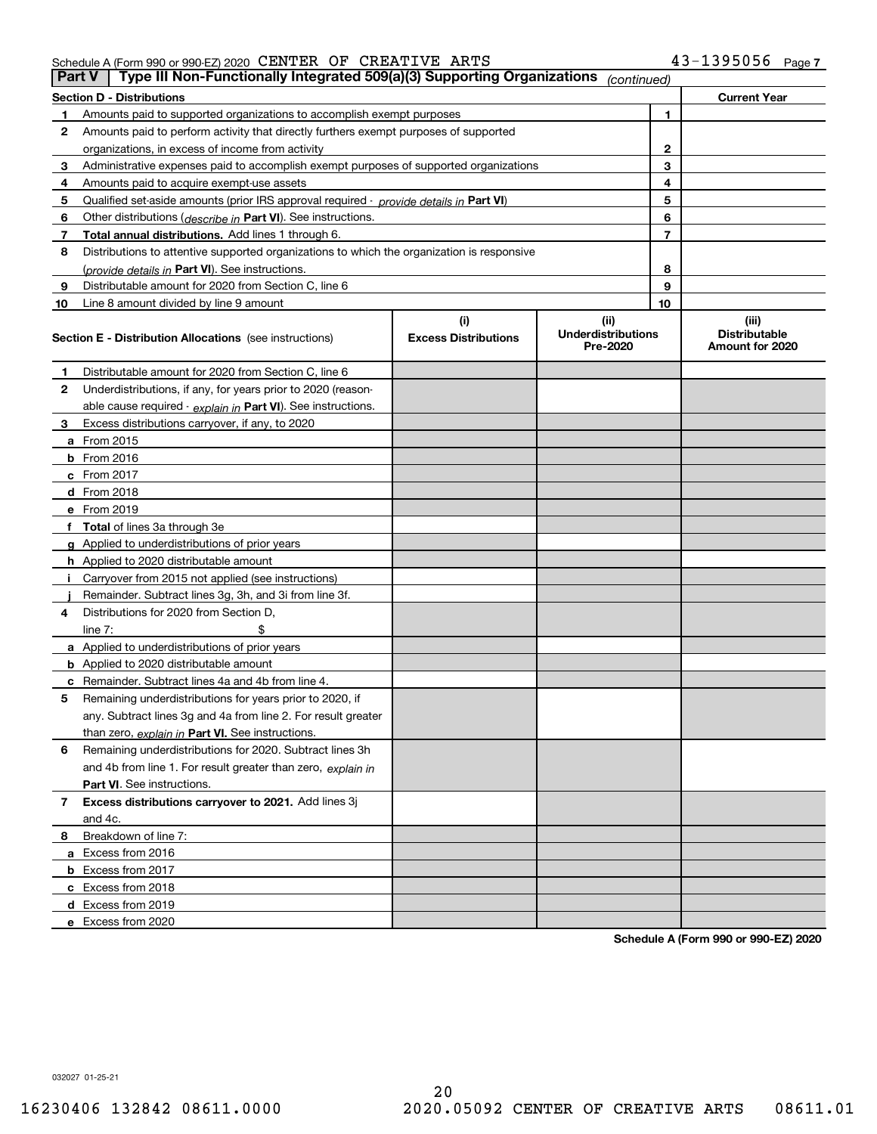|    | Type III Non-Functionally Integrated 509(a)(3) Supporting Organizations<br>Part V<br>(continued) |                                    |                                               |                                                  |  |  |
|----|--------------------------------------------------------------------------------------------------|------------------------------------|-----------------------------------------------|--------------------------------------------------|--|--|
|    | <b>Section D - Distributions</b>                                                                 |                                    |                                               | <b>Current Year</b>                              |  |  |
|    | Amounts paid to supported organizations to accomplish exempt purposes                            |                                    | 1                                             |                                                  |  |  |
| 2  | Amounts paid to perform activity that directly furthers exempt purposes of supported             |                                    |                                               |                                                  |  |  |
|    | organizations, in excess of income from activity                                                 | 2                                  |                                               |                                                  |  |  |
| 3  | Administrative expenses paid to accomplish exempt purposes of supported organizations            | 3                                  |                                               |                                                  |  |  |
| 4  | Amounts paid to acquire exempt-use assets                                                        |                                    | 4                                             |                                                  |  |  |
| 5  | Qualified set aside amounts (prior IRS approval required - provide details in Part VI)           |                                    | 5                                             |                                                  |  |  |
| 6  | Other distributions ( <i>describe in</i> Part VI). See instructions.                             |                                    | 6                                             |                                                  |  |  |
| 7  | Total annual distributions. Add lines 1 through 6.                                               |                                    | 7                                             |                                                  |  |  |
| 8  | Distributions to attentive supported organizations to which the organization is responsive       |                                    |                                               |                                                  |  |  |
|    | (provide details in Part VI). See instructions.                                                  |                                    | 8                                             |                                                  |  |  |
| 9  | Distributable amount for 2020 from Section C, line 6                                             |                                    | 9                                             |                                                  |  |  |
| 10 | Line 8 amount divided by line 9 amount                                                           |                                    | 10                                            |                                                  |  |  |
|    | <b>Section E - Distribution Allocations</b> (see instructions)                                   | (i)<br><b>Excess Distributions</b> | (ii)<br><b>Underdistributions</b><br>Pre-2020 | (iii)<br><b>Distributable</b><br>Amount for 2020 |  |  |
| 1  | Distributable amount for 2020 from Section C, line 6                                             |                                    |                                               |                                                  |  |  |
| 2  | Underdistributions, if any, for years prior to 2020 (reason-                                     |                                    |                                               |                                                  |  |  |
|    | able cause required - explain in Part VI). See instructions.                                     |                                    |                                               |                                                  |  |  |
| 3  | Excess distributions carryover, if any, to 2020                                                  |                                    |                                               |                                                  |  |  |
|    | a From 2015                                                                                      |                                    |                                               |                                                  |  |  |
|    | $b$ From 2016                                                                                    |                                    |                                               |                                                  |  |  |
|    | c From $2017$                                                                                    |                                    |                                               |                                                  |  |  |
|    | <b>d</b> From 2018                                                                               |                                    |                                               |                                                  |  |  |
|    | e From 2019                                                                                      |                                    |                                               |                                                  |  |  |
|    | f Total of lines 3a through 3e                                                                   |                                    |                                               |                                                  |  |  |
|    | g Applied to underdistributions of prior years                                                   |                                    |                                               |                                                  |  |  |
|    | <b>h</b> Applied to 2020 distributable amount                                                    |                                    |                                               |                                                  |  |  |
|    | Carryover from 2015 not applied (see instructions)                                               |                                    |                                               |                                                  |  |  |
|    | Remainder. Subtract lines 3g, 3h, and 3i from line 3f.                                           |                                    |                                               |                                                  |  |  |
| 4  | Distributions for 2020 from Section D.                                                           |                                    |                                               |                                                  |  |  |
|    | line $7:$                                                                                        |                                    |                                               |                                                  |  |  |
|    | a Applied to underdistributions of prior years                                                   |                                    |                                               |                                                  |  |  |
|    | <b>b</b> Applied to 2020 distributable amount                                                    |                                    |                                               |                                                  |  |  |
|    | <b>c</b> Remainder. Subtract lines 4a and 4b from line 4.                                        |                                    |                                               |                                                  |  |  |
| 5  | Remaining underdistributions for years prior to 2020, if                                         |                                    |                                               |                                                  |  |  |
|    | any. Subtract lines 3g and 4a from line 2. For result greater                                    |                                    |                                               |                                                  |  |  |
|    | than zero, explain in Part VI. See instructions.                                                 |                                    |                                               |                                                  |  |  |
| 6  | Remaining underdistributions for 2020. Subtract lines 3h                                         |                                    |                                               |                                                  |  |  |
|    | and 4b from line 1. For result greater than zero, explain in                                     |                                    |                                               |                                                  |  |  |
|    | <b>Part VI.</b> See instructions.                                                                |                                    |                                               |                                                  |  |  |
| 7  | Excess distributions carryover to 2021. Add lines 3j                                             |                                    |                                               |                                                  |  |  |
|    | and 4c.                                                                                          |                                    |                                               |                                                  |  |  |
| 8  | Breakdown of line 7:                                                                             |                                    |                                               |                                                  |  |  |
|    | a Excess from 2016                                                                               |                                    |                                               |                                                  |  |  |
|    | <b>b</b> Excess from 2017                                                                        |                                    |                                               |                                                  |  |  |
|    | c Excess from 2018                                                                               |                                    |                                               |                                                  |  |  |
|    | d Excess from 2019                                                                               |                                    |                                               |                                                  |  |  |
|    | e Excess from 2020                                                                               |                                    |                                               |                                                  |  |  |

**Schedule A (Form 990 or 990-EZ) 2020**

032027 01-25-21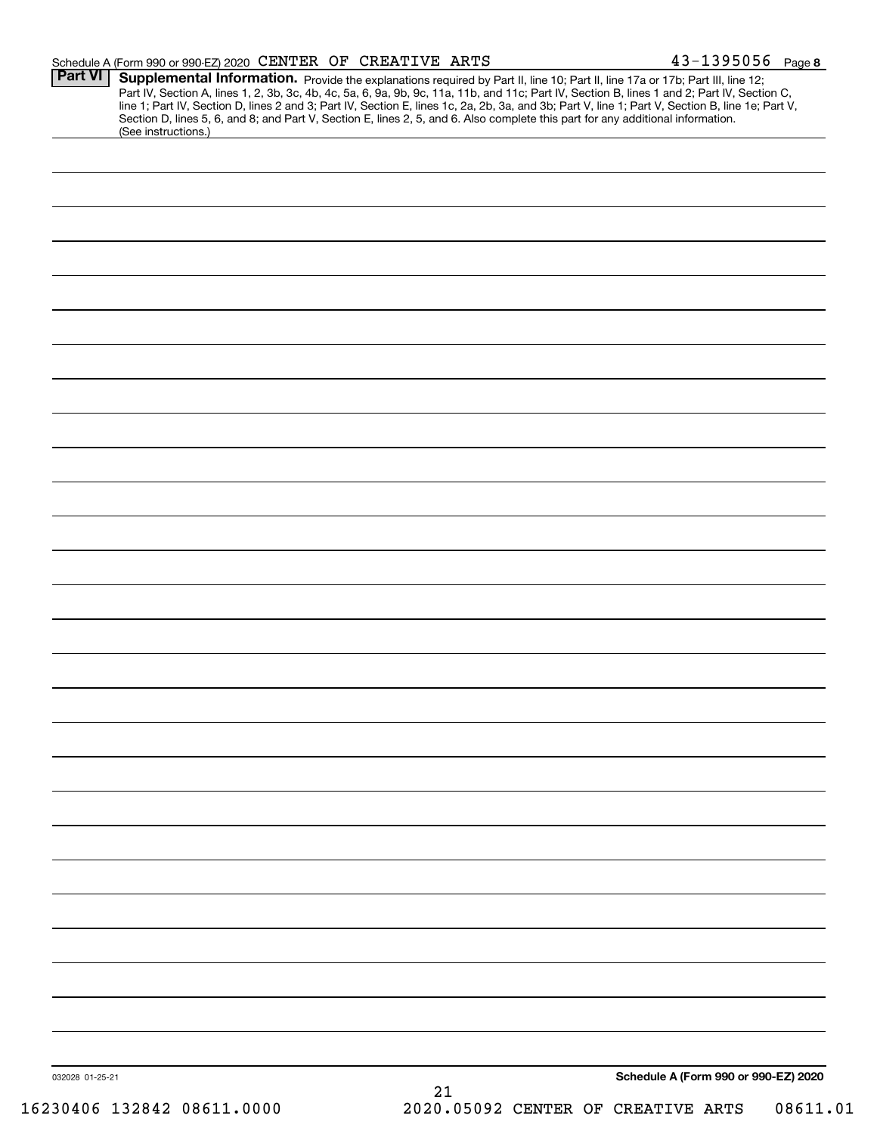|                 | Schedule A (Form 990 or 990-EZ) 2020 CENTER OF CREATIVE ARTS                                                                                                                                                                                                                                                                                                                                                                                                                                                                                                                                | $43 - 1395056$ Page 8                |
|-----------------|---------------------------------------------------------------------------------------------------------------------------------------------------------------------------------------------------------------------------------------------------------------------------------------------------------------------------------------------------------------------------------------------------------------------------------------------------------------------------------------------------------------------------------------------------------------------------------------------|--------------------------------------|
| <b>Part VI</b>  | Supplemental Information. Provide the explanations required by Part II, line 10; Part II, line 17a or 17b; Part III, line 12;<br>Part IV, Section A, lines 1, 2, 3b, 3c, 4b, 4c, 5a, 6, 9a, 9b, 9c, 11a, 11b, and 11c; Part IV, Section B, lines 1 and 2; Part IV, Section C,<br>line 1; Part IV, Section D, lines 2 and 3; Part IV, Section E, lines 1c, 2a, 2b, 3a, and 3b; Part V, line 1; Part V, Section B, line 1e; Part V,<br>Section D, lines 5, 6, and 8; and Part V, Section E, lines 2, 5, and 6. Also complete this part for any additional information.<br>(See instructions.) |                                      |
|                 |                                                                                                                                                                                                                                                                                                                                                                                                                                                                                                                                                                                             |                                      |
|                 |                                                                                                                                                                                                                                                                                                                                                                                                                                                                                                                                                                                             |                                      |
|                 |                                                                                                                                                                                                                                                                                                                                                                                                                                                                                                                                                                                             |                                      |
|                 |                                                                                                                                                                                                                                                                                                                                                                                                                                                                                                                                                                                             |                                      |
|                 |                                                                                                                                                                                                                                                                                                                                                                                                                                                                                                                                                                                             |                                      |
|                 |                                                                                                                                                                                                                                                                                                                                                                                                                                                                                                                                                                                             |                                      |
|                 |                                                                                                                                                                                                                                                                                                                                                                                                                                                                                                                                                                                             |                                      |
|                 |                                                                                                                                                                                                                                                                                                                                                                                                                                                                                                                                                                                             |                                      |
|                 |                                                                                                                                                                                                                                                                                                                                                                                                                                                                                                                                                                                             |                                      |
|                 |                                                                                                                                                                                                                                                                                                                                                                                                                                                                                                                                                                                             |                                      |
|                 |                                                                                                                                                                                                                                                                                                                                                                                                                                                                                                                                                                                             |                                      |
|                 |                                                                                                                                                                                                                                                                                                                                                                                                                                                                                                                                                                                             |                                      |
|                 |                                                                                                                                                                                                                                                                                                                                                                                                                                                                                                                                                                                             |                                      |
|                 |                                                                                                                                                                                                                                                                                                                                                                                                                                                                                                                                                                                             |                                      |
|                 |                                                                                                                                                                                                                                                                                                                                                                                                                                                                                                                                                                                             |                                      |
|                 |                                                                                                                                                                                                                                                                                                                                                                                                                                                                                                                                                                                             |                                      |
|                 |                                                                                                                                                                                                                                                                                                                                                                                                                                                                                                                                                                                             |                                      |
|                 |                                                                                                                                                                                                                                                                                                                                                                                                                                                                                                                                                                                             |                                      |
|                 |                                                                                                                                                                                                                                                                                                                                                                                                                                                                                                                                                                                             |                                      |
|                 |                                                                                                                                                                                                                                                                                                                                                                                                                                                                                                                                                                                             |                                      |
|                 |                                                                                                                                                                                                                                                                                                                                                                                                                                                                                                                                                                                             |                                      |
|                 |                                                                                                                                                                                                                                                                                                                                                                                                                                                                                                                                                                                             |                                      |
|                 |                                                                                                                                                                                                                                                                                                                                                                                                                                                                                                                                                                                             |                                      |
|                 |                                                                                                                                                                                                                                                                                                                                                                                                                                                                                                                                                                                             |                                      |
|                 |                                                                                                                                                                                                                                                                                                                                                                                                                                                                                                                                                                                             |                                      |
|                 |                                                                                                                                                                                                                                                                                                                                                                                                                                                                                                                                                                                             |                                      |
|                 |                                                                                                                                                                                                                                                                                                                                                                                                                                                                                                                                                                                             |                                      |
|                 |                                                                                                                                                                                                                                                                                                                                                                                                                                                                                                                                                                                             |                                      |
|                 |                                                                                                                                                                                                                                                                                                                                                                                                                                                                                                                                                                                             |                                      |
| 032028 01-25-21 | 21                                                                                                                                                                                                                                                                                                                                                                                                                                                                                                                                                                                          | Schedule A (Form 990 or 990-EZ) 2020 |
|                 |                                                                                                                                                                                                                                                                                                                                                                                                                                                                                                                                                                                             |                                      |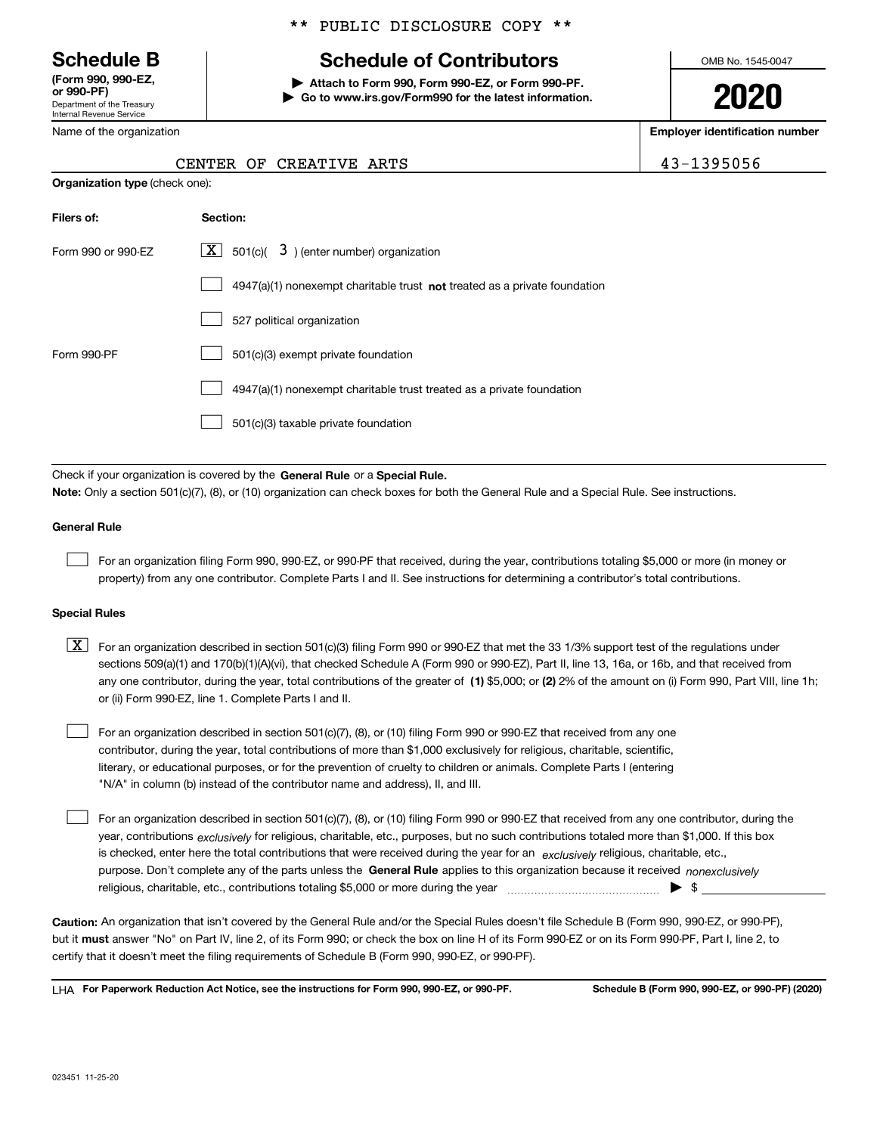Department of the Treasury Internal Revenue Service **(Form 990, 990-EZ, or 990-PF)**

**Filers** 

Name of the organization

## \*\* PUBLIC DISCLOSURE COPY \*\*

# **Schedule B Schedule of Contributors**

**| Attach to Form 990, Form 990-EZ, or Form 990-PF. | Go to www.irs.gov/Form990 for the latest information.** OMB No. 1545-0047

**2020**

**Employer identification number**

43-1395056

|                                       |                 |  | CENTER OF CREATIVE ARTS |  |  |
|---------------------------------------|-----------------|--|-------------------------|--|--|
| <b>Organization type (check one):</b> |                 |  |                         |  |  |
| Filers of:                            | <b>Section:</b> |  |                         |  |  |

| Form 990 or 990-EZ | $\lfloor x \rfloor$ 501(c)( 3) (enter number) organization                  |
|--------------------|-----------------------------------------------------------------------------|
|                    | $4947(a)(1)$ nonexempt charitable trust not treated as a private foundation |
|                    | 527 political organization                                                  |
| Form 990-PF        | 501(c)(3) exempt private foundation                                         |
|                    | 4947(a)(1) nonexempt charitable trust treated as a private foundation       |
|                    | 501(c)(3) taxable private foundation                                        |

Check if your organization is covered by the **General Rule** or a **Special Rule. Note:**  Only a section 501(c)(7), (8), or (10) organization can check boxes for both the General Rule and a Special Rule. See instructions.

#### **General Rule**

 $\mathcal{L}^{\text{max}}$ 

For an organization filing Form 990, 990-EZ, or 990-PF that received, during the year, contributions totaling \$5,000 or more (in money or property) from any one contributor. Complete Parts I and II. See instructions for determining a contributor's total contributions.

#### **Special Rules**

any one contributor, during the year, total contributions of the greater of  $\,$  (1) \$5,000; or **(2)** 2% of the amount on (i) Form 990, Part VIII, line 1h;  $\boxed{\textbf{X}}$  For an organization described in section 501(c)(3) filing Form 990 or 990-EZ that met the 33 1/3% support test of the regulations under sections 509(a)(1) and 170(b)(1)(A)(vi), that checked Schedule A (Form 990 or 990-EZ), Part II, line 13, 16a, or 16b, and that received from or (ii) Form 990-EZ, line 1. Complete Parts I and II.

For an organization described in section 501(c)(7), (8), or (10) filing Form 990 or 990-EZ that received from any one contributor, during the year, total contributions of more than \$1,000 exclusively for religious, charitable, scientific, literary, or educational purposes, or for the prevention of cruelty to children or animals. Complete Parts I (entering "N/A" in column (b) instead of the contributor name and address), II, and III.  $\mathcal{L}^{\text{max}}$ 

purpose. Don't complete any of the parts unless the **General Rule** applies to this organization because it received *nonexclusively* year, contributions <sub>exclusively</sub> for religious, charitable, etc., purposes, but no such contributions totaled more than \$1,000. If this box is checked, enter here the total contributions that were received during the year for an  $\;$ exclusively religious, charitable, etc., For an organization described in section 501(c)(7), (8), or (10) filing Form 990 or 990-EZ that received from any one contributor, during the religious, charitable, etc., contributions totaling \$5,000 or more during the year  $\Box$ — $\Box$   $\Box$  $\mathcal{L}^{\text{max}}$ 

**Caution:**  An organization that isn't covered by the General Rule and/or the Special Rules doesn't file Schedule B (Form 990, 990-EZ, or 990-PF),  **must** but it answer "No" on Part IV, line 2, of its Form 990; or check the box on line H of its Form 990-EZ or on its Form 990-PF, Part I, line 2, to certify that it doesn't meet the filing requirements of Schedule B (Form 990, 990-EZ, or 990-PF).

**For Paperwork Reduction Act Notice, see the instructions for Form 990, 990-EZ, or 990-PF. Schedule B (Form 990, 990-EZ, or 990-PF) (2020)** LHA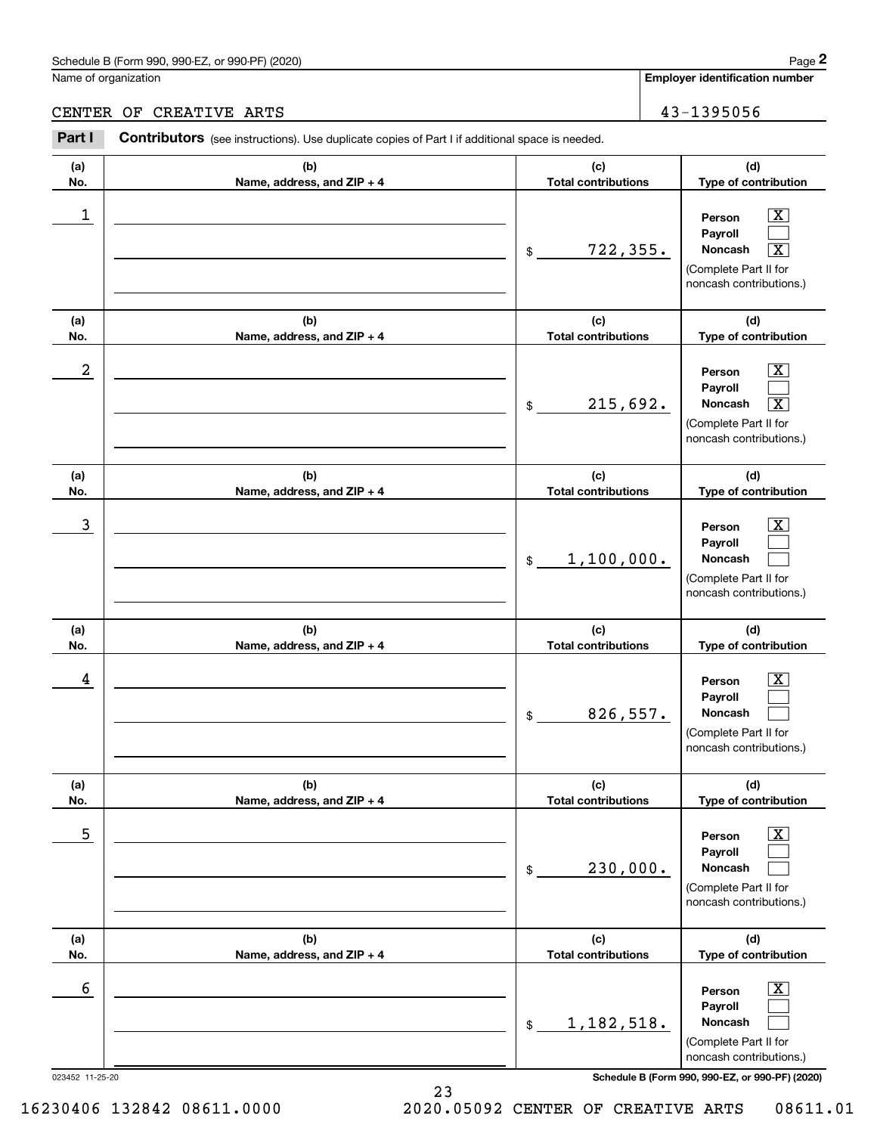#### Schedule B (Form 990, 990-EZ, or 990-PF) (2020) **Page 2** Page 2 and the state of the state of the state of the state of the state of the state of the state of the state of the state of the state of the state of the state o

Name of organization

**Employer identification number**

CENTER OF CREATIVE ARTS 43-1395056

#### 023452 11-25-20 **Schedule B (Form 990, 990-EZ, or 990-PF) (2020) (a)No.(b)Name, address, and ZIP + 4 (c)Total contributions (d)Type of contribution PersonPayrollNoncash (a)No.(b)Name, address, and ZIP + 4 (c)Total contributions (d)Type of contribution PersonPayrollNoncash (a)No.(b)Name, address, and ZIP + 4 (c)Total contributions (d)Type of contribution PersonPayrollNoncash (a) No.(b) Name, address, and ZIP + 4 (c) Total contributions (d) Type of contribution PersonPayrollNoncash (a) No.(b) Name, address, and ZIP + 4 (c) Total contributions (d) Type of contribution PersonPayrollNoncash(a) No.(b)Name, address, and ZIP + 4 (c) Total contributions (d)Type of contribution PersonPayrollNoncash Contributors** (see instructions). Use duplicate copies of Part I if additional space is needed. \$(Complete Part II for noncash contributions.) \$(Complete Part II for noncash contributions.) \$(Complete Part II for noncash contributions.) \$(Complete Part II for noncash contributions.) \$(Complete Part II for noncash contributions.) \$(Complete Part II for noncash contributions.) Employer identification Page 2<br>
Iame of organization<br> **2PART II CONTIBUTORY** CREAT IVE ARTS<br> **2PART I** Contributors (see instructions). Use duplicate copies of Part I if additional space is needed.  $|X|$  $\mathcal{L}^{\text{max}}$  $\boxed{\text{X}}$  $\boxed{\text{X}}$  $\mathcal{L}^{\text{max}}$  $\overline{\mathbf{X}}$  $|X|$  $\mathcal{L}^{\text{max}}$  $\mathcal{L}^{\text{max}}$  $\boxed{\text{X}}$  $\mathcal{L}^{\text{max}}$  $\mathcal{L}^{\text{max}}$  $\boxed{\text{X}}$  $\mathcal{L}^{\text{max}}$  $\mathcal{L}^{\text{max}}$  $\lfloor x \rfloor$  $\mathcal{L}^{\text{max}}$  $\mathcal{L}^{\text{max}}$  $\begin{array}{c|c|c|c|c|c} 1 & \hspace{1.5cm} & \hspace{1.5cm} & \hspace{1.5cm} & \hspace{1.5cm} & \hspace{1.5cm} & \hspace{1.5cm} & \hspace{1.5cm} & \hspace{1.5cm} & \hspace{1.5cm} & \hspace{1.5cm} & \hspace{1.5cm} & \hspace{1.5cm} & \hspace{1.5cm} & \hspace{1.5cm} & \hspace{1.5cm} & \hspace{1.5cm} & \hspace{1.5cm} & \hspace{1.5cm} & \hspace{1.5cm} & \hspace{1.5cm} &$  $722,355.$  $2$  | Person  $\overline{\text{X}}$ 215,692. X  $\overline{3}$  | Person  $\overline{X}$ 1,100,000.  $4$  | Person  $\overline{\text{X}}$ 826,557.  $\sim$  5 | Person X 230,000.  $\sim$  6 | Person X 1,182,518.

16230406 132842 08611.0000 2020.05092 CENTER OF CREATIVE ARTS 08611.01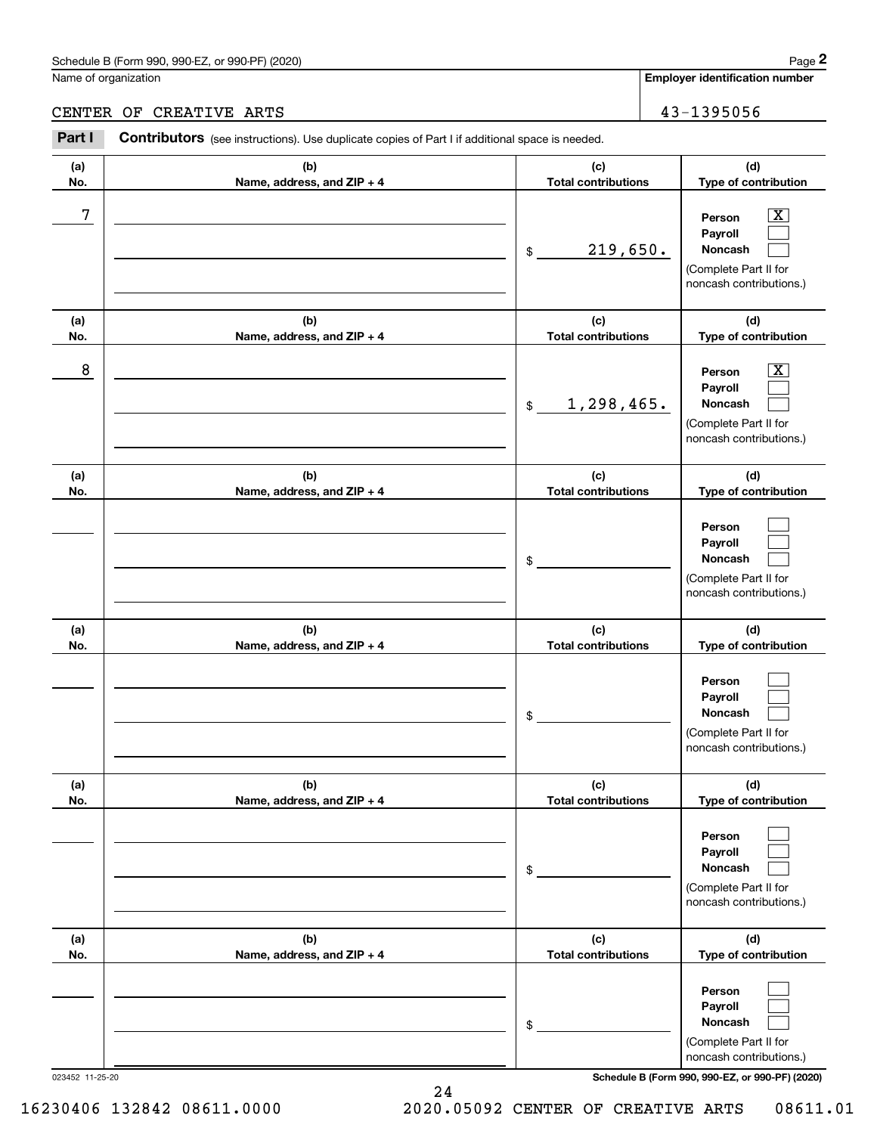## Schedule B (Form 990, 990-EZ, or 990-PF) (2020) Page 2

|            | Schedule B (Form 990, 990-EZ, or 990-PF) (2020)                                                       |                                   | Page 2                                                                                                      |
|------------|-------------------------------------------------------------------------------------------------------|-----------------------------------|-------------------------------------------------------------------------------------------------------------|
|            | Name of organization                                                                                  |                                   | <b>Employer identification number</b>                                                                       |
|            | CENTER OF CREATIVE ARTS                                                                               |                                   | 43-1395056                                                                                                  |
| Part I     | <b>Contributors</b> (see instructions). Use duplicate copies of Part I if additional space is needed. |                                   |                                                                                                             |
| (a)<br>No. | (b)<br>Name, address, and ZIP + 4                                                                     | (c)<br><b>Total contributions</b> | (d)<br>Type of contribution                                                                                 |
| 7          |                                                                                                       | 219,650.<br>$\$\$                 | $\mathbf{X}$<br>Person<br>Payroll<br>Noncash<br>(Complete Part II for<br>noncash contributions.)            |
| (a)<br>No. | (b)<br>Name, address, and ZIP + 4                                                                     | (c)<br><b>Total contributions</b> | (d)<br>Type of contribution                                                                                 |
| 8          |                                                                                                       | 1,298,465.<br>$$\mathbb{S}$$      | $\overline{\mathbf{X}}$<br>Person<br>Payroll<br>Noncash<br>(Complete Part II for<br>noncash contributions.) |
| (a)<br>No. | (b)<br>Name, address, and ZIP + 4                                                                     | (c)<br><b>Total contributions</b> | (d)<br>Type of contribution                                                                                 |
|            |                                                                                                       | \$                                | Person<br>Payroll<br>Noncash<br>(Complete Part II for<br>noncash contributions.)                            |
| (a)<br>No. | (b)<br>Name, address, and ZIP + 4                                                                     | (c)<br><b>Total contributions</b> | (d)<br>Type of contribution                                                                                 |
|            |                                                                                                       | \$                                | Person<br>Payroll<br>Noncash<br>(Complete Part II for<br>noncash contributions.)                            |
| (a)<br>No. | (b)<br>Name, address, and ZIP + 4                                                                     | (c)<br><b>Total contributions</b> | (d)<br>Type of contribution                                                                                 |
|            |                                                                                                       | \$                                | Person<br>Payroll<br>Noncash<br>(Complete Part II for<br>noncash contributions.)                            |
| (a)<br>No. | (b)<br>Name, address, and ZIP + 4                                                                     | (c)<br><b>Total contributions</b> | (d)<br>Type of contribution                                                                                 |
|            |                                                                                                       | \$                                | Person<br>Payroll<br>Noncash                                                                                |

023452 11-25-20 **Schedule B (Form 990, 990-EZ, or 990-PF) (2020)**

(Complete Part II for noncash contributions.)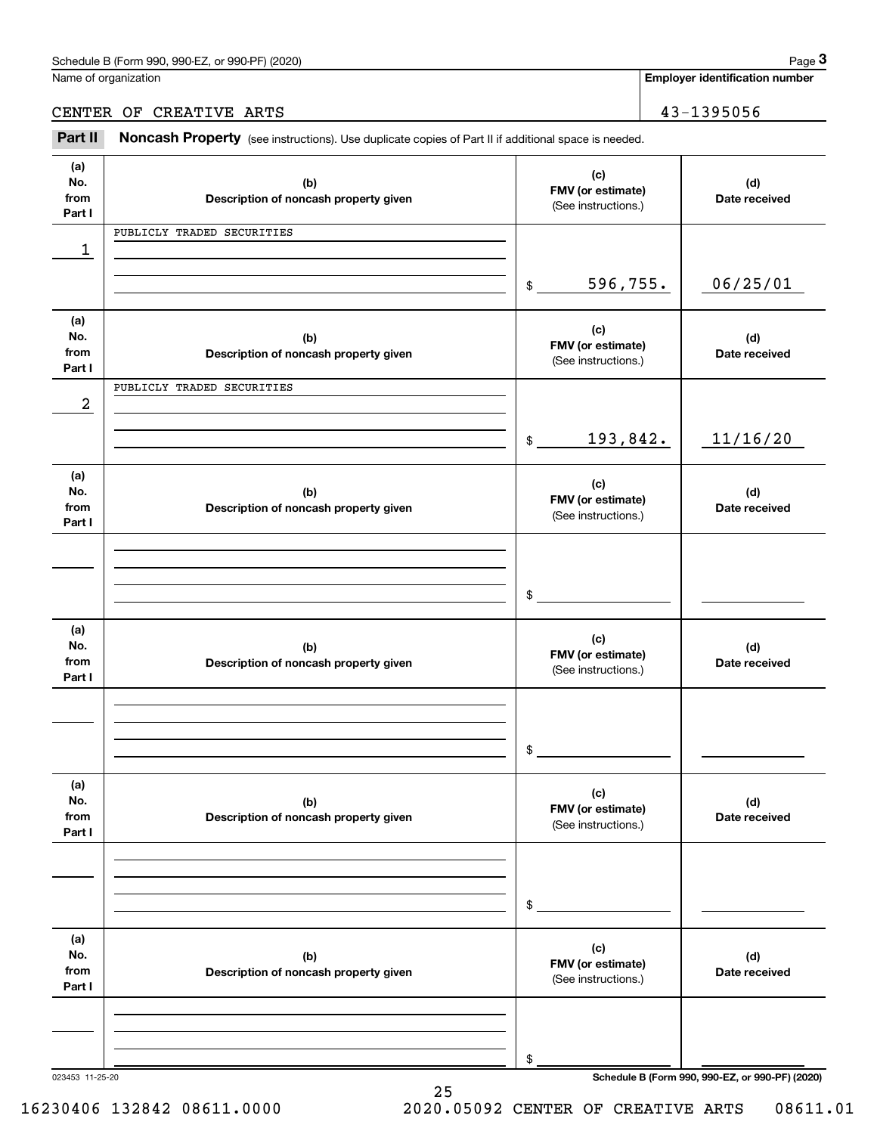**Employer identification number**

CENTER OF CREATIVE ARTS 43-1395056

Employer identification Page 3<br>
Iame of organization<br> **3Part II Noncash Property** (see instructions). Use duplicate copies of Part II if additional space is needed.<br> **2Part II Noncash Property** (see instructions). Use

| (a)             |                                       | (c)                      |                                                 |
|-----------------|---------------------------------------|--------------------------|-------------------------------------------------|
| No.             | (b)                                   | FMV (or estimate)        | (d)                                             |
| from<br>Part I  | Description of noncash property given | (See instructions.)      | Date received                                   |
|                 | PUBLICLY TRADED SECURITIES            |                          |                                                 |
|                 |                                       |                          |                                                 |
| 1               |                                       |                          |                                                 |
|                 |                                       | 596,755.                 | 06/25/01                                        |
|                 |                                       | $$\tilde$$               |                                                 |
|                 |                                       |                          |                                                 |
| (a)<br>No.      | (b)                                   | (c)                      | (d)                                             |
| from            | Description of noncash property given | FMV (or estimate)        | Date received                                   |
| Part I          |                                       | (See instructions.)      |                                                 |
|                 | PUBLICLY TRADED SECURITIES            |                          |                                                 |
| 2               |                                       |                          |                                                 |
|                 |                                       |                          |                                                 |
|                 |                                       | 193,842.<br>$$\tilde$$   | 11/16/20                                        |
|                 |                                       |                          |                                                 |
| (a)             |                                       |                          |                                                 |
| No.             | (b)                                   | (c)<br>FMV (or estimate) | (d)                                             |
| from            | Description of noncash property given | (See instructions.)      | Date received                                   |
| Part I          |                                       |                          |                                                 |
|                 |                                       |                          |                                                 |
|                 |                                       |                          |                                                 |
|                 |                                       |                          |                                                 |
|                 |                                       | $\mathsf{\$}$            |                                                 |
|                 |                                       |                          |                                                 |
| (a)             |                                       | (c)                      |                                                 |
| No.             | (b)                                   | FMV (or estimate)        | (d)                                             |
| from<br>Part I  | Description of noncash property given | (See instructions.)      | Date received                                   |
|                 |                                       |                          |                                                 |
|                 |                                       |                          |                                                 |
|                 |                                       |                          |                                                 |
|                 |                                       | \$                       |                                                 |
|                 |                                       |                          |                                                 |
| (a)             |                                       |                          |                                                 |
| No.             | (b)                                   | (c)                      | (d)                                             |
| from            | Description of noncash property given | FMV (or estimate)        | Date received                                   |
| Part I          |                                       | (See instructions.)      |                                                 |
|                 |                                       |                          |                                                 |
|                 |                                       |                          |                                                 |
|                 |                                       |                          |                                                 |
|                 |                                       | \$                       |                                                 |
|                 |                                       |                          |                                                 |
| (a)             |                                       |                          |                                                 |
| No.             | (b)                                   | (c)<br>FMV (or estimate) | (d)                                             |
| from            | Description of noncash property given | (See instructions.)      | Date received                                   |
| Part I          |                                       |                          |                                                 |
|                 |                                       |                          |                                                 |
|                 |                                       |                          |                                                 |
|                 |                                       |                          |                                                 |
|                 |                                       | \$                       |                                                 |
| 023453 11-25-20 |                                       |                          | Schedule B (Form 990, 990-EZ, or 990-PF) (2020) |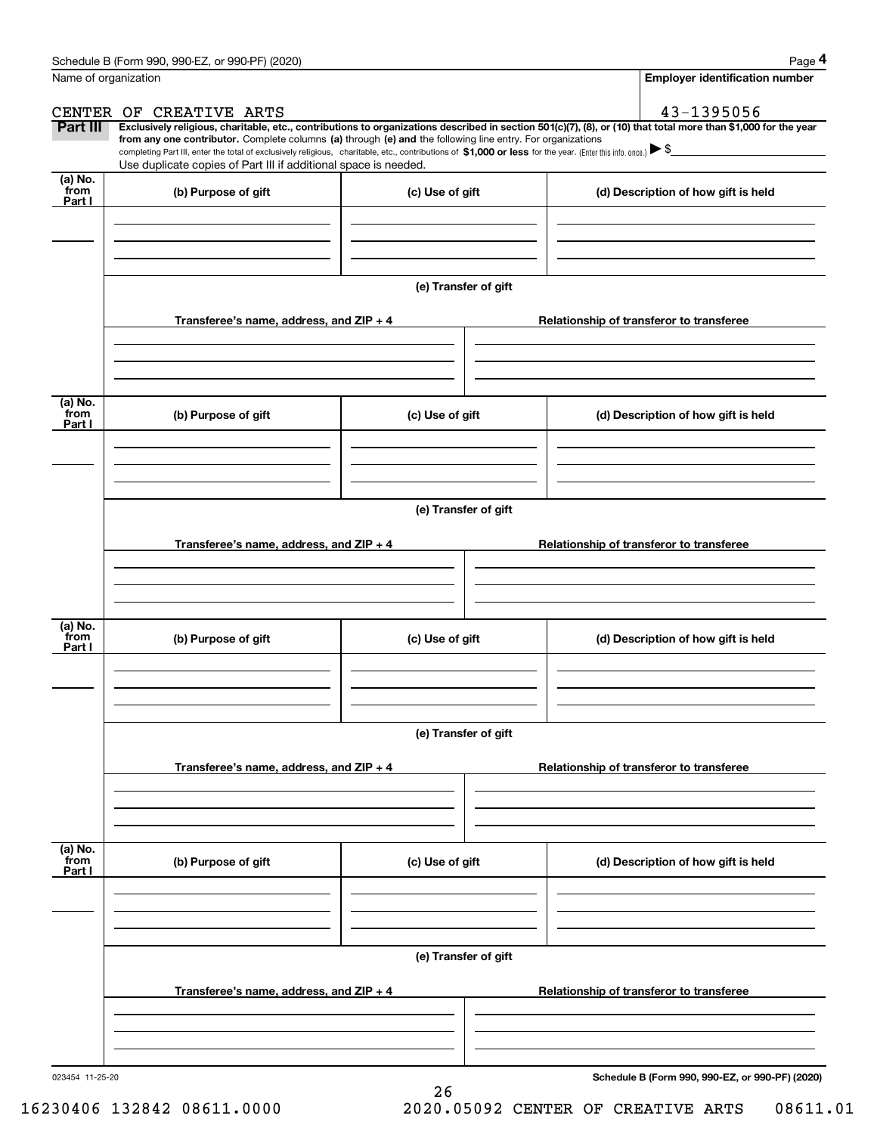|                      | Schedule B (Form 990, 990-EZ, or 990-PF) (2020)                                                                                                                                                                                                                              |                      |                                          | Page 4                                          |  |  |  |  |
|----------------------|------------------------------------------------------------------------------------------------------------------------------------------------------------------------------------------------------------------------------------------------------------------------------|----------------------|------------------------------------------|-------------------------------------------------|--|--|--|--|
| Name of organization |                                                                                                                                                                                                                                                                              |                      |                                          | <b>Employer identification number</b>           |  |  |  |  |
|                      | CENTER OF CREATIVE ARTS                                                                                                                                                                                                                                                      |                      |                                          | 43-1395056                                      |  |  |  |  |
| <b>Part III</b>      | Exclusively religious, charitable, etc., contributions to organizations described in section 501(c)(7), (8), or (10) that total more than \$1,000 for the year<br>from any one contributor. Complete columns (a) through (e) and the following line entry. For organizations |                      |                                          |                                                 |  |  |  |  |
|                      | completing Part III, enter the total of exclusively religious, charitable, etc., contributions of \$1,000 or less for the year. (Enter this info. once.) $\blacktriangleright$ \$                                                                                            |                      |                                          |                                                 |  |  |  |  |
| (a) No.              | Use duplicate copies of Part III if additional space is needed.                                                                                                                                                                                                              |                      |                                          |                                                 |  |  |  |  |
| from<br>Part I       | (b) Purpose of gift                                                                                                                                                                                                                                                          | (c) Use of gift      |                                          | (d) Description of how gift is held             |  |  |  |  |
|                      |                                                                                                                                                                                                                                                                              |                      |                                          |                                                 |  |  |  |  |
|                      |                                                                                                                                                                                                                                                                              |                      |                                          |                                                 |  |  |  |  |
|                      |                                                                                                                                                                                                                                                                              |                      |                                          |                                                 |  |  |  |  |
|                      |                                                                                                                                                                                                                                                                              |                      |                                          |                                                 |  |  |  |  |
|                      |                                                                                                                                                                                                                                                                              | (e) Transfer of gift |                                          |                                                 |  |  |  |  |
|                      | Transferee's name, address, and ZIP + 4                                                                                                                                                                                                                                      |                      |                                          | Relationship of transferor to transferee        |  |  |  |  |
|                      |                                                                                                                                                                                                                                                                              |                      |                                          |                                                 |  |  |  |  |
|                      |                                                                                                                                                                                                                                                                              |                      |                                          |                                                 |  |  |  |  |
|                      |                                                                                                                                                                                                                                                                              |                      |                                          |                                                 |  |  |  |  |
| (a) No.              |                                                                                                                                                                                                                                                                              |                      |                                          |                                                 |  |  |  |  |
| from<br>Part I       | (b) Purpose of gift                                                                                                                                                                                                                                                          | (c) Use of gift      |                                          | (d) Description of how gift is held             |  |  |  |  |
|                      |                                                                                                                                                                                                                                                                              |                      |                                          |                                                 |  |  |  |  |
|                      |                                                                                                                                                                                                                                                                              |                      |                                          |                                                 |  |  |  |  |
|                      |                                                                                                                                                                                                                                                                              |                      |                                          |                                                 |  |  |  |  |
|                      |                                                                                                                                                                                                                                                                              | (e) Transfer of gift |                                          |                                                 |  |  |  |  |
|                      |                                                                                                                                                                                                                                                                              |                      |                                          |                                                 |  |  |  |  |
|                      | Transferee's name, address, and ZIP + 4                                                                                                                                                                                                                                      |                      |                                          | Relationship of transferor to transferee        |  |  |  |  |
|                      |                                                                                                                                                                                                                                                                              |                      |                                          |                                                 |  |  |  |  |
|                      |                                                                                                                                                                                                                                                                              |                      |                                          |                                                 |  |  |  |  |
|                      |                                                                                                                                                                                                                                                                              |                      |                                          |                                                 |  |  |  |  |
| (a) No.<br>from      | (b) Purpose of gift                                                                                                                                                                                                                                                          | (c) Use of gift      |                                          | (d) Description of how gift is held             |  |  |  |  |
| Part I               |                                                                                                                                                                                                                                                                              |                      |                                          |                                                 |  |  |  |  |
|                      |                                                                                                                                                                                                                                                                              |                      |                                          |                                                 |  |  |  |  |
|                      |                                                                                                                                                                                                                                                                              |                      |                                          |                                                 |  |  |  |  |
|                      |                                                                                                                                                                                                                                                                              |                      |                                          |                                                 |  |  |  |  |
|                      | (e) Transfer of gift                                                                                                                                                                                                                                                         |                      |                                          |                                                 |  |  |  |  |
|                      | Transferee's name, address, and ZIP + 4                                                                                                                                                                                                                                      |                      | Relationship of transferor to transferee |                                                 |  |  |  |  |
|                      |                                                                                                                                                                                                                                                                              |                      |                                          |                                                 |  |  |  |  |
|                      |                                                                                                                                                                                                                                                                              |                      |                                          |                                                 |  |  |  |  |
|                      |                                                                                                                                                                                                                                                                              |                      |                                          |                                                 |  |  |  |  |
| (a) No.<br>from      |                                                                                                                                                                                                                                                                              |                      |                                          |                                                 |  |  |  |  |
| Part I               | (b) Purpose of gift                                                                                                                                                                                                                                                          | (c) Use of gift      |                                          | (d) Description of how gift is held             |  |  |  |  |
|                      |                                                                                                                                                                                                                                                                              |                      |                                          |                                                 |  |  |  |  |
|                      |                                                                                                                                                                                                                                                                              |                      |                                          |                                                 |  |  |  |  |
|                      |                                                                                                                                                                                                                                                                              |                      |                                          |                                                 |  |  |  |  |
|                      |                                                                                                                                                                                                                                                                              | (e) Transfer of gift |                                          |                                                 |  |  |  |  |
|                      |                                                                                                                                                                                                                                                                              |                      |                                          |                                                 |  |  |  |  |
|                      | Transferee's name, address, and ZIP + 4                                                                                                                                                                                                                                      |                      |                                          | Relationship of transferor to transferee        |  |  |  |  |
|                      |                                                                                                                                                                                                                                                                              |                      |                                          |                                                 |  |  |  |  |
|                      |                                                                                                                                                                                                                                                                              |                      |                                          |                                                 |  |  |  |  |
|                      |                                                                                                                                                                                                                                                                              |                      |                                          |                                                 |  |  |  |  |
| 023454 11-25-20      |                                                                                                                                                                                                                                                                              |                      |                                          | Schedule B (Form 990, 990-EZ, or 990-PF) (2020) |  |  |  |  |

26

**Schedule B (Form 990, 990-EZ, or 990-PF) (2020)**

16230406 132842 08611.0000 2020.05092 CENTER OF CREATIVE ARTS 08611.01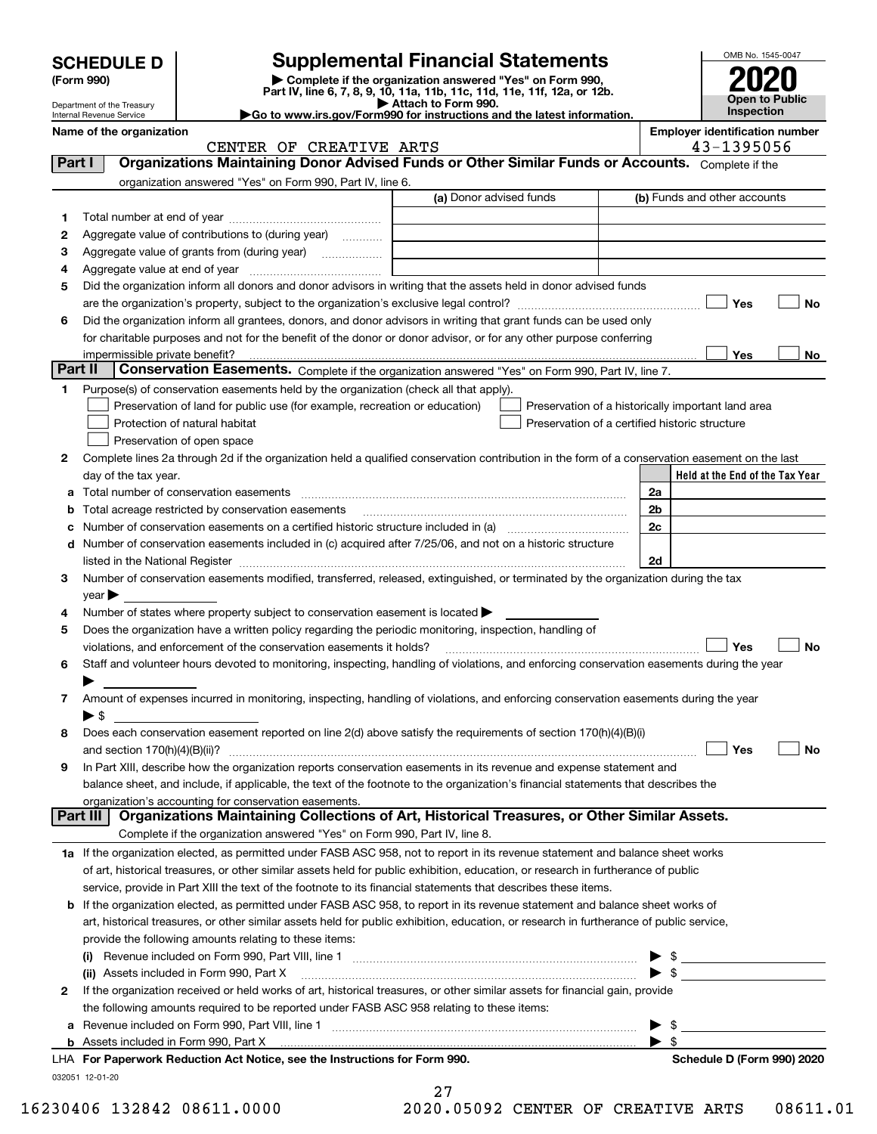|         |                                                        |                                                                                                                                                                                                                                |                                                                                                      |                                                    |                          | OMB No. 1545-0047                     |
|---------|--------------------------------------------------------|--------------------------------------------------------------------------------------------------------------------------------------------------------------------------------------------------------------------------------|------------------------------------------------------------------------------------------------------|----------------------------------------------------|--------------------------|---------------------------------------|
|         | <b>SCHEDULE D</b><br>(Form 990)                        |                                                                                                                                                                                                                                | <b>Supplemental Financial Statements</b><br>Complete if the organization answered "Yes" on Form 990, |                                                    |                          |                                       |
|         |                                                        | Part IV, line 6, 7, 8, 9, 10, 11a, 11b, 11c, 11d, 11e, 11f, 12a, or 12b.                                                                                                                                                       |                                                                                                      |                                                    |                          | <b>Open to Public</b>                 |
|         | Department of the Treasury<br>Internal Revenue Service | Go to www.irs.gov/Form990 for instructions and the latest information.                                                                                                                                                         | Attach to Form 990.                                                                                  |                                                    |                          | Inspection                            |
|         | Name of the organization                               |                                                                                                                                                                                                                                |                                                                                                      |                                                    |                          | <b>Employer identification number</b> |
|         |                                                        | CENTER OF CREATIVE ARTS                                                                                                                                                                                                        |                                                                                                      |                                                    |                          | 43-1395056                            |
| Part I  |                                                        | Organizations Maintaining Donor Advised Funds or Other Similar Funds or Accounts. Complete if the                                                                                                                              |                                                                                                      |                                                    |                          |                                       |
|         |                                                        | organization answered "Yes" on Form 990, Part IV, line 6.                                                                                                                                                                      | (a) Donor advised funds                                                                              |                                                    |                          | (b) Funds and other accounts          |
|         |                                                        |                                                                                                                                                                                                                                |                                                                                                      |                                                    |                          |                                       |
| 1       |                                                        | Aggregate value of contributions to (during year)                                                                                                                                                                              |                                                                                                      |                                                    |                          |                                       |
| 2<br>з  |                                                        |                                                                                                                                                                                                                                |                                                                                                      |                                                    |                          |                                       |
| 4       |                                                        |                                                                                                                                                                                                                                |                                                                                                      |                                                    |                          |                                       |
| 5       |                                                        | Did the organization inform all donors and donor advisors in writing that the assets held in donor advised funds                                                                                                               |                                                                                                      |                                                    |                          |                                       |
|         |                                                        |                                                                                                                                                                                                                                |                                                                                                      |                                                    |                          | No<br>Yes                             |
| 6       |                                                        | Did the organization inform all grantees, donors, and donor advisors in writing that grant funds can be used only                                                                                                              |                                                                                                      |                                                    |                          |                                       |
|         |                                                        | for charitable purposes and not for the benefit of the donor or donor advisor, or for any other purpose conferring                                                                                                             |                                                                                                      |                                                    |                          |                                       |
|         |                                                        |                                                                                                                                                                                                                                |                                                                                                      |                                                    |                          | Yes<br>No                             |
| Part II |                                                        | Conservation Easements. Complete if the organization answered "Yes" on Form 990, Part IV, line 7.                                                                                                                              |                                                                                                      |                                                    |                          |                                       |
| 1       |                                                        | Purpose(s) of conservation easements held by the organization (check all that apply).                                                                                                                                          |                                                                                                      |                                                    |                          |                                       |
|         |                                                        | Preservation of land for public use (for example, recreation or education)                                                                                                                                                     |                                                                                                      | Preservation of a historically important land area |                          |                                       |
|         |                                                        | Protection of natural habitat                                                                                                                                                                                                  |                                                                                                      | Preservation of a certified historic structure     |                          |                                       |
|         |                                                        | Preservation of open space                                                                                                                                                                                                     |                                                                                                      |                                                    |                          |                                       |
| 2       | day of the tax year.                                   | Complete lines 2a through 2d if the organization held a qualified conservation contribution in the form of a conservation easement on the last                                                                                 |                                                                                                      |                                                    |                          | Held at the End of the Tax Year       |
| a       |                                                        |                                                                                                                                                                                                                                |                                                                                                      |                                                    | 2a                       |                                       |
| b       |                                                        |                                                                                                                                                                                                                                |                                                                                                      |                                                    | 2b                       |                                       |
| c       |                                                        | Number of conservation easements on a certified historic structure included in (a) manufacture included in (a)                                                                                                                 |                                                                                                      |                                                    | 2c                       |                                       |
| d       |                                                        | Number of conservation easements included in (c) acquired after 7/25/06, and not on a historic structure                                                                                                                       |                                                                                                      |                                                    |                          |                                       |
|         |                                                        | listed in the National Register [1,1,2000] [1,2000] [1,2000] [1,2000] [1,2000] [1,2000] [1,2000] [1,2000] [1,2000] [1,2000] [1,2000] [1,2000] [1,2000] [1,2000] [1,2000] [1,2000] [1,2000] [1,2000] [1,2000] [1,2000] [1,2000] |                                                                                                      |                                                    | 2d                       |                                       |
| 3       |                                                        | Number of conservation easements modified, transferred, released, extinguished, or terminated by the organization during the tax                                                                                               |                                                                                                      |                                                    |                          |                                       |
|         | $\gamma$ ear $\blacktriangleright$                     |                                                                                                                                                                                                                                |                                                                                                      |                                                    |                          |                                       |
| 4       |                                                        | Number of states where property subject to conservation easement is located $\blacktriangleright$                                                                                                                              |                                                                                                      |                                                    |                          |                                       |
| 5       |                                                        | Does the organization have a written policy regarding the periodic monitoring, inspection, handling of                                                                                                                         |                                                                                                      |                                                    |                          |                                       |
|         |                                                        | violations, and enforcement of the conservation easements it holds?                                                                                                                                                            |                                                                                                      |                                                    |                          | <b>No</b><br>Yes                      |
| 6       |                                                        | Staff and volunteer hours devoted to monitoring, inspecting, handling of violations, and enforcing conservation easements during the year                                                                                      |                                                                                                      |                                                    |                          |                                       |
|         |                                                        |                                                                                                                                                                                                                                |                                                                                                      |                                                    |                          |                                       |
| 7       |                                                        | Amount of expenses incurred in monitoring, inspecting, handling of violations, and enforcing conservation easements during the year                                                                                            |                                                                                                      |                                                    |                          |                                       |
|         | $\blacktriangleright$ \$                               | Does each conservation easement reported on line 2(d) above satisfy the requirements of section 170(h)(4)(B)(i)                                                                                                                |                                                                                                      |                                                    |                          |                                       |
| 8       |                                                        |                                                                                                                                                                                                                                |                                                                                                      |                                                    |                          | Yes<br>No                             |
| 9       |                                                        | In Part XIII, describe how the organization reports conservation easements in its revenue and expense statement and                                                                                                            |                                                                                                      |                                                    |                          |                                       |
|         |                                                        | balance sheet, and include, if applicable, the text of the footnote to the organization's financial statements that describes the                                                                                              |                                                                                                      |                                                    |                          |                                       |
|         |                                                        | organization's accounting for conservation easements.                                                                                                                                                                          |                                                                                                      |                                                    |                          |                                       |
|         | Part III                                               | Organizations Maintaining Collections of Art, Historical Treasures, or Other Similar Assets.                                                                                                                                   |                                                                                                      |                                                    |                          |                                       |
|         |                                                        | Complete if the organization answered "Yes" on Form 990, Part IV, line 8.                                                                                                                                                      |                                                                                                      |                                                    |                          |                                       |
|         |                                                        | 1a If the organization elected, as permitted under FASB ASC 958, not to report in its revenue statement and balance sheet works                                                                                                |                                                                                                      |                                                    |                          |                                       |
|         |                                                        | of art, historical treasures, or other similar assets held for public exhibition, education, or research in furtherance of public                                                                                              |                                                                                                      |                                                    |                          |                                       |
|         |                                                        | service, provide in Part XIII the text of the footnote to its financial statements that describes these items.                                                                                                                 |                                                                                                      |                                                    |                          |                                       |
| b       |                                                        | If the organization elected, as permitted under FASB ASC 958, to report in its revenue statement and balance sheet works of                                                                                                    |                                                                                                      |                                                    |                          |                                       |
|         |                                                        | art, historical treasures, or other similar assets held for public exhibition, education, or research in furtherance of public service,                                                                                        |                                                                                                      |                                                    |                          |                                       |
|         |                                                        | provide the following amounts relating to these items:                                                                                                                                                                         |                                                                                                      |                                                    |                          |                                       |
|         |                                                        |                                                                                                                                                                                                                                |                                                                                                      |                                                    |                          | $\mathfrak{S}$                        |
|         |                                                        | (ii) Assets included in Form 990, Part X<br>If the organization received or held works of art, historical treasures, or other similar assets for financial gain, provide                                                       |                                                                                                      |                                                    |                          | $\blacktriangleright$ \$              |
| 2       |                                                        | the following amounts required to be reported under FASB ASC 958 relating to these items:                                                                                                                                      |                                                                                                      |                                                    |                          |                                       |
| а       |                                                        |                                                                                                                                                                                                                                |                                                                                                      |                                                    | -\$                      |                                       |
|         |                                                        |                                                                                                                                                                                                                                |                                                                                                      |                                                    | $\blacktriangleright$ \$ |                                       |

| LHA For Paperwork Reduction Act Notice, see the Instructions for Form 990. |
|----------------------------------------------------------------------------|
| 032051 12-01-20                                                            |

|  | 16230406 132842 08611.0000 | 2020.05092 CENTER OF CREATIVE ARTS |  |  | 08611.01 |
|--|----------------------------|------------------------------------|--|--|----------|

**Schedule D (Form 990) 2020**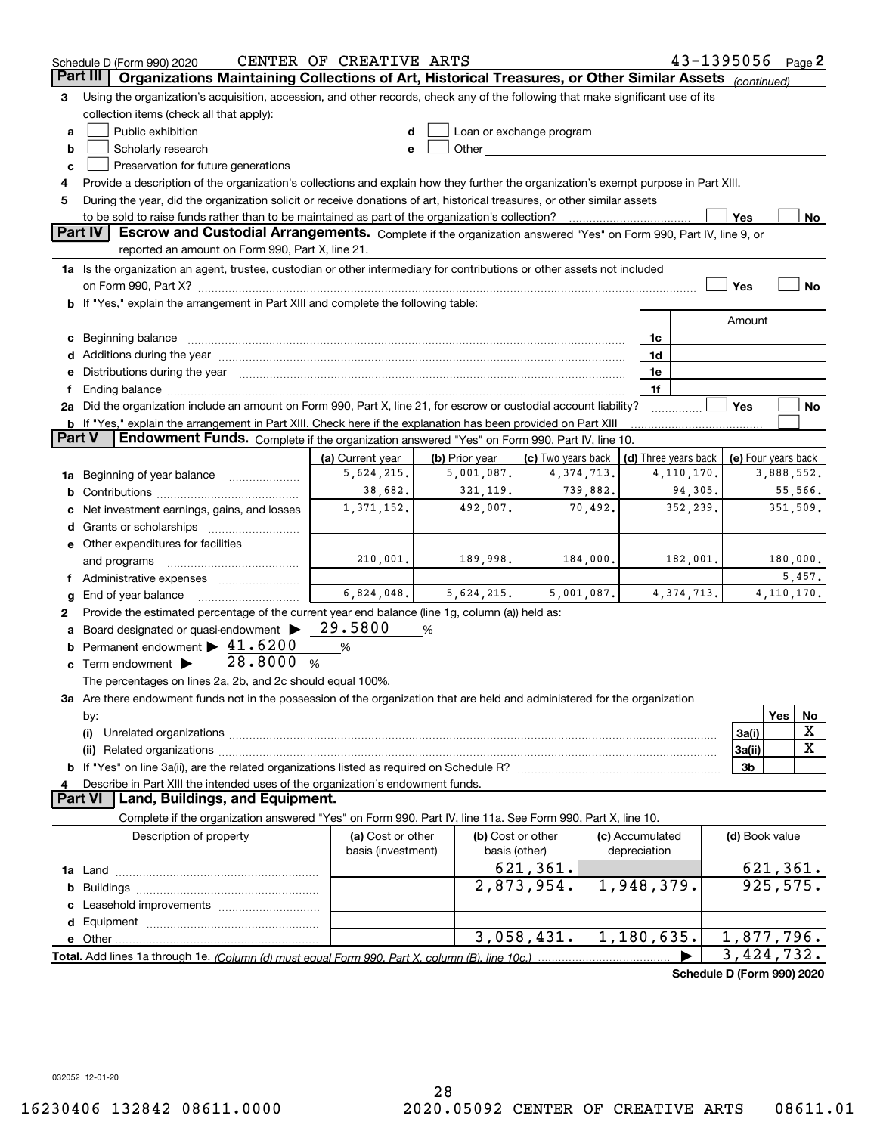|          | Schedule D (Form 990) 2020                                                                                                                                                                                                     | CENTER OF CREATIVE ARTS                 |                |                                    |                 | $43 - 1395056$ Page 2      |                            |              |             |
|----------|--------------------------------------------------------------------------------------------------------------------------------------------------------------------------------------------------------------------------------|-----------------------------------------|----------------|------------------------------------|-----------------|----------------------------|----------------------------|--------------|-------------|
| Part III | Organizations Maintaining Collections of Art, Historical Treasures, or Other Similar Assets (continued)                                                                                                                        |                                         |                |                                    |                 |                            |                            |              |             |
| З        | Using the organization's acquisition, accession, and other records, check any of the following that make significant use of its                                                                                                |                                         |                |                                    |                 |                            |                            |              |             |
|          | collection items (check all that apply):                                                                                                                                                                                       |                                         |                |                                    |                 |                            |                            |              |             |
| a        | Public exhibition                                                                                                                                                                                                              |                                         |                | Loan or exchange program           |                 |                            |                            |              |             |
| b        | Scholarly research                                                                                                                                                                                                             |                                         |                |                                    |                 |                            |                            |              |             |
| c        | Preservation for future generations                                                                                                                                                                                            |                                         |                |                                    |                 |                            |                            |              |             |
| 4        | Provide a description of the organization's collections and explain how they further the organization's exempt purpose in Part XIII.                                                                                           |                                         |                |                                    |                 |                            |                            |              |             |
| 5        | During the year, did the organization solicit or receive donations of art, historical treasures, or other similar assets                                                                                                       |                                         |                |                                    |                 |                            |                            |              |             |
|          | to be sold to raise funds rather than to be maintained as part of the organization's collection?                                                                                                                               |                                         |                |                                    |                 |                            | Yes                        |              | No          |
|          | <b>Part IV</b><br>Escrow and Custodial Arrangements. Complete if the organization answered "Yes" on Form 990, Part IV, line 9, or                                                                                              |                                         |                |                                    |                 |                            |                            |              |             |
|          | reported an amount on Form 990, Part X, line 21.                                                                                                                                                                               |                                         |                |                                    |                 |                            |                            |              |             |
|          | 1a Is the organization an agent, trustee, custodian or other intermediary for contributions or other assets not included                                                                                                       |                                         |                |                                    |                 |                            |                            |              |             |
|          |                                                                                                                                                                                                                                |                                         |                |                                    |                 |                            | Yes                        |              | No          |
|          | b If "Yes," explain the arrangement in Part XIII and complete the following table:                                                                                                                                             |                                         |                |                                    |                 |                            |                            |              |             |
|          |                                                                                                                                                                                                                                |                                         |                |                                    |                 |                            | Amount                     |              |             |
| c        |                                                                                                                                                                                                                                |                                         |                |                                    | 1c              |                            |                            |              |             |
|          | Additions during the year manufactured and an account of the year manufactured and account of the year manufactured and account of the year manufactured and account of the year manufactured and account of the year manufact |                                         |                |                                    | 1d              |                            |                            |              |             |
|          | Distributions during the year manufactured and an account of the state of the state of the state of the state o                                                                                                                |                                         |                |                                    | 1e              |                            |                            |              |             |
|          | Ending balance manufactured and contact the contract of the contract of the contract of the contract of the contract of the contract of the contract of the contract of the contract of the contract of the contract of the co |                                         |                |                                    | 1f              |                            |                            |              |             |
|          | 2a Did the organization include an amount on Form 990, Part X, line 21, for escrow or custodial account liability?                                                                                                             |                                         |                |                                    |                 |                            | Yes                        |              | No          |
|          | <b>b</b> If "Yes," explain the arrangement in Part XIII. Check here if the explanation has been provided on Part XIII                                                                                                          |                                         |                |                                    |                 |                            |                            |              |             |
| Part V   | Endowment Funds. Complete if the organization answered "Yes" on Form 990, Part IV, line 10.                                                                                                                                    |                                         |                |                                    |                 |                            |                            |              |             |
|          |                                                                                                                                                                                                                                | (a) Current year                        | (b) Prior year | (c) Two years back                 |                 | (d) Three years back       | (e) Four years back        |              |             |
| 1a       | Beginning of year balance                                                                                                                                                                                                      | 5,624,215.                              | 5,001,087.     | 4, 374, 713.                       |                 | 4, 110, 170.               |                            | 3,888,552.   |             |
| b        |                                                                                                                                                                                                                                | 38,682.                                 | 321, 119.      | 739,882.                           |                 | 94,305.                    |                            | 55,566.      |             |
|          | Net investment earnings, gains, and losses                                                                                                                                                                                     | 1,371,152.                              | 492,007.       | 70,492.                            |                 | 352,239.                   |                            | 351,509.     |             |
|          | Grants or scholarships                                                                                                                                                                                                         |                                         |                |                                    |                 |                            |                            |              |             |
|          | e Other expenditures for facilities                                                                                                                                                                                            |                                         |                |                                    |                 |                            |                            |              |             |
|          | and programs                                                                                                                                                                                                                   | 210,001.                                | 189,998.       | 184,000.                           |                 | 182,001.                   |                            | 180,000.     |             |
|          |                                                                                                                                                                                                                                |                                         |                |                                    |                 |                            |                            |              | 5,457.      |
| g        | End of year balance                                                                                                                                                                                                            | 6,824,048.                              | 5,624,215.     | 5,001,087.                         |                 | 4, 374, 713.               |                            | 4, 110, 170. |             |
| 2        | Provide the estimated percentage of the current year end balance (line 1g, column (a)) held as:                                                                                                                                |                                         |                |                                    |                 |                            |                            |              |             |
|          | Board designated or quasi-endowment >                                                                                                                                                                                          | 29.5800                                 | %              |                                    |                 |                            |                            |              |             |
| b        | Permanent endowment $\blacktriangleright$ 41.6200                                                                                                                                                                              | %                                       |                |                                    |                 |                            |                            |              |             |
| c        | Term endowment $\blacktriangleright$ 28.8000                                                                                                                                                                                   | %                                       |                |                                    |                 |                            |                            |              |             |
|          | The percentages on lines 2a, 2b, and 2c should equal 100%.                                                                                                                                                                     |                                         |                |                                    |                 |                            |                            |              |             |
|          | 3a Are there endowment funds not in the possession of the organization that are held and administered for the organization                                                                                                     |                                         |                |                                    |                 |                            |                            |              |             |
|          |                                                                                                                                                                                                                                |                                         |                |                                    |                 |                            |                            | Yes          | No          |
|          | by:<br>(i)                                                                                                                                                                                                                     |                                         |                |                                    |                 |                            | 3a(i)                      |              | X           |
|          |                                                                                                                                                                                                                                |                                         |                |                                    |                 |                            | 3a(ii)                     |              | $\mathbf X$ |
|          |                                                                                                                                                                                                                                |                                         |                |                                    |                 |                            | 3b                         |              |             |
|          |                                                                                                                                                                                                                                |                                         |                |                                    |                 |                            |                            |              |             |
|          | Describe in Part XIII the intended uses of the organization's endowment funds.<br>Land, Buildings, and Equipment.<br><b>Part VI</b>                                                                                            |                                         |                |                                    |                 |                            |                            |              |             |
|          | Complete if the organization answered "Yes" on Form 990, Part IV, line 11a. See Form 990, Part X, line 10.                                                                                                                     |                                         |                |                                    |                 |                            |                            |              |             |
|          | Description of property                                                                                                                                                                                                        |                                         |                |                                    | (c) Accumulated |                            |                            |              |             |
|          |                                                                                                                                                                                                                                | (a) Cost or other<br>basis (investment) |                | (b) Cost or other<br>basis (other) | depreciation    |                            | (d) Book value             |              |             |
|          |                                                                                                                                                                                                                                |                                         |                | 621, 361.                          |                 |                            | 621, 361.                  |              |             |
|          |                                                                                                                                                                                                                                |                                         |                | 2,873,954.                         | 1,948,379.      |                            | 925,575.                   |              |             |
| b        |                                                                                                                                                                                                                                |                                         |                |                                    |                 |                            |                            |              |             |
|          |                                                                                                                                                                                                                                |                                         |                |                                    |                 |                            |                            |              |             |
|          |                                                                                                                                                                                                                                |                                         |                |                                    |                 |                            |                            |              |             |
|          |                                                                                                                                                                                                                                |                                         |                | 3,058,431.                         | 1,180,635.      |                            | 1,877,796.                 |              |             |
|          | Total. Add lines 1a through 1e. (Column (d) must equal Form 990. Part X. column (B). line 10c.)                                                                                                                                |                                         |                |                                    |                 |                            | $\overline{3}$ , 424, 732. |              |             |
|          |                                                                                                                                                                                                                                |                                         |                |                                    |                 | Schedule D (Form 990) 2020 |                            |              |             |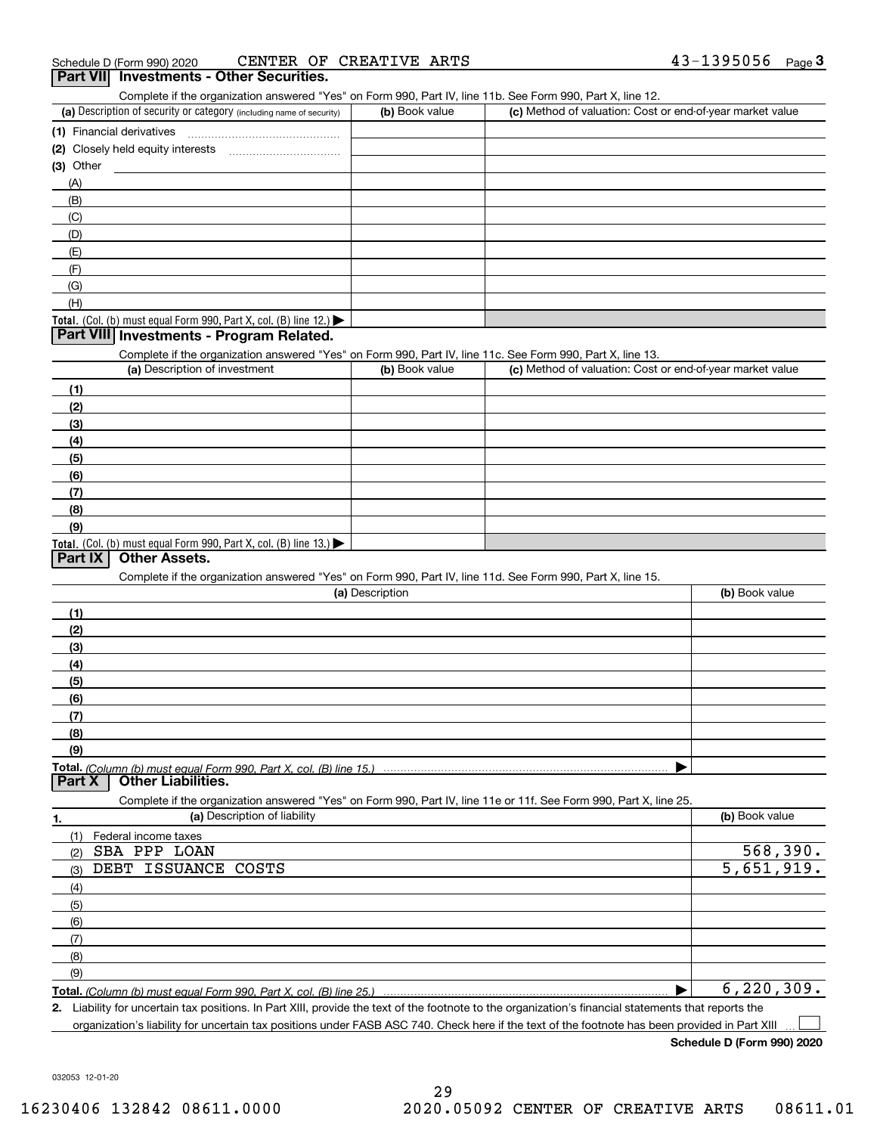| Schedule D (Form 990) 2020                                                                                                                                                         | CENTER OF CREATIVE ARTS |                                                           | 43-1395056<br>$Page$ <sup>3</sup> |
|------------------------------------------------------------------------------------------------------------------------------------------------------------------------------------|-------------------------|-----------------------------------------------------------|-----------------------------------|
| Part VII Investments - Other Securities.                                                                                                                                           |                         |                                                           |                                   |
| Complete if the organization answered "Yes" on Form 990, Part IV, line 11b. See Form 990, Part X, line 12.<br>(a) Description of security or category (including name of security) | (b) Book value          | (c) Method of valuation: Cost or end-of-year market value |                                   |
|                                                                                                                                                                                    |                         |                                                           |                                   |
|                                                                                                                                                                                    |                         |                                                           |                                   |
| $(3)$ Other                                                                                                                                                                        |                         |                                                           |                                   |
| (A)                                                                                                                                                                                |                         |                                                           |                                   |
| (B)                                                                                                                                                                                |                         |                                                           |                                   |
| (C)                                                                                                                                                                                |                         |                                                           |                                   |
| (D)                                                                                                                                                                                |                         |                                                           |                                   |
| (E)                                                                                                                                                                                |                         |                                                           |                                   |
| (F)                                                                                                                                                                                |                         |                                                           |                                   |
| (G)                                                                                                                                                                                |                         |                                                           |                                   |
| (H)                                                                                                                                                                                |                         |                                                           |                                   |
| Total. (Col. (b) must equal Form 990, Part X, col. (B) line 12.) $\blacktriangleright$                                                                                             |                         |                                                           |                                   |
| Part VIII Investments - Program Related.                                                                                                                                           |                         |                                                           |                                   |
| Complete if the organization answered "Yes" on Form 990, Part IV, line 11c. See Form 990, Part X, line 13.                                                                         |                         |                                                           |                                   |
| (a) Description of investment                                                                                                                                                      | (b) Book value          | (c) Method of valuation: Cost or end-of-year market value |                                   |
| (1)                                                                                                                                                                                |                         |                                                           |                                   |
| (2)                                                                                                                                                                                |                         |                                                           |                                   |
| (3)                                                                                                                                                                                |                         |                                                           |                                   |
| (4)                                                                                                                                                                                |                         |                                                           |                                   |
| (5)                                                                                                                                                                                |                         |                                                           |                                   |
| (6)                                                                                                                                                                                |                         |                                                           |                                   |
| (7)                                                                                                                                                                                |                         |                                                           |                                   |
| (8)                                                                                                                                                                                |                         |                                                           |                                   |
| (9)                                                                                                                                                                                |                         |                                                           |                                   |
| Total. (Col. (b) must equal Form 990, Part X, col. (B) line 13.)                                                                                                                   |                         |                                                           |                                   |
| Part IX<br><b>Other Assets.</b>                                                                                                                                                    |                         |                                                           |                                   |
| Complete if the organization answered "Yes" on Form 990, Part IV, line 11d. See Form 990, Part X, line 15.                                                                         |                         |                                                           |                                   |
|                                                                                                                                                                                    | (a) Description         |                                                           | (b) Book value                    |
| (1)                                                                                                                                                                                |                         |                                                           |                                   |
| (2)                                                                                                                                                                                |                         |                                                           |                                   |
| (3)                                                                                                                                                                                |                         |                                                           |                                   |
| (4)                                                                                                                                                                                |                         |                                                           |                                   |
| (5)                                                                                                                                                                                |                         |                                                           |                                   |
| (6)                                                                                                                                                                                |                         |                                                           |                                   |
| (7)                                                                                                                                                                                |                         |                                                           |                                   |
| (8)                                                                                                                                                                                |                         |                                                           |                                   |
| (9)                                                                                                                                                                                |                         |                                                           |                                   |
|                                                                                                                                                                                    |                         |                                                           |                                   |
| <b>Other Liabilities.</b><br>Part X                                                                                                                                                |                         |                                                           |                                   |
| Complete if the organization answered "Yes" on Form 990, Part IV, line 11e or 11f. See Form 990, Part X, line 25.                                                                  |                         |                                                           |                                   |
| (a) Description of liability<br>1.                                                                                                                                                 |                         |                                                           | (b) Book value                    |
| (1)<br>Federal income taxes                                                                                                                                                        |                         |                                                           |                                   |
| SBA PPP LOAN<br>(2)                                                                                                                                                                |                         |                                                           | 568,390.                          |
| DEBT ISSUANCE<br>COSTS<br>(3)                                                                                                                                                      |                         |                                                           | 5,651,919.                        |
| (4)                                                                                                                                                                                |                         |                                                           |                                   |
| (5)                                                                                                                                                                                |                         |                                                           |                                   |
| (6)                                                                                                                                                                                |                         |                                                           |                                   |
| (7)                                                                                                                                                                                |                         |                                                           |                                   |
| (8)                                                                                                                                                                                |                         |                                                           |                                   |
| (9)                                                                                                                                                                                |                         |                                                           |                                   |
| Total. (Column (b) must equal Form 990, Part X, col. (B) line 25.)                                                                                                                 |                         |                                                           | 6, 220, 309.                      |
| 2. Liability for uncertain tax positions. In Part XIII, provide the text of the footnote to the organization's financial statements that reports the                               |                         |                                                           |                                   |

organization's liability for uncertain tax positions under FASB ASC 740. Check here if the text of the footnote has been provided in Part XIII

**Schedule D (Form 990) 2020**

 $\mathcal{L}^{\text{max}}$ 

032053 12-01-20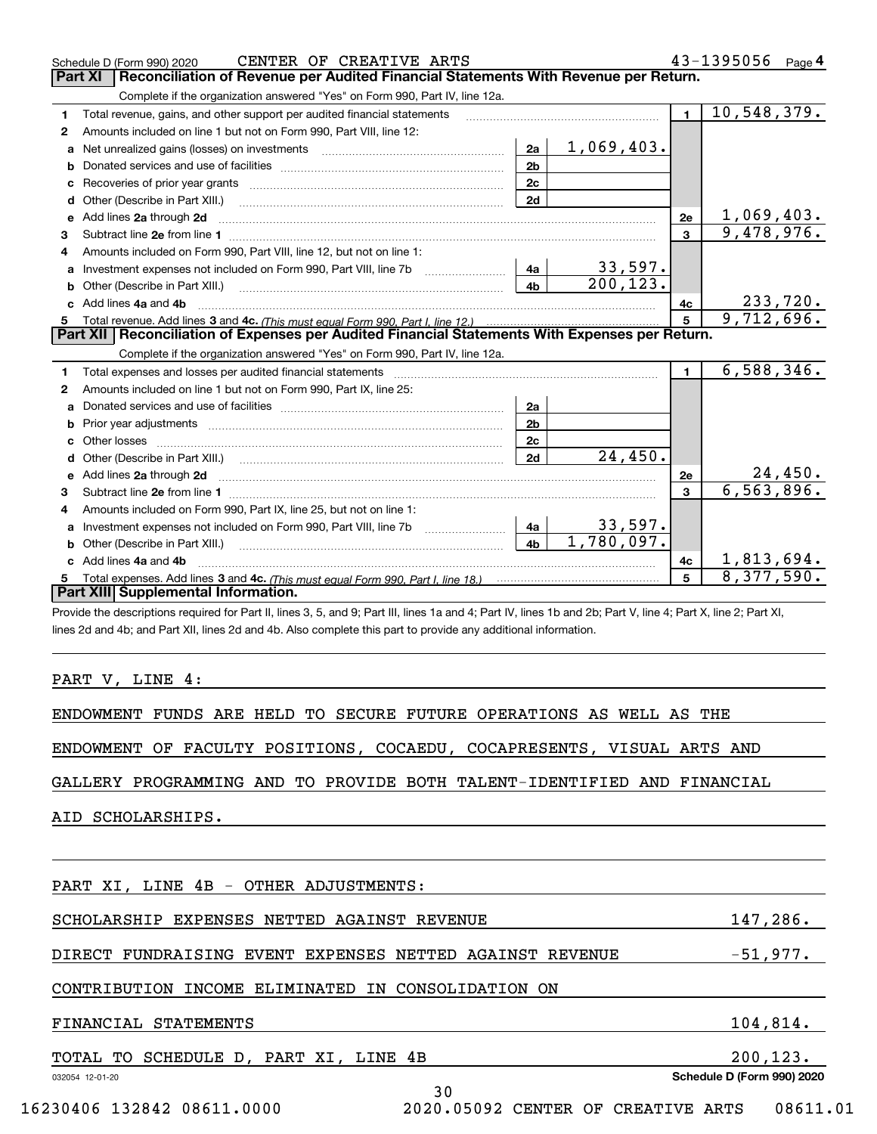|   | CENTER OF CREATIVE ARTS<br>Schedule D (Form 990) 2020                                                                      |                |            |                | 43-1395056 Page 4          |
|---|----------------------------------------------------------------------------------------------------------------------------|----------------|------------|----------------|----------------------------|
|   | Reconciliation of Revenue per Audited Financial Statements With Revenue per Return.<br><b>Part XI</b>                      |                |            |                |                            |
|   | Complete if the organization answered "Yes" on Form 990, Part IV, line 12a.                                                |                |            |                |                            |
| 1 | Total revenue, gains, and other support per audited financial statements                                                   |                |            | $\mathbf{1}$   | 10,548,379.                |
| 2 | Amounts included on line 1 but not on Form 990, Part VIII, line 12:                                                        |                |            |                |                            |
| a | Net unrealized gains (losses) on investments [11] matter contracts and the unrealized gains (losses) on investments        | 2a             | 1,069,403. |                |                            |
| b |                                                                                                                            | 2 <sub>b</sub> |            |                |                            |
| c | Recoveries of prior year grants [11] Recoveries of prior year grants [11] Recoveries of prior year grants                  | 2c             |            |                |                            |
| d | Other (Describe in Part XIII.)                                                                                             | 2d             |            |                |                            |
| e | Add lines 2a through 2d                                                                                                    |                |            | 2е             | 1,069,403.                 |
| 3 |                                                                                                                            |                |            | 3              | 9,478,976.                 |
|   | Amounts included on Form 990. Part VIII. line 12, but not on line 1:                                                       |                |            |                |                            |
| a |                                                                                                                            | 4a             | 33,597.    |                |                            |
| b | Other (Describe in Part XIII.) <b>Construction Contract Construction</b> Chemistry Chemistry Chemistry Chemistry Chemistry | 4 <sub>b</sub> | 200, 123.  |                |                            |
|   | Add lines 4a and 4b                                                                                                        |                |            | 4c             | <u>233,720.</u>            |
| 5 |                                                                                                                            |                |            | 5              | 9,712,696.                 |
|   | Part XII   Reconciliation of Expenses per Audited Financial Statements With Expenses per Return.                           |                |            |                |                            |
|   | Complete if the organization answered "Yes" on Form 990, Part IV, line 12a.                                                |                |            |                |                            |
| 1 |                                                                                                                            |                |            | $\blacksquare$ | 6,588,346.                 |
| 2 | Amounts included on line 1 but not on Form 990, Part IX, line 25:                                                          |                |            |                |                            |
| a |                                                                                                                            | 2a             |            |                |                            |
| b |                                                                                                                            | 2 <sub>b</sub> |            |                |                            |
| c |                                                                                                                            | 2c             |            |                |                            |
|   |                                                                                                                            | 2d             | 24,450.    |                |                            |
|   |                                                                                                                            |                |            | 2e             | $\frac{24,450}{6,563,896}$ |
| 3 |                                                                                                                            |                |            | $\mathbf{a}$   |                            |
| 4 | Amounts included on Form 990, Part IX, line 25, but not on line 1:                                                         |                |            |                |                            |
| a | Investment expenses not included on Form 990, Part VIII, line 7b [100] [100] [100] [100] [100] [100] [100] [10             | 4a             | 33,597.    |                |                            |
| b |                                                                                                                            | 4 <sub>h</sub> | 1,780,097. |                |                            |
|   | Add lines 4a and 4b                                                                                                        |                |            | 4c             | 1,813,694.                 |
|   |                                                                                                                            |                |            | 5              | 8,377,590.                 |
|   | Part XIII Supplemental Information.                                                                                        |                |            |                |                            |

Provide the descriptions required for Part II, lines 3, 5, and 9; Part III, lines 1a and 4; Part IV, lines 1b and 2b; Part V, line 4; Part X, line 2; Part XI, lines 2d and 4b; and Part XII, lines 2d and 4b. Also complete this part to provide any additional information.

#### PART V, LINE 4:

ENDOWMENT FUNDS ARE HELD TO SECURE FUTURE OPERATIONS AS WELL AS THE

ENDOWMENT OF FACULTY POSITIONS, COCAEDU, COCAPRESENTS, VISUAL ARTS AND

GALLERY PROGRAMMING AND TO PROVIDE BOTH TALENT-IDENTIFIED AND FINANCIAL

AID SCHOLARSHIPS.

| PART XI, LINE 4B - OTHER ADJUSTMENTS:                    |                            |  |  |  |  |
|----------------------------------------------------------|----------------------------|--|--|--|--|
| SCHOLARSHIP EXPENSES NETTED AGAINST REVENUE              | 147,286.                   |  |  |  |  |
| DIRECT FUNDRAISING EVENT EXPENSES NETTED AGAINST REVENUE | $-51,977.$                 |  |  |  |  |
| CONTRIBUTION INCOME ELIMINATED IN CONSOLIDATION ON       |                            |  |  |  |  |
| FINANCIAL STATEMENTS                                     | 104,814.                   |  |  |  |  |
| TOTAL TO SCHEDULE D, PART XI, LINE 4B                    | 200, 123.                  |  |  |  |  |
| 032054 12-01-20<br>30                                    | Schedule D (Form 990) 2020 |  |  |  |  |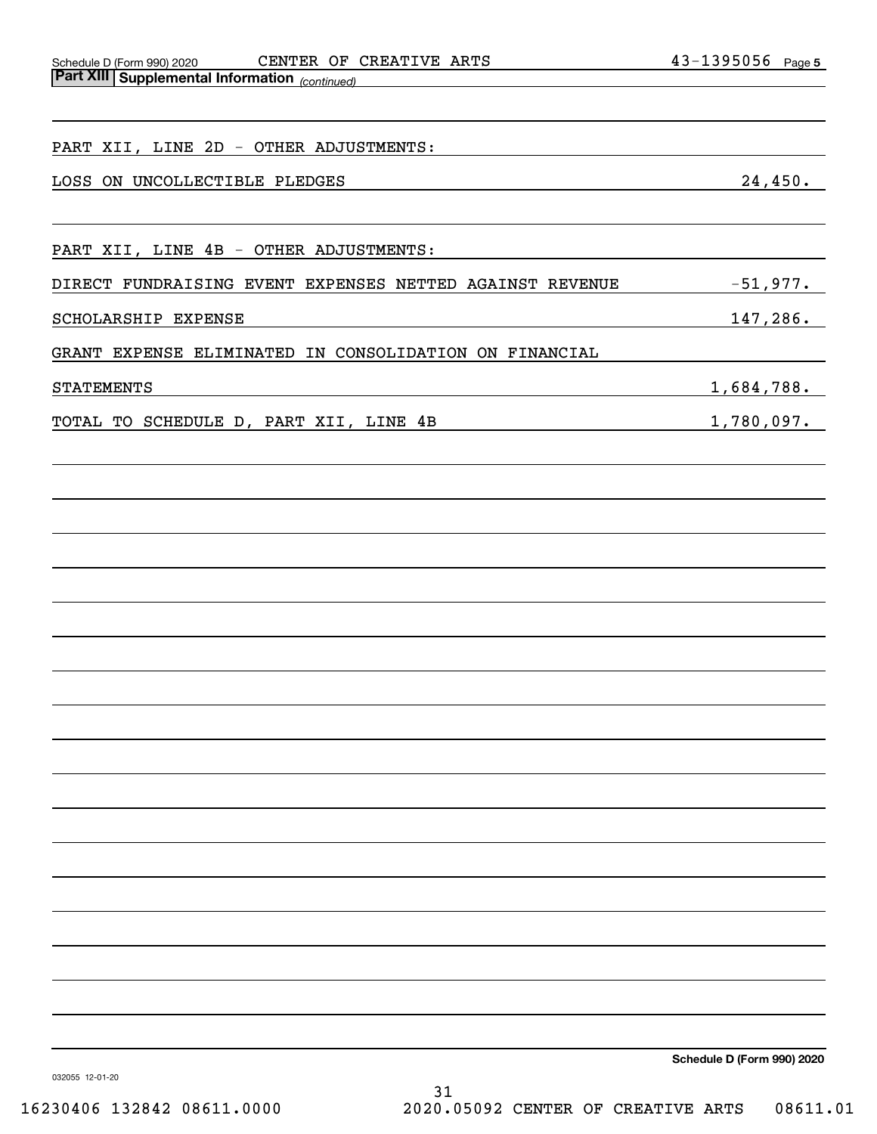Schedule D (Form 990) 2020 CENTER OF CREATIVE ARTS 4 3-I 3 9 5 0 5 0 Page **Part XIII Supplemental Information**  CENTER OF CREATIVE ARTS

| r art Am Supplemental Imormation (continued)             |                   |
|----------------------------------------------------------|-------------------|
| PART XII, LINE 2D - OTHER ADJUSTMENTS:                   |                   |
| LOSS ON UNCOLLECTIBLE PLEDGES                            | 24,450.           |
| PART XII, LINE 4B - OTHER ADJUSTMENTS:                   |                   |
| DIRECT FUNDRAISING EVENT EXPENSES NETTED AGAINST REVENUE | $-51,977.$        |
| SCHOLARSHIP EXPENSE                                      | <u>147,286.</u>   |
| GRANT EXPENSE ELIMINATED IN CONSOLIDATION ON FINANCIAL   |                   |
| <b>STATEMENTS</b>                                        | 1,684,788.        |
| TOTAL TO SCHEDULE D, PART XII, LINE 4B                   | <u>1,780,097.</u> |
|                                                          |                   |
|                                                          |                   |
|                                                          |                   |
|                                                          |                   |
|                                                          |                   |
|                                                          |                   |
|                                                          |                   |
|                                                          |                   |
|                                                          |                   |
|                                                          |                   |
|                                                          |                   |
|                                                          |                   |
|                                                          |                   |
|                                                          |                   |
|                                                          |                   |
|                                                          |                   |
|                                                          |                   |
|                                                          |                   |

**Schedule D (Form 990) 2020**

032055 12-01-20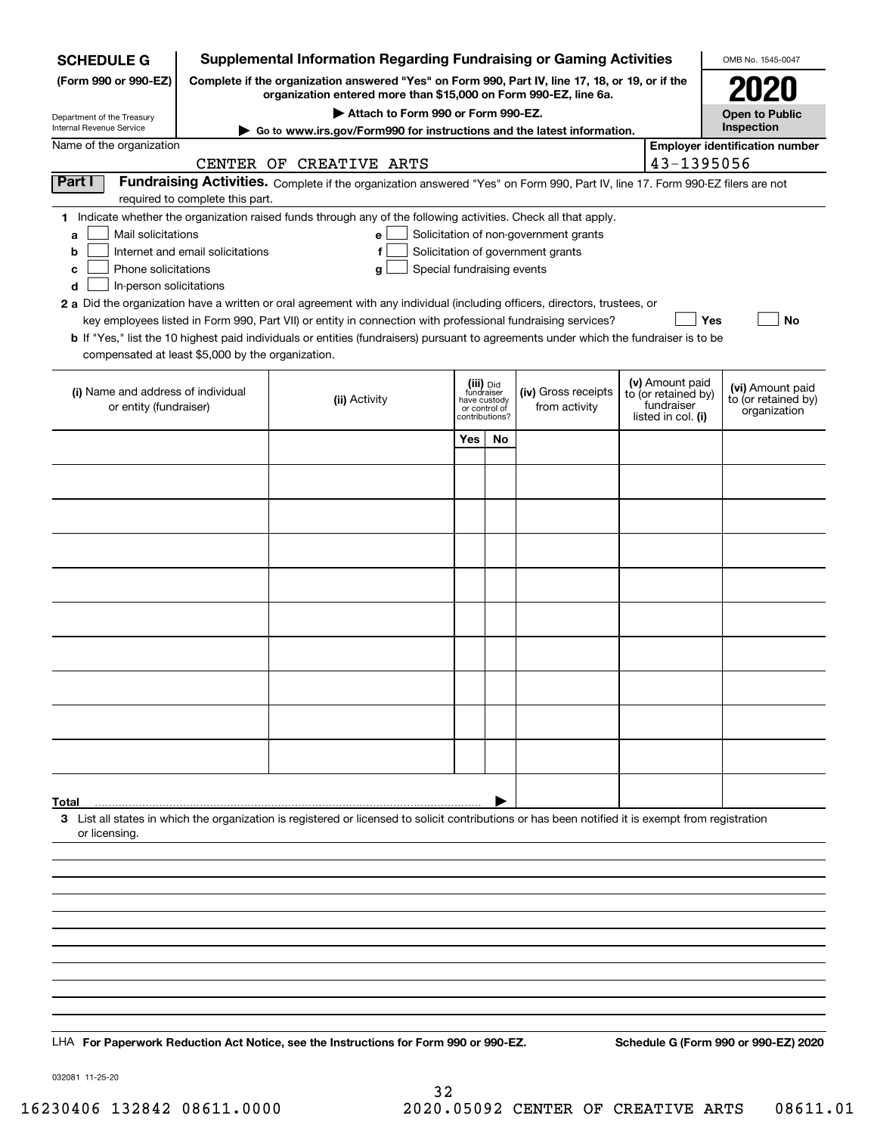| <b>Supplemental Information Regarding Fundraising or Gaming Activities</b><br><b>SCHEDULE G</b> |                                                                                                                                                                     |                                                                                                                                                    |                                                                            |    |                                                                            |  |                                                         | OMB No. 1545-0047                     |  |
|-------------------------------------------------------------------------------------------------|---------------------------------------------------------------------------------------------------------------------------------------------------------------------|----------------------------------------------------------------------------------------------------------------------------------------------------|----------------------------------------------------------------------------|----|----------------------------------------------------------------------------|--|---------------------------------------------------------|---------------------------------------|--|
| (Form 990 or 990-EZ)                                                                            | Complete if the organization answered "Yes" on Form 990, Part IV, line 17, 18, or 19, or if the<br>organization entered more than \$15,000 on Form 990-EZ, line 6a. |                                                                                                                                                    |                                                                            |    |                                                                            |  |                                                         |                                       |  |
| Department of the Treasury                                                                      | Attach to Form 990 or Form 990-EZ.                                                                                                                                  |                                                                                                                                                    |                                                                            |    |                                                                            |  |                                                         | <b>Open to Public</b>                 |  |
| Internal Revenue Service                                                                        |                                                                                                                                                                     | Go to www.irs.gov/Form990 for instructions and the latest information.                                                                             |                                                                            |    |                                                                            |  |                                                         | Inspection                            |  |
| Name of the organization                                                                        |                                                                                                                                                                     | CENTER OF CREATIVE ARTS                                                                                                                            |                                                                            |    |                                                                            |  | 43-1395056                                              | <b>Employer identification number</b> |  |
| Part I                                                                                          |                                                                                                                                                                     | Fundraising Activities. Complete if the organization answered "Yes" on Form 990, Part IV, line 17. Form 990-EZ filers are not                      |                                                                            |    |                                                                            |  |                                                         |                                       |  |
|                                                                                                 | required to complete this part.                                                                                                                                     | 1 Indicate whether the organization raised funds through any of the following activities. Check all that apply.                                    |                                                                            |    |                                                                            |  |                                                         |                                       |  |
| Mail solicitations<br>a<br>b                                                                    | Internet and email solicitations                                                                                                                                    | e l<br>f                                                                                                                                           |                                                                            |    | Solicitation of non-government grants<br>Solicitation of government grants |  |                                                         |                                       |  |
| Phone solicitations<br>с                                                                        |                                                                                                                                                                     | Special fundraising events<br>g                                                                                                                    |                                                                            |    |                                                                            |  |                                                         |                                       |  |
| d<br>In-person solicitations                                                                    |                                                                                                                                                                     |                                                                                                                                                    |                                                                            |    |                                                                            |  |                                                         |                                       |  |
|                                                                                                 |                                                                                                                                                                     | 2 a Did the organization have a written or oral agreement with any individual (including officers, directors, trustees, or                         |                                                                            |    |                                                                            |  |                                                         |                                       |  |
|                                                                                                 |                                                                                                                                                                     | key employees listed in Form 990, Part VII) or entity in connection with professional fundraising services?                                        |                                                                            |    |                                                                            |  | Yes                                                     | No                                    |  |
| compensated at least \$5,000 by the organization.                                               |                                                                                                                                                                     | <b>b</b> If "Yes," list the 10 highest paid individuals or entities (fundraisers) pursuant to agreements under which the fundraiser is to be       |                                                                            |    |                                                                            |  |                                                         |                                       |  |
|                                                                                                 |                                                                                                                                                                     |                                                                                                                                                    |                                                                            |    |                                                                            |  | (v) Amount paid                                         | (vi) Amount paid                      |  |
| (i) Name and address of individual<br>or entity (fundraiser)                                    |                                                                                                                                                                     | (ii) Activity                                                                                                                                      | (iii) Did<br>fundraiser<br>have custody<br>or control of<br>contributions? |    | (iv) Gross receipts<br>from activity                                       |  | to (or retained by)<br>fundraiser<br>listed in col. (i) | to (or retained by)<br>organization   |  |
|                                                                                                 |                                                                                                                                                                     |                                                                                                                                                    | Yes                                                                        | No |                                                                            |  |                                                         |                                       |  |
|                                                                                                 |                                                                                                                                                                     |                                                                                                                                                    |                                                                            |    |                                                                            |  |                                                         |                                       |  |
|                                                                                                 |                                                                                                                                                                     |                                                                                                                                                    |                                                                            |    |                                                                            |  |                                                         |                                       |  |
|                                                                                                 |                                                                                                                                                                     |                                                                                                                                                    |                                                                            |    |                                                                            |  |                                                         |                                       |  |
|                                                                                                 |                                                                                                                                                                     |                                                                                                                                                    |                                                                            |    |                                                                            |  |                                                         |                                       |  |
|                                                                                                 |                                                                                                                                                                     |                                                                                                                                                    |                                                                            |    |                                                                            |  |                                                         |                                       |  |
|                                                                                                 |                                                                                                                                                                     |                                                                                                                                                    |                                                                            |    |                                                                            |  |                                                         |                                       |  |
|                                                                                                 |                                                                                                                                                                     |                                                                                                                                                    |                                                                            |    |                                                                            |  |                                                         |                                       |  |
|                                                                                                 |                                                                                                                                                                     |                                                                                                                                                    |                                                                            |    |                                                                            |  |                                                         |                                       |  |
|                                                                                                 |                                                                                                                                                                     |                                                                                                                                                    |                                                                            |    |                                                                            |  |                                                         |                                       |  |
|                                                                                                 |                                                                                                                                                                     |                                                                                                                                                    |                                                                            |    |                                                                            |  |                                                         |                                       |  |
|                                                                                                 |                                                                                                                                                                     |                                                                                                                                                    |                                                                            |    |                                                                            |  |                                                         |                                       |  |
|                                                                                                 |                                                                                                                                                                     |                                                                                                                                                    |                                                                            |    |                                                                            |  |                                                         |                                       |  |
| Total                                                                                           |                                                                                                                                                                     | 3 List all states in which the organization is registered or licensed to solicit contributions or has been notified it is exempt from registration |                                                                            |    |                                                                            |  |                                                         |                                       |  |
| or licensing.                                                                                   |                                                                                                                                                                     |                                                                                                                                                    |                                                                            |    |                                                                            |  |                                                         |                                       |  |
|                                                                                                 |                                                                                                                                                                     |                                                                                                                                                    |                                                                            |    |                                                                            |  |                                                         |                                       |  |
|                                                                                                 |                                                                                                                                                                     |                                                                                                                                                    |                                                                            |    |                                                                            |  |                                                         |                                       |  |
|                                                                                                 |                                                                                                                                                                     |                                                                                                                                                    |                                                                            |    |                                                                            |  |                                                         |                                       |  |
|                                                                                                 |                                                                                                                                                                     |                                                                                                                                                    |                                                                            |    |                                                                            |  |                                                         |                                       |  |
|                                                                                                 |                                                                                                                                                                     |                                                                                                                                                    |                                                                            |    |                                                                            |  |                                                         |                                       |  |
|                                                                                                 |                                                                                                                                                                     |                                                                                                                                                    |                                                                            |    |                                                                            |  |                                                         |                                       |  |
|                                                                                                 |                                                                                                                                                                     | LHA For Paperwork Reduction Act Notice, see the Instructions for Form 990 or 990-EZ.                                                               |                                                                            |    |                                                                            |  |                                                         | Schedule G (Form 990 or 990-EZ) 2020  |  |

032081 11-25-20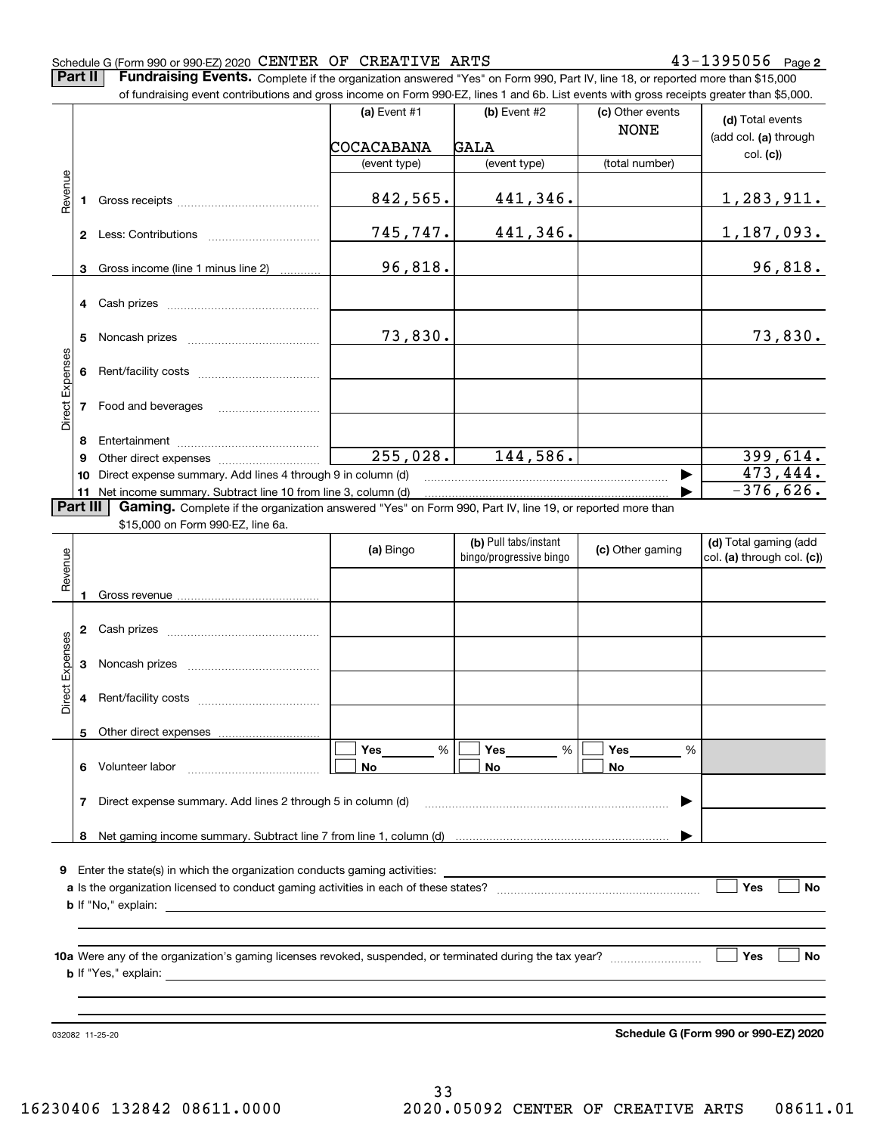**2**

**Part II** | Fundraising Events. Complete if the organization answered "Yes" on Form 990, Part IV, line 18, or reported more than \$15,000 of fundraising event contributions and gross income on Form 990-EZ, lines 1 and 6b. List events with gross receipts greater than \$5,000.

|                 |          | of fundraising event contributions and gross income on Form 990-EZ, lines 1 and 6b. List events with gross receipts greater than \$5,000. |                        |                                                  |                                 |                                                     |
|-----------------|----------|-------------------------------------------------------------------------------------------------------------------------------------------|------------------------|--------------------------------------------------|---------------------------------|-----------------------------------------------------|
|                 |          |                                                                                                                                           | (a) Event $#1$         | $(b)$ Event #2                                   | (c) Other events<br><b>NONE</b> | (d) Total events<br>(add col. (a) through           |
|                 |          |                                                                                                                                           | COCACABANA             | <b>GALA</b>                                      |                                 | col. (c)                                            |
|                 |          |                                                                                                                                           | (event type)           | (event type)                                     | (total number)                  |                                                     |
| Revenue         | 1.       |                                                                                                                                           | 842,565.               | 441,346.                                         |                                 | <u>1,283,911.</u>                                   |
|                 |          |                                                                                                                                           | 745,747.               | 441,346.                                         |                                 | 1,187,093.                                          |
|                 | 3        | Gross income (line 1 minus line 2)                                                                                                        | 96,818.                |                                                  |                                 | 96,818.                                             |
|                 |          |                                                                                                                                           |                        |                                                  |                                 |                                                     |
|                 | 5        |                                                                                                                                           | 73,830.                |                                                  |                                 | 73,830.                                             |
|                 | 6        |                                                                                                                                           |                        |                                                  |                                 |                                                     |
| Direct Expenses | 7        | Food and beverages                                                                                                                        |                        |                                                  |                                 |                                                     |
|                 | 8        |                                                                                                                                           |                        |                                                  |                                 |                                                     |
|                 | 9        |                                                                                                                                           | $\overline{255,028}$ . | 144,586.                                         |                                 | 399,614.                                            |
|                 | 10       | Direct expense summary. Add lines 4 through 9 in column (d)                                                                               |                        |                                                  |                                 | $\overline{4}$ 73,444.                              |
|                 |          | 11 Net income summary. Subtract line 10 from line 3, column (d)                                                                           |                        |                                                  |                                 | $-376,626.$                                         |
|                 | Part III | Gaming. Complete if the organization answered "Yes" on Form 990, Part IV, line 19, or reported more than                                  |                        |                                                  |                                 |                                                     |
|                 |          | \$15,000 on Form 990-EZ, line 6a.                                                                                                         |                        |                                                  |                                 |                                                     |
| Revenue         |          |                                                                                                                                           | (a) Bingo              | (b) Pull tabs/instant<br>bingo/progressive bingo | (c) Other gaming                | (d) Total gaming (add<br>col. (a) through col. (c)) |
|                 |          |                                                                                                                                           |                        |                                                  |                                 |                                                     |
|                 | 1        |                                                                                                                                           |                        |                                                  |                                 |                                                     |
|                 | 2        |                                                                                                                                           |                        |                                                  |                                 |                                                     |
| Direct Expenses | 3        |                                                                                                                                           |                        |                                                  |                                 |                                                     |
|                 | 4        |                                                                                                                                           |                        |                                                  |                                 |                                                     |
|                 |          | 5 Other direct expenses                                                                                                                   |                        |                                                  |                                 |                                                     |
|                 |          |                                                                                                                                           | %<br>Yes               | %<br>Yes                                         | Yes<br>%                        |                                                     |
|                 |          | 6 Volunteer labor                                                                                                                         | No                     | No                                               | No                              |                                                     |
|                 |          | 7 Direct expense summary. Add lines 2 through 5 in column (d)                                                                             |                        |                                                  |                                 |                                                     |
|                 |          |                                                                                                                                           |                        |                                                  |                                 |                                                     |
|                 |          |                                                                                                                                           |                        |                                                  |                                 |                                                     |
| 9               |          | Enter the state(s) in which the organization conducts gaming activities:                                                                  |                        |                                                  |                                 |                                                     |
|                 |          |                                                                                                                                           |                        |                                                  |                                 | Yes<br>No                                           |
|                 |          |                                                                                                                                           |                        |                                                  |                                 |                                                     |
|                 |          |                                                                                                                                           |                        |                                                  |                                 |                                                     |
|                 |          |                                                                                                                                           |                        |                                                  |                                 |                                                     |
|                 |          |                                                                                                                                           |                        |                                                  |                                 | Yes<br><b>No</b>                                    |
|                 |          | <b>b</b> If "Yes," explain:                                                                                                               |                        |                                                  |                                 |                                                     |
|                 |          |                                                                                                                                           |                        |                                                  |                                 |                                                     |
|                 |          |                                                                                                                                           |                        |                                                  |                                 |                                                     |
|                 |          | 032082 11-25-20                                                                                                                           |                        |                                                  |                                 | Schedule G (Form 990 or 990-EZ) 2020                |
|                 |          |                                                                                                                                           |                        |                                                  |                                 |                                                     |

**Schedule G (Form 990 or 990-EZ) 2020**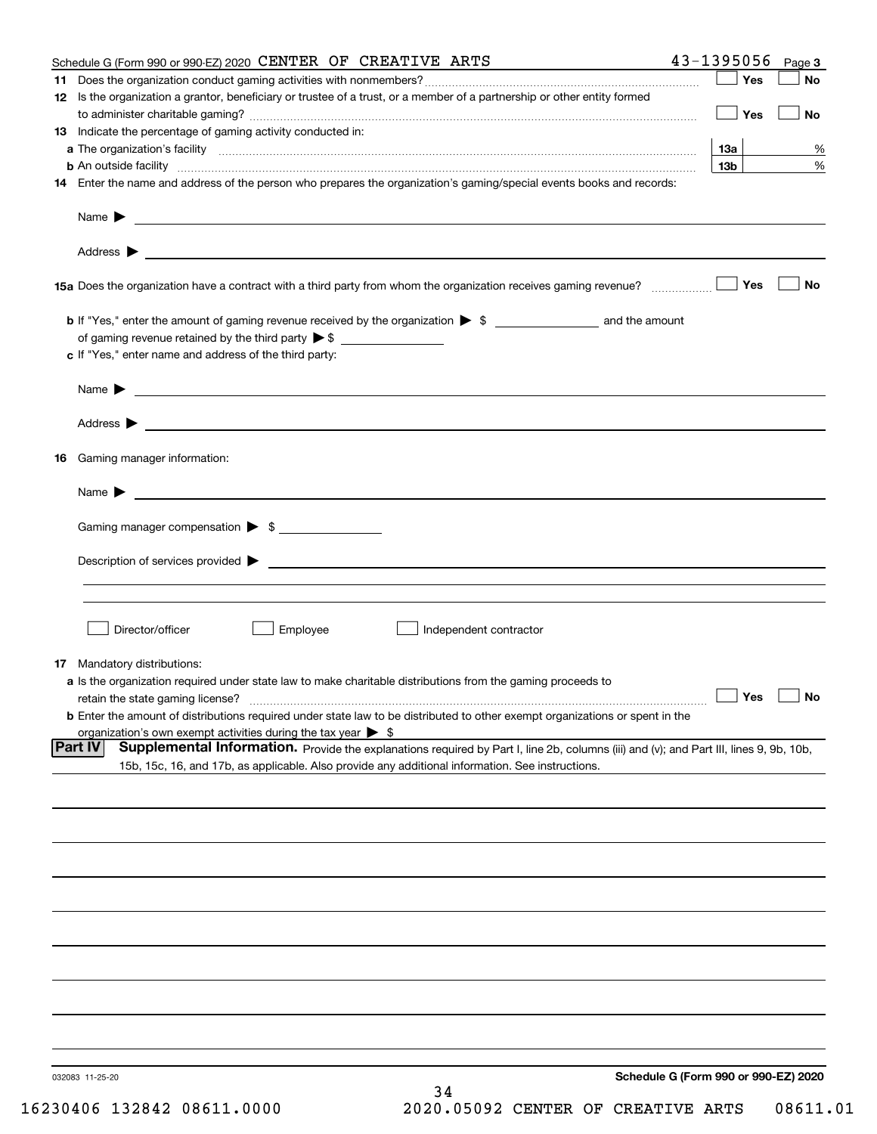|     | Schedule G (Form 990 or 990-EZ) 2020 CENTER OF CREATIVE ARTS                                                                                                                                                                       |                 | $43 - 1395056$ Page 3 |    |
|-----|------------------------------------------------------------------------------------------------------------------------------------------------------------------------------------------------------------------------------------|-----------------|-----------------------|----|
| 11. |                                                                                                                                                                                                                                    |                 | Yes                   | No |
|     | 12 Is the organization a grantor, beneficiary or trustee of a trust, or a member of a partnership or other entity formed                                                                                                           |                 |                       |    |
|     |                                                                                                                                                                                                                                    |                 | Yes                   | No |
|     | 13 Indicate the percentage of gaming activity conducted in:                                                                                                                                                                        |                 |                       |    |
|     |                                                                                                                                                                                                                                    | <b>13a</b>      |                       | %  |
|     | <b>b</b> An outside facility <i>www.communicality www.communicality.communicality www.communicality www.communicality.com</i>                                                                                                      | 13 <sub>b</sub> |                       | %  |
|     | 14 Enter the name and address of the person who prepares the organization's gaming/special events books and records:                                                                                                               |                 |                       |    |
|     |                                                                                                                                                                                                                                    |                 |                       |    |
|     |                                                                                                                                                                                                                                    |                 |                       |    |
|     |                                                                                                                                                                                                                                    |                 | Yes                   | No |
|     |                                                                                                                                                                                                                                    |                 |                       |    |
|     |                                                                                                                                                                                                                                    |                 |                       |    |
|     | c If "Yes," enter name and address of the third party:                                                                                                                                                                             |                 |                       |    |
|     | Name $\blacktriangleright$                                                                                                                                                                                                         |                 |                       |    |
|     |                                                                                                                                                                                                                                    |                 |                       |    |
|     |                                                                                                                                                                                                                                    |                 |                       |    |
|     | 16 Gaming manager information:                                                                                                                                                                                                     |                 |                       |    |
|     | Name $\blacktriangleright$ $\lrcorner$                                                                                                                                                                                             |                 |                       |    |
|     | Gaming manager compensation > \$                                                                                                                                                                                                   |                 |                       |    |
|     |                                                                                                                                                                                                                                    |                 |                       |    |
|     | $Description of services provided$ $\triangleright$                                                                                                                                                                                |                 |                       |    |
|     |                                                                                                                                                                                                                                    |                 |                       |    |
|     | Director/officer<br>Employee<br>Independent contractor                                                                                                                                                                             |                 |                       |    |
|     |                                                                                                                                                                                                                                    |                 |                       |    |
|     | <b>17</b> Mandatory distributions:                                                                                                                                                                                                 |                 |                       |    |
|     | a Is the organization required under state law to make charitable distributions from the gaming proceeds to                                                                                                                        |                 |                       |    |
|     | retain the state gaming license?                                                                                                                                                                                                   | $\Box$ Yes      | $\Box$ No             |    |
|     | <b>b</b> Enter the amount of distributions required under state law to be distributed to other exempt organizations or spent in the                                                                                                |                 |                       |    |
|     | organization's own exempt activities during the tax year $\triangleright$ \$<br>Supplemental Information. Provide the explanations required by Part I, line 2b, columns (iii) and (v); and Part III, lines 9, 9b, 10b,<br> Part IV |                 |                       |    |
|     | 15b, 15c, 16, and 17b, as applicable. Also provide any additional information. See instructions.                                                                                                                                   |                 |                       |    |
|     |                                                                                                                                                                                                                                    |                 |                       |    |
|     |                                                                                                                                                                                                                                    |                 |                       |    |
|     |                                                                                                                                                                                                                                    |                 |                       |    |
|     |                                                                                                                                                                                                                                    |                 |                       |    |
|     |                                                                                                                                                                                                                                    |                 |                       |    |
|     |                                                                                                                                                                                                                                    |                 |                       |    |
|     |                                                                                                                                                                                                                                    |                 |                       |    |
|     |                                                                                                                                                                                                                                    |                 |                       |    |
|     |                                                                                                                                                                                                                                    |                 |                       |    |
|     |                                                                                                                                                                                                                                    |                 |                       |    |
|     | Schedule G (Form 990 or 990-EZ) 2020<br>032083 11-25-20                                                                                                                                                                            |                 |                       |    |
|     | 34                                                                                                                                                                                                                                 |                 |                       |    |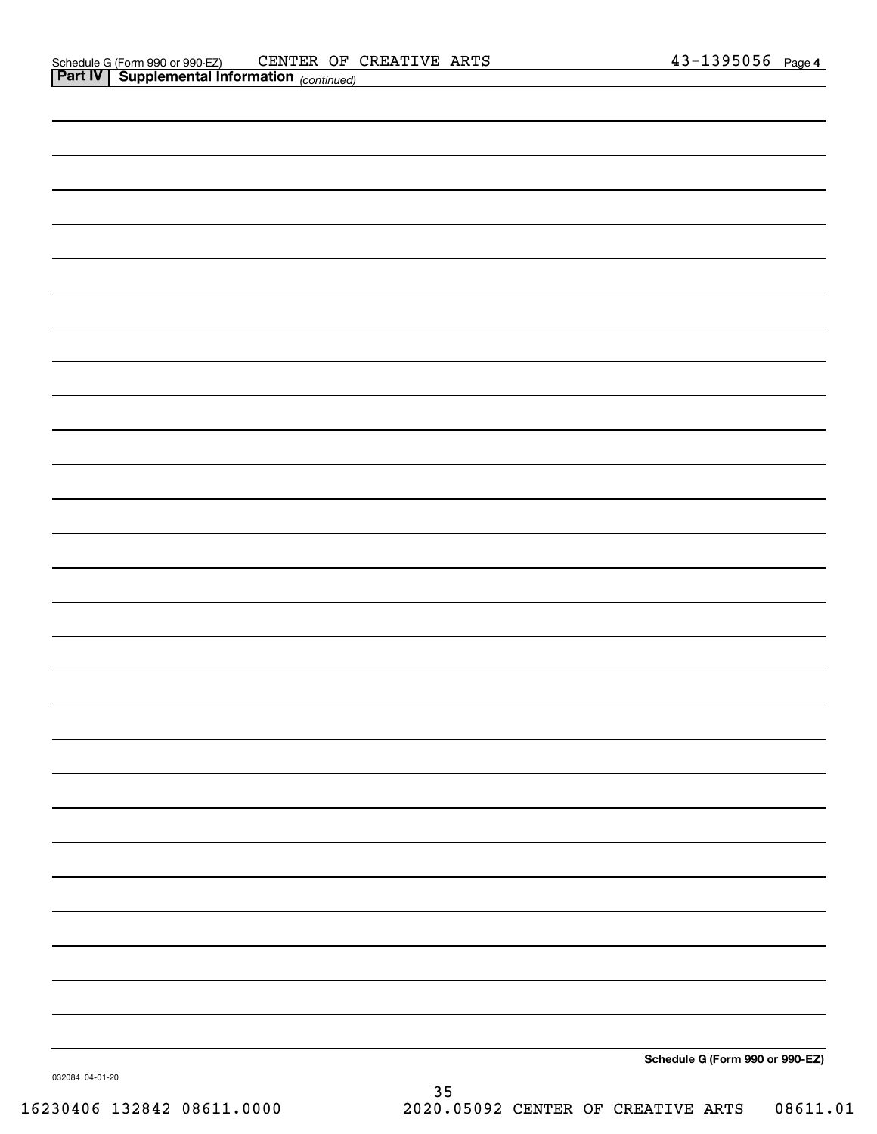| Schedule G (Form 990 or 990-EZ) |
|---------------------------------|

032084 04-01-20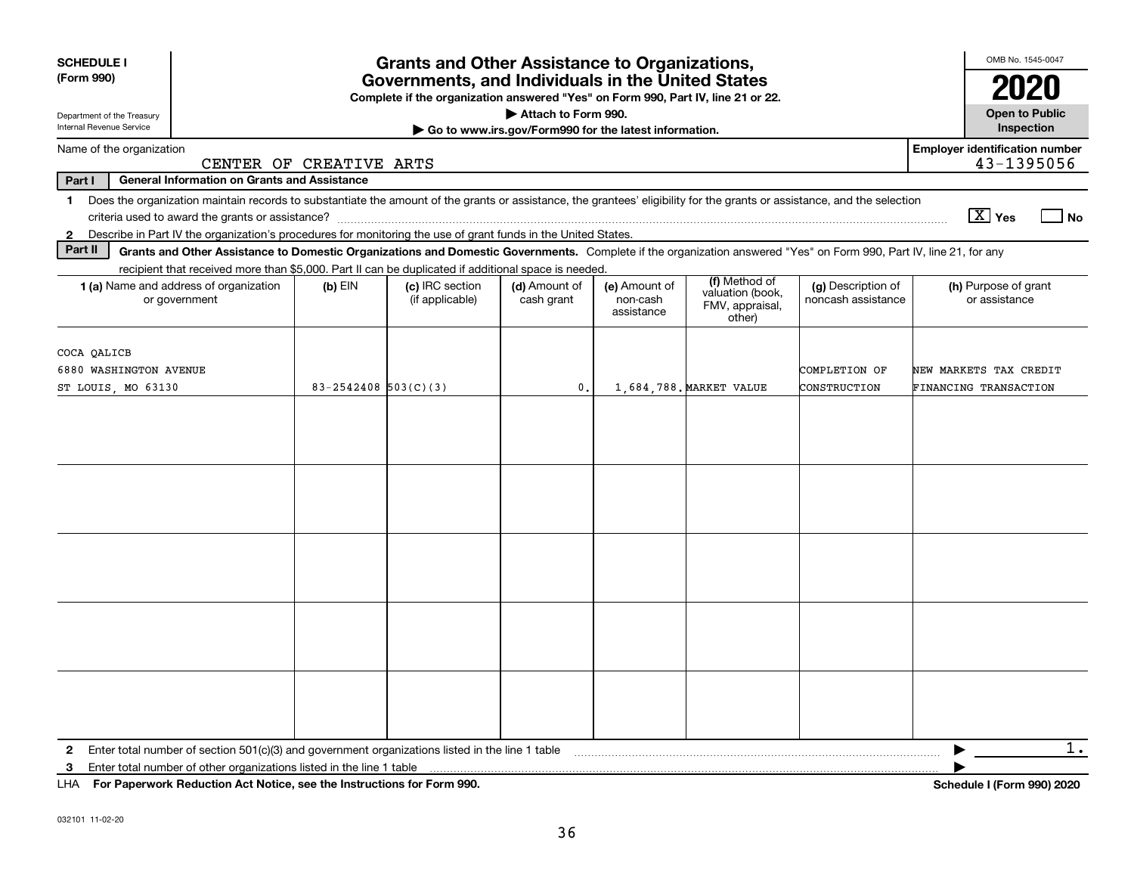| <b>SCHEDULE I</b><br>(Form 990)                                                                                                                                                                                                                                                                                | <b>Grants and Other Assistance to Organizations,</b><br>Governments, and Individuals in the United States<br>Complete if the organization answered "Yes" on Form 990, Part IV, line 21 or 22. |                                    |                                                                              |                                         |                                                                |                                          |                                                                                                                                                                                                                                                                                                                                             |  |  |
|----------------------------------------------------------------------------------------------------------------------------------------------------------------------------------------------------------------------------------------------------------------------------------------------------------------|-----------------------------------------------------------------------------------------------------------------------------------------------------------------------------------------------|------------------------------------|------------------------------------------------------------------------------|-----------------------------------------|----------------------------------------------------------------|------------------------------------------|---------------------------------------------------------------------------------------------------------------------------------------------------------------------------------------------------------------------------------------------------------------------------------------------------------------------------------------------|--|--|
| Department of the Treasury<br>Internal Revenue Service                                                                                                                                                                                                                                                         |                                                                                                                                                                                               |                                    | Attach to Form 990.<br>Go to www.irs.gov/Form990 for the latest information. |                                         |                                                                |                                          | <b>Open to Public</b><br>Inspection                                                                                                                                                                                                                                                                                                         |  |  |
| Name of the organization                                                                                                                                                                                                                                                                                       | CENTER OF CREATIVE ARTS                                                                                                                                                                       |                                    |                                                                              |                                         |                                                                |                                          | <b>Employer identification number</b><br>43-1395056                                                                                                                                                                                                                                                                                         |  |  |
| Part I<br><b>General Information on Grants and Assistance</b>                                                                                                                                                                                                                                                  |                                                                                                                                                                                               |                                    |                                                                              |                                         |                                                                |                                          |                                                                                                                                                                                                                                                                                                                                             |  |  |
| Does the organization maintain records to substantiate the amount of the grants or assistance, the grantees' eligibility for the grants or assistance, and the selection<br>1<br>Describe in Part IV the organization's procedures for monitoring the use of grant funds in the United States.<br>$\mathbf{2}$ |                                                                                                                                                                                               |                                    |                                                                              |                                         |                                                                |                                          | $\boxed{\text{X}}$ Yes<br>  No                                                                                                                                                                                                                                                                                                              |  |  |
| Part II<br>Grants and Other Assistance to Domestic Organizations and Domestic Governments. Complete if the organization answered "Yes" on Form 990, Part IV, line 21, for any                                                                                                                                  |                                                                                                                                                                                               |                                    |                                                                              |                                         |                                                                |                                          |                                                                                                                                                                                                                                                                                                                                             |  |  |
| recipient that received more than \$5,000. Part II can be duplicated if additional space is needed.<br><b>1 (a)</b> Name and address of organization<br>or government                                                                                                                                          | $(b)$ EIN                                                                                                                                                                                     | (c) IRC section<br>(if applicable) | (d) Amount of<br>cash grant                                                  | (e) Amount of<br>non-cash<br>assistance | (f) Method of<br>valuation (book,<br>FMV, appraisal,<br>other) | (g) Description of<br>noncash assistance | (h) Purpose of grant<br>or assistance                                                                                                                                                                                                                                                                                                       |  |  |
| COCA QALICB<br>6880 WASHINGTON AVENUE<br>ST LOUIS, MO 63130                                                                                                                                                                                                                                                    | $83 - 2542408$ 503(C)(3)                                                                                                                                                                      |                                    | $\mathbf{0}$ .                                                               |                                         | 1,684,788. MARKET VALUE                                        | COMPLETION OF<br>CONSTRUCTION            | NEW MARKETS TAX CREDIT<br><b>FINANCING TRANSACTION</b>                                                                                                                                                                                                                                                                                      |  |  |
|                                                                                                                                                                                                                                                                                                                |                                                                                                                                                                                               |                                    |                                                                              |                                         |                                                                |                                          |                                                                                                                                                                                                                                                                                                                                             |  |  |
|                                                                                                                                                                                                                                                                                                                |                                                                                                                                                                                               |                                    |                                                                              |                                         |                                                                |                                          |                                                                                                                                                                                                                                                                                                                                             |  |  |
|                                                                                                                                                                                                                                                                                                                |                                                                                                                                                                                               |                                    |                                                                              |                                         |                                                                |                                          |                                                                                                                                                                                                                                                                                                                                             |  |  |
|                                                                                                                                                                                                                                                                                                                |                                                                                                                                                                                               |                                    |                                                                              |                                         |                                                                |                                          |                                                                                                                                                                                                                                                                                                                                             |  |  |
|                                                                                                                                                                                                                                                                                                                |                                                                                                                                                                                               |                                    |                                                                              |                                         |                                                                |                                          |                                                                                                                                                                                                                                                                                                                                             |  |  |
| Enter total number of section $501(c)(3)$ and government organizations listed in the line 1 table<br>Enter total number of other organizations listed in the line 1 table<br>3                                                                                                                                 |                                                                                                                                                                                               |                                    |                                                                              |                                         |                                                                |                                          | $1$ .<br>$\mathbf{r}$ $\mathbf{r}$ $\mathbf{r}$ $\mathbf{r}$ $\mathbf{r}$ $\mathbf{r}$ $\mathbf{r}$ $\mathbf{r}$ $\mathbf{r}$ $\mathbf{r}$ $\mathbf{r}$ $\mathbf{r}$ $\mathbf{r}$ $\mathbf{r}$ $\mathbf{r}$ $\mathbf{r}$ $\mathbf{r}$ $\mathbf{r}$ $\mathbf{r}$ $\mathbf{r}$ $\mathbf{r}$ $\mathbf{r}$ $\mathbf{r}$ $\mathbf{r}$ $\mathbf{$ |  |  |

**For Paperwork Reduction Act Notice, see the Instructions for Form 990. Schedule I (Form 990) 2020** LHA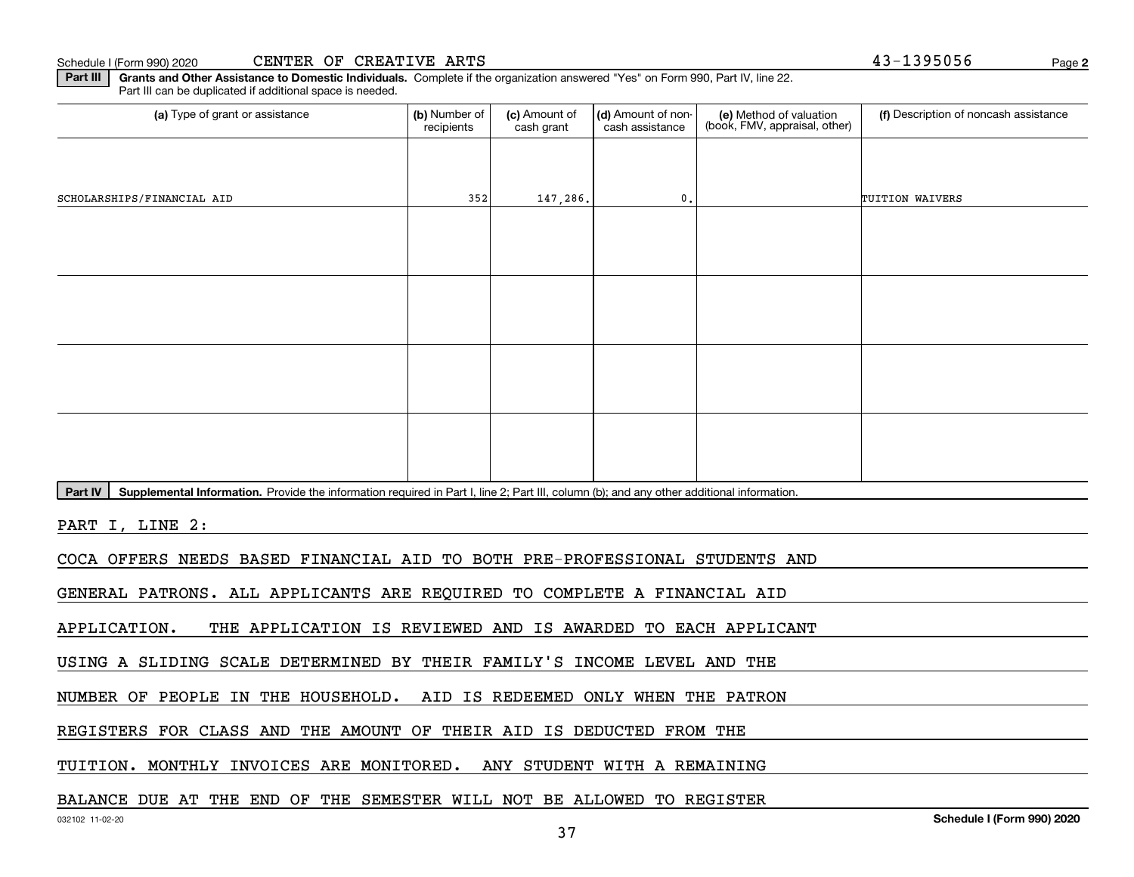Schedule I (Form 990) 2020

|  |  | CENTER OF CREATIVE ARTS |  |
|--|--|-------------------------|--|
|--|--|-------------------------|--|

**2**43-1395056

**Part III | Grants and Other Assistance to Domestic Individuals. Complete if the organization answered "Yes" on Form 990, Part IV, line 22.** Part III can be duplicated if additional space is needed.

| (a) Type of grant or assistance                                                                                                                      | (b) Number of<br>recipients | (c) Amount of<br>cash grant | (d) Amount of non-<br>cash assistance | (e) Method of valuation<br>(book, FMV, appraisal, other) | (f) Description of noncash assistance |  |  |  |
|------------------------------------------------------------------------------------------------------------------------------------------------------|-----------------------------|-----------------------------|---------------------------------------|----------------------------------------------------------|---------------------------------------|--|--|--|
|                                                                                                                                                      |                             |                             |                                       |                                                          |                                       |  |  |  |
| SCHOLARSHIPS/FINANCIAL AID                                                                                                                           | 352                         | 147,286.                    | $\mathbf{0}$ .                        |                                                          | TUITION WAIVERS                       |  |  |  |
|                                                                                                                                                      |                             |                             |                                       |                                                          |                                       |  |  |  |
|                                                                                                                                                      |                             |                             |                                       |                                                          |                                       |  |  |  |
|                                                                                                                                                      |                             |                             |                                       |                                                          |                                       |  |  |  |
|                                                                                                                                                      |                             |                             |                                       |                                                          |                                       |  |  |  |
|                                                                                                                                                      |                             |                             |                                       |                                                          |                                       |  |  |  |
|                                                                                                                                                      |                             |                             |                                       |                                                          |                                       |  |  |  |
|                                                                                                                                                      |                             |                             |                                       |                                                          |                                       |  |  |  |
|                                                                                                                                                      |                             |                             |                                       |                                                          |                                       |  |  |  |
| Part IV<br>Supplemental Information. Provide the information required in Part I, line 2; Part III, column (b); and any other additional information. |                             |                             |                                       |                                                          |                                       |  |  |  |
| PART I, LINE 2:                                                                                                                                      |                             |                             |                                       |                                                          |                                       |  |  |  |
| COCA OFFERS NEEDS BASED FINANCIAL AID TO BOTH PRE-PROFESSIONAL STUDENTS AND                                                                          |                             |                             |                                       |                                                          |                                       |  |  |  |
| GENERAL PATRONS. ALL APPLICANTS ARE REQUIRED TO COMPLETE A FINANCIAL AID                                                                             |                             |                             |                                       |                                                          |                                       |  |  |  |
| THE APPLICATION IS REVIEWED AND IS AWARDED TO EACH APPLICANT<br>APPLICATION.                                                                         |                             |                             |                                       |                                                          |                                       |  |  |  |
| USING A SLIDING SCALE DETERMINED BY THEIR FAMILY'S INCOME LEVEL AND THE                                                                              |                             |                             |                                       |                                                          |                                       |  |  |  |
| NUMBER OF PEOPLE IN THE HOUSEHOLD. AID IS REDEEMED ONLY WHEN THE PATRON                                                                              |                             |                             |                                       |                                                          |                                       |  |  |  |
| REGISTERS FOR CLASS AND THE AMOUNT OF THEIR AID IS DEDUCTED FROM THE                                                                                 |                             |                             |                                       |                                                          |                                       |  |  |  |

TUITION. MONTHLY INVOICES ARE MONITORED. ANY STUDENT WITH A REMAINING

BALANCE DUE AT THE END OF THE SEMESTER WILL NOT BE ALLOWED TO REGISTER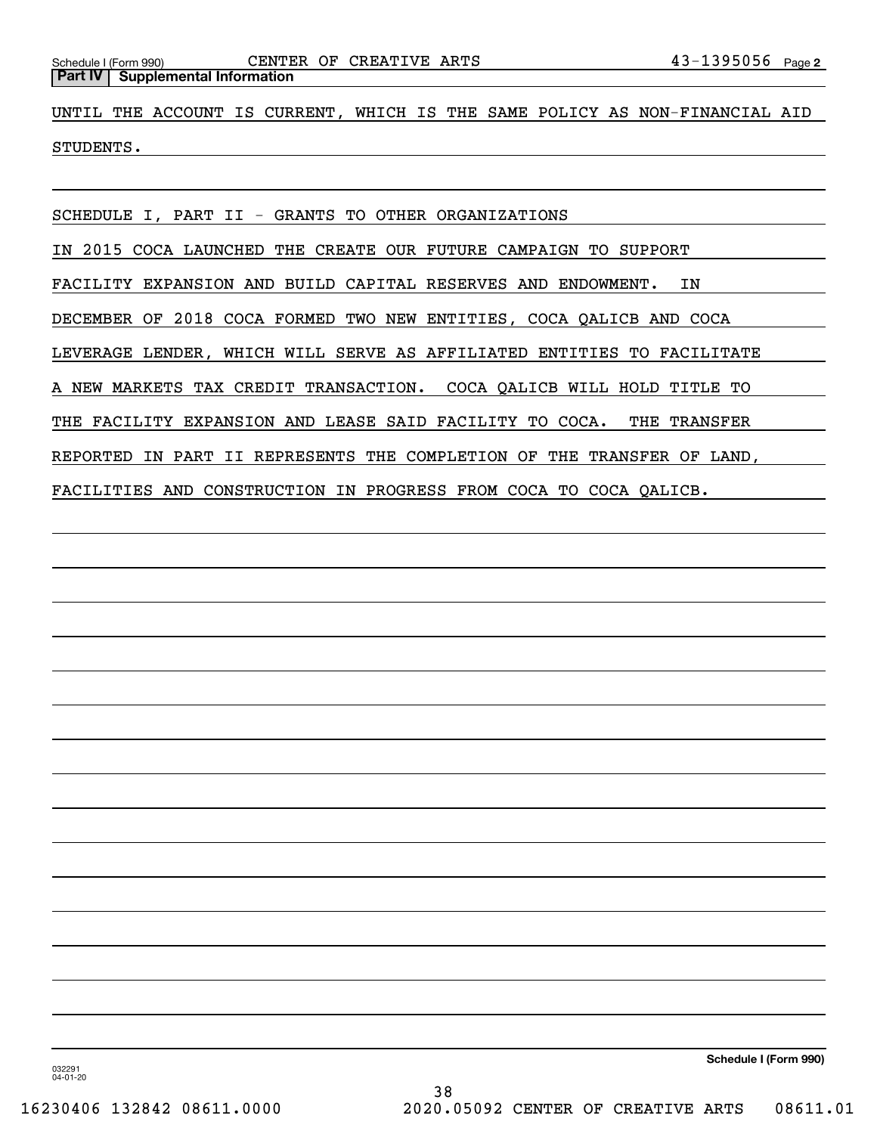UNTIL THE ACCOUNT IS CURRENT, WHICH IS THE SAME POLICY AS NON-FINANCIAL AID STUDENTS.

SCHEDULE I, PART II - GRANTS TO OTHER ORGANIZATIONS

IN 2015 COCA LAUNCHED THE CREATE OUR FUTURE CAMPAIGN TO SUPPORT

FACILITY EXPANSION AND BUILD CAPITAL RESERVES AND ENDOWMENT. IN

DECEMBER OF 2018 COCA FORMED TWO NEW ENTITIES, COCA QALICB AND COCA

LEVERAGE LENDER, WHICH WILL SERVE AS AFFILIATED ENTITIES TO FACILITATE

A NEW MARKETS TAX CREDIT TRANSACTION. COCA QALICB WILL HOLD TITLE TO

THE FACILITY EXPANSION AND LEASE SAID FACILITY TO COCA. THE TRANSFER

REPORTED IN PART II REPRESENTS THE COMPLETION OF THE TRANSFER OF LAND,

FACILITIES AND CONSTRUCTION IN PROGRESS FROM COCA TO COCA QALICB.

**Schedule I (Form 990)**

032291 04-01-20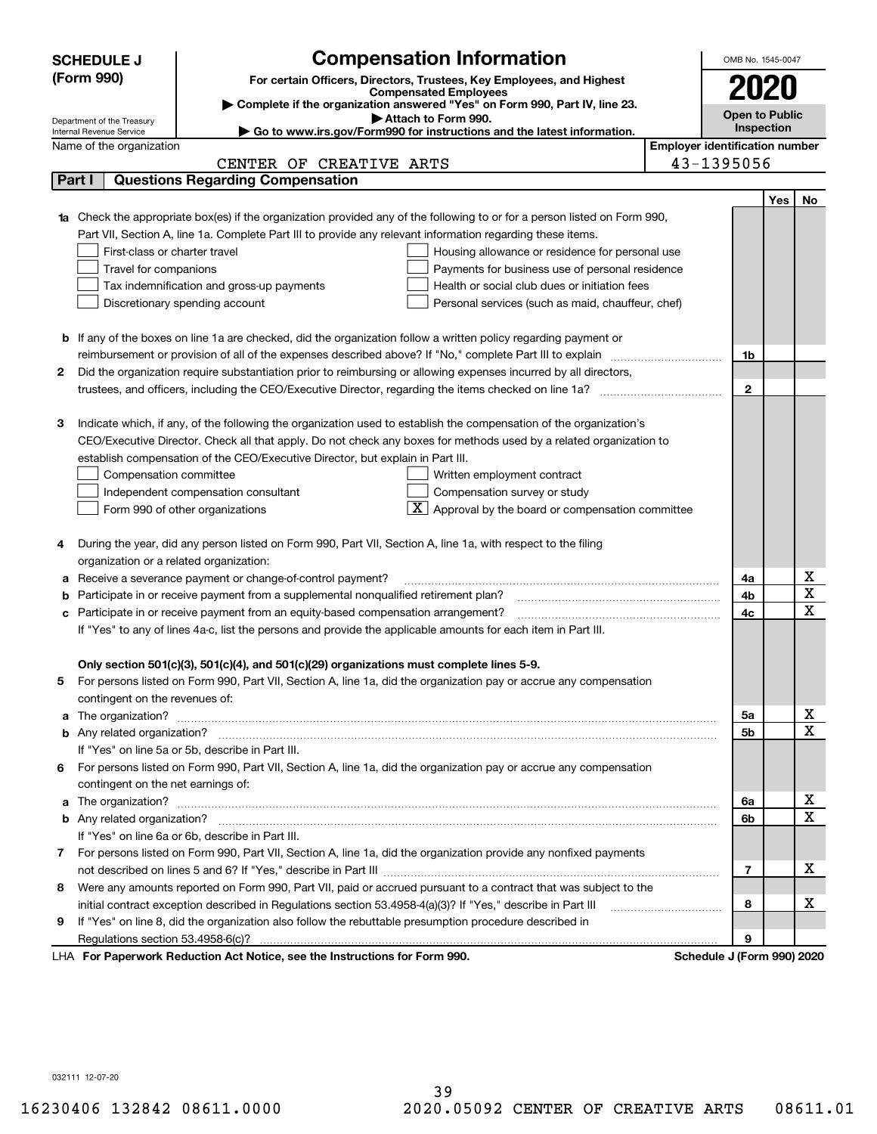|    | <b>Compensation Information</b><br><b>SCHEDULE J</b>                                                                             |  | OMB No. 1545-0047          |                                       |              |  |  |
|----|----------------------------------------------------------------------------------------------------------------------------------|--|----------------------------|---------------------------------------|--------------|--|--|
|    | (Form 990)<br>For certain Officers, Directors, Trustees, Key Employees, and Highest                                              |  |                            |                                       |              |  |  |
|    | 2020<br><b>Compensated Employees</b>                                                                                             |  |                            |                                       |              |  |  |
|    | Complete if the organization answered "Yes" on Form 990, Part IV, line 23.<br><b>Open to Public</b><br>Attach to Form 990.       |  |                            |                                       |              |  |  |
|    | Department of the Treasury<br>Go to www.irs.gov/Form990 for instructions and the latest information.<br>Internal Revenue Service |  | Inspection                 |                                       |              |  |  |
|    | Name of the organization                                                                                                         |  |                            | <b>Employer identification number</b> |              |  |  |
|    | CENTER OF CREATIVE ARTS                                                                                                          |  | 43-1395056                 |                                       |              |  |  |
|    | <b>Questions Regarding Compensation</b><br>Part I                                                                                |  |                            |                                       |              |  |  |
|    |                                                                                                                                  |  |                            | Yes                                   | No           |  |  |
|    | Check the appropriate box(es) if the organization provided any of the following to or for a person listed on Form 990,           |  |                            |                                       |              |  |  |
|    | Part VII, Section A, line 1a. Complete Part III to provide any relevant information regarding these items.                       |  |                            |                                       |              |  |  |
|    | First-class or charter travel<br>Housing allowance or residence for personal use                                                 |  |                            |                                       |              |  |  |
|    | Travel for companions<br>Payments for business use of personal residence                                                         |  |                            |                                       |              |  |  |
|    | Tax indemnification and gross-up payments<br>Health or social club dues or initiation fees                                       |  |                            |                                       |              |  |  |
|    | Discretionary spending account<br>Personal services (such as maid, chauffeur, chef)                                              |  |                            |                                       |              |  |  |
|    |                                                                                                                                  |  |                            |                                       |              |  |  |
|    | <b>b</b> If any of the boxes on line 1a are checked, did the organization follow a written policy regarding payment or           |  |                            |                                       |              |  |  |
|    | reimbursement or provision of all of the expenses described above? If "No," complete Part III to explain                         |  | 1b                         |                                       |              |  |  |
| 2  | Did the organization require substantiation prior to reimbursing or allowing expenses incurred by all directors,                 |  |                            |                                       |              |  |  |
|    |                                                                                                                                  |  | $\mathbf{2}$               |                                       |              |  |  |
|    |                                                                                                                                  |  |                            |                                       |              |  |  |
| з  | Indicate which, if any, of the following the organization used to establish the compensation of the organization's               |  |                            |                                       |              |  |  |
|    | CEO/Executive Director. Check all that apply. Do not check any boxes for methods used by a related organization to               |  |                            |                                       |              |  |  |
|    | establish compensation of the CEO/Executive Director, but explain in Part III.                                                   |  |                            |                                       |              |  |  |
|    | Compensation committee<br>Written employment contract                                                                            |  |                            |                                       |              |  |  |
|    | Compensation survey or study<br>Independent compensation consultant                                                              |  |                            |                                       |              |  |  |
|    | $\boxed{\text{X}}$ Approval by the board or compensation committee<br>Form 990 of other organizations                            |  |                            |                                       |              |  |  |
|    |                                                                                                                                  |  |                            |                                       |              |  |  |
| 4  | During the year, did any person listed on Form 990, Part VII, Section A, line 1a, with respect to the filing                     |  |                            |                                       |              |  |  |
|    | organization or a related organization:                                                                                          |  |                            |                                       |              |  |  |
| а  | Receive a severance payment or change-of-control payment?                                                                        |  | 4a<br>4b                   |                                       | х<br>X       |  |  |
|    | Participate in or receive payment from a supplemental nonqualified retirement plan?<br>b                                         |  |                            |                                       |              |  |  |
| c  | Participate in or receive payment from an equity-based compensation arrangement?                                                 |  |                            |                                       |              |  |  |
|    | If "Yes" to any of lines 4a-c, list the persons and provide the applicable amounts for each item in Part III.                    |  |                            |                                       |              |  |  |
|    | Only section 501(c)(3), 501(c)(4), and 501(c)(29) organizations must complete lines 5-9.                                         |  |                            |                                       |              |  |  |
|    | For persons listed on Form 990, Part VII, Section A, line 1a, did the organization pay or accrue any compensation                |  |                            |                                       |              |  |  |
|    | contingent on the revenues of:                                                                                                   |  |                            |                                       |              |  |  |
| a  |                                                                                                                                  |  | 5а                         |                                       | x            |  |  |
|    |                                                                                                                                  |  | <b>5b</b>                  |                                       | X            |  |  |
|    | If "Yes" on line 5a or 5b, describe in Part III.                                                                                 |  |                            |                                       |              |  |  |
| 6. | For persons listed on Form 990, Part VII, Section A, line 1a, did the organization pay or accrue any compensation                |  |                            |                                       |              |  |  |
|    | contingent on the net earnings of:                                                                                               |  |                            |                                       |              |  |  |
| a  |                                                                                                                                  |  | 6a                         |                                       | x            |  |  |
|    |                                                                                                                                  |  | 6b                         |                                       | $\mathbf{x}$ |  |  |
|    | If "Yes" on line 6a or 6b, describe in Part III.                                                                                 |  |                            |                                       |              |  |  |
|    | 7 For persons listed on Form 990, Part VII, Section A, line 1a, did the organization provide any nonfixed payments               |  |                            |                                       |              |  |  |
|    |                                                                                                                                  |  | 7                          |                                       | x            |  |  |
| 8  | Were any amounts reported on Form 990, Part VII, paid or accrued pursuant to a contract that was subject to the                  |  |                            |                                       |              |  |  |
|    | initial contract exception described in Regulations section 53.4958-4(a)(3)? If "Yes," describe in Part III                      |  | 8                          |                                       | х            |  |  |
| 9  | If "Yes" on line 8, did the organization also follow the rebuttable presumption procedure described in                           |  |                            |                                       |              |  |  |
|    | Regulations section 53.4958-6(c)?                                                                                                |  | 9                          |                                       |              |  |  |
|    | LHA For Paperwork Reduction Act Notice, see the Instructions for Form 990.                                                       |  | Schedule J (Form 990) 2020 |                                       |              |  |  |

032111 12-07-20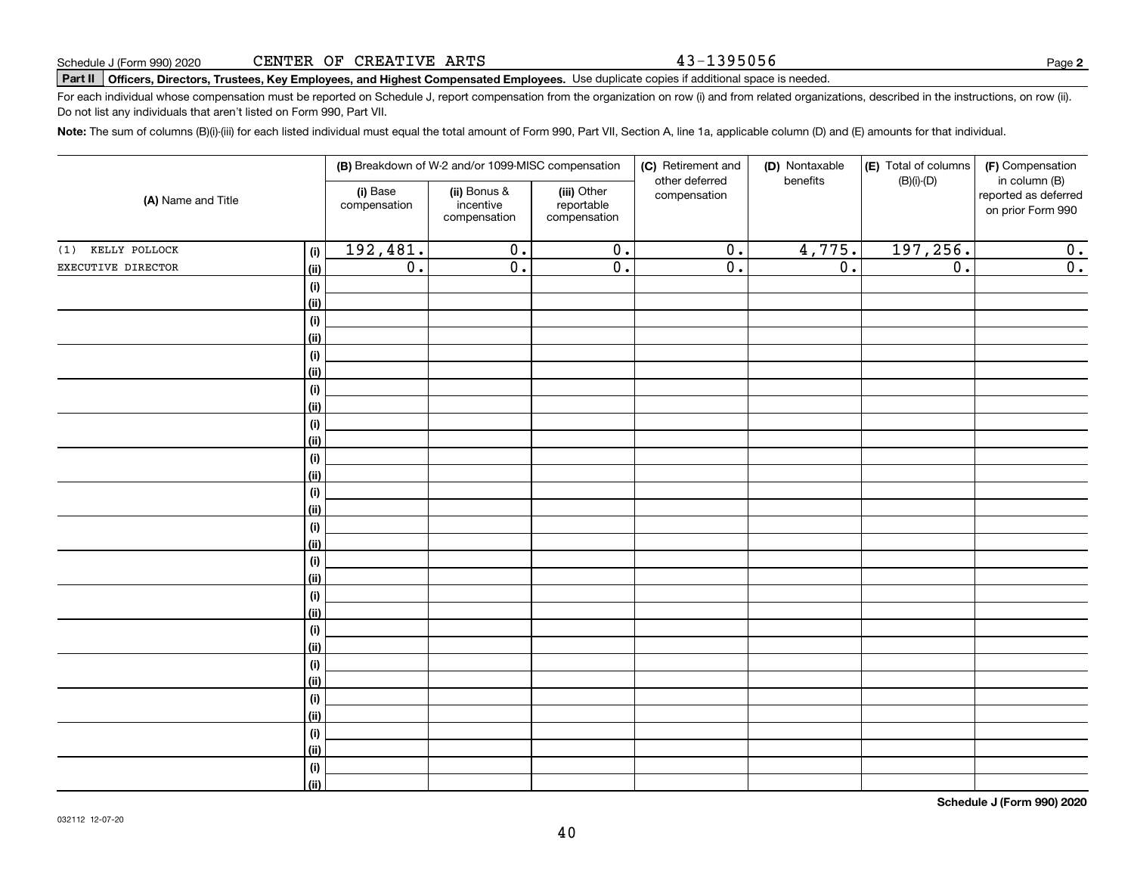43-1395056

# **Part II Officers, Directors, Trustees, Key Employees, and Highest Compensated Employees.**  Schedule J (Form 990) 2020 Page Use duplicate copies if additional space is needed.

For each individual whose compensation must be reported on Schedule J, report compensation from the organization on row (i) and from related organizations, described in the instructions, on row (ii). Do not list any individuals that aren't listed on Form 990, Part VII.

**Note:**  The sum of columns (B)(i)-(iii) for each listed individual must equal the total amount of Form 990, Part VII, Section A, line 1a, applicable column (D) and (E) amounts for that individual.

| (A) Name and Title |                    |                          | (B) Breakdown of W-2 and/or 1099-MISC compensation |                                           | (C) Retirement and<br>other deferred | (D) Nontaxable<br>benefits | (E) Total of columns<br>$(B)(i)-(D)$ | (F) Compensation<br>in column (B)         |
|--------------------|--------------------|--------------------------|----------------------------------------------------|-------------------------------------------|--------------------------------------|----------------------------|--------------------------------------|-------------------------------------------|
|                    |                    | (i) Base<br>compensation | (ii) Bonus &<br>incentive<br>compensation          | (iii) Other<br>reportable<br>compensation | compensation                         |                            |                                      | reported as deferred<br>on prior Form 990 |
| (1) KELLY POLLOCK  | (i)                | 192,481.                 | $\overline{0}$ .                                   | $\overline{0}$ .                          | $\overline{0}$ .                     | 4,775.                     | 197,256.                             | 0.                                        |
| EXECUTIVE DIRECTOR | <u>(ii)</u>        | $\overline{0}$ .         | $\overline{0}$ .                                   | $\overline{0}$ .                          | $\overline{0}$ .                     | $\overline{0}$ .           | $\overline{0}$ .                     | $\overline{0}$ .                          |
|                    | (i)                |                          |                                                    |                                           |                                      |                            |                                      |                                           |
|                    | <u>(ii)</u>        |                          |                                                    |                                           |                                      |                            |                                      |                                           |
|                    | (i)                |                          |                                                    |                                           |                                      |                            |                                      |                                           |
|                    | (ii)               |                          |                                                    |                                           |                                      |                            |                                      |                                           |
|                    | (i)                |                          |                                                    |                                           |                                      |                            |                                      |                                           |
|                    | (ii)               |                          |                                                    |                                           |                                      |                            |                                      |                                           |
|                    | (i)                |                          |                                                    |                                           |                                      |                            |                                      |                                           |
|                    | (ii)               |                          |                                                    |                                           |                                      |                            |                                      |                                           |
|                    | (i)                |                          |                                                    |                                           |                                      |                            |                                      |                                           |
|                    | (ii)               |                          |                                                    |                                           |                                      |                            |                                      |                                           |
|                    | (i)                |                          |                                                    |                                           |                                      |                            |                                      |                                           |
|                    | <u>(ii)</u>        |                          |                                                    |                                           |                                      |                            |                                      |                                           |
|                    | (i)<br><u>(ii)</u> |                          |                                                    |                                           |                                      |                            |                                      |                                           |
|                    | (i)                |                          |                                                    |                                           |                                      |                            |                                      |                                           |
|                    | <u>(ii)</u>        |                          |                                                    |                                           |                                      |                            |                                      |                                           |
|                    | (i)                |                          |                                                    |                                           |                                      |                            |                                      |                                           |
|                    | <u>(ii)</u>        |                          |                                                    |                                           |                                      |                            |                                      |                                           |
|                    | (i)                |                          |                                                    |                                           |                                      |                            |                                      |                                           |
|                    | <u>(ii)</u>        |                          |                                                    |                                           |                                      |                            |                                      |                                           |
|                    | (i)                |                          |                                                    |                                           |                                      |                            |                                      |                                           |
|                    | (ii)               |                          |                                                    |                                           |                                      |                            |                                      |                                           |
|                    | $(\sf{i})$         |                          |                                                    |                                           |                                      |                            |                                      |                                           |
|                    | (ii)               |                          |                                                    |                                           |                                      |                            |                                      |                                           |
|                    | $(\sf{i})$         |                          |                                                    |                                           |                                      |                            |                                      |                                           |
|                    | (ii)               |                          |                                                    |                                           |                                      |                            |                                      |                                           |
|                    | (i)                |                          |                                                    |                                           |                                      |                            |                                      |                                           |
|                    | (ii)               |                          |                                                    |                                           |                                      |                            |                                      |                                           |
|                    | $(\sf{i})$         |                          |                                                    |                                           |                                      |                            |                                      |                                           |
|                    | (ii)               |                          |                                                    |                                           |                                      |                            |                                      |                                           |

**Schedule J (Form 990) 2020**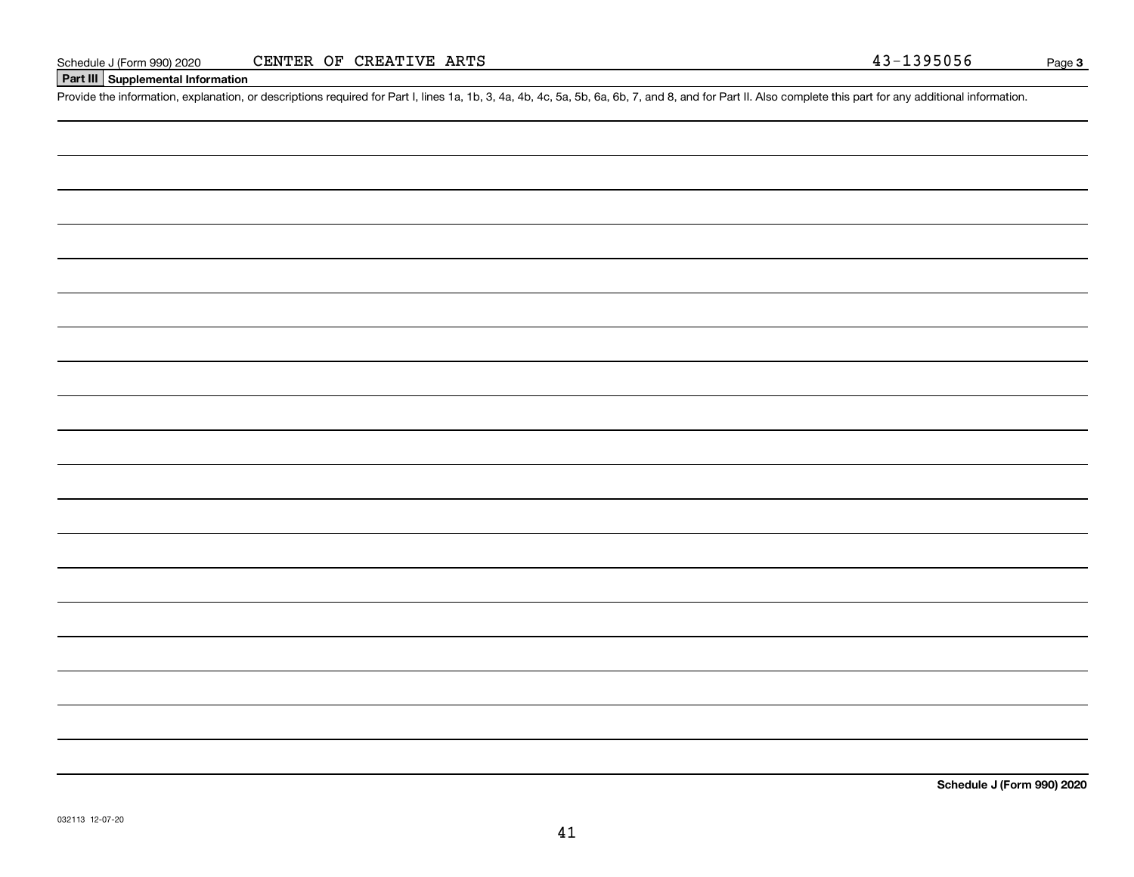### **Part III Supplemental Information**

Schedule J (Form 990) 2020 CENTER OF CREATIVE ARTS<br>Part III Supplemental Information<br>Provide the information, explanation, or descriptions required for Part I, lines 1a, 1b, 3, 4a, 4b, 4c, 5a, 5b, 6a, 6b, 7, and 8, and for

**Schedule J (Form 990) 2020**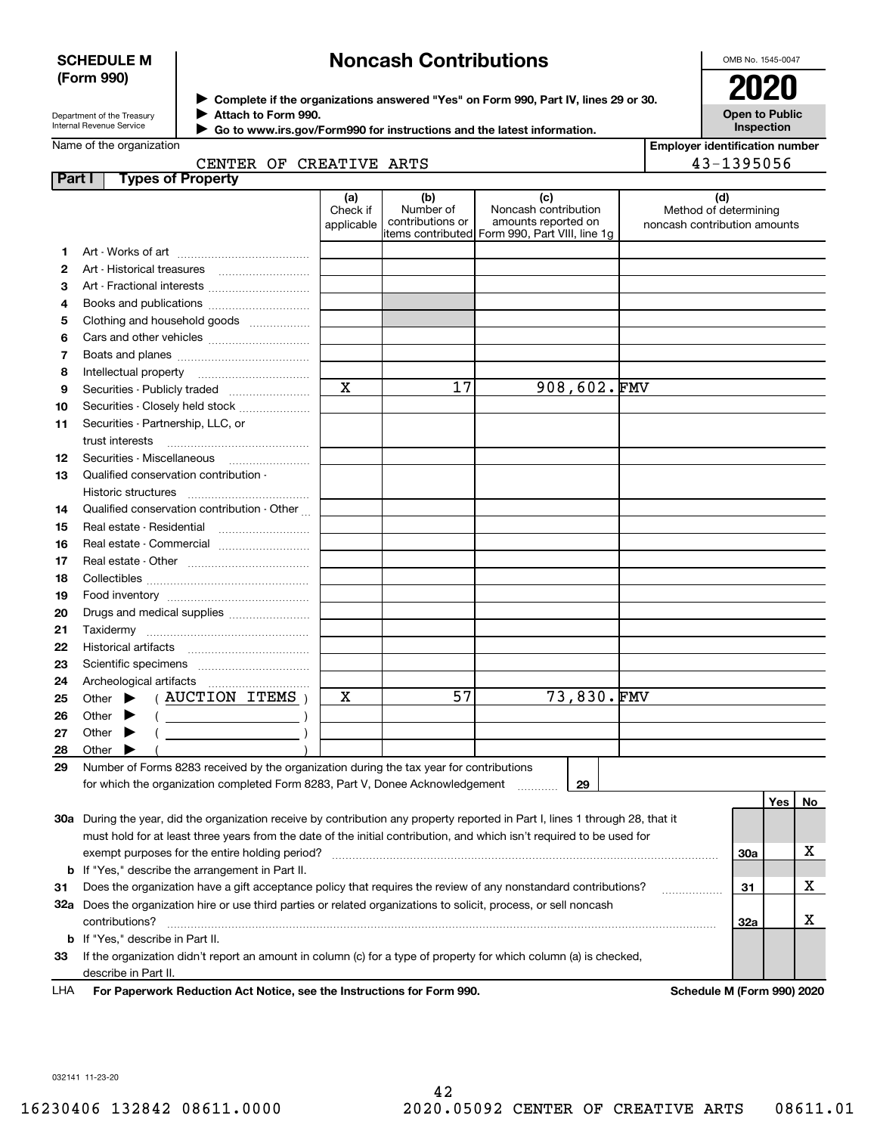### **SCHEDULE M (Form 990)**

# **Noncash Contributions**

OMB No. 1545-0047

| Department of the Treasury |
|----------------------------|
| Internal Revenue Service   |

 $\blacktriangleright$ 

**Complete if the organizations answered "Yes" on Form 990, Part IV, lines 29 or 30.** <sup>J</sup>**2020 Attach to Form 990.**  $\blacktriangleright$ 

**Open to Public Inspection**

| Go to www.irs.gov/Form990 for instructions and the latest information. |  |
|------------------------------------------------------------------------|--|
|------------------------------------------------------------------------|--|

|               | Name of the organization<br>CENTER OF CREATIVE ARTS                                                                                                                                                                                    |                               |                                      |                                                                                                      | <b>Employer identification number</b><br>43-1395056          |
|---------------|----------------------------------------------------------------------------------------------------------------------------------------------------------------------------------------------------------------------------------------|-------------------------------|--------------------------------------|------------------------------------------------------------------------------------------------------|--------------------------------------------------------------|
| <b>Part I</b> | <b>Types of Property</b>                                                                                                                                                                                                               |                               |                                      |                                                                                                      |                                                              |
|               |                                                                                                                                                                                                                                        | (a)<br>Check if<br>applicable | (b)<br>Number of<br>contributions or | (c)<br>Noncash contribution<br>amounts reported on<br>items contributed Form 990, Part VIII, line 1q | (d)<br>Method of determining<br>noncash contribution amounts |
| 1             |                                                                                                                                                                                                                                        |                               |                                      |                                                                                                      |                                                              |
| 2             |                                                                                                                                                                                                                                        |                               |                                      |                                                                                                      |                                                              |
| з             |                                                                                                                                                                                                                                        |                               |                                      |                                                                                                      |                                                              |
| 4             |                                                                                                                                                                                                                                        |                               |                                      |                                                                                                      |                                                              |
| 5             | Clothing and household goods                                                                                                                                                                                                           |                               |                                      |                                                                                                      |                                                              |
| 6             |                                                                                                                                                                                                                                        |                               |                                      |                                                                                                      |                                                              |
| 7             |                                                                                                                                                                                                                                        |                               |                                      |                                                                                                      |                                                              |
| 8             | Intellectual property                                                                                                                                                                                                                  |                               |                                      |                                                                                                      |                                                              |
| 9             | Securities - Publicly traded                                                                                                                                                                                                           | $\overline{\mathbf{x}}$       | 17                                   | $908,602.\,$ FMV                                                                                     |                                                              |
| 10            | Securities - Closely held stock                                                                                                                                                                                                        |                               |                                      |                                                                                                      |                                                              |
| 11            | Securities - Partnership, LLC, or                                                                                                                                                                                                      |                               |                                      |                                                                                                      |                                                              |
|               | trust interests                                                                                                                                                                                                                        |                               |                                      |                                                                                                      |                                                              |
| 12            | Securities - Miscellaneous                                                                                                                                                                                                             |                               |                                      |                                                                                                      |                                                              |
| 13            | Qualified conservation contribution -                                                                                                                                                                                                  |                               |                                      |                                                                                                      |                                                              |
|               | Historic structures                                                                                                                                                                                                                    |                               |                                      |                                                                                                      |                                                              |
| 14            | Qualified conservation contribution - Other                                                                                                                                                                                            |                               |                                      |                                                                                                      |                                                              |
| 15            | Real estate - Residential                                                                                                                                                                                                              |                               |                                      |                                                                                                      |                                                              |
| 16            | Real estate - Commercial                                                                                                                                                                                                               |                               |                                      |                                                                                                      |                                                              |
| 17            |                                                                                                                                                                                                                                        |                               |                                      |                                                                                                      |                                                              |
| 18            |                                                                                                                                                                                                                                        |                               |                                      |                                                                                                      |                                                              |
| 19            |                                                                                                                                                                                                                                        |                               |                                      |                                                                                                      |                                                              |
| 20            | Drugs and medical supplies                                                                                                                                                                                                             |                               |                                      |                                                                                                      |                                                              |
| 21            |                                                                                                                                                                                                                                        |                               |                                      |                                                                                                      |                                                              |
| 22            |                                                                                                                                                                                                                                        |                               |                                      |                                                                                                      |                                                              |
| 23            |                                                                                                                                                                                                                                        |                               |                                      |                                                                                                      |                                                              |
| 24            |                                                                                                                                                                                                                                        |                               |                                      |                                                                                                      |                                                              |
| 25            | (AUCTION ITEMS)<br>Other $\blacktriangleright$                                                                                                                                                                                         | х                             | 57                                   | 73,830.FMV                                                                                           |                                                              |
| 26            | Other<br>▸<br>$\left(\begin{array}{ccc}\n\frac{1}{2} & \frac{1}{2} & \frac{1}{2} \\ \frac{1}{2} & \frac{1}{2} & \frac{1}{2} \\ \frac{1}{2} & \frac{1}{2} & \frac{1}{2} \\ \frac{1}{2} & \frac{1}{2} & \frac{1}{2}\n\end{array}\right)$ |                               |                                      |                                                                                                      |                                                              |
| 27            | Other<br>▸                                                                                                                                                                                                                             |                               |                                      |                                                                                                      |                                                              |
| 28            | Other                                                                                                                                                                                                                                  |                               |                                      |                                                                                                      |                                                              |
| 29            | Number of Forms 8283 received by the organization during the tax year for contributions                                                                                                                                                |                               |                                      |                                                                                                      |                                                              |
|               | for which the organization completed Form 8283, Part V, Donee Acknowledgement                                                                                                                                                          |                               |                                      | 29                                                                                                   |                                                              |
|               |                                                                                                                                                                                                                                        |                               |                                      |                                                                                                      | Yes<br>No                                                    |
|               | 30a During the year, did the organization receive by contribution any property reported in Part I, lines 1 through 28, that it                                                                                                         |                               |                                      |                                                                                                      |                                                              |
|               | must hold for at least three years from the date of the initial contribution, and which isn't required to be used for                                                                                                                  |                               |                                      |                                                                                                      |                                                              |
|               | exempt purposes for the entire holding period?                                                                                                                                                                                         |                               |                                      |                                                                                                      | х<br>30a                                                     |
|               | <b>b</b> If "Yes," describe the arrangement in Part II.                                                                                                                                                                                |                               |                                      |                                                                                                      |                                                              |
| 31            | Does the organization have a gift acceptance policy that requires the review of any nonstandard contributions?                                                                                                                         |                               |                                      |                                                                                                      | х<br>31                                                      |
|               | 32a Does the organization hire or use third parties or related organizations to solicit, process, or sell noncash<br>contributions?                                                                                                    |                               |                                      |                                                                                                      | х<br>32a                                                     |
|               | <b>b</b> If "Yes," describe in Part II.                                                                                                                                                                                                |                               |                                      |                                                                                                      |                                                              |
|               |                                                                                                                                                                                                                                        |                               |                                      |                                                                                                      |                                                              |

**33**If the organization didn't report an amount in column (c) for a type of property for which column (a) is checked, describe in Part II.

**For Paperwork Reduction Act Notice, see the Instructions for Form 990. Schedule M (Form 990) 2020** LHA

032141 11-23-20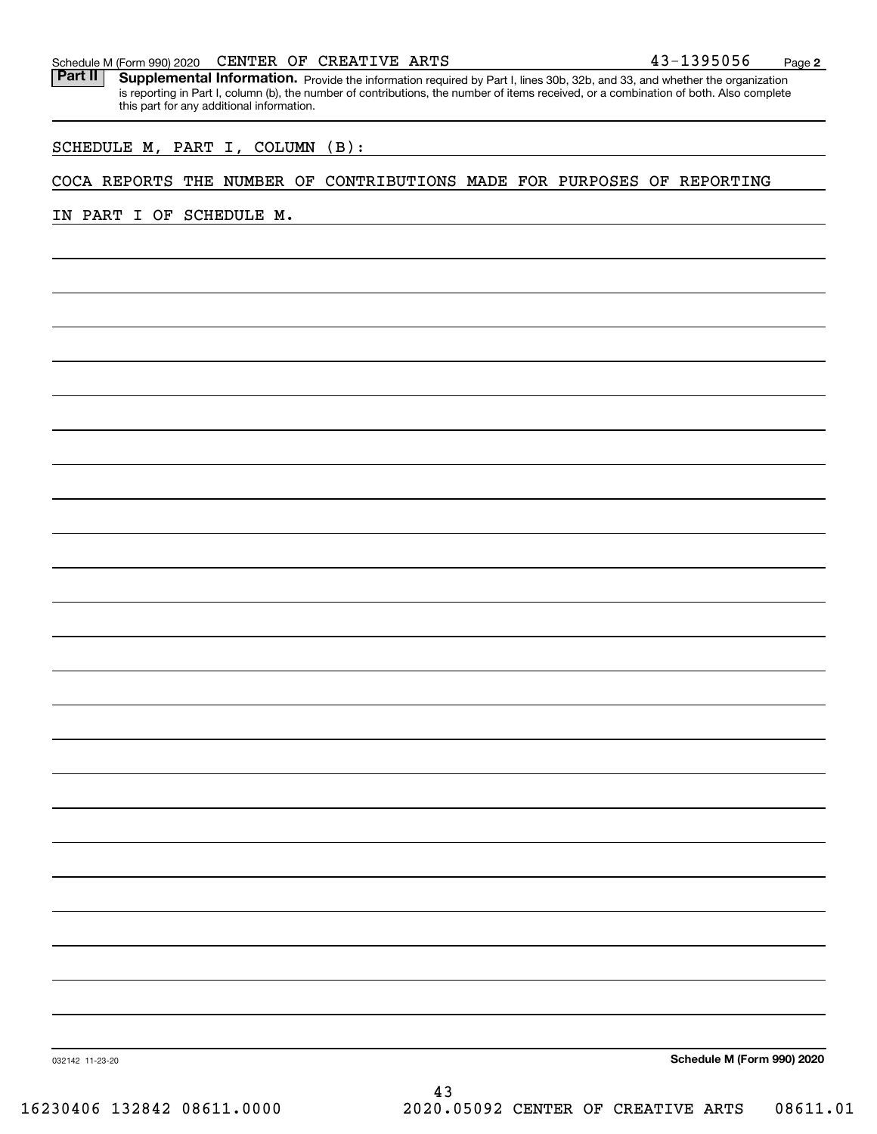#### Schedule M (Form 990) 2020  ${\tt CENTER\;\; OF\;\; CREATIVE\;\; ARTS}$  4 3 –  $1395056$   $_{\tt Page}$

Part II | Supplemental Information. Provide the information required by Part I, lines 30b, 32b, and 33, and whether the organization is reporting in Part I, column (b), the number of contributions, the number of items received, or a combination of both. Also complete this part for any additional information.

#### SCHEDULE M, PART I, COLUMN (B):

### COCA REPORTS THE NUMBER OF CONTRIBUTIONS MADE FOR PURPOSES OF REPORTING

IN PART I OF SCHEDULE M.

**Schedule M (Form 990) 2020**

**2**

032142 11-23-20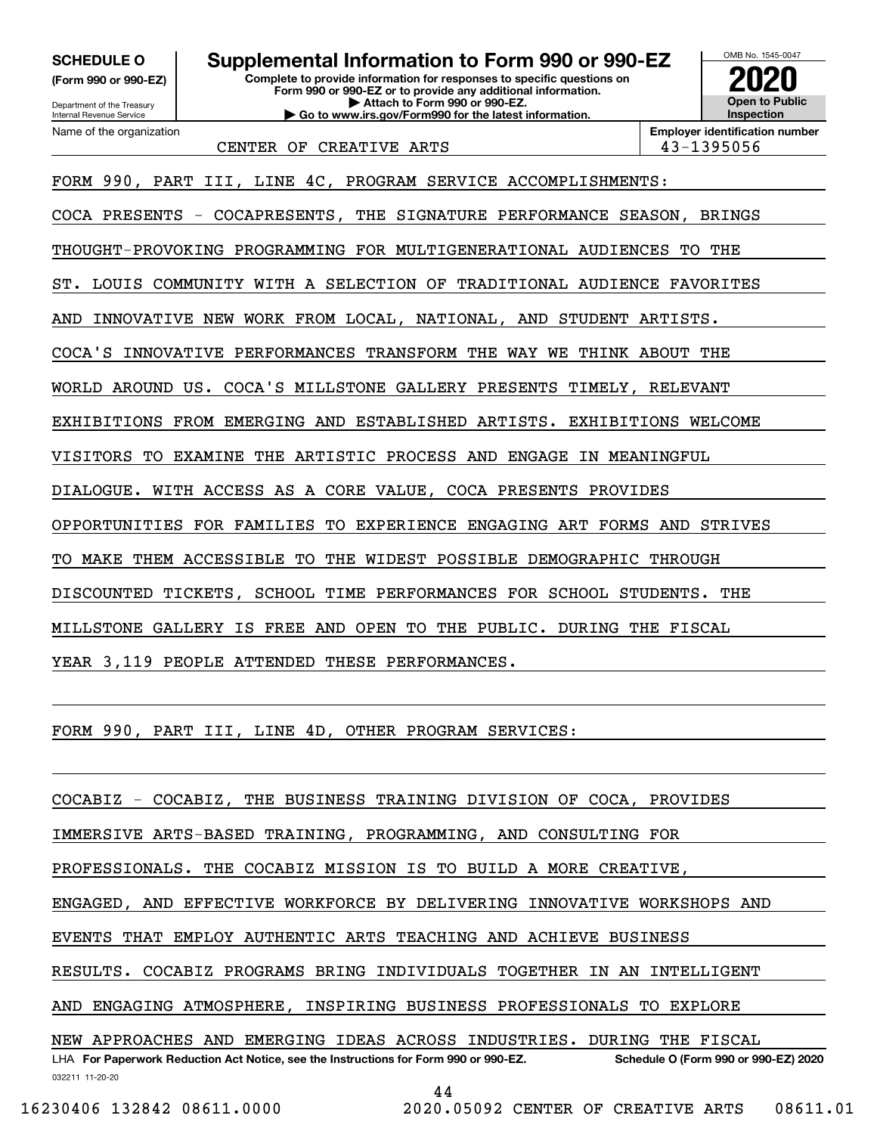**(Form 990 or 990-EZ)**

Department of the Treasury Internal Revenue Service Name of the organization

**Complete to provide information for responses to specific questions on SCHEDULE O Supplemental Information to Form 990 or 990-EZ**

**Form 990 or 990-EZ or to provide any additional information. | Attach to Form 990 or 990-EZ. | Go to www.irs.gov/Form990 for the latest information.**



CENTER OF CREATIVE ARTS **ALCORE 143-1395056** 

FORM 990, PART III, LINE 4C, PROGRAM SERVICE ACCOMPLISHMENTS:

COCA PRESENTS - COCAPRESENTS, THE SIGNATURE PERFORMANCE SEASON, BRINGS

THOUGHT-PROVOKING PROGRAMMING FOR MULTIGENERATIONAL AUDIENCES TO THE

ST. LOUIS COMMUNITY WITH A SELECTION OF TRADITIONAL AUDIENCE FAVORITES

AND INNOVATIVE NEW WORK FROM LOCAL, NATIONAL, AND STUDENT ARTISTS.

COCA'S INNOVATIVE PERFORMANCES TRANSFORM THE WAY WE THINK ABOUT THE

WORLD AROUND US. COCA'S MILLSTONE GALLERY PRESENTS TIMELY, RELEVANT

EXHIBITIONS FROM EMERGING AND ESTABLISHED ARTISTS. EXHIBITIONS WELCOME

VISITORS TO EXAMINE THE ARTISTIC PROCESS AND ENGAGE IN MEANINGFUL

DIALOGUE. WITH ACCESS AS A CORE VALUE, COCA PRESENTS PROVIDES

OPPORTUNITIES FOR FAMILIES TO EXPERIENCE ENGAGING ART FORMS AND STRIVES

TO MAKE THEM ACCESSIBLE TO THE WIDEST POSSIBLE DEMOGRAPHIC THROUGH

DISCOUNTED TICKETS, SCHOOL TIME PERFORMANCES FOR SCHOOL STUDENTS. THE

MILLSTONE GALLERY IS FREE AND OPEN TO THE PUBLIC. DURING THE FISCAL

YEAR 3,119 PEOPLE ATTENDED THESE PERFORMANCES.

FORM 990, PART III, LINE 4D, OTHER PROGRAM SERVICES:

COCABIZ - COCABIZ, THE BUSINESS TRAINING DIVISION OF COCA, PROVIDES

IMMERSIVE ARTS-BASED TRAINING, PROGRAMMING, AND CONSULTING FOR

PROFESSIONALS. THE COCABIZ MISSION IS TO BUILD A MORE CREATIVE,

ENGAGED, AND EFFECTIVE WORKFORCE BY DELIVERING INNOVATIVE WORKSHOPS AND

EVENTS THAT EMPLOY AUTHENTIC ARTS TEACHING AND ACHIEVE BUSINESS

RESULTS. COCABIZ PROGRAMS BRING INDIVIDUALS TOGETHER IN AN INTELLIGENT

AND ENGAGING ATMOSPHERE, INSPIRING BUSINESS PROFESSIONALS TO EXPLORE

LHA For Paperwork Reduction Act Notice, see the Instructions for Form 990 or 990-EZ. Schedule O (Form 990 or 990-EZ) 2020 NEW APPROACHES AND EMERGING IDEAS ACROSS INDUSTRIES. DURING THE FISCAL

032211 11-20-20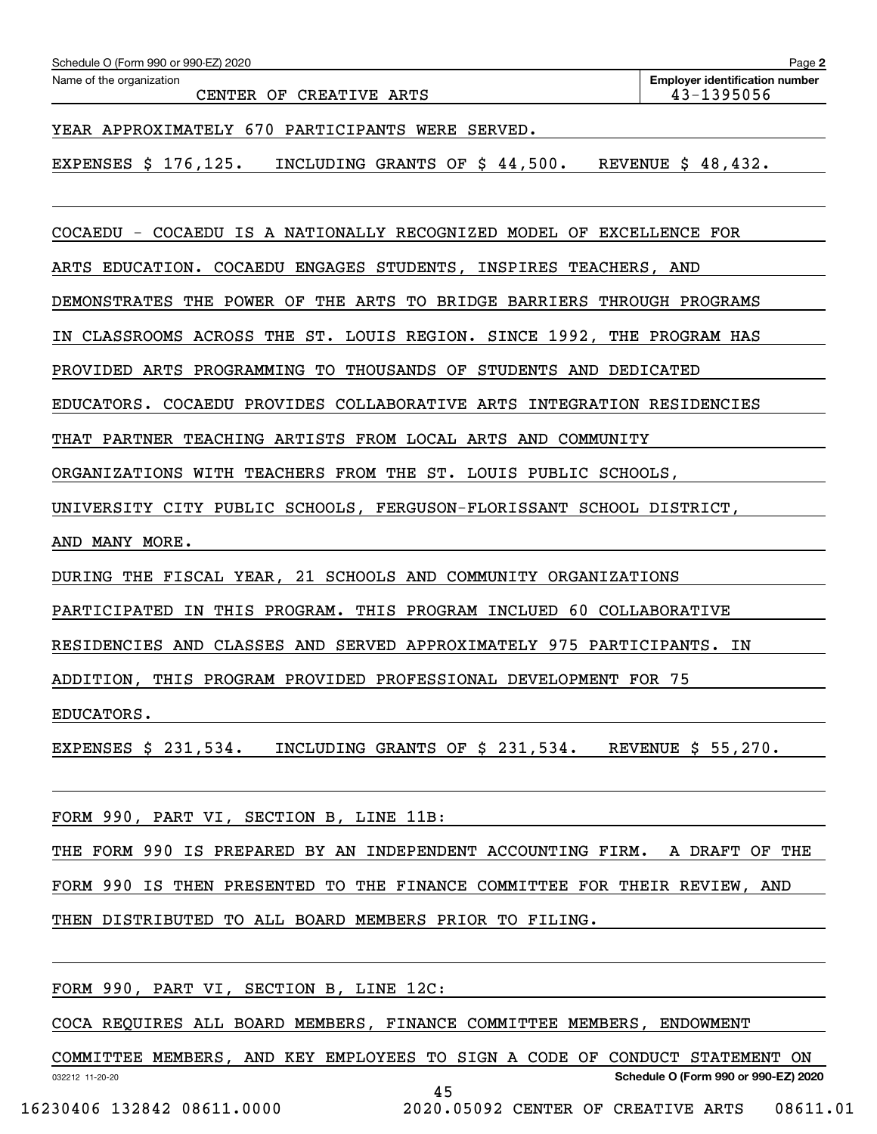| Name of the organization                                                                             | <b>Employer identification number</b> |
|------------------------------------------------------------------------------------------------------|---------------------------------------|
| CREATIVE ARTS<br>CENTER OF                                                                           | 43-1395056                            |
| YEAR APPROXIMATELY 670 PARTICIPANTS WERE<br>SERVED.                                                  |                                       |
| \$176, 125.<br>\$44,500.<br>EXPENSES<br>INCLUDING GRANTS OF                                          | 48,432.<br><b>REVENUE</b><br>S.       |
| IS A NATIONALLY RECOGNIZED MODEL OF EXCELLENCE FOR<br><b>COCAEDU</b><br>COCAEDU<br>$\qquad \qquad -$ |                                       |
| ENGAGES STUDENTS, INSPIRES TEACHERS, AND<br>EDUCATION.<br>COCAEDU<br>ARTS                            |                                       |

IN CLASSROOMS ACROSS THE ST. LOUIS REGION. SINCE 1992, THE PROGRAM HAS

PROVIDED ARTS PROGRAMMING TO THOUSANDS OF STUDENTS AND DEDICATED

EDUCATORS. COCAEDU PROVIDES COLLABORATIVE ARTS INTEGRATION RESIDENCIES

THAT PARTNER TEACHING ARTISTS FROM LOCAL ARTS AND COMMUNITY

ORGANIZATIONS WITH TEACHERS FROM THE ST. LOUIS PUBLIC SCHOOLS,

UNIVERSITY CITY PUBLIC SCHOOLS, FERGUSON-FLORISSANT SCHOOL DISTRICT,

AND MANY MORE.

DURING THE FISCAL YEAR, 21 SCHOOLS AND COMMUNITY ORGANIZATIONS

PARTICIPATED IN THIS PROGRAM. THIS PROGRAM INCLUED 60 COLLABORATIVE

RESIDENCIES AND CLASSES AND SERVED APPROXIMATELY 975 PARTICIPANTS. IN

ADDITION, THIS PROGRAM PROVIDED PROFESSIONAL DEVELOPMENT FOR 75

EDUCATORS.

EXPENSES \$ 231,534. INCLUDING GRANTS OF \$ 231,534. REVENUE \$ 55,270.

FORM 990, PART VI, SECTION B, LINE 11B:

THE FORM 990 IS PREPARED BY AN INDEPENDENT ACCOUNTING FIRM. A DRAFT OF THE FORM 990 IS THEN PRESENTED TO THE FINANCE COMMITTEE FOR THEIR REVIEW, AND

THEN DISTRIBUTED TO ALL BOARD MEMBERS PRIOR TO FILING.

FORM 990, PART VI, SECTION B, LINE 12C:

COCA REQUIRES ALL BOARD MEMBERS, FINANCE COMMITTEE MEMBERS, ENDOWMENT

032212 11-20-20 **Schedule O (Form 990 or 990-EZ) 2020** COMMITTEE MEMBERS, AND KEY EMPLOYEES TO SIGN A CODE OF CONDUCT STATEMENT ON 45

16230406 132842 08611.0000 2020.05092 CENTER OF CREATIVE ARTS 08611.01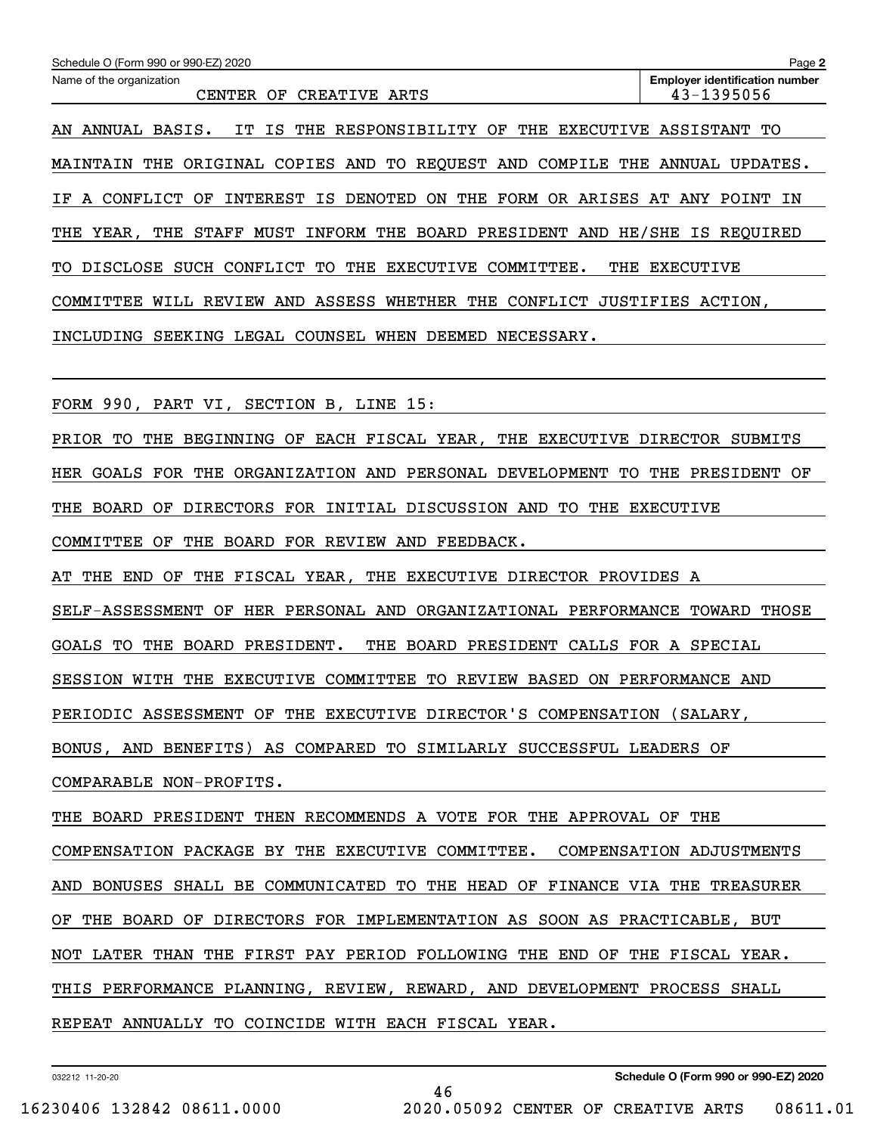| Schedule O (Form 990 or 990-EZ) 2020                                                             | Page 2                                               |
|--------------------------------------------------------------------------------------------------|------------------------------------------------------|
| Name of the organization<br>CENTER OF<br>CREATIVE ARTS                                           | <b>Employer identification number</b><br>43-1395056  |
| AN ANNUAL BASIS.<br>THE<br>RESPONSIBILITY OF<br>THE EXECUTIVE ASSISTANT<br>IT<br>IS              | TО                                                   |
| <b>MAINTAIN THE</b><br>ORIGINAL COPIES AND<br>TO REQUEST AND                                     | COMPILE THE ANNUAL UPDATES.                          |
| <b>INTEREST</b><br><b>DENOTED</b><br>THE<br>FORM OR ARISES<br>A CONFLICT<br>ОF<br>ΙS<br>ON<br>ΙF | AT<br>ANY POINT<br>IN                                |
| INFORM THE BOARD PRESIDENT AND HE/SHE<br>THE<br>STAFF MUST<br>THE<br>YEAR,                       | IS REQUIRED                                          |
| DISCLOSE SUCH CONFLICT<br>THE<br><b>EXECUTIVE</b><br>COMMITTEE.<br>TО<br>THE<br>TО               | <b>EXECUTIVE</b>                                     |
| ASSESS<br>WHETHER<br>THE<br>CONFLICT JUSTIFIES ACTION,<br>COMMITTEE<br>WILL REVIEW AND           |                                                      |
| INCLUDING SEEKING LEGAL COUNSEL WHEN DEEMED NECESSARY.                                           |                                                      |
|                                                                                                  |                                                      |
| FORM 990, PART VI, SECTION B, LINE 15:                                                           |                                                      |
| PRIOR TO<br>THE<br>BEGINNING OF EACH FISCAL YEAR,                                                | THE EXECUTIVE DIRECTOR SUBMITS                       |
| HER GOALS FOR THE ORGANIZATION AND PERSONAL DEVELOPMENT<br>TО                                    | THE<br>PRESIDENT<br>ΟF                               |
| DIRECTORS FOR INITIAL DISCUSSION AND<br>THE<br>THE<br>BOARD<br>TO<br>OF.                         | EXECUTIVE                                            |
| COMMITTEE<br>ΟF<br>THE BOARD FOR REVIEW AND FEEDBACK.                                            |                                                      |
| THE FISCAL YEAR, THE EXECUTIVE DIRECTOR PROVIDES A<br>AТ<br>THE<br>END<br>ΟF                     |                                                      |
| OF HER PERSONAL AND<br>SELF-ASSESSMENT<br>ORGANIZATIONAL PERFORMANCE                             | TOWARD<br>THOSE                                      |
| GOALS TO<br>THE BOARD PRESIDENT.<br>THE<br>BOARD PRESIDENT CALLS FOR A SPECIAL                   |                                                      |
| SESSION WITH THE EXECUTIVE COMMITTEE TO REVIEW BASED ON PERFORMANCE AND                          |                                                      |
| PERIODIC ASSESSMENT OF THE EXECUTIVE DIRECTOR'S COMPENSATION (SALARY,                            |                                                      |
| BONUS, AND BENEFITS) AS COMPARED TO SIMILARLY SUCCESSFUL LEADERS OF                              |                                                      |
| COMPARABLE NON-PROFITS.                                                                          |                                                      |
| THE BOARD PRESIDENT THEN RECOMMENDS A VOTE FOR THE APPROVAL OF THE                               |                                                      |
| COMPENSATION PACKAGE BY THE EXECUTIVE COMMITTEE. COMPENSATION ADJUSTMENTS                        |                                                      |
| AND BONUSES SHALL BE COMMUNICATED TO THE HEAD OF FINANCE VIA THE TREASURER                       |                                                      |
| OF THE BOARD OF DIRECTORS FOR IMPLEMENTATION AS SOON AS PRACTICABLE, BUT                         |                                                      |
| NOT LATER THAN THE FIRST PAY PERIOD FOLLOWING THE END OF THE FISCAL YEAR.                        |                                                      |
| THIS PERFORMANCE PLANNING, REVIEW, REWARD, AND DEVELOPMENT PROCESS SHALL                         |                                                      |
| REPEAT ANNUALLY TO COINCIDE WITH EACH FISCAL YEAR.                                               | <u> 1989 - Johann Stoff, Amerikaansk politiker (</u> |
|                                                                                                  |                                                      |

46

032212 11-20-20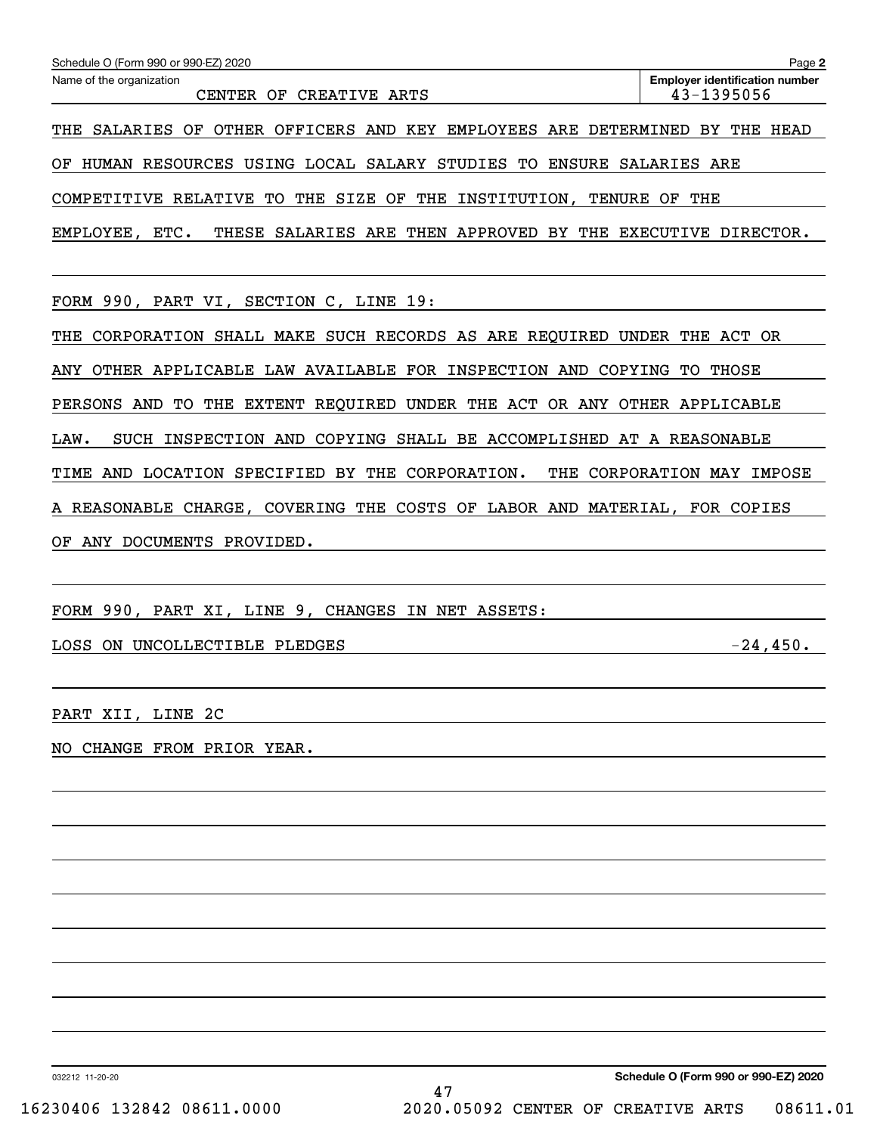| Schedule O (Form 990 or 990-EZ) 2020                                              | Page 2                                              |
|-----------------------------------------------------------------------------------|-----------------------------------------------------|
| Name of the organization<br>CENTER OF CREATIVE ARTS                               | <b>Employer identification number</b><br>43-1395056 |
| SALARIES OF<br>OTHER OFFICERS AND KEY EMPLOYEES ARE DETERMINED BY THE HEAD<br>THE |                                                     |
| HUMAN RESOURCES USING LOCAL SALARY STUDIES TO ENSURE SALARIES ARE<br>ΟF           |                                                     |
| COMPETITIVE RELATIVE TO THE SIZE OF THE INSTITUTION, TENURE OF THE                |                                                     |
| THESE SALARIES ARE THEN APPROVED BY THE EXECUTIVE DIRECTOR.<br>EMPLOYEE, ETC.     |                                                     |
|                                                                                   |                                                     |
| FORM 990, PART VI, SECTION C, LINE 19:                                            |                                                     |
| CORPORATION SHALL MAKE SUCH RECORDS AS ARE REQUIRED UNDER THE ACT OR<br>THE       |                                                     |
| OTHER APPLICABLE LAW AVAILABLE FOR INSPECTION AND COPYING TO<br>ANY               | THOSE                                               |
| EXTENT REQUIRED UNDER THE ACT OR ANY OTHER APPLICABLE<br>PERSONS AND<br>TO THE    |                                                     |
| SUCH INSPECTION AND COPYING SHALL BE ACCOMPLISHED AT A REASONABLE<br>LAW.         |                                                     |
| LOCATION SPECIFIED BY<br>THE CORPORATION.<br>TIME AND<br>THE                      | CORPORATION MAY IMPOSE                              |
| A REASONABLE CHARGE, COVERING THE COSTS OF LABOR AND MATERIAL, FOR COPIES         |                                                     |
| ANY DOCUMENTS PROVIDED.<br>ΟF                                                     |                                                     |
|                                                                                   |                                                     |

FORM 990, PART XI, LINE 9, CHANGES IN NET ASSETS:

LOSS ON UNCOLLECTIBLE PLEDGES  $-24,450$ .

PART XII, LINE 2C

NO CHANGE FROM PRIOR YEAR.

032212 11-20-20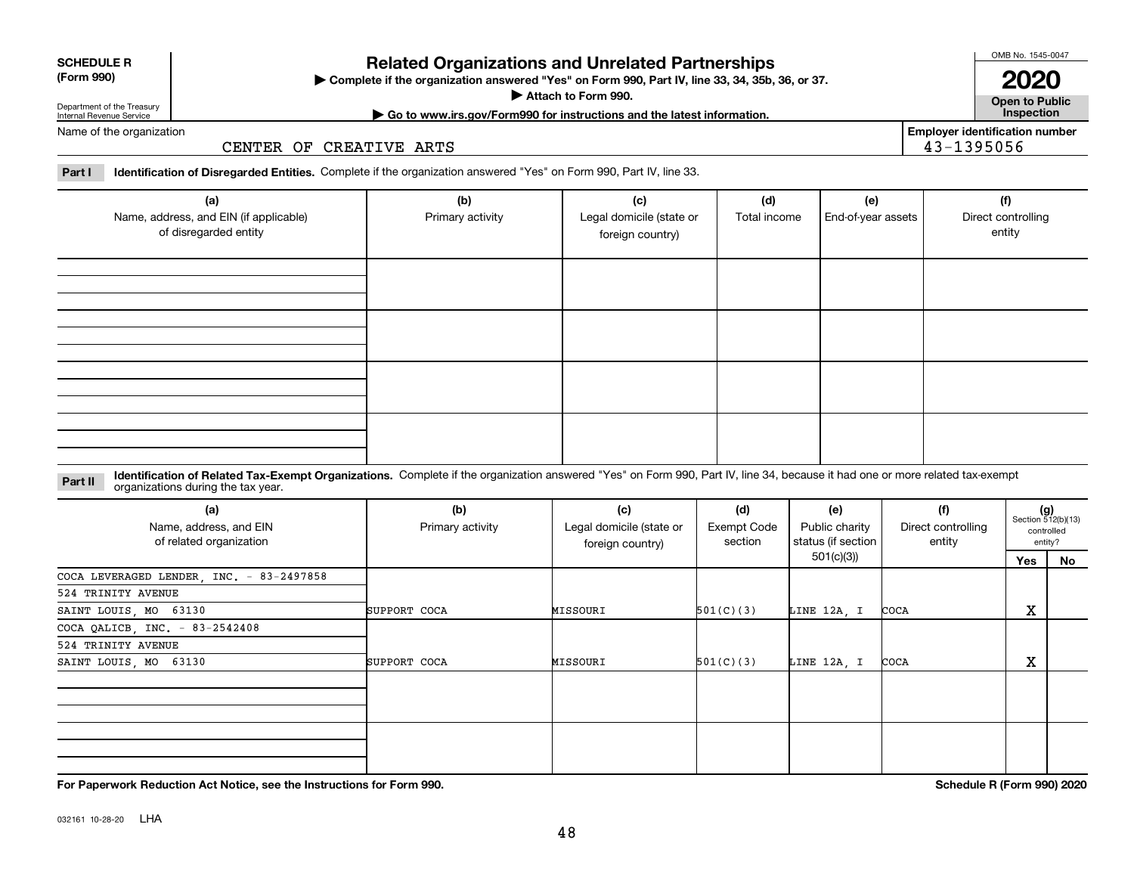032161 10-28-20 LHA

## **Related Organizations and Unrelated Partnerships**

**Complete if the organization answered "Yes" on Form 990, Part IV, line 33, 34, 35b, 36, or 37.** |

**Attach to Form 990.**  |

**Open to Public | Go to www.irs.gov/Form990 for instructions and the latest information. Inspection**

**2020**

**Employer identification number**

43-1395056

Name of the organization

### CENTER OF CREATIVE ARTS

**Part I Identification of Disregarded Entities.**  Complete if the organization answered "Yes" on Form 990, Part IV, line 33.

| (a)<br>Name, address, and EIN (if applicable)<br>of disregarded entity | (b)<br>Primary activity | (c)<br>Legal domicile (state or<br>foreign country) | (d)<br>Total income | (e)<br>End-of-year assets | (f)<br>Direct controlling<br>entity |
|------------------------------------------------------------------------|-------------------------|-----------------------------------------------------|---------------------|---------------------------|-------------------------------------|
|                                                                        |                         |                                                     |                     |                           |                                     |
|                                                                        |                         |                                                     |                     |                           |                                     |
|                                                                        |                         |                                                     |                     |                           |                                     |
|                                                                        |                         |                                                     |                     |                           |                                     |

#### **Identification of Related Tax-Exempt Organizations.** Complete if the organization answered "Yes" on Form 990, Part IV, line 34, because it had one or more related tax-exempt **Part II** organizations during the tax year.

| (a)<br>Name, address, and EIN<br>of related organization | (b)<br>Primary activity | (c)<br>Legal domicile (state or<br>foreign country) | (d)<br><b>Exempt Code</b><br>section | (e)<br>Public charity<br>status (if section | (f)<br>Direct controlling<br>entity |     | $(g)$<br>Section 512(b)(13)<br>controlled<br>entity? |  |
|----------------------------------------------------------|-------------------------|-----------------------------------------------------|--------------------------------------|---------------------------------------------|-------------------------------------|-----|------------------------------------------------------|--|
|                                                          |                         |                                                     |                                      | 501(c)(3))                                  |                                     | Yes | No                                                   |  |
| COCA LEVERAGED LENDER, INC. - 83-2497858                 |                         |                                                     |                                      |                                             |                                     |     |                                                      |  |
| 524 TRINITY AVENUE                                       |                         |                                                     |                                      |                                             |                                     |     |                                                      |  |
| SAINT LOUIS, MO 63130                                    | SUPPORT COCA            | MISSOURI                                            | 501(C)(3)                            | LINE 12A, I                                 | COCA                                | X   |                                                      |  |
| COCA QALICB, INC. - 83-2542408                           |                         |                                                     |                                      |                                             |                                     |     |                                                      |  |
| 524 TRINITY AVENUE                                       |                         |                                                     |                                      |                                             |                                     |     |                                                      |  |
| SAINT LOUIS, MO 63130                                    | SUPPORT COCA            | MISSOURI                                            | 501(C)(3)                            | LINE 12A, I                                 | COCA                                | X   |                                                      |  |
|                                                          |                         |                                                     |                                      |                                             |                                     |     |                                                      |  |
|                                                          |                         |                                                     |                                      |                                             |                                     |     |                                                      |  |
|                                                          |                         |                                                     |                                      |                                             |                                     |     |                                                      |  |
|                                                          |                         |                                                     |                                      |                                             |                                     |     |                                                      |  |
|                                                          |                         |                                                     |                                      |                                             |                                     |     |                                                      |  |
|                                                          |                         |                                                     |                                      |                                             |                                     |     |                                                      |  |

**For Paperwork Reduction Act Notice, see the Instructions for Form 990. Schedule R (Form 990) 2020**



#### **SCHEDULE R (Form 990)**

Department of the Treasury Internal Revenue Service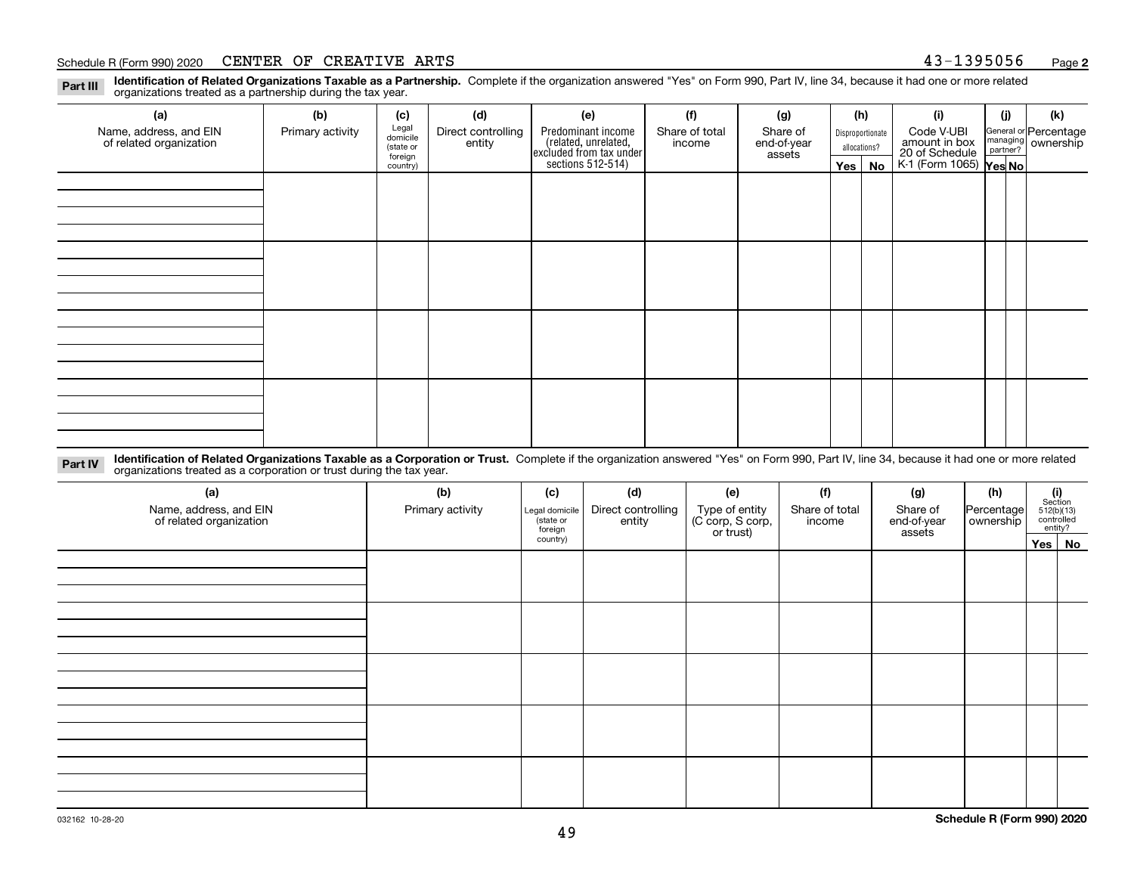#### Schedule R (Form 990) 2020  ${\tt CENTER}$   ${\tt OF}$   ${\tt CREATIVE}$   ${\tt ARTS}$   ${\tt S}$   ${\tt A3-1395056}$   ${\tt Page}$

**Identification of Related Organizations Taxable as a Partnership.** Complete if the organization answered "Yes" on Form 990, Part IV, line 34, because it had one or more related **Part III** organizations treated as a partnership during the tax year.

| (a)                                               | (b)              | (c)                  | (d)                          | (e)                                                                  | (f)                      | (g)                     | (h) |                  | (i)                                                              | (j) | (k)                                                       |
|---------------------------------------------------|------------------|----------------------|------------------------------|----------------------------------------------------------------------|--------------------------|-------------------------|-----|------------------|------------------------------------------------------------------|-----|-----------------------------------------------------------|
| Name, address, and EIN<br>of related organization | Primary activity | Legal<br>domicile    | Direct controlling<br>entity | Predominant income                                                   | Share of total<br>income | Share of<br>end-of-year |     | Disproportionate | Code V-UBI                                                       |     | General or Percentage<br>managing<br>partner?<br>partner? |
|                                                   |                  | (state or<br>foreign |                              |                                                                      |                          | assets                  |     | allocations?     |                                                                  |     |                                                           |
|                                                   |                  | country)             |                              | (related, unrelated,<br>excluded from tax under<br>sections 512-514) |                          |                         |     | $Yes \mid No$    | amount in box<br>20 of Schedule<br>K-1 (Form 1065) <b>Yes No</b> |     |                                                           |
|                                                   |                  |                      |                              |                                                                      |                          |                         |     |                  |                                                                  |     |                                                           |
|                                                   |                  |                      |                              |                                                                      |                          |                         |     |                  |                                                                  |     |                                                           |
|                                                   |                  |                      |                              |                                                                      |                          |                         |     |                  |                                                                  |     |                                                           |
|                                                   |                  |                      |                              |                                                                      |                          |                         |     |                  |                                                                  |     |                                                           |
|                                                   |                  |                      |                              |                                                                      |                          |                         |     |                  |                                                                  |     |                                                           |
|                                                   |                  |                      |                              |                                                                      |                          |                         |     |                  |                                                                  |     |                                                           |
|                                                   |                  |                      |                              |                                                                      |                          |                         |     |                  |                                                                  |     |                                                           |
|                                                   |                  |                      |                              |                                                                      |                          |                         |     |                  |                                                                  |     |                                                           |
|                                                   |                  |                      |                              |                                                                      |                          |                         |     |                  |                                                                  |     |                                                           |
|                                                   |                  |                      |                              |                                                                      |                          |                         |     |                  |                                                                  |     |                                                           |
|                                                   |                  |                      |                              |                                                                      |                          |                         |     |                  |                                                                  |     |                                                           |
|                                                   |                  |                      |                              |                                                                      |                          |                         |     |                  |                                                                  |     |                                                           |
|                                                   |                  |                      |                              |                                                                      |                          |                         |     |                  |                                                                  |     |                                                           |
|                                                   |                  |                      |                              |                                                                      |                          |                         |     |                  |                                                                  |     |                                                           |
|                                                   |                  |                      |                              |                                                                      |                          |                         |     |                  |                                                                  |     |                                                           |
|                                                   |                  |                      |                              |                                                                      |                          |                         |     |                  |                                                                  |     |                                                           |
|                                                   |                  |                      |                              |                                                                      |                          |                         |     |                  |                                                                  |     |                                                           |

**Identification of Related Organizations Taxable as a Corporation or Trust.** Complete if the organization answered "Yes" on Form 990, Part IV, line 34, because it had one or more related **Part IV** organizations treated as a corporation or trust during the tax year.

| (a)<br>Name, address, and EIN<br>of related organization | (b)<br>Primary activity | (c)<br>Legal domicile<br>(state or<br>foreign | (d)<br>Direct controlling<br>entity | (e)<br>Type of entity<br>(C corp, S corp,<br>or trust) | (f)<br>Share of total<br>income | (g)<br>Share of<br>end-of-year<br>assets | (h)<br>Percentage<br>ownership | $\begin{array}{c} \textbf{(i)}\\ \text{Section}\\ 512 \text{(b)} \text{(13)}\\ \text{controlled}\\ \text{entity?} \end{array}$ |  |  |
|----------------------------------------------------------|-------------------------|-----------------------------------------------|-------------------------------------|--------------------------------------------------------|---------------------------------|------------------------------------------|--------------------------------|--------------------------------------------------------------------------------------------------------------------------------|--|--|
|                                                          |                         | country)                                      |                                     |                                                        |                                 |                                          |                                | Yes No                                                                                                                         |  |  |
|                                                          |                         |                                               |                                     |                                                        |                                 |                                          |                                |                                                                                                                                |  |  |
|                                                          |                         |                                               |                                     |                                                        |                                 |                                          |                                |                                                                                                                                |  |  |
|                                                          |                         |                                               |                                     |                                                        |                                 |                                          |                                |                                                                                                                                |  |  |
|                                                          |                         |                                               |                                     |                                                        |                                 |                                          |                                |                                                                                                                                |  |  |
|                                                          |                         |                                               |                                     |                                                        |                                 |                                          |                                |                                                                                                                                |  |  |
|                                                          |                         |                                               |                                     |                                                        |                                 |                                          |                                |                                                                                                                                |  |  |
|                                                          |                         |                                               |                                     |                                                        |                                 |                                          |                                |                                                                                                                                |  |  |
|                                                          |                         |                                               |                                     |                                                        |                                 |                                          |                                |                                                                                                                                |  |  |
|                                                          |                         |                                               |                                     |                                                        |                                 |                                          |                                |                                                                                                                                |  |  |
|                                                          |                         |                                               |                                     |                                                        |                                 |                                          |                                |                                                                                                                                |  |  |
|                                                          |                         |                                               |                                     |                                                        |                                 |                                          |                                |                                                                                                                                |  |  |
|                                                          |                         |                                               |                                     |                                                        |                                 |                                          |                                |                                                                                                                                |  |  |
|                                                          |                         |                                               |                                     |                                                        |                                 |                                          |                                |                                                                                                                                |  |  |
|                                                          |                         |                                               |                                     |                                                        |                                 |                                          |                                |                                                                                                                                |  |  |
|                                                          |                         |                                               |                                     |                                                        |                                 |                                          |                                |                                                                                                                                |  |  |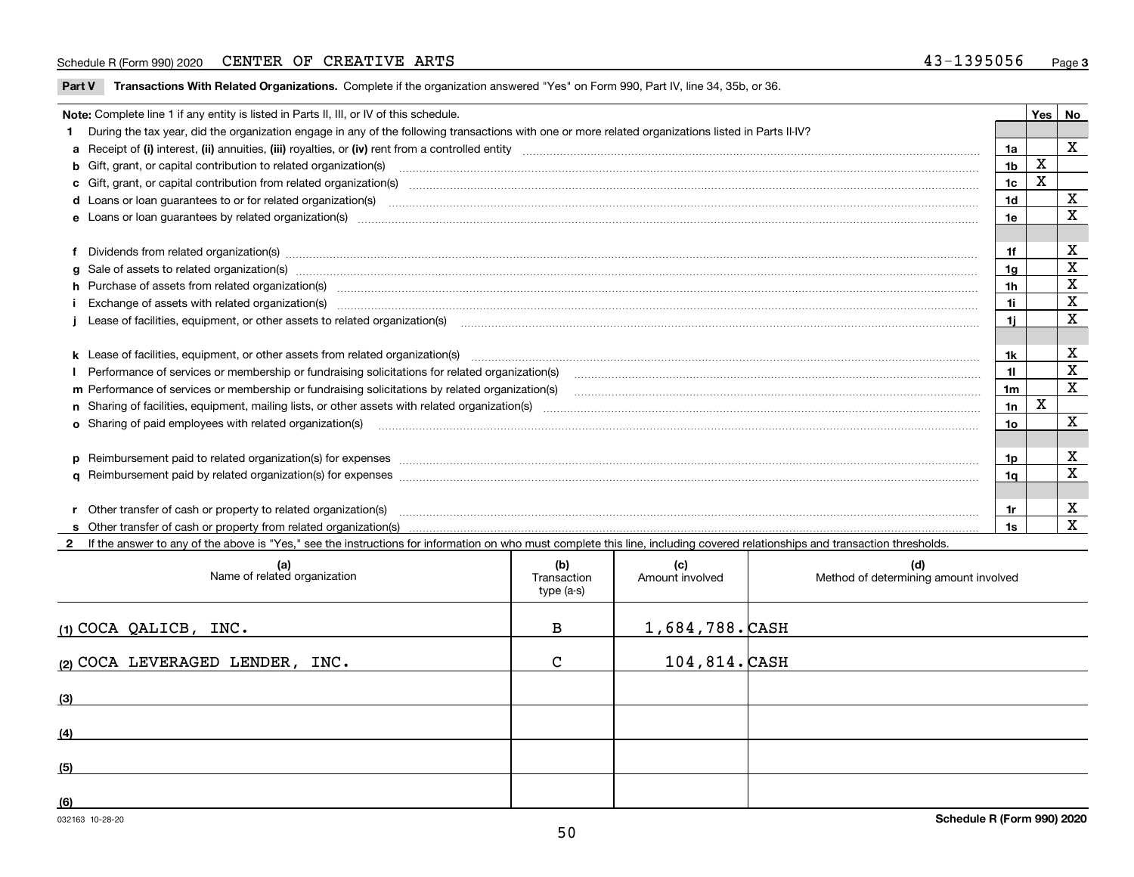#### Schedule R (Form 990) 2020  ${\tt CENTER}$   ${\tt OF}$   ${\tt CREATIVE}$   ${\tt ARTS}$   ${\tt S}$   ${\tt A3-1395056}$   ${\tt Page}$

**Part V** T**ransactions With Related Organizations.** Complete if the organization answered "Yes" on Form 990, Part IV, line 34, 35b, or 36.

| Note: Complete line 1 if any entity is listed in Parts II, III, or IV of this schedule.                                                                                                                                        |                | Yes | No           |
|--------------------------------------------------------------------------------------------------------------------------------------------------------------------------------------------------------------------------------|----------------|-----|--------------|
| During the tax year, did the organization engage in any of the following transactions with one or more related organizations listed in Parts II-IV?                                                                            |                |     |              |
|                                                                                                                                                                                                                                | 1a             |     | $\mathbf{x}$ |
| <b>b</b> Gift, grant, or capital contribution to related organization(s)                                                                                                                                                       | 1 <sub>b</sub> | X   |              |
| c Gift, grant, or capital contribution from related organization(s) manufaction contribution from related organization(s) manufaction contribution from related organization(s) manufaction contribution from related organiza | 1c             | X   |              |
| d Loans or loan guarantees to or for related organization(s) mature material content to consume the content of the content of the content of the content of the content of the content of the content of the content of the co | 1 <sub>d</sub> |     | $\mathbf{x}$ |
| e Loans or loan guarantees by related organization(s) manufaction contraction and contract the contract of the contract or contract or contract or contract or contract or contract or contract or contract or contract or con | 1e             |     | $\mathbf x$  |
|                                                                                                                                                                                                                                |                |     |              |
| f Dividends from related organization(s) manufactured contains and contained and contained contained and contained and contained and contained and contained and contained and contained and contained and contained and conta | 1f             |     | X            |
|                                                                                                                                                                                                                                | 1a             |     | х            |
| h Purchase of assets from related organization(s) www.assettion.com/www.assettion.com/www.assettion.com/www.assettion.com/www.assettion.com/www.assettion.com/www.assettion.com/www.assettion.com/www.assettion.com/www.assett | 1 <sub>h</sub> |     | X            |
|                                                                                                                                                                                                                                | 1i             |     | X            |
| Lease of facilities, equipment, or other assets to related organization(s) [11] manufactured manufactured manufactured manufactured manufactured manufactured manufactured manufactured manufactured manufactured manufactured | 1i.            |     | X            |
|                                                                                                                                                                                                                                |                |     |              |
|                                                                                                                                                                                                                                | 1k             |     | х            |
| Performance of services or membership or fundraising solicitations for related organization(s) [11] production content in the service of services or membership or fundraising solicitations for related organization(s) [11]  | 11             |     | X            |
| m Performance of services or membership or fundraising solicitations by related organization(s)                                                                                                                                | 1m             |     | $\mathbf X$  |
|                                                                                                                                                                                                                                | 1n             | х   |              |
| <b>o</b> Sharing of paid employees with related organization(s)                                                                                                                                                                | 10             |     | X            |
|                                                                                                                                                                                                                                |                |     |              |
| p Reimbursement paid to related organization(s) for expenses [111] and the material content of the set of the set of the set of the set of the set of the set of the set of the set of the set of the set of the set of the se | 1p.            |     | х            |
|                                                                                                                                                                                                                                | 1a             |     | X            |
|                                                                                                                                                                                                                                |                |     |              |
| r Other transfer of cash or property to related organization(s)                                                                                                                                                                | 1r             |     | X            |
|                                                                                                                                                                                                                                | 1s             |     | X            |
| 2 If the answer to any of the above is "Yes," see the instructions for information on who must complete this line, including covered relationships and transaction thresholds.                                                 |                |     |              |

| (a)<br>Name of related organization | (b)<br>Transaction<br>type (a-s) | (c)<br>Amount involved | (d)<br>Method of determining amount involved |
|-------------------------------------|----------------------------------|------------------------|----------------------------------------------|
| (1) COCA QALICB, INC.               | $\, {\bf B}$                     | $1,684,788.$ CASH      |                                              |
| (2) COCA LEVERAGED LENDER, INC.     | $\mathsf{C}$                     | $104, 814.$ CASH       |                                              |
| (3)                                 |                                  |                        |                                              |
| (4)                                 |                                  |                        |                                              |
| (5)                                 |                                  |                        |                                              |
| (6)                                 |                                  |                        |                                              |

 $\overline{\phantom{a}}$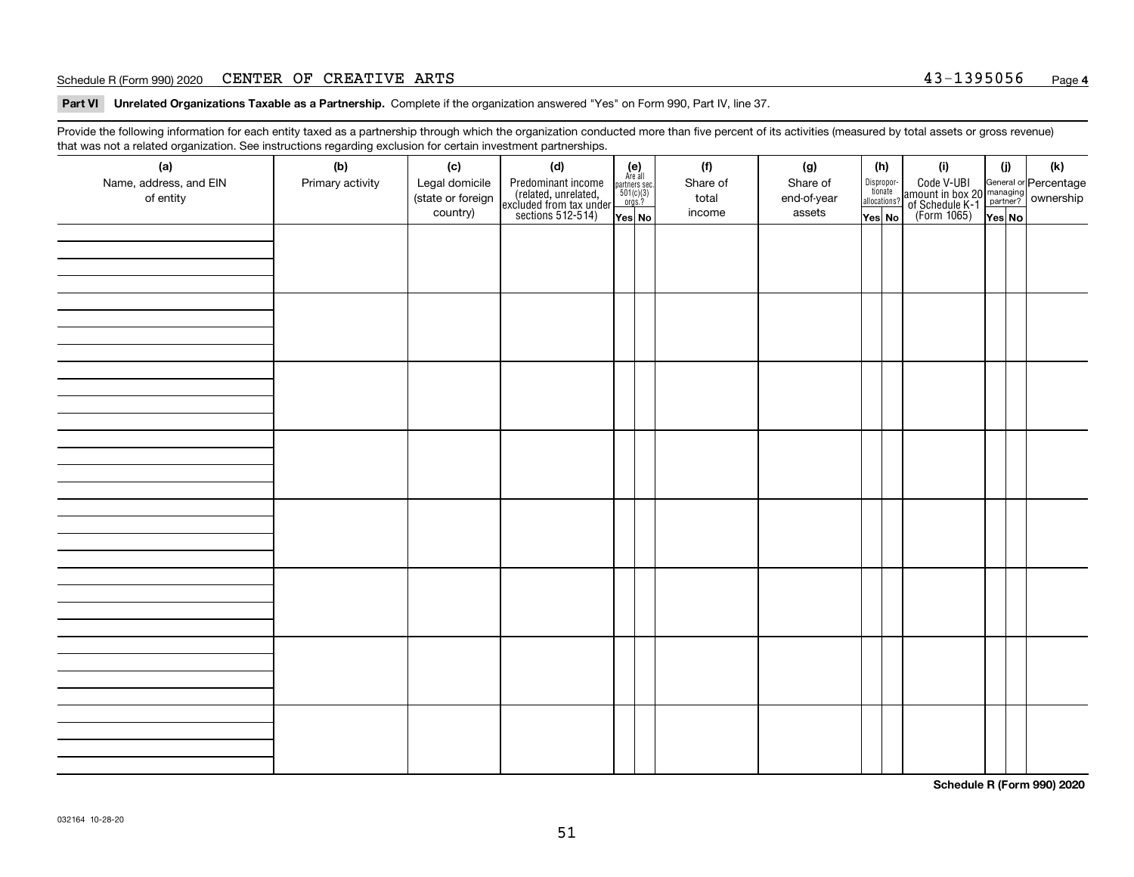#### Schedule R (Form 990) 2020  ${\tt CENTER}$   ${\tt OF}$   ${\tt CREATIVE}$   ${\tt ARTS}$   ${\tt S}$   ${\tt A3-1395056}$   ${\tt Page}$

**Part VI Unrelated Organizations Taxable as a Partnership. Complete if the organization answered "Yes" on Form 990, Part IV, line 37.** 

Provide the following information for each entity taxed as a partnership through which the organization conducted more than five percent of its activities (measured by total assets or gross revenue) that was not a related organization. See instructions regarding exclusion for certain investment partnerships.

| ັ                      | ັ<br>ັ           |                   |                                                                                            |                                      |          |        |             |                                       |     |                                                                                                                                       |     |     |  |  |  |  |  |  |  |  |  |  |  |  |  |  |  |  |  |  |  |  |  |  |  |  |  |  |  |  |  |
|------------------------|------------------|-------------------|--------------------------------------------------------------------------------------------|--------------------------------------|----------|--------|-------------|---------------------------------------|-----|---------------------------------------------------------------------------------------------------------------------------------------|-----|-----|--|--|--|--|--|--|--|--|--|--|--|--|--|--|--|--|--|--|--|--|--|--|--|--|--|--|--|--|--|
| (a)                    | (b)              | (c)               | (d)                                                                                        | (e)<br>Are all                       | (f)      |        | (g)         |                                       | (h) | (i)                                                                                                                                   | (i) | (k) |  |  |  |  |  |  |  |  |  |  |  |  |  |  |  |  |  |  |  |  |  |  |  |  |  |  |  |  |  |
| Name, address, and EIN | Primary activity | Legal domicile    | Predominant income<br>(related, unrelated,<br>excluded from tax under<br>sections 512-514) | partners sec.<br>501(c)(3)<br>orgs.? | Share of |        | Share of    | Dispropor-<br>tionate<br>allocations? |     | Code V-UBI<br>  amount in box 20 managing<br>  of Schedule K-1 partner? ownership<br>  of Schedule K-1 partner? ownership<br>  Yes No |     |     |  |  |  |  |  |  |  |  |  |  |  |  |  |  |  |  |  |  |  |  |  |  |  |  |  |  |  |  |  |
| of entity              |                  | (state or foreign |                                                                                            |                                      | total    |        | end-of-year |                                       |     |                                                                                                                                       |     |     |  |  |  |  |  |  |  |  |  |  |  |  |  |  |  |  |  |  |  |  |  |  |  |  |  |  |  |  |  |
|                        |                  | country)          |                                                                                            | income<br>Yes No                     |          | assets | Yes No      |                                       |     | Yes No                                                                                                                                |     |     |  |  |  |  |  |  |  |  |  |  |  |  |  |  |  |  |  |  |  |  |  |  |  |  |  |  |  |  |  |
|                        |                  |                   |                                                                                            |                                      |          |        |             |                                       |     |                                                                                                                                       |     |     |  |  |  |  |  |  |  |  |  |  |  |  |  |  |  |  |  |  |  |  |  |  |  |  |  |  |  |  |  |
|                        |                  |                   |                                                                                            |                                      |          |        |             |                                       |     |                                                                                                                                       |     |     |  |  |  |  |  |  |  |  |  |  |  |  |  |  |  |  |  |  |  |  |  |  |  |  |  |  |  |  |  |
|                        |                  |                   |                                                                                            |                                      |          |        |             |                                       |     |                                                                                                                                       |     |     |  |  |  |  |  |  |  |  |  |  |  |  |  |  |  |  |  |  |  |  |  |  |  |  |  |  |  |  |  |
|                        |                  |                   |                                                                                            |                                      |          |        |             |                                       |     |                                                                                                                                       |     |     |  |  |  |  |  |  |  |  |  |  |  |  |  |  |  |  |  |  |  |  |  |  |  |  |  |  |  |  |  |
|                        |                  |                   |                                                                                            |                                      |          |        |             |                                       |     |                                                                                                                                       |     |     |  |  |  |  |  |  |  |  |  |  |  |  |  |  |  |  |  |  |  |  |  |  |  |  |  |  |  |  |  |
|                        |                  |                   |                                                                                            |                                      |          |        |             |                                       |     |                                                                                                                                       |     |     |  |  |  |  |  |  |  |  |  |  |  |  |  |  |  |  |  |  |  |  |  |  |  |  |  |  |  |  |  |
|                        |                  |                   |                                                                                            |                                      |          |        |             |                                       |     |                                                                                                                                       |     |     |  |  |  |  |  |  |  |  |  |  |  |  |  |  |  |  |  |  |  |  |  |  |  |  |  |  |  |  |  |
|                        |                  |                   |                                                                                            |                                      |          |        |             |                                       |     |                                                                                                                                       |     |     |  |  |  |  |  |  |  |  |  |  |  |  |  |  |  |  |  |  |  |  |  |  |  |  |  |  |  |  |  |
|                        |                  |                   |                                                                                            |                                      |          |        |             |                                       |     |                                                                                                                                       |     |     |  |  |  |  |  |  |  |  |  |  |  |  |  |  |  |  |  |  |  |  |  |  |  |  |  |  |  |  |  |
|                        |                  |                   |                                                                                            |                                      |          |        |             |                                       |     |                                                                                                                                       |     |     |  |  |  |  |  |  |  |  |  |  |  |  |  |  |  |  |  |  |  |  |  |  |  |  |  |  |  |  |  |
|                        |                  |                   |                                                                                            |                                      |          |        |             |                                       |     |                                                                                                                                       |     |     |  |  |  |  |  |  |  |  |  |  |  |  |  |  |  |  |  |  |  |  |  |  |  |  |  |  |  |  |  |
|                        |                  |                   |                                                                                            |                                      |          |        |             |                                       |     |                                                                                                                                       |     |     |  |  |  |  |  |  |  |  |  |  |  |  |  |  |  |  |  |  |  |  |  |  |  |  |  |  |  |  |  |
|                        |                  |                   |                                                                                            |                                      |          |        |             |                                       |     |                                                                                                                                       |     |     |  |  |  |  |  |  |  |  |  |  |  |  |  |  |  |  |  |  |  |  |  |  |  |  |  |  |  |  |  |
|                        |                  |                   |                                                                                            |                                      |          |        |             |                                       |     |                                                                                                                                       |     |     |  |  |  |  |  |  |  |  |  |  |  |  |  |  |  |  |  |  |  |  |  |  |  |  |  |  |  |  |  |
|                        |                  |                   |                                                                                            |                                      |          |        |             |                                       |     |                                                                                                                                       |     |     |  |  |  |  |  |  |  |  |  |  |  |  |  |  |  |  |  |  |  |  |  |  |  |  |  |  |  |  |  |
|                        |                  |                   |                                                                                            |                                      |          |        |             |                                       |     |                                                                                                                                       |     |     |  |  |  |  |  |  |  |  |  |  |  |  |  |  |  |  |  |  |  |  |  |  |  |  |  |  |  |  |  |
|                        |                  |                   |                                                                                            |                                      |          |        |             |                                       |     |                                                                                                                                       |     |     |  |  |  |  |  |  |  |  |  |  |  |  |  |  |  |  |  |  |  |  |  |  |  |  |  |  |  |  |  |
|                        |                  |                   |                                                                                            |                                      |          |        |             |                                       |     |                                                                                                                                       |     |     |  |  |  |  |  |  |  |  |  |  |  |  |  |  |  |  |  |  |  |  |  |  |  |  |  |  |  |  |  |
|                        |                  |                   |                                                                                            |                                      |          |        |             |                                       |     |                                                                                                                                       |     |     |  |  |  |  |  |  |  |  |  |  |  |  |  |  |  |  |  |  |  |  |  |  |  |  |  |  |  |  |  |
|                        |                  |                   |                                                                                            |                                      |          |        |             |                                       |     |                                                                                                                                       |     |     |  |  |  |  |  |  |  |  |  |  |  |  |  |  |  |  |  |  |  |  |  |  |  |  |  |  |  |  |  |
|                        |                  |                   |                                                                                            |                                      |          |        |             |                                       |     |                                                                                                                                       |     |     |  |  |  |  |  |  |  |  |  |  |  |  |  |  |  |  |  |  |  |  |  |  |  |  |  |  |  |  |  |
|                        |                  |                   |                                                                                            |                                      |          |        |             |                                       |     |                                                                                                                                       |     |     |  |  |  |  |  |  |  |  |  |  |  |  |  |  |  |  |  |  |  |  |  |  |  |  |  |  |  |  |  |
|                        |                  |                   |                                                                                            |                                      |          |        |             |                                       |     |                                                                                                                                       |     |     |  |  |  |  |  |  |  |  |  |  |  |  |  |  |  |  |  |  |  |  |  |  |  |  |  |  |  |  |  |
|                        |                  |                   |                                                                                            |                                      |          |        |             |                                       |     |                                                                                                                                       |     |     |  |  |  |  |  |  |  |  |  |  |  |  |  |  |  |  |  |  |  |  |  |  |  |  |  |  |  |  |  |
|                        |                  |                   |                                                                                            |                                      |          |        |             |                                       |     |                                                                                                                                       |     |     |  |  |  |  |  |  |  |  |  |  |  |  |  |  |  |  |  |  |  |  |  |  |  |  |  |  |  |  |  |
|                        |                  |                   |                                                                                            |                                      |          |        |             |                                       |     |                                                                                                                                       |     |     |  |  |  |  |  |  |  |  |  |  |  |  |  |  |  |  |  |  |  |  |  |  |  |  |  |  |  |  |  |
|                        |                  |                   |                                                                                            |                                      |          |        |             |                                       |     |                                                                                                                                       |     |     |  |  |  |  |  |  |  |  |  |  |  |  |  |  |  |  |  |  |  |  |  |  |  |  |  |  |  |  |  |
|                        |                  |                   |                                                                                            |                                      |          |        |             |                                       |     |                                                                                                                                       |     |     |  |  |  |  |  |  |  |  |  |  |  |  |  |  |  |  |  |  |  |  |  |  |  |  |  |  |  |  |  |
|                        |                  |                   |                                                                                            |                                      |          |        |             |                                       |     |                                                                                                                                       |     |     |  |  |  |  |  |  |  |  |  |  |  |  |  |  |  |  |  |  |  |  |  |  |  |  |  |  |  |  |  |
|                        |                  |                   |                                                                                            |                                      |          |        |             |                                       |     |                                                                                                                                       |     |     |  |  |  |  |  |  |  |  |  |  |  |  |  |  |  |  |  |  |  |  |  |  |  |  |  |  |  |  |  |
|                        |                  |                   |                                                                                            |                                      |          |        |             |                                       |     |                                                                                                                                       |     |     |  |  |  |  |  |  |  |  |  |  |  |  |  |  |  |  |  |  |  |  |  |  |  |  |  |  |  |  |  |
|                        |                  |                   |                                                                                            |                                      |          |        |             |                                       |     |                                                                                                                                       |     |     |  |  |  |  |  |  |  |  |  |  |  |  |  |  |  |  |  |  |  |  |  |  |  |  |  |  |  |  |  |
|                        |                  |                   |                                                                                            |                                      |          |        |             |                                       |     |                                                                                                                                       |     |     |  |  |  |  |  |  |  |  |  |  |  |  |  |  |  |  |  |  |  |  |  |  |  |  |  |  |  |  |  |
|                        |                  |                   |                                                                                            |                                      |          |        |             |                                       |     |                                                                                                                                       |     |     |  |  |  |  |  |  |  |  |  |  |  |  |  |  |  |  |  |  |  |  |  |  |  |  |  |  |  |  |  |
|                        |                  |                   |                                                                                            |                                      |          |        |             |                                       |     |                                                                                                                                       |     |     |  |  |  |  |  |  |  |  |  |  |  |  |  |  |  |  |  |  |  |  |  |  |  |  |  |  |  |  |  |

**Schedule R (Form 990) 2020**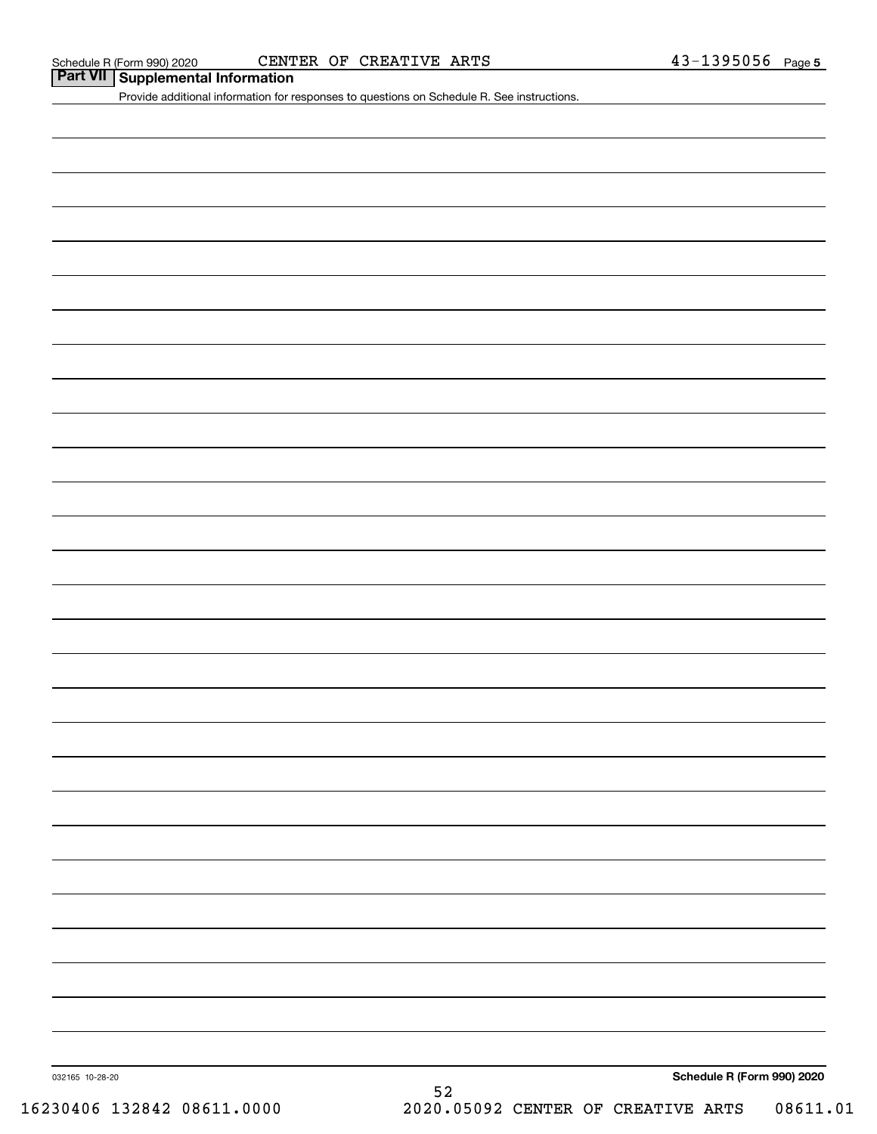## **Part VII Supplemental Information**

Provide additional information for responses to questions on Schedule R. See instructions.

**Schedule R (Form 990) 2020**

032165 10-28-20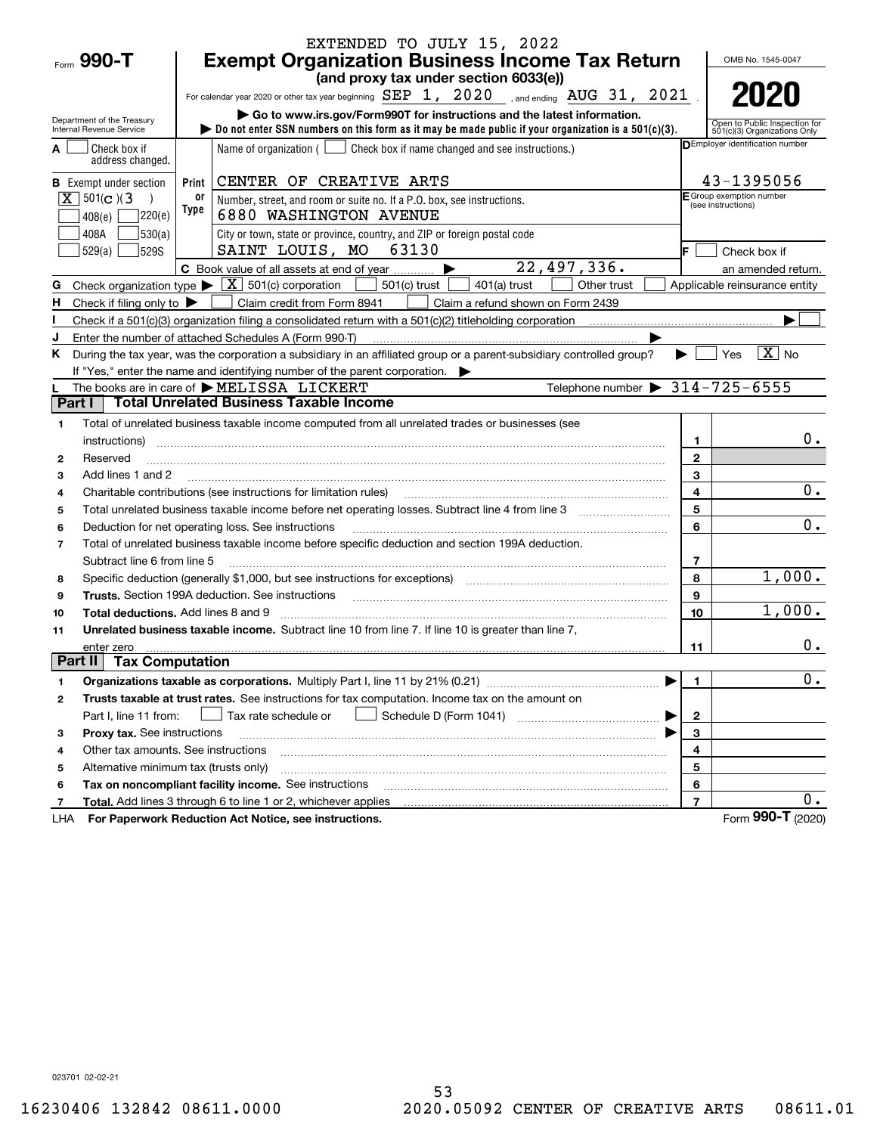|                                                    |                                       | EXTENDED TO JULY 15, 2022                                                                                                                                                                                                      |                   |                                                               |
|----------------------------------------------------|---------------------------------------|--------------------------------------------------------------------------------------------------------------------------------------------------------------------------------------------------------------------------------|-------------------|---------------------------------------------------------------|
| Form 990-T                                         |                                       | <b>Exempt Organization Business Income Tax Return</b>                                                                                                                                                                          |                   | OMB No. 1545-0047                                             |
|                                                    |                                       | (and proxy tax under section 6033(e))                                                                                                                                                                                          |                   |                                                               |
|                                                    |                                       | For calendar year 2020 or other tax year beginning $SEP$ 1, $2020$ and ending $AUG$ 31, $2021$                                                                                                                                 |                   | 2020                                                          |
| Department of the Treasury                         |                                       | Go to www.irs.gov/Form990T for instructions and the latest information.                                                                                                                                                        |                   |                                                               |
| Internal Revenue Service                           |                                       | bo not enter SSN numbers on this form as it may be made public if your organization is a 501(c)(3).                                                                                                                            |                   | Open to Public Inspection for<br>501(c)(3) Organizations Only |
| Check box if<br>address changed.                   |                                       | Name of organization $($ $\Box$ Check box if name changed and see instructions.)                                                                                                                                               |                   | <b>DEmployer identification number</b>                        |
| <b>B</b> Exempt under section                      | Print                                 | CENTER OF CREATIVE ARTS                                                                                                                                                                                                        |                   | 43-1395056                                                    |
| $X \ 501(c)$ (3                                    | 0ľ<br>Type                            | Number, street, and room or suite no. If a P.O. box, see instructions.                                                                                                                                                         |                   | E Group exemption number<br>(see instructions)                |
| 408(e)                                             | 7220(e)                               | 6880 WASHINGTON AVENUE                                                                                                                                                                                                         |                   |                                                               |
| 408A                                               | 530(a)                                | City or town, state or province, country, and ZIP or foreign postal code                                                                                                                                                       |                   |                                                               |
| 529(a)                                             | 529S                                  | SAINT LOUIS, MO 63130                                                                                                                                                                                                          |                   | Check box if                                                  |
|                                                    |                                       | 22,497,336.<br>C Book value of all assets at end of year                                                                                                                                                                       |                   | an amended return.                                            |
| G                                                  |                                       | Check organization type $\blacktriangleright \boxed{\textbf{X}}$ 501(c) corporation<br>501(c) trust<br>Other trust<br>401(a) trust                                                                                             |                   | Applicable reinsurance entity                                 |
| H<br>Check if filing only to $\blacktriangleright$ |                                       | Claim credit from Form 8941<br>Claim a refund shown on Form 2439                                                                                                                                                               |                   |                                                               |
|                                                    |                                       | Check if a 501(c)(3) organization filing a consolidated return with a 501(c)(2) titleholding corporation                                                                                                                       |                   |                                                               |
|                                                    |                                       | Enter the number of attached Schedules A (Form 990-T)                                                                                                                                                                          |                   |                                                               |
| ĸ.                                                 |                                       | During the tax year, was the corporation a subsidiary in an affiliated group or a parent-subsidiary controlled group?                                                                                                          |                   | $ \mathbf{X} $ No<br>Yes                                      |
|                                                    |                                       | If "Yes," enter the name and identifying number of the parent corporation.<br>Telephone number $\triangleright$ 314-725-6555<br>The books are in care of MELISSA LICKERT                                                       |                   |                                                               |
| Part I                                             |                                       | <b>Total Unrelated Business Taxable Income</b>                                                                                                                                                                                 |                   |                                                               |
|                                                    |                                       |                                                                                                                                                                                                                                |                   |                                                               |
| 1                                                  |                                       | Total of unrelated business taxable income computed from all unrelated trades or businesses (see                                                                                                                               |                   | 0.                                                            |
| instructions)<br>Reserved<br>2                     |                                       |                                                                                                                                                                                                                                | 1<br>$\mathbf{2}$ |                                                               |
| Add lines 1 and 2<br>3                             |                                       |                                                                                                                                                                                                                                | 3                 |                                                               |
| 4                                                  |                                       | Charitable contributions (see instructions for limitation rules)                                                                                                                                                               | 4                 | 0.                                                            |
| 5                                                  |                                       |                                                                                                                                                                                                                                | 5                 |                                                               |
| 6                                                  |                                       | Deduction for net operating loss. See instructions                                                                                                                                                                             | 6                 | 0.                                                            |
| $\overline{7}$                                     |                                       | Total of unrelated business taxable income before specific deduction and section 199A deduction.                                                                                                                               |                   |                                                               |
|                                                    | Subtract line 6 from line 5           |                                                                                                                                                                                                                                | 7                 |                                                               |
| 8                                                  |                                       | Specific deduction (generally \$1,000, but see instructions for exceptions) manufactured controller and the set                                                                                                                | 8                 | 1,000.                                                        |
| 9                                                  |                                       | Trusts. Section 199A deduction. See instructions [11] material content in the section 199A deduction. See instructions [11] material content in the section of the section of the section of the section of the section of the | 9                 |                                                               |
| 10                                                 | Total deductions. Add lines 8 and 9   |                                                                                                                                                                                                                                | 10                | 1,000.                                                        |
| 11                                                 |                                       | Unrelated business taxable income. Subtract line 10 from line 7. If line 10 is greater than line 7,                                                                                                                            |                   |                                                               |
| enter zero                                         |                                       |                                                                                                                                                                                                                                | 11                | $0$ .                                                         |
| Part II                                            | <b>Tax Computation</b>                |                                                                                                                                                                                                                                |                   |                                                               |
| 1                                                  |                                       |                                                                                                                                                                                                                                | 1                 | $\mathbf 0$ .                                                 |
| 2                                                  |                                       | Trusts taxable at trust rates. See instructions for tax computation. Income tax on the amount on                                                                                                                               |                   |                                                               |
| Part I, line 11 from:                              |                                       | Tax rate schedule or                                                                                                                                                                                                           | $\mathbf{2}$      |                                                               |
| з                                                  | Proxy tax. See instructions           |                                                                                                                                                                                                                                | 3                 |                                                               |
| 4                                                  | Other tax amounts. See instructions   |                                                                                                                                                                                                                                | 4                 |                                                               |
| 5                                                  | Alternative minimum tax (trusts only) |                                                                                                                                                                                                                                | 5                 |                                                               |
| 6                                                  |                                       | Tax on noncompliant facility income. See instructions                                                                                                                                                                          | 6                 |                                                               |
| 7                                                  |                                       | <b>Total.</b> Add lines 3 through 6 to line 1 or 2, whichever applies                                                                                                                                                          | $\overline{7}$    | 0.                                                            |
| LHA                                                |                                       | For Paperwork Reduction Act Notice, see instructions.                                                                                                                                                                          |                   | Form 990-T (2020)                                             |

023701 02-02-21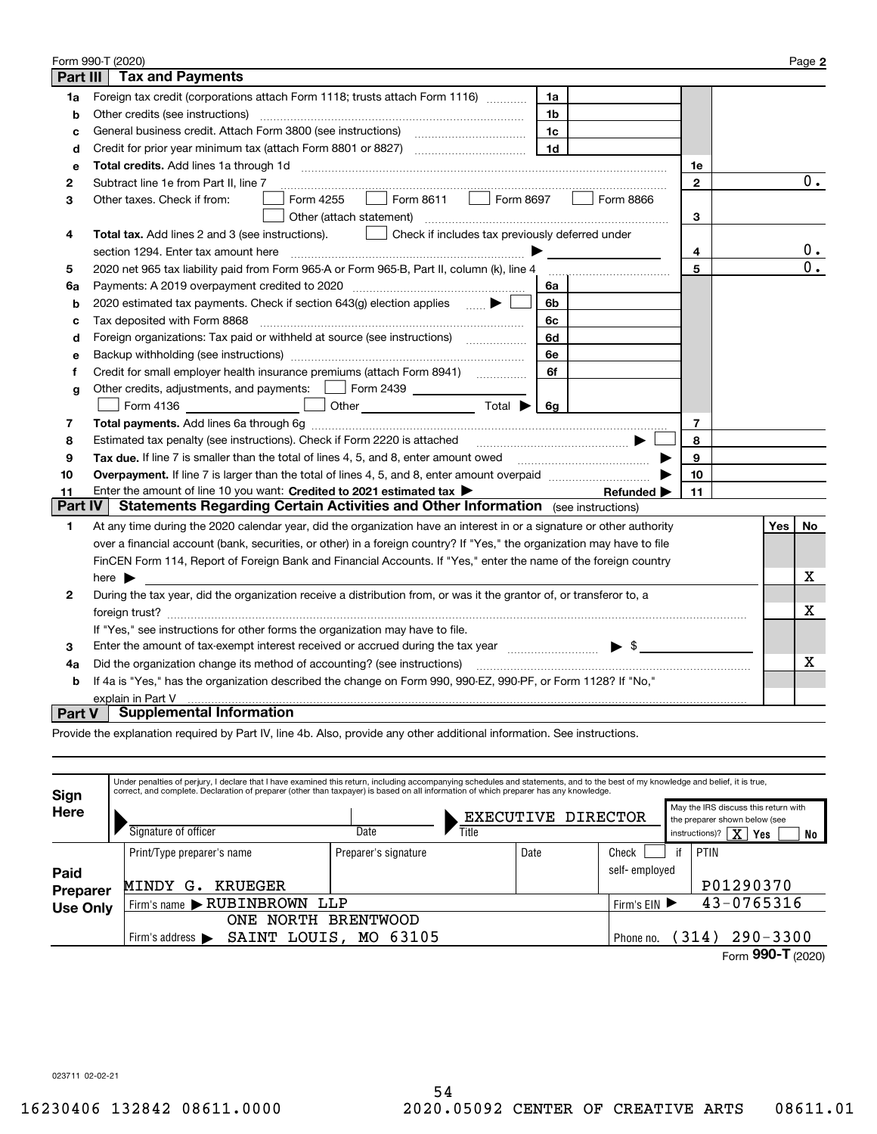|                                                                                                                    | Form 990-T (2020)                                                                                                                                                       |              |  |     | Page 2           |  |  |
|--------------------------------------------------------------------------------------------------------------------|-------------------------------------------------------------------------------------------------------------------------------------------------------------------------|--------------|--|-----|------------------|--|--|
| Part III                                                                                                           | <b>Tax and Payments</b>                                                                                                                                                 |              |  |     |                  |  |  |
| 1a                                                                                                                 | Foreign tax credit (corporations attach Form 1118; trusts attach Form 1116) [[[[[[[[[[[[[[[[[[[[[[[[<br>1a                                                              |              |  |     |                  |  |  |
| b                                                                                                                  | Other credits (see instructions)<br>1b                                                                                                                                  |              |  |     |                  |  |  |
| c                                                                                                                  | 1c                                                                                                                                                                      |              |  |     |                  |  |  |
| d                                                                                                                  | 1 <sub>d</sub>                                                                                                                                                          |              |  |     |                  |  |  |
| е                                                                                                                  |                                                                                                                                                                         | 1е           |  |     |                  |  |  |
| 2                                                                                                                  | Subtract line 1e from Part II, line 7                                                                                                                                   | $\mathbf{2}$ |  |     | 0.               |  |  |
| 3                                                                                                                  | $\Box$ Form 8611<br>$\Box$ Form 8697<br>Form 8866<br>Form 4255<br>Other taxes. Check if from:                                                                           |              |  |     |                  |  |  |
|                                                                                                                    | Other (attach statement)                                                                                                                                                | 3            |  |     |                  |  |  |
| 4                                                                                                                  | Check if includes tax previously deferred under<br><b>Total tax.</b> Add lines 2 and 3 (see instructions).                                                              |              |  |     |                  |  |  |
|                                                                                                                    | 4<br>section 1294. Enter tax amount here                                                                                                                                |              |  |     |                  |  |  |
| 5                                                                                                                  | 2020 net 965 tax liability paid from Form 965-A or Form 965-B, Part II, column (k), line 4                                                                              | 5            |  |     | $\overline{0}$ . |  |  |
| 6a                                                                                                                 | Payments: A 2019 overpayment credited to 2020 [11] [12] maximum materials and Payments: A 2019 overpayment credited to 2020 [11] maximum materials and Payments A<br>6a |              |  |     |                  |  |  |
| b                                                                                                                  | 2020 estimated tax payments. Check if section 643(g) election applies  ▶<br>6b                                                                                          |              |  |     |                  |  |  |
| c                                                                                                                  | Tax deposited with Form 8868<br>6c                                                                                                                                      |              |  |     |                  |  |  |
| d                                                                                                                  | Foreign organizations: Tax paid or withheld at source (see instructions) [<br>6d                                                                                        |              |  |     |                  |  |  |
| e                                                                                                                  | 6e                                                                                                                                                                      |              |  |     |                  |  |  |
| f                                                                                                                  | Credit for small employer health insurance premiums (attach Form 8941)<br>6f                                                                                            |              |  |     |                  |  |  |
| g                                                                                                                  | Other credits, adjustments, and payments:   Form 2439                                                                                                                   |              |  |     |                  |  |  |
|                                                                                                                    | Other $\overline{\qquad \qquad }$ Total $\blacktriangleright$ $\boxed{6g}$<br>Form 4136                                                                                 |              |  |     |                  |  |  |
| 7                                                                                                                  |                                                                                                                                                                         | 7            |  |     |                  |  |  |
| 8                                                                                                                  | Estimated tax penalty (see instructions). Check if Form 2220 is attached                                                                                                | 8            |  |     |                  |  |  |
| 9                                                                                                                  | Tax due. If line 7 is smaller than the total of lines 4, 5, and 8, enter amount owed <i>manumenon containers</i>                                                        | 9            |  |     |                  |  |  |
| 10                                                                                                                 |                                                                                                                                                                         | 10           |  |     |                  |  |  |
| 11                                                                                                                 | Enter the amount of line 10 you want: Credited to 2021 estimated tax ><br>Refunded $\blacktriangleright$                                                                | 11           |  |     |                  |  |  |
| <b>Part IV</b>                                                                                                     | Statements Regarding Certain Activities and Other Information (see instructions)                                                                                        |              |  |     |                  |  |  |
| 1                                                                                                                  | At any time during the 2020 calendar year, did the organization have an interest in or a signature or other authority                                                   |              |  | Yes | No               |  |  |
|                                                                                                                    | over a financial account (bank, securities, or other) in a foreign country? If "Yes," the organization may have to file                                                 |              |  |     |                  |  |  |
|                                                                                                                    | FinCEN Form 114, Report of Foreign Bank and Financial Accounts. If "Yes," enter the name of the foreign country                                                         |              |  |     |                  |  |  |
|                                                                                                                    | here $\blacktriangleright$                                                                                                                                              |              |  |     | х                |  |  |
| 2                                                                                                                  | During the tax year, did the organization receive a distribution from, or was it the grantor of, or transferor to, a                                                    |              |  |     |                  |  |  |
|                                                                                                                    |                                                                                                                                                                         |              |  |     |                  |  |  |
|                                                                                                                    | If "Yes," see instructions for other forms the organization may have to file.                                                                                           |              |  |     |                  |  |  |
| 3                                                                                                                  | Enter the amount of tax-exempt interest received or accrued during the tax year manufactured $\bullet$ \$                                                               |              |  |     |                  |  |  |
| Did the organization change its method of accounting? (see instructions)<br>4a                                     |                                                                                                                                                                         |              |  |     |                  |  |  |
| If 4a is "Yes," has the organization described the change on Form 990, 990-EZ, 990-PF, or Form 1128? If "No,"<br>b |                                                                                                                                                                         |              |  |     |                  |  |  |
|                                                                                                                    | explain in Part V                                                                                                                                                       |              |  |     |                  |  |  |
| <b>Part V</b>                                                                                                      | <b>Supplemental Information</b>                                                                                                                                         |              |  |     |                  |  |  |

Provide the explanation required by Part IV, line 4b. Also, provide any other additional information. See instructions.

| Sign            | Under penalties of perjury, I declare that I have examined this return, including accompanying schedules and statements, and to the best of my knowledge and belief, it is true,<br>correct, and complete. Declaration of preparer (other than taxpayer) is based on all information of which preparer has any knowledge. |                      |                             |  |               |    |                                                                                                                               |
|-----------------|---------------------------------------------------------------------------------------------------------------------------------------------------------------------------------------------------------------------------------------------------------------------------------------------------------------------------|----------------------|-----------------------------|--|---------------|----|-------------------------------------------------------------------------------------------------------------------------------|
| Here            | Signature of officer                                                                                                                                                                                                                                                                                                      | Date                 | EXECUTIVE DIRECTOR<br>Title |  |               |    | May the IRS discuss this return with<br>the preparer shown below (see<br>$\overline{\text{X}}$<br>instructions)?<br>Yes<br>No |
|                 | Print/Type preparer's name                                                                                                                                                                                                                                                                                                | Preparer's signature | Date                        |  | Check         | if | PTIN                                                                                                                          |
| Paid            |                                                                                                                                                                                                                                                                                                                           |                      |                             |  | self-emploved |    |                                                                                                                               |
| <b>Preparer</b> | <b>KRUEGER</b><br>MINDY<br>G.                                                                                                                                                                                                                                                                                             |                      |                             |  |               |    | P01290370                                                                                                                     |
| <b>Use Only</b> | Firm's name RUBINBROWN                                                                                                                                                                                                                                                                                                    | LLP                  |                             |  |               |    | 43-0765316                                                                                                                    |
|                 | <b>NORTH</b><br>ONE                                                                                                                                                                                                                                                                                                       | <b>BRENTWOOD</b>     |                             |  |               |    |                                                                                                                               |
|                 | LOUIS.<br>SAINT<br>Firm's address $\blacktriangleright$                                                                                                                                                                                                                                                                   | 63105<br>MO.         |                             |  | Phone no.     |    | $290 - 3300$<br>314)                                                                                                          |
|                 |                                                                                                                                                                                                                                                                                                                           |                      |                             |  |               |    | Form 990-T (2020)                                                                                                             |

023711 02-02-21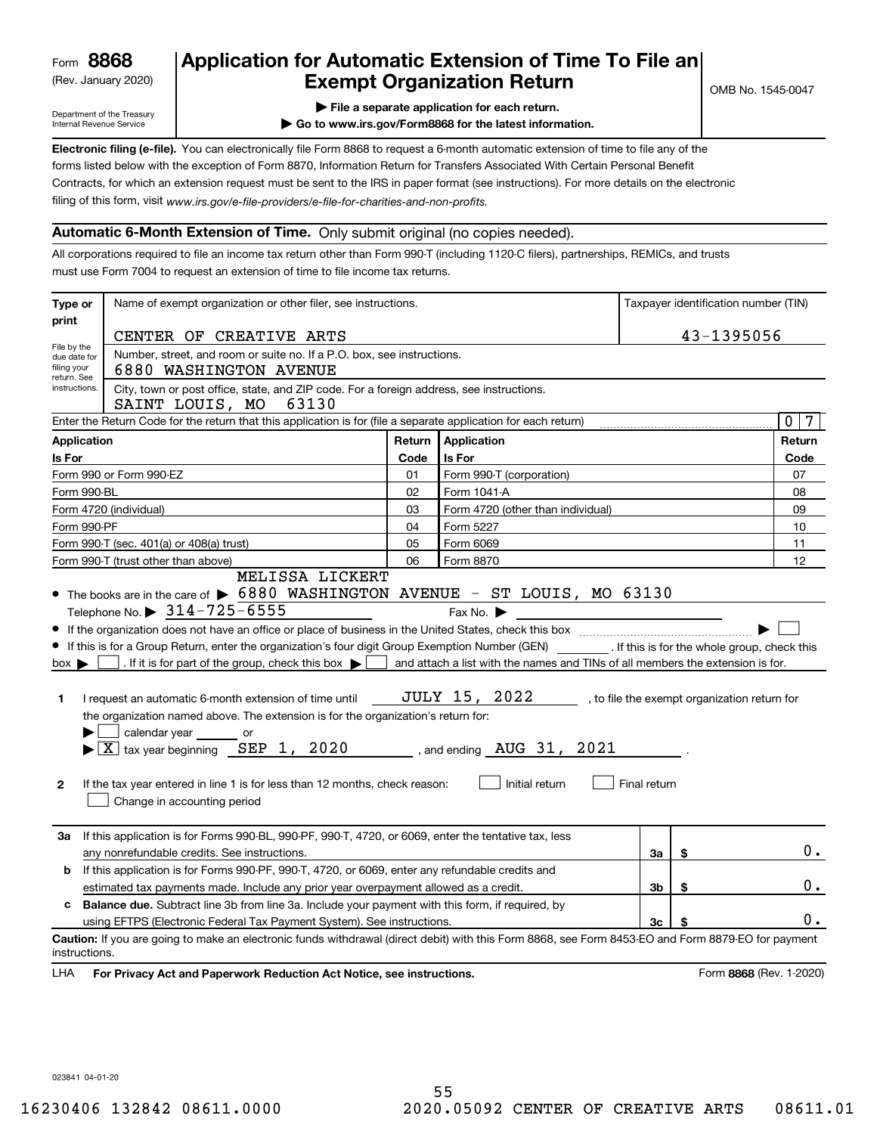(Rev. January 2020)

## **Application for Automatic Extension of Time To File an Exempt Organization Return**

Department of the Treasury Internal Revenue Service

**| File a separate application for each return.**

**| Go to www.irs.gov/Form8868 for the latest information.**

**Electronic filing (e-file).**  You can electronically file Form 8868 to request a 6-month automatic extension of time to file any of the filing of this form, visit www.irs.gov/e-file-providers/e-file-for-charities-and-non-profits. forms listed below with the exception of Form 8870, Information Return for Transfers Associated With Certain Personal Benefit Contracts, for which an extension request must be sent to the IRS in paper format (see instructions). For more details on the electronic

#### **Automatic 6-Month Extension of Time.** Only submit original (no copies needed).

All corporations required to file an income tax return other than Form 990-T (including 1120-C filers), partnerships, REMICs, and trusts must use Form 7004 to request an extension of time to file income tax returns.

| Type or                                                                                                                                                                                                              | Name of exempt organization or other filer, see instructions.                                                                                                                                                                                                                                                                                                                                                                                                                                                                                                                                                                                                                                                                                        |        |                                                                                                                                                                                                           |              | Taxpayer identification number (TIN) |                                              |  |
|----------------------------------------------------------------------------------------------------------------------------------------------------------------------------------------------------------------------|------------------------------------------------------------------------------------------------------------------------------------------------------------------------------------------------------------------------------------------------------------------------------------------------------------------------------------------------------------------------------------------------------------------------------------------------------------------------------------------------------------------------------------------------------------------------------------------------------------------------------------------------------------------------------------------------------------------------------------------------------|--------|-----------------------------------------------------------------------------------------------------------------------------------------------------------------------------------------------------------|--------------|--------------------------------------|----------------------------------------------|--|
| print                                                                                                                                                                                                                | CENTER OF CREATIVE ARTS                                                                                                                                                                                                                                                                                                                                                                                                                                                                                                                                                                                                                                                                                                                              |        |                                                                                                                                                                                                           |              |                                      | 43-1395056                                   |  |
| File by the<br>due date for<br>filing your<br>return. See                                                                                                                                                            | Number, street, and room or suite no. If a P.O. box, see instructions.<br>6880 WASHINGTON AVENUE                                                                                                                                                                                                                                                                                                                                                                                                                                                                                                                                                                                                                                                     |        |                                                                                                                                                                                                           |              |                                      |                                              |  |
| instructions.                                                                                                                                                                                                        | City, town or post office, state, and ZIP code. For a foreign address, see instructions.<br>SAINT LOUIS, MO 63130                                                                                                                                                                                                                                                                                                                                                                                                                                                                                                                                                                                                                                    |        |                                                                                                                                                                                                           |              |                                      |                                              |  |
|                                                                                                                                                                                                                      | Enter the Return Code for the return that this application is for (file a separate application for each return)                                                                                                                                                                                                                                                                                                                                                                                                                                                                                                                                                                                                                                      |        |                                                                                                                                                                                                           |              |                                      | $\mathbf{0}$<br>7                            |  |
| Application                                                                                                                                                                                                          |                                                                                                                                                                                                                                                                                                                                                                                                                                                                                                                                                                                                                                                                                                                                                      | Return | <b>Application</b>                                                                                                                                                                                        |              |                                      | Return                                       |  |
| Is For                                                                                                                                                                                                               |                                                                                                                                                                                                                                                                                                                                                                                                                                                                                                                                                                                                                                                                                                                                                      | Code   | Is For                                                                                                                                                                                                    |              |                                      |                                              |  |
|                                                                                                                                                                                                                      | Form 990 or Form 990-EZ                                                                                                                                                                                                                                                                                                                                                                                                                                                                                                                                                                                                                                                                                                                              | 01     | Form 990-T (corporation)                                                                                                                                                                                  |              |                                      | 07                                           |  |
| Form 990-BL                                                                                                                                                                                                          |                                                                                                                                                                                                                                                                                                                                                                                                                                                                                                                                                                                                                                                                                                                                                      |        | Form 1041-A                                                                                                                                                                                               |              |                                      | 08                                           |  |
| Form 4720 (individual)<br>03                                                                                                                                                                                         |                                                                                                                                                                                                                                                                                                                                                                                                                                                                                                                                                                                                                                                                                                                                                      |        | Form 4720 (other than individual)                                                                                                                                                                         |              |                                      | 09                                           |  |
| Form 990-PF<br>04<br>Form 5227                                                                                                                                                                                       |                                                                                                                                                                                                                                                                                                                                                                                                                                                                                                                                                                                                                                                                                                                                                      |        |                                                                                                                                                                                                           |              |                                      | 10                                           |  |
| Form 990-T (sec. 401(a) or 408(a) trust)<br>05<br>Form 6069                                                                                                                                                          |                                                                                                                                                                                                                                                                                                                                                                                                                                                                                                                                                                                                                                                                                                                                                      |        |                                                                                                                                                                                                           | 11           |                                      |                                              |  |
|                                                                                                                                                                                                                      | Form 990-T (trust other than above)                                                                                                                                                                                                                                                                                                                                                                                                                                                                                                                                                                                                                                                                                                                  | 06     | Form 8870                                                                                                                                                                                                 |              |                                      | 12                                           |  |
| $box \blacktriangleright$<br>1<br>$\mathbf{2}$                                                                                                                                                                       | • The books are in the care of $\triangleright$ 6880 WASHINGTON AVENUE - ST LOUIS, MO 63130<br>Telephone No. $\triangleright$ 314-725-6555<br>• If this is for a Group Return, enter the organization's four digit Group Exemption Number (GEN) [167]. If this is for the whole group, check this<br>. If it is for part of the group, check this box $\blacktriangleright$<br>I request an automatic 6-month extension of time until<br>the organization named above. The extension is for the organization's return for:<br>calendar year or<br>$\blacktriangleright$ $ \underline{X} $ tax year beginning $\underline{SEP}$ 1, 2020<br>If the tax year entered in line 1 is for less than 12 months, check reason:<br>Change in accounting period |        | Fax No. $\blacktriangleright$<br>and attach a list with the names and TINs of all members the extension is for.<br>JULY 15, 2022<br>, and ending $\,$ AUG $\,$ 31 $\,$ , $\,$ 2021 $\,$<br>Initial return | Final return |                                      | , to file the exempt organization return for |  |
| За                                                                                                                                                                                                                   | If this application is for Forms 990-BL, 990-PF, 990-T, 4720, or 6069, enter the tentative tax, less<br>any nonrefundable credits. See instructions.                                                                                                                                                                                                                                                                                                                                                                                                                                                                                                                                                                                                 |        |                                                                                                                                                                                                           | За           | \$                                   | $0$ .                                        |  |
| If this application is for Forms 990-PF, 990-T, 4720, or 6069, enter any refundable credits and<br>b<br>3 <sub>b</sub><br>estimated tax payments made. Include any prior year overpayment allowed as a credit.<br>\$ |                                                                                                                                                                                                                                                                                                                                                                                                                                                                                                                                                                                                                                                                                                                                                      |        |                                                                                                                                                                                                           |              | $0$ .                                |                                              |  |
| c                                                                                                                                                                                                                    | <b>Balance due.</b> Subtract line 3b from line 3a. Include your payment with this form, if required, by                                                                                                                                                                                                                                                                                                                                                                                                                                                                                                                                                                                                                                              |        |                                                                                                                                                                                                           |              |                                      |                                              |  |
|                                                                                                                                                                                                                      | using EFTPS (Electronic Federal Tax Payment System). See instructions.                                                                                                                                                                                                                                                                                                                                                                                                                                                                                                                                                                                                                                                                               |        |                                                                                                                                                                                                           | 3c           | \$                                   | 0.                                           |  |
|                                                                                                                                                                                                                      | Caution: If you are going to make an electronic funds withdrawal (direct debit) with this Form 8868, see Form 8453-EO and Form 8879-EO for payment                                                                                                                                                                                                                                                                                                                                                                                                                                                                                                                                                                                                   |        |                                                                                                                                                                                                           |              |                                      |                                              |  |
| instructions.<br>LHA                                                                                                                                                                                                 | For Privacy Act and Paperwork Reduction Act Notice, see instructions.                                                                                                                                                                                                                                                                                                                                                                                                                                                                                                                                                                                                                                                                                |        |                                                                                                                                                                                                           |              |                                      | Form 8868 (Rev. 1-2020)                      |  |

023841 04-01-20